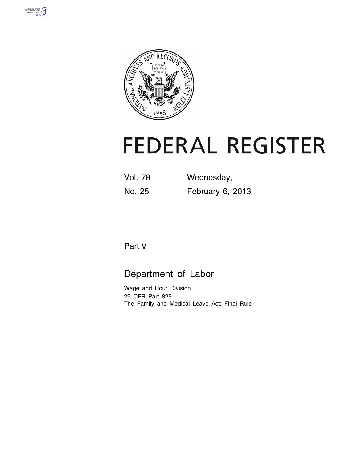



# **FEDERAL REGISTER**

| <b>Vol. 78</b> | Wednesday,       |
|----------------|------------------|
| No. 25         | February 6, 2013 |

# Part V

# Department of Labor

Wage and Hour Division 29 CFR Part 825 The Family and Medical Leave Act; Final Rule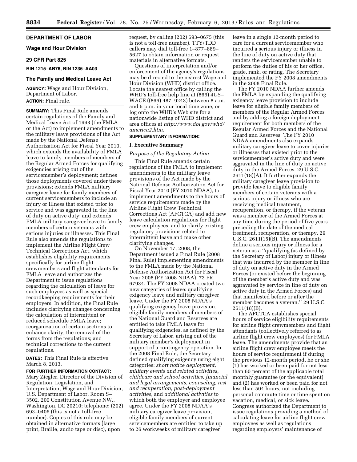# **DEPARTMENT OF LABOR**

**Wage and Hour Division** 

#### **29 CFR Part 825**

#### **RIN 1215–AB76, RIN 1235–AA03**

# **The Family and Medical Leave Act**

**AGENCY:** Wage and Hour Division, Department of Labor. **ACTION:** Final rule.

**SUMMARY:** This Final Rule amends certain regulations of the Family and Medical Leave Act of 1993 (the FMLA or the Act) to implement amendments to the military leave provisions of the Act made by the National Defense Authorization Act for Fiscal Year 2010, which extends the availability of FMLA leave to family members of members of the Regular Armed Forces for qualifying exigencies arising out of the servicemember's deployment; defines those deployments covered under these provisions; extends FMLA military caregiver leave for family members of current servicemembers to include an injury or illness that existed prior to service and was aggravated in the line of duty on active duty; and extends FMLA military caregiver leave to family members of certain veterans with serious injuries or illnesses. This Final Rule also amends the regulations to implement the Airline Flight Crew Technical Corrections Act, which establishes eligibility requirements specifically for airline flight crewmembers and flight attendants for FMLA leave and authorizes the Department to issue regulations regarding the calculation of leave for such employees as well as special recordkeeping requirements for their employers. In addition, the Final Rule includes clarifying changes concerning the calculation of intermittent or reduced schedule FMLA leave; reorganization of certain sections to enhance clarity; the removal of the forms from the regulations; and technical corrections to the current regulations.

**DATES:** This Final Rule is effective March 8, 2013.

#### **FOR FURTHER INFORMATION CONTACT:**

Mary Ziegler, Director of the Division of Regulation, Legislation, and Interpretation, Wage and Hour Division, U.S. Department of Labor, Room S– 3502, 200 Constitution Avenue NW., Washington, DC 20210; telephone: (202) 693–0406 (this is not a toll-free number). Copies of this rule may be obtained in alternative formats (large print, Braille, audio tape or disc), upon

request, by calling (202) 693–0675 (this is not a toll-free number). TTY/TDD callers may dial toll-free 1–877–889– 5627 to obtain information or request materials in alternative formats.

Questions of interpretation and/or enforcement of the agency's regulations may be directed to the nearest Wage and Hour Division (WHD) district office. Locate the nearest office by calling the WHD's toll-free help line at (866) 4US– WAGE ((866) 487–9243) between 8 a.m. and 5 p.m. in your local time zone, or log onto the WHD's Web site for a nationwide listing of WHD district and area offices at *[http://www.dol.gov/whd/](http://www.dol.gov/whd/america2.htm) [america2.htm.](http://www.dol.gov/whd/america2.htm)* 

### **SUPPLEMENTARY INFORMATION:**

#### **I. Executive Summary**

#### *Purpose of the Regulatory Action*

This Final Rule amends certain regulations of the FMLA to implement amendments to the military leave provisions of the Act made by the National Defense Authorization Act for Fiscal Year 2010 (FY 2010 NDAA), to implement amendments to the hours of service requirements made by the Airline Flight Crew Technical Corrections Act (AFCTCA) and add new leave calculation regulations for flight crew employees, and to clarify existing regulatory provisions related to intermittent leave and make other clarifying changes.

On November 17, 2008, the Department issued a Final Rule (2008 Final Rule) implementing amendments to the FMLA made by the National Defense Authorization Act for Fiscal Year 2008 (FY 2008 NDAA). 73 FR 67934. The FY 2008 NDAA created two new categories of leave: qualifying exigency leave and military caregiver leave. Under the FY 2008 NDAA's qualifying exigency leave provision, eligible family members of members of the National Guard and Reserves are entitled to take FMLA leave for qualifying exigencies, as defined by the Secretary of Labor, arising out of the military member's deployment in support of a contingency operation. In the 2008 Final Rule, the Secretary defined qualifying exigency using eight categories: *short notice deployment, military events and related activities, childcare and school activities, financial and legal arrangements, counseling, rest and recuperation, post-deployment activities,* and *additional activities* to which both the employer and employee agree. Under the FY 2008 NDAA's military caregiver leave provision, eligible family members of current servicemembers are entitled to take up to 26 workweeks of military caregiver

leave in a single 12-month period to care for a current servicemember who incurred a serious injury or illness in the line of duty on active duty that renders the servicemember unable to perform the duties of his or her office, grade, rank, or rating. The Secretary implemented the FY 2008 amendments in the 2008 Final Rule.

The FY 2010 NDAA further amends the FMLA by expanding the qualifying exigency leave provision to include leave for eligible family members of members of the Regular Armed Forces and by adding a foreign deployment requirement for both members of the Regular Armed Forces and the National Guard and Reserves. The FY 2010 NDAA amendments also expands military caregiver leave to cover injuries or illnesses that existed prior to the servicemember's active duty and were aggravated in the line of duty on active duty in the Armed Forces. 29 U.S.C. 2611(18)(A). It further expands the military caregiver leave provision to provide leave to eligible family members of certain veterans with a serious injury or illness who are receiving medical treatment, recuperation, or therapy, if the veteran was a member of the Armed Forces at any time during the period of five years preceding the date of the medical treatment, recuperation, or therapy. 29 U.S.C. 2611(15)(B). The amendments define a serious injury or illness for a veteran as a ''qualifying (as defined by the Secretary of Labor) injury or illness that was incurred by the member in line of duty on active duty in the Armed Forces (or existed before the beginning of the member's active duty and was aggravated by service in line of duty on active duty in the Armed Forces) and that manifested before or after the member becomes a veteran.'' 29 U.S.C. 2611(18)(B).

The AFCTCA establishes special hours of service eligibility requirements for airline flight crewmembers and flight attendants (collectively referred to as airline flight crew employees) for FMLA leave. The amendments provide that an airline flight crew employee meets the hours of service requirement if during the previous 12-month period, he or she (1) has worked or been paid for not less than 60 percent of the applicable total monthly guarantee (or the equivalent) and (2) has worked or been paid for not less than 504 hours, not including personal commute time or time spent on vacation, medical, or sick leave. Congress authorized the Department to issue regulations providing a method of calculating leave for airline flight crew employees as well as regulations regarding employers' maintenance of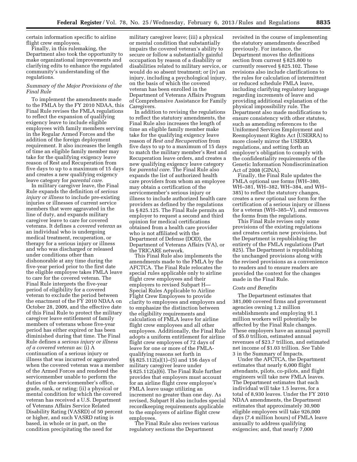certain information specific to airline flight crew employees.

Finally, in this rulemaking, the Department also took the opportunity to make organizational improvements and clarifying edits to enhance the regulated community's understanding of the regulations.

# *Summary of the Major Provisions of the Final Rule*

To implement the amendments made to the FMLA by the FY 2010 NDAA, this Final Rule revises the FMLA regulations to reflect the expansion of qualifying exigency leave to include eligible employees with family members serving in the Regular Armed Forces and the addition of the foreign deployment requirement. It also increases the length of time an eligible family member may take for the qualifying exigency leave reason of Rest and Recuperation from five days to up to a maximum of 15 days and creates a new qualifying exigency leave category for *parental care.* 

In military caregiver leave, the Final Rule expands the definition of *serious injury or illness* to include pre-existing injuries or illnesses of current service members that were aggravated in the line of duty, and expands military caregiver leave to care for covered veterans. It defines a *covered veteran* as an individual who is undergoing medical treatment, recuperation, or therapy for a serious injury or illness and who was discharged or released under conditions other than dishonorable at any time during the five-year period prior to the first date the eligible employee takes FMLA leave to care for the covered veteran. The Final Rule interprets the five-year period of eligibility for a covered veteran to exclude the period between the enactment of the FY 2010 NDAA on October 28, 2009, and the effective date of this Final Rule to protect the military caregiver leave entitlement of family members of veterans whose five-year period has either expired or has been diminished during that time. The Final Rule defines a *serious injury or illness of a covered veteran* as: (i) A continuation of a serious injury or illness that was incurred or aggravated when the covered veteran was a member of the Armed Forces and rendered the servicemember unable to perform the duties of the servicemember's office, grade, rank, or rating; (ii) a physical or mental condition for which the covered veteran has received a U.S. Department of Veterans Affairs Service Related Disability Rating (VASRD) of 50 percent or higher, and such VASRD rating is based, in whole or in part, on the condition precipitating the need for

military caregiver leave; (iii) a physical or mental condition that substantially impairs the covered veteran's ability to secure or follow a substantially gainful occupation by reason of a disability or disabilities related to military service, or would do so absent treatment; or (iv) an injury, including a psychological injury, on the basis of which the covered veteran has been enrolled in the Department of Veterans Affairs Program of Comprehensive Assistance for Family Caregivers.

In addition to revising the regulations to reflect the statutory amendments, the Final Rule also increases the length of time an eligible family member make take for the qualifying exigency leave reason of *Rest and Recuperation* from five days to up to a maximum of 15 days to match the military member's Rest and Recuperation leave orders, and creates a new qualifying exigency leave category for *parental care.* The Final Rule also expands the list of authorized health care providers from whom an employee may obtain a certification of the servicemember's serious injury or illness to include authorized health care providers as defined by the regulations in § 825.125. The Final Rule permits an employer to request a second and third opinion for medical certifications obtained from a health care provider who is not affiliated with the Department of Defense (DOD), the Department of Veterans Affairs (VA), or the TRICARE network.

This Final Rule also implements the amendments made to the FMLA by the AFCTCA. The Final Rule relocates the special rules applicable only to airline flight crew employees and their employers to revised Subpart H— Special Rules Applicable to Airline Flight Crew Employees to provide clarity to employees and employers and to emphasize the distinction between the eligibility requirements and calculation of FMLA leave for airline flight crew employees and all other employees. Additionally, the Final Rule adopts a uniform entitlement for airline flight crew employees of 72 days of leave for one or more of the FMLAqualifying reasons set forth in §§ 825.112(a)(1)–(5) and 156 days of military caregiver leave under § 825.112(a)(6). The Final Rule further provides that employers must account for an airline flight crew employee's FMLA leave usage utilizing an increment no greater than one day. As revised, Subpart H also includes special recordkeeping requirements applicable to the employers of airline flight crew employees.

The Final Rule also revises various regulatory sections the Department

revisited in the course of implementing the statutory amendments described previously. For instance, the Department moves the definitions section from current § 825.800 to currently reserved § 825.102. These revisions also include clarifications to the rules for calculation of intermittent or reduced schedule FMLA leave, including clarifying regulatory language regarding increments of leave and providing additional explanation of the physical impossibility rule. The Department also made modifications to ensure consistency with other statutes, such as amending references to the Uniformed Services Employment and Reemployment Rights Act (USERRA) to more closely mirror the USERRA regulations, and setting forth an employer's obligation to comply with the confidentiality requirements of the Genetic Information Nondiscrimination Act of 2008 (GINA).

Finally, the Final Rule updates the FMLA optional use forms (WH–380, WH–381, WH–382, WH–384, and WH– 385) to reflect the statutory changes, creates a new optional use form for the certification of a serious injury or illness for a veteran (WH–385–V), and removes the forms from the regulations.

This Final Rule revises only some provisions of the existing regulations and creates certain new provisions, but the Department is republishing the entirety of the FMLA regulations (Part 825). The Department is republishing the unchanged provisions along with the revised provisions as a convenience to readers and to ensure readers are provided the context for the changes made in the Final Rule.

#### *Costs and Benefits*

The Department estimates that 381,000 covered firms and government agencies owning 1.2 million establishments and employing 91.1 million workers will potentially be affected by the Final Rule changes. These employers have an annual payroll of \$5.0 trillion, estimated annual revenues of \$23.7 trillion, and estimated net income of \$1.03 trillion. *See* Table 3 in the Summary of Impacts.

Under the AFCTCA, the Department estimates that nearly 6,000 flight attendants, pilots, co-pilots, and flight engineers will take new FMLA leaves. The Department estimates that each individual will take 1.5 leaves, for a total of 8,930 leaves. Under the FY 2010 NDAA amendments, the Department estimates that approximately 30,900 eligible employees will take 926,000 days (7.4 million hours) of FMLA leave annually to address qualifying exigencies; and, that nearly 7,000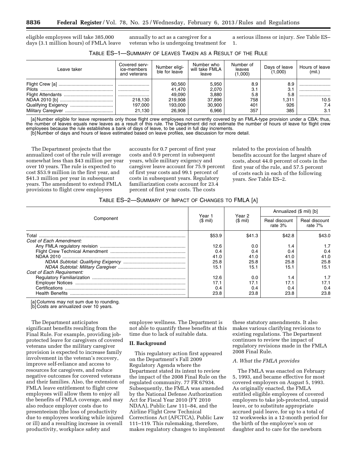eligible employees will take 385,000 days (3.1 million hours) of FMLA leave annually to act as a caregiver for a veteran who is undergoing treatment for a serious illness or injury. *See* Table ES– 1.

| Table ES—1—Summary of Leaves Taken as a Result of the Rule |  |
|------------------------------------------------------------|--|
|------------------------------------------------------------|--|

| Leave taker | Covered serv-<br>ice-members<br>and veterans | Number eligi-<br>ble for leave                             | Number who<br>will take FMLA<br>leave                | Number of<br>leaves<br>(1,000)         | Davs of leave<br>(1,000)                 | Hours of leave<br>(mil.) |
|-------------|----------------------------------------------|------------------------------------------------------------|------------------------------------------------------|----------------------------------------|------------------------------------------|--------------------------|
|             | 218.130<br>197.000<br>21,130                 | 90,560<br>41,470<br>49,090<br>219.908<br>193.000<br>26.908 | 5.950<br>2.070<br>3.880<br>37,896<br>30.900<br>6.966 | 8.9<br>3.1<br>5.8<br>758<br>401<br>357 | 8.9<br>3.1<br>5.8<br>1,311<br>926<br>385 | <br>10.5<br>7.4<br>3.1   |

[a] Number eligible for leave represents only those flight crew employees not currently covered by an FMLA-type provision under a CBA; thus, the number of leaves equals new leaves as a result of this rule. The Department did not estimate the number of hours of leave for flight crew employees because the rule establishes a bank of days of leave, to be used in full day increments.

[b] Number of days and hours of leave estimated based on leave profiles, see discussion for more detail.

The Department projects that the annualized cost of the rule will average somewhat less than \$43 million per year over 10 years. The rule is expected to cost \$53.9 million in the first year, and \$41.3 million per year in subsequent years. The amendment to extend FMLA provisions to flight crew employees

accounts for 0.7 percent of first year costs and 0.9 percent in subsequent years, while military exigency and caregiver leave account for 75.9 percent of first year costs and 99.1 percent of costs in subsequent years. Regulatory familiarization costs account for 23.4 percent of first year costs. The costs

related to the provision of health benefits account for the largest share of costs, about 44.0 percent of costs in the first year of the rule, and 57.5 percent of costs each in each of the following years. *See* Table ES–2.

# TABLE ES–2—SUMMARY OF IMPACT OF CHANGES TO FMLA [A]

|                           | Year 1<br>$(S \text{ mil})$ | Year 2<br>$(S \text{ mil})$ | Annualized (\$ mil) [b]    |                          |
|---------------------------|-----------------------------|-----------------------------|----------------------------|--------------------------|
| Component                 |                             |                             | Real discount<br>rate $3%$ | Real discount<br>rate 7% |
| Total                     | \$53.9                      | \$41.3                      | \$42.8                     | \$43.0                   |
| Cost of Fach Amendment:   |                             |                             |                            |                          |
|                           | 12.6                        | 0.0                         | 1.4                        |                          |
|                           | 0.4                         | 0.4                         | 0.4                        | 0.4                      |
|                           | 41.0                        | 41.0                        | 41.0                       | 41.0                     |
|                           | 25.8                        | 25.8                        | 25.8                       | 25.8                     |
|                           | 15.1                        | 15.1                        | 15.1                       | 15.1                     |
| Cost of Each Requirement: |                             |                             |                            |                          |
|                           | 12.6                        | 0.0                         | 1.4                        |                          |
|                           | 17.1                        | 17.1                        | 17.1                       | 17.1                     |
| Certifications            | 0.4                         | 0.4                         | 0.4                        | 0.4                      |
| <b>Health Benefits</b>    | 23.8                        | 23.8                        | 23.8                       | 23.8                     |

[a] Columns may not sum due to rounding.

[b] Costs are annualized over 10 years.

The Department anticipates significant benefits resulting from the Final Rule. For example, providing jobprotected leave for caregivers of covered veterans under the military caregiver provision is expected to increase family involvement in the veteran's recovery, improve self-reliance and access to resources for caregivers, and reduce negative outcomes for covered veterans and their families. Also, the extension of FMLA leave entitlement to flight crew employees will allow them to enjoy all the benefits of FMLA coverage, and may also reduce employer costs due to presenteeism (the loss of productivity due to employees working while injured or ill) and a resulting increase in overall productivity, workplace safety and

employee wellness. The Department is not able to quantify these benefits at this time due to lack of suitable data.

## **II. Background**

This regulatory action first appeared on the Department's Fall 2009 Regulatory Agenda where the Department stated its intent to review the impact of the 2008 Final Rule on the regulated community. 77 FR 67934. Subsequently, the FMLA was amended by the National Defense Authorization Act for Fiscal Year 2010 (FY 2010 NDAA), Public Law 111–84, and the Airline Flight Crew Technical Corrections Act (AFCTCA), Public Law 111–119. This rulemaking, therefore, makes regulatory changes to implement

these statutory amendments. It also makes various clarifying revisions to existing regulations. The Department continues to review the impact of regulatory revisions made in the FMLA 2008 Final Rule.

# *A. What the FMLA provides*

The FMLA was enacted on February 5, 1993, and became effective for most covered employers on August 5, 1993. As originally enacted, the FMLA entitled eligible employees of covered employers to take job-protected, unpaid leave, or to substitute appropriate accrued paid leave, for up to a total of 12 workweeks in a 12-month period for the birth of the employee's son or daughter and to care for the newborn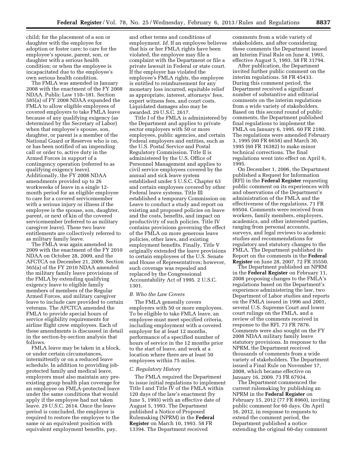child; for the placement of a son or daughter with the employee for adoption or foster care; to care for the employee's spouse, parent, son, or daughter with a serious health condition; or when the employee is incapacitated due to the employee's own serious health condition.

The FMLA was amended in January 2008 with the enactment of the FY 2008 NDAA. Public Law 110–181. Section 585(a) of FY 2008 NDAA expanded the FMLA to allow eligible employees of covered employers to take FMLA leave because of any qualifying exigency (as determined by the Secretary of Labor) when that employee's spouse, son, daughter, or parent is a member of the National Guard or Reserves who is on, or has been notified of an impending call or order to, active duty in the Armed Forces in support of a contingency operation (referred to as qualifying exigency leave). Additionally, the FY 2008 NDAA amendments provided up to 26 workweeks of leave in a single 12 month period for an eligible employee to care for a covered servicemember with a serious injury or illness if the employee is the spouse, son, daughter, parent, or next of kin of the covered servicemember (referred to as military caregiver leave). These two leave entitlements are collectively referred to as military family leave.

The FMLA was again amended in 2009 with the enactment of the FY 2010 NDAA on October 28, 2009, and the AFCTCA on December 21, 2009. Section 565(a) of the FY 2010 NDAA amended the military family leave provisions of the FMLA by extending qualifying exigency leave to eligible family members of members of the Regular Armed Forces, and military caregiver leave to include care provided to certain veterans. The AFCTCA amended the FMLA to provide special hours of service eligibility requirements for airline flight crew employees. Each of these amendments is discussed in detail in the section-by-section analysis that follows.

FMLA leave may be taken in a block, or under certain circumstances, intermittently or on a reduced leave schedule. In addition to providing jobprotected family and medical leave, employers must also maintain any preexisting group health plan coverage for an employee on FMLA-protected leave under the same conditions that would apply if the employee had not taken leave. 29 U.S.C. 2614. Once the leave period is concluded, the employer is required to restore the employee to the same or an equivalent position with equivalent employment benefits, pay,

and other terms and conditions of employment. *Id.* If an employee believes that his or her FMLA rights have been violated, the employee may file a complaint with the Department or file a private lawsuit in Federal or state court. If the employer has violated the employee's FMLA rights, the employee is entitled to reimbursement for any monetary loss incurred, equitable relief as appropriate, interest, attorneys' fees, expert witness fees, and court costs. Liquidated damages also may be awarded. 29 U.S.C. 2617.

Title I of the FMLA is administered by the Department and applies to private sector employers with 50 or more employees, public agencies, and certain Federal employers and entities, such as the U.S. Postal Service and Postal Regulatory Commission. Title II is administered by the U.S. Office of Personnel Management and applies to civil service employees covered by the annual and sick leave system established under 5 U.S.C. Chapter 63 and certain employees covered by other Federal leave systems. Title III established a temporary Commission on Leave to conduct a study and report on existing and proposed policies on leave and the costs, benefits, and impact on productivity of such policies. Title IV contains provisions governing the effect of the FMLA on more generous leave policies, other laws, and existing employment benefits. Finally, Title V originally extended the leave provisions to certain employees of the U.S. Senate and House of Representatives; however, such coverage was repealed and replaced by the Congressional Accountability Act of 1995. 2 U.S.C. 1301.

# *B. Who the Law Covers*

The FMLA generally covers employers with 50 or more employees. To be eligible to take FMLA leave, an employee must meet specified criteria, including employment with a covered employer for at least 12 months, performance of a specified number of hours of service in the 12 months prior to the start of leave, and work at a location where there are at least 50 employees within 75 miles.

#### *C. Regulatory History*

The FMLA required the Department to issue initial regulations to implement Title I and Title IV of the FMLA within 120 days of the law's enactment (by June 5, 1993) with an effective date of August 5, 1993. The Department published a Notice of Proposed Rulemaking (NPRM) in the **Federal Register** on March 10, 1993. 58 FR 13394. The Department received

comments from a wide variety of stakeholders, and after considering these comments the Department issued an Interim Final Rule on June 4, 1993, effective August 5, 1993. 58 FR 31794.

After publication, the Department invited further public comment on the interim regulations. 58 FR 45433. During this comment period, the Department received a significant number of substantive and editorial comments on the interim regulations from a wide variety of stakeholders. Based on this second round of public comments, the Department published final regulations to implement the FMLA on January 6, 1995. 60 FR 2180. The regulations were amended February 3, 1995 (60 FR 6658) and March 30, 1995 (60 FR 16382) to make minor technical corrections. The final regulations went into effect on April 6, 1995.

On December 1, 2006, the Department published a Request for Information (RFI) in the **Federal Register** requesting public comment on its experiences with and observations of the Department's administration of the FMLA and the effectiveness of the regulations. 71 FR 69504. Comments were received from workers, family members, employers, academics, and other interested parties, ranging from personal accounts, surveys, and legal reviews to academic studies and recommendations for regulatory and statutory changes to the FMLA. The Department published its Report on the comments in the **Federal Register** on June 28, 2007. 72 FR 35550.

The Department published an NPRM in the **Federal Register** on February 11, 2008 proposing changes to the FMLA's regulations based on the Department's experience administering the law, two Department of Labor studies and reports on the FMLA issued in 1996 and 2001, several U.S. Supreme Court and lower court rulings on the FMLA, and a review of the comments received in response to the RFI. 73 FR 7876. Comments were also sought on the FY 2008 NDAA military family leave statutory provisions. In response to the NPRM, the Department received thousands of comments from a wide variety of stakeholders. The Department issued a Final Rule on November 17, 2008, which became effective on January 16, 2009. 73 FR 67934.

The Department commenced the current rulemaking by publishing an NPRM in the **Federal Register** on February 15, 2012 (77 FR 8960), inviting public comment for 60 days. On April 16, 2012, in response to requests to extend the comment period, the Department published a notice extending the original 60-day comment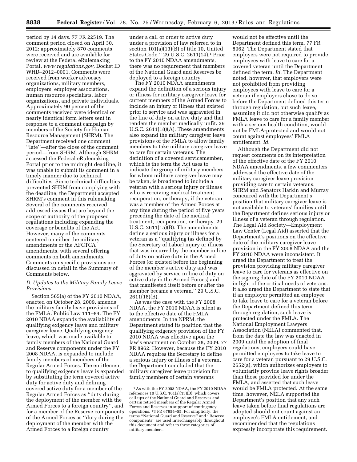period by 14 days. 77 FR 22519. The comment period closed on April 30, 2012; approximately 870 comments were received and are available for review at the Federal eRulemaking Portal, *[www.regulations.gov,](http://www.regulations.gov)* Docket ID WHD–2012–0001. Comments were received from worker advocacy organizations, military members, employers, employer associations, human resource specialists, labor organizations, and private individuals. Approximately 90 percent of the comments received were identical or nearly identical form letters sent in response to a comment campaign by members of the Society for Human Resource Management (SHRM). The Department received one comment ''late''—after the close of the comment period—from SHRM. Although SHRM accessed the Federal eRulemaking Portal prior to the midnight deadline, it was unable to submit its comment in a timely manner due to technical difficulties. Since technical difficulties prevented SHRM from complying with the deadline, the Department accepted SHRM's comment in this rulemaking. Several of the comments received addressed issues that are beyond the scope or authority of the proposed regulations including expanding the coverage or benefits of the Act. However, many of the comments centered on either the military amendments or the AFCTCA amendments, with several offering comments on both amendments. Comments on specific provisions are discussed in detail in the Summary of Comments below.

# *D. Updates to the Military Family Leave Provisions*

Section 565(a) of the FY 2010 NDAA, enacted on October 28, 2009, amends the military family leave provisions of the FMLA. Public Law 111–84. The FY 2010 NDAA expands the availability of qualifying exigency leave and military caregiver leave. Qualifying exigency leave, which was made available to family members of the National Guard and Reserve components under the FY 2008 NDAA, is expanded to include family members of members of the Regular Armed Forces. The entitlement to qualifying exigency leave is expanded by substituting the term covered active duty for active duty and defining covered active duty for a member of the Regular Armed Forces as ''duty during the deployment of the member with the Armed Forces to a foreign country'', and for a member of the Reserve components of the Armed Forces as ''duty during the deployment of the member with the Armed Forces to a foreign country

under a call or order to active duty under a provision of law referred to in section 101(a)(13)(B) of title 10, United States Code.'' 29 U.S.C. 2611(14).1 Prior to the FY 2010 NDAA amendments, there was no requirement that members of the National Guard and Reserves be deployed to a foreign country.

The FY 2010 NDAA amendments expand the definition of a serious injury or illness for military caregiver leave for current members of the Armed Forces to include an injury or illness that existed prior to service and was aggravated in the line of duty on active duty and that renders the member medically unfit. 29 U.S.C. 2611(18)(A). These amendments also expand the military caregiver leave provisions of the FMLA to allow family members to take military caregiver leave to care for certain veterans. The definition of a covered servicemember, which is the term the Act uses to indicate the group of military members for whom military caregiver leave may be taken, is broadened to include a veteran with a serious injury or illness who is receiving medical treatment, recuperation, or therapy, if the veteran was a member of the Armed Forces at any time during the period of five years preceding the date of the medical treatment, recuperation, or therapy. 29 U.S.C. 2611(15)(B). The amendments define a serious injury or illness for a veteran as a ''qualifying (as defined by the Secretary of Labor) injury or illness that was incurred by the member in line of duty on active duty in the Armed Forces (or existed before the beginning of the member's active duty and was aggravated by service in line of duty on active duty in the Armed Forces) and that manifested itself before or after the member became a veteran.'' 29 U.S.C. 2611(18)(B).

As was the case with the FY 2008 NDAA, the FY 2010 NDAA is silent as to the effective date of the FMLA amendments. In the NPRM, the Department stated its position that the qualifying exigency provision of the FY 2010 NDAA was effective upon the law's enactment on October 28, 2009. 77 FR 8962. However, because the FY 2010 NDAA requires the Secretary to define a serious injury or illness of a veteran, the Department concluded that the military caregiver leave provision for family members of certain veterans

would not be effective until the Department defined this term. 77 FR 8962. The Department stated that employers were not required to provide employees with leave to care for a covered veteran until the Department defined the term. *Id.* The Department noted, however, that employers were not prohibited from providing employees with leave to care for a veteran if employers chose to do so before the Department defined this term through regulation, but such leave, assuming it did not otherwise qualify as FMLA leave to care for a family member with a serious health condition, would not be FMLA-protected and would not count against employees' FMLA entitlement. *Id.* 

Although the Department did not request comments on its interpretation of the effective date of the FY 2010 NDAA amendments, a few commenters addressed the effective date of the military caregiver leave provision providing care to certain veterans. SHRM and Senators Harkin and Murray concurred with the Department's position that military caregiver leave is not available to veterans' families until the Department defines serious injury or illness of a veteran through regulation. The Legal Aid Society—Employment Law Center (Legal Aid) asserted that the Department's positions on the effective date of the military caregiver leave provision in the FY 2008 NDAA and the FY 2010 NDAA were inconsistent. It urged the Department to treat the provision providing military caregiver leave to care for veterans as effective on the signing date of the FY 2010 NDAA in light of the critical needs of veterans. It also urged the Department to state that if an employer permitted an employee to take leave to care for a veteran before the Department defined this term through regulation, such leave is protected under the FMLA. The National Employment Lawyers Association (NELA) commented that, from the date the law was enacted in 2009 until the adoption of final regulations, employers could have permitted employees to take leave to care for a veteran pursuant to 29 U.S.C. 2652(a), which authorizes employers to voluntarily provide leave rights broader than those provided for under the FMLA, and asserted that such leave would be FMLA protected. At the same time, however, NELA supported the Department's position that any such leave taken before final regulations are adopted should not count against an employee's FMLA entitlement, and recommended that the regulations expressly incorporate this requirement.

<sup>1</sup>As with the FY 2008 NDAA, the FY 2010 NDAA references 10 U.S.C. 101(a)(13)(B), which covers call ups of the National Guard and Reserves and certain retired members of the Regular Armed Forces and Reserves in support of contingency operations. 73 FR 67954–55. For simplicity, the terms ''National Guard and Reserve'' and ''Reserve components'' are used interchangeably throughout this document and refer to these categories of military members.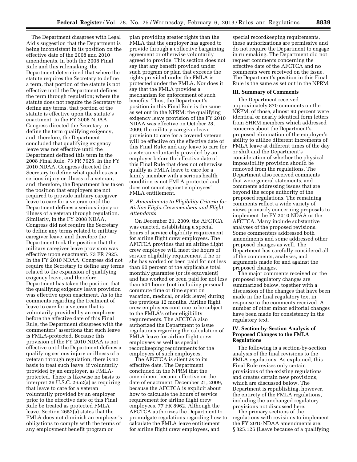The Department disagrees with Legal Aid's suggestion that the Department is being inconsistent in its position on the effective date of the 2008 and 2010 amendments. In both the 2008 Final Rule and this rulemaking, the Department determined that where the statute requires the Secretary to define a term, that portion of the statute is not effective until the Department defines the term through regulation; where the statute does not require the Secretary to define any terms, that portion of the statute is effective upon the statute's enactment. In the FY 2008 NDAA, Congress directed the Secretary to define the term qualifying exigency, and, therefore, the Department concluded that qualifying exigency leave was not effective until the Department defined this term in the 2008 Final Rule. 73 FR 7925. In the FY 2010 NDAA, Congress directed the Secretary to define what qualifies as a serious injury or illness of a veteran, and, therefore, the Department has taken the position that employers are not required to provide military caregiver leave to care for a veteran until the Department defines a serious injury or illness of a veteran through regulation. Similarly, in the FY 2008 NDAA, Congress did not require the Secretary to define any terms related to military caregiver leave, and therefore the Department took the position that the military caregiver leave provision was effective upon enactment. 73 FR 7925. In the FY 2010 NDAA, Congress did not require the Secretary to define any terms related to the expansion of qualifying exigency leave, and therefore Department has taken the position that the qualifying exigency leave provision was effective upon enactment. As to the comments regarding the treatment of leave to care for a veteran that is voluntarily provided by an employer before the effective date of this Final Rule, the Department disagrees with the commenters' assertions that such leave is FMLA-protected. Because this provision of the FY 2010 NDAA is not effective until the Department defines a qualifying serious injury or illness of a veteran through regulation, there is no basis to treat such leave, if voluntarily provided by an employer, as FMLAprotected. There is likewise no basis to interpret 29 U.S.C. 2652(a) as requiring that leave to care for a veteran voluntarily provided by an employer prior to the effective date of this Final Rule be treated as protected FMLA leave. Section 2652(a) states that the FMLA does not diminish an employer's obligations to comply with the terms of any employment benefit program or

plan providing greater rights than the FMLA that the employer has agreed to provide through a collective bargaining agreement or otherwise voluntarily agreed to provide. This section does not say that any benefit provided under such program or plan that exceeds the rights provided under the FMLA is protected under the FMLA. Nor does it say that the FMLA provides a mechanism for enforcement of such benefits. Thus, the Department's position in this Final Rule is the same as set out in the NPRM: the qualifying exigency leave provision of the FY 2010 NDAA was effective on October 28, 2009; the military caregiver leave provision to care for a covered veteran will be effective on the effective date of this Final Rule; and any leave to care for a veteran voluntarily provided by an employer before the effective date of this Final Rule that does not otherwise qualify as FMLA leave to care for a family member with a serious health condition is not FMLA-protected and does not count against employees' FMLA entitlement.

# *E. Amendments to Eligibility Criteria for Airline Flight Crewmembers and Flight Attendants*

On December 21, 2009, the AFCTCA was enacted, establishing a special hours of service eligibility requirement for airline flight crew employees. The AFCTCA provides that an airline flight crew employee will meet the hours of service eligibility requirement if he or she has worked or been paid for not less than 60 percent of the applicable total monthly guarantee (or its equivalent) and has worked or been paid for not less than 504 hours (not including personal commute time or time spent on vacation, medical, or sick leave) during the previous 12 months. Airline flight crew employees continue to be subject to the FMLA's other eligibility requirements. The AFCTCA also authorized the Department to issue regulations regarding the calculation of FMLA leave for airline flight crew employees as well as special recordkeeping requirements for the employers of such employees.

The AFCTCA is silent as to its effective date. The Department concluded in the NPRM that the amendment became effective on the date of enactment, December 21, 2009, because the AFCTCA is explicit about how to calculate the hours of service requirement for airline flight crew employees. 77 FR 8962. Although the AFCTCA authorizes the Department to promulgate regulations regarding how to calculate the FMLA leave entitlement for airline flight crew employees, and

special recordkeeping requirements, these authorizations are permissive and do not require the Department to engage in rulemaking. The Department did not request comments concerning the effective date of the AFCTCA and no comments were received on the issue. The Department's position in this Final Rule is the same as set out in the NPRM.

# **III. Summary of Comments**

The Department received approximately 870 comments on the NRPM; of those, almost 90 percent were identical or nearly identical form letters from SHRM members which addressed concerns about the Department's proposed elimination of the employer's ability to utilize different increments of FMLA leave at different times of the day or shift and the Department's consideration of whether the physical impossibility provision should be removed from the regulations. The Department also received comments that were general statements, and comments addressing issues that are beyond the scope authority of the proposed regulations. The remaining comments reflect a wide variety of views primarily concerning proposals to implement the FY 2010 NDAA or the AFCTCA. Many include substantive analyses of the proposed revisions. Some commenters addressed both amendments and some addressed other proposed changes as well. The Department has carefully considered all of the comments, analyses, and arguments made for and against the proposed changes.

The major comments received on the proposed regulatory changes are summarized below, together with a discussion of the changes that have been made in the final regulatory text in response to the comments received. A number of other minor editorial changes have been made for consistency in the regulatory text.

# **IV. Section-by-Section Analysis of Proposed Changes to the FMLA Regulations**

The following is a section-by-section analysis of the final revisions to the FMLA regulations. As explained, this Final Rule revises only certain provisions of the existing regulations and creates certain new provisions, which are discussed below. The Department is republishing, however, the entirety of the FMLA regulations, including the unchanged regulatory provisions not discussed here.

The primary sections of the regulations with revisions to implement the FY 2010 NDAA amendments are: § 825.126 (Leave because of a qualifying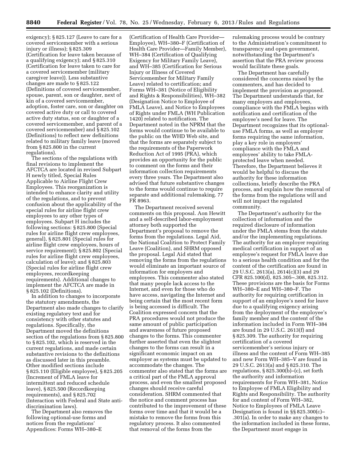exigency); § 825.127 (Leave to care for a covered servicemember with a serious injury or illness); § 825.309 (Certification for leave taken because of a qualifying exigency); and § 825.310 (Certification for leave taken to care for a covered servicemember (military caregiver leave)). Less substantive changes are made to § 825.122 (Definitions of covered servicemember, spouse, parent, son or daughter, next of kin of a covered servicemember, adoption, foster care, son or daughter on covered active duty or call to covered active duty status, son or daughter of a covered servicemember, and parent of a covered servicemember) and § 825.102 (Definitions) to reflect new definitions related to military family leave (moved from § 825.800 in the current regulations).

The sections of the regulations with final revisions to implement the AFCTCA are located in revised Subpart H newly titled, Special Rules Applicable to Airline Flight Crew Employees. This reorganization is intended to enhance clarity and utility of the regulations, and to prevent confusion about the applicability of the special rules for airline flight crew employees to any other types of employees. Subpart H includes the following sections: § 825.800 (Special rules for airline flight crew employees, general), § 825.801 (Special rules for airline flight crew employees, hours of service requirement); § 825.802 (Special rules for airline flight crew employees, calculation of leave); and § 825.803 (Special rules for airline flight crew employees, recordkeeping requirements). Additional changes to implement the AFCTCA are made in § 825.102 (Definitions).

In addition to changes to incorporate the statutory amendments, the Department also made changes to clarify existing regulatory text and for consistency with other statutes and regulations. Specifically, the Department moved the definitions section of the regulations from § 825.800 to § 825.102, which is reserved in the current regulations, and made certain substantive revisions to the definitions as discussed later in this preamble. Other modified sections include § 825.110 (Eligible employee), § 825.205 (Increment of FMLA leave for intermittent and reduced schedule leave), § 825.500 (Recordkeeping requirements), and § 825.702 (Interaction with Federal and State antidiscrimination laws).

The Department also removes the following optional-use forms and notices from the regulations' Appendices: Forms WH–380–E

(Certification of Health Care Provider— Employee), WH–380–F (Certification of Health Care Provider—Family Member), WH–384 (Certification of Qualifying Exigency for Military Family Leave), and WH–385 (Certification for Serious Injury or Illness of Covered Servicemember for Military Family Leave) related to certification; and Forms WH–381 (Notice of Eligibility and Rights & Responsibilities), WH–382 (Designation Notice to Employee of FMLA Leave), and Notice to Employees of Rights under FMLA (WH Publication 1420) related to notification. The Department noted in the NPRM that the forms would continue to be available to the public on the WHD Web site, and that the forms are separately subject to the requirements of the Paperwork Reduction Act of 1995 (PRA), which provides an opportunity for the public to comment on the forms and their information collection requirements every three years. The Department also advised that future substantive changes to the forms would continue to require separate and additional rulemaking. 77 FR 8963.

The Department received several comments on this proposal. Aon Hewitt and a self-described labor-employment attorney both supported the Department's proposal to remove the forms from the regulations. Legal Aid, the National Coalition to Protect Family Leave (Coalition), and SHRM opposed the proposal. Legal Aid stated that removing the forms from the regulations would eliminate an important source of information for employers and employees. This commenter also stated that many people lack access to the Internet, and even for those who do have access, navigating the Internet and being certain that the most recent form is being accessed is difficult. The Coalition expressed concern that the PRA procedures would not produce the same amount of public participation and awareness of future proposed changes to the forms. This commenter further asserted that even the slightest changes to the forms can result in a significant economic impact on an employer as systems must be updated to accommodate the changes. The commenter also stated that the forms are a critical part of the FMLA approval process, and even the smallest proposed changes should receive careful consideration. SHRM commented that the notice and comment process has contributed to the improvement of these forms over time and that it would be a mistake to remove the forms from this regulatory process. It also commented that removal of the forms from the

rulemaking process would be contrary to the Administration's commitment to transparency and open government, notwithstanding the Department's assertion that the PRA review process would facilitate these goals.

The Department has carefully considered the concerns raised by the commenters, and has decided to implement the provision as proposed. The Department understands that, for many employers and employees, compliance with the FMLA begins with notification and certification of the employee's need for leave. The Department recognizes that its optionaluse FMLA forms, as well as employer forms requiring the same information, play a key role in employers' compliance with the FMLA and employees' ability to take FMLAprotected leave when needed. Therefore, the Department believes it would be helpful to discuss the authority for these information collections, briefly describe the PRA process, and explain how the removal of the forms from the regulations will and will not impact the regulated community.

The Department's authority for the collection of information and the required disclosure of information under the FMLA stems from the statute and/or the implementing regulations. The authority for an employer requiring medical certification in support of an employee's request for FMLA leave due to a serious health condition and for the content of the certification are found in 29 U.S.C. 2613(a), 2614(c)(3) and 29 CFR 825.100(d), 825.305–.308, 825.312. These provisions are the basis for Forms WH–380–E and WH–380–F. The authority for requiring certification in support of an employee's need for leave due to a qualifying exigency arising from the deployment of the employee's family member and the content of the information included in Form WH–384 are found in 29 U.S.C. 2613(f) and § 825.309. The authority for requiring certification of a covered servicemember's serious injury or illness and the content of Form WH–385 and new Form WH–385–V are found in 29 U.S.C. 2613(a) and § 825.310. The regulations, § 825.300(b)–(c), set forth the authority and information requirements for Form WH–381, Notice to Employee of FMLA Eligibility and Rights and Responsibility. The authority for and content of Form WH–382, Notice to Employees of FMLA Leave Designation is found in §§ 825.300(c)– .301(a). In order to make any changes to the information included in these forms, the Department must engage in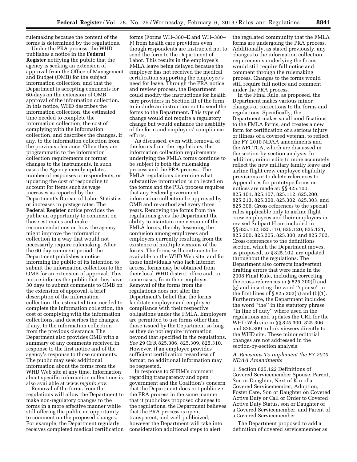rulemaking because the content of the forms is determined by the regulations.

Under the PRA process, the WHD publishes a notice in the **Federal Register** notifying the public that the agency is seeking an extension of approval from the Office of Management and Budget (OMB) for the subject information collection, and that the Department is accepting comments for 60-days on the extension of OMB approval of the information collection. In this notice, WHD describes the information collection, the estimated time needed to complete the information collection, the cost of complying with the information collection, and describes the changes, if any, to the information collection from the previous clearance. Often they are programmatic to the information collection requirements or format changes to the instruments. In such cases the Agency merely updates number of responses or respondents, or updating the cost of responding to account for items such as wage increases as reported by the Department's Bureau of Labor Statistics or increases in postage rates. The **Federal Register** notice provides the public an opportunity to comment on those estimates and make recommendations on how the agency might improve the information collection in a way that would not necessarily require rulemaking. After the 60 day comment period, the Department publishes a notice informing the public of its intention to submit the information collection to the OMB for an extension of approval. This notice informs the public that they have 30 days to submit comments to OMB on the extension of approval, a brief description of the information collection, the estimated time needed to complete the information collection, the cost of complying with the information collections, and describes the changes, if any, to the information collection from the previous clearance. The Department also provides OMB with a summary of any comments received in response to the first notice and of the agency's response to those comments. The public may seek additional information about the forms from the WHD Web site at any time. Information about specific information collections is also available at *[www.reginfo.gov.](http://www.reginfo.gov)* 

Removal of the forms from the regulations will allow the Department to make non-regulatory changes to the forms in a more effective manner while still offering the public an opportunity to comment on the proposed changes. For example, the Department regularly receives completed medical certification

forms (Forms WH–380–E and WH–380– F) from health care providers even though respondents are instructed not to send the form to the Department of Labor. This results in the employee's FMLA leave being delayed because the employer has not received the medical certification supporting the employee's need for leave. Through the PRA notice and review process, the Department could modify the instructions for health care providers in Section III of the form to include an instruction not to send the forms to the Department. This type of change would not require a regulatory change but would enhance the usability of the form and employers' compliance efforts.

As discussed, even with removal of the forms from the regulations, the information collection requirements underlying the FMLA forms continue to be subject to both the rulemaking process and the PRA process. The FMLA regulations determine what substantive information is collected on the forms and the PRA process requires that any Federal government information collection be approved by OMB and re-authorized every three years. Removing the forms from the regulations gives the Department the ability to maintain one version of the FMLA forms, thereby lessening the confusion among employees and employers currently resulting from the existence of multiple versions of the forms. The forms will continue to be available on the WHD Web site, and for those individuals who lack Internet access, forms may be obtained from their local WHD district office and, in some cases, from their employer. Removal of the forms from the regulations does not alter the Department's belief that the forms facilitate employer and employee compliance with their respective obligations under the FMLA. Employers are permitted to use forms other than those issued by the Department so long as they do not require information beyond that specified in the regulations. *See* 29 CFR 825.306, 825.309, 825.310. However, if an employee provides sufficient certification regardless of format, no additional information may be requested.

In response to SHRM's comment regarding transparency and open government and the Coalition's concern that the Department does not publicize the PRA process in the same manner that it publicizes proposed changes to the regulations, the Department believes that the PRA process is open, transparent, and well-publicized; however the Department will take into consideration additional steps to alert

the regulated community that the FMLA forms are undergoing the PRA process. Additionally, as stated previously, any changes to the information collection requirements underlying the forms would still require full notice and comment through the rulemaking process. Changes to the forms would still require full notice and comment under the PRA process.

In the Final Rule, as proposed, the Department makes various minor changes or corrections to the forms and regulations. Specifically, the Department makes small modifications to the FMLA forms, and creates a new form for certification of a serious injury or illness of a covered veteran, to reflect the FY 2010 NDAA amendments and the AFCTCA, which are discussed in the section-by-section analysis. In addition, minor edits to more accurately reflect the new military family leave and airline flight crew employee eligibility provisions or to delete references to Appendices for prototype forms or notices are made at: §§ 825.100, 825.101, 825.107, 825.112, 825.200, 825.213, 825.300, 825.302, 825.303, and 825.306. Cross-references to the special rules applicable only to airline flight crew employees and their employers in revised Subpart H are included in §§ 825.102, 825.110, 825.120, 825.121, 825.200, 825.205, 825.300, and 825.702. Cross-references to the definitions section, which the Department moves, as proposed, to § 825.102, are updated throughout the regulations. The Department also corrects inadvertent drafting errors that were made in the 2008 Final Rule, including correcting the cross-references in § 825.200(f) and (g) and inserting the word ''spouse'' in the first lines of § 825.202(b) and (b)(1). Furthermore, the Department includes the word ''the'' in the statutory phrase ''in line of duty'' where used in the regulations and updates the URL for the WHD Web site in §§ 825.300, 825.306, and 825.309 to link viewers directly to the WHD site. These minor editorial changes are not addressed in the section-by-section analysis.

## *A. Revisions To Implement the FY 2010 NDAA Amendments*

1. Section 825.122 Definitions of Covered Servicemember Spouse, Parent, Son or Daughter, Next of Kin of a Covered Servicemember, Adoption, Foster Care, Son or Daughter on Covered Active Duty or Call or Order to Covered Active Duty Status, son or Daughter of a Covered Servicemember, and Parent of a Covered Servicemember

The Department proposed to add a definition of covered servicemember as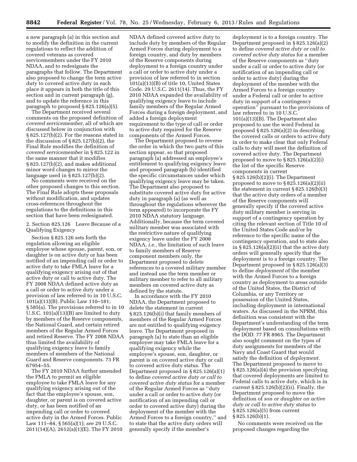a new paragraph (a) in this section and to modify the definition in the current regulations to reflect the addition of covered veterans as covered servicemembers under the FY 2010 NDAA, and to redesignate the paragraphs that follow. The Department also proposed to change the term active duty to covered active duty in each place it appears in both the title of this section and in current paragraph (g), and to update the reference in this paragraph to proposed § 825.126(a)(5).

The Department received several comments on the proposed definition of *covered servicemember,* all of which are discussed below in conjunction with § 825.127(b)(2). For the reasons stated in the discussion of  $\S 825.127(b)(2)$ , the Final Rule modifies the definition of *covered servicemember* in § 825.122 in the same manner that it modifies § 825.127(b)(2), and makes additional minor word changes to mirror the language used in § 825.127(b)(2).

No comments were received on the other proposed changes to this section. The Final Rule adopts these proposals without modification, and updates cross-references throughout the regulations to the definitions in this section that have been redesignated.

2. Section 825.126 Leave Because of a Qualifying Exigency

Section § 825.126 sets forth the regulation allowing an eligible employee whose spouse, parent, son, or daughter is on active duty or has been notified of an impending call or order to active duty to take FMLA leave for a qualifying exigency arising out of that active duty or call to active duty. The FY 2008 NDAA defined active duty as a call or order to active duty under a provision of law referred to in 10 U.S.C. 101(a)(13)(B). Public Law 110–181; § 585(a). The provisions referred to in 10 U.S.C. 101(a)(13)(B) are limited to duty by members of the Reserve components, the National Guard, and certain retired members of the Regular Armed Forces and retired Reserve. The FY 2008 NDAA thus limited the availability of qualifying exigency leave to family members of members of the National Guard and Reserve components. 73 FR 67954–55.

The FY 2010 NDAA further amended the FMLA to permit an eligible employee to take FMLA leave for any qualifying exigency arising out of the fact that the employee's spouse, son, daughter, or parent is on covered active duty, or has been notified of an impending call or order to covered active duty in the Armed Forces. Public Law 111–84, § 565(a)(1); *see* 29 U.S.C. 2611(14)(A), 2612(a)(1)(E). The FY 2010

NDAA defined covered active duty to include duty by members of the Regular Armed Forces during deployment to a foreign country, and duty by members of the Reserve components during deployment to a foreign country under a call or order to active duty under a provision of law referred to in section 101(a)(13)(B) of title 10, United States Code. 29 U.S.C. 2611(14). Thus, the FY 2010 NDAA expanded the availability of qualifying exigency leave to include family members of the Regular Armed Forces during a foreign deployment, and added a foreign deployment requirement to the type of call or order to active duty required for the Reserve components of the Armed Forces.

The Department proposed to reverse the order in which the two parts of this section appear, so that proposed paragraph (a) addressed an employee's entitlement to qualifying exigency leave and proposed paragraph (b) identified the specific circumstances under which qualifying exigency leave may be taken. The Department also proposed to substitute covered active duty for active duty in paragraph (a) (as well as throughout the regulations wherever the term appeared) to incorporate the FY 2010 NDAA statutory language. Additionally, because the term covered military member was associated with the restrictive nature of qualifying exigency leave under the FY 2008 NDAA, *i.e.,* the limitation of such leave to family members of Reserve component members only, the Department proposed to delete references to a covered military member and instead use the term member or military member to refer to all military members on covered active duty as defined by the statute.

In accordance with the FY 2010 NDAA, the Department proposed to delete the statement in current § 825.126(b)(i) that family members of members of the Regular Armed Forces are not entitled to qualifying exigency leave. The Department proposed in paragraph (a) to state than an eligible employee may take FMLA leave for a qualifying exigency while the employee's spouse, son, daughter, or parent is on covered active duty or call to covered active duty status. The Department proposed in § 825.126(a)(1) to define *covered active duty or call to covered active duty status* for a member of the Regular Armed Forces as ''duty under a call or order to active duty (or notification of an impending call or order to covered active duty) during the deployment of the member with the Armed Forces to a foreign country,'' and to state that the active duty orders will generally specify if the member's

deployment is to a foreign country. The Department proposed in § 825.126(a)(2) to define *covered active duty or call to covered active duty status* for a member of the Reserve components as ''duty under a call or order to active duty (or notification of an impending call or order to active duty) during the deployment of the member with the Armed Forces to a foreign country under a Federal call or order to active duty in support of a contingency operation'' pursuant to the provisions of law referred to in 10 U.S.C. 101(a)(13)(B). The Department also proposed to use the word Federal in proposed § 825.126(a)(2) in describing the covered calls or orders to active duty in order to make clear that only Federal calls to duty will meet the definition of covered active duty. The Department proposed to move to  $\S 825.126(a)(2)(i)$ the list of the specific Reserve components in current § 825.126(b)(2)(i). The Department proposed to move to § 825.126(a)(2)(ii) the statement in current § 825.126(b)(3) that the active duty orders of a member of the Reserve components will generally specify if the covered active duty military member is serving in support of a contingency operation by citing the relevant section of Title 10 of the United States Code and/or by reference to the specific name of the contingency operation, and to state also in § 825.126(a)(2)(ii) that the active duty orders will generally specify that the deployment is to a foreign country. The Department proposed in § 825.126(a)(3) to define *deployment* of the member with the Armed Forces to a foreign country as deployment to areas outside of the United States, the District of Columbia, or any Territory or possession of the United States, including deployment in international waters. As discussed in the NPRM, this definition was consistent with the Department's understanding of the term deployment based on consultations with the DOD. 77 FR 8965. The Department also sought comment on the types of duty assignments for members of the Navy and Coast Guard that would satisfy the definition of *deployment.*  The Department proposed to move to § 825.126(a)(4) the provision specifying that covered deployments are limited to Federal calls to active duty, which is in current  $\S 825.126(b)(2)(ii)$ . Finally, the Department proposed to move the definition of *son or daughter on active duty or call to active duty status* to § 825.126(a)(5) from current § 825.126(b)(1).

No comments were received on the proposed changes regarding the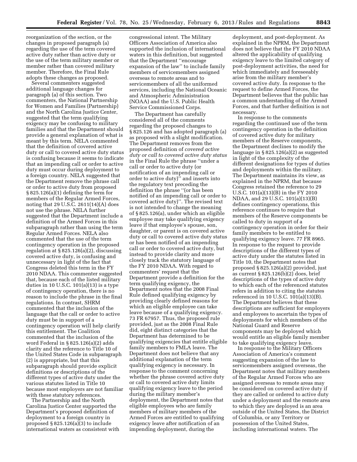reorganization of the section, or the changes in proposed paragraph (a) regarding the use of the term covered active duty rather than active duty or the use of the term military member or member rather than covered military member. Therefore, the Final Rule adopts these changes as proposed.

Several commenters suggested additional language changes for paragraph (a) of this section. Two commenters, the National Partnership for Women and Families (Partnership) and the North Carolina Justice Center, suggested that the term qualifying exigency may be confusing to military families and that the Department should provide a general explanation of what is meant by this term. NELA commented that the definition of covered active duty or call to covered active duty status is confusing because it seems to indicate that an impending call or order to active duty must occur during deployment to a foreign country. NELA suggested that the Department remove the phrase call or order to active duty from proposed § 825.126(a)(1) defining the term for members of the Regular Armed Forces, noting that 29 U.S.C. 2611(14)(A) does not use the phrase. NELA further suggested that the Department include a definition of the Armed Forces in this subparagraph rather than using the term Regular Armed Forces. NELA also commented that the use of the term contingency operation in the proposed regulation at § 825.126(a)(2), discussing covered active duty, is confusing and unnecessary in light of the fact that Congress deleted this term in the FY 2010 NDAA. This commenter suggested that, because each of the listed military duties in 10 U.S.C. 101(a)(13) is a type of contingency operation, there is no reason to include the phrase in the final regulations. In contrast, SHRM commented that the inclusion of the language that the call or order to active duty must be in support of a contingency operation will help clarify this entitlement. The Coalition commented that the inclusion of the word Federal in § 825.126(a)(2) adds clarity and the reference to Title 10 of the United States Code in subparagraph (2) is appropriate, but that this subparagraph should provide explicit definitions or descriptions of the different types of active duty under the various statutes listed in Title 10 because most employers are not familiar with these statutory references.

The Partnership and the North Carolina Justice Center supported the Department's proposed definition of deployment to a foreign country in proposed § 825.126(a)(3) to include international waters as consistent with congressional intent. The Military Officers Association of America also supported the inclusion of international waters in this definition, but suggested that the Department ''encourage expansion of the law'' to include family members of servicemembers assigned overseas to remote areas and to servicemembers of all the uniformed services, including the National Oceanic and Atmospheric Administration (NOAA) and the U.S. Public Health Service Commissioned Corps.

The Department has carefully considered all of the comments regarding the proposed changes to § 825.126 and has adopted paragraph (a) as proposed with a slight modification. The Department removes from the proposed definition of *covered active duty or call to covered active duty status*  in the Final Rule the phrase ''under a call or order to active duty (or notification of an impending call or order to active duty)'' and inserts into the regulatory text preceding the definition the phrase ''(or has been notified of an impending call or order to covered active duty)''. The revised text is not intended to change the meaning of § 825.126(a), under which an eligible employee may take qualifying exigency leave if that employee's spouse, son, daughter, or parent is on covered active duty or call to covered active duty status or has been notified of an impending call or order to covered active duty, but instead to provide clarity and more closely track the statutory language of the FY 2010 NDAA. With regard to commenters' request that the Department provide a definition for the term qualifying exigency, the Department notes that the 2008 Final Rule defined qualifying exigency by providing clearly defined reasons for which an eligible employee can take leave because of a qualifying exigency. 73 FR 67957. Thus, the proposed rule provided, just as the 2008 Final Rule did, eight distinct categories that the Department has determined to be qualifying exigencies that entitle eligible family members to FMLA leave. The Department does not believe that any additional explanation of the term qualifying exigency is necessary. In response to the comment concerning whether the phrase covered active duty or call to covered active duty limits qualifying exigency leave to the period during the military member's deployment, the Department notes that eligible employees who are family members of military members of the Armed Forces are entitled to qualifying exigency leave after notification of an impending deployment, during the

deployment, and post-deployment. As explained in the NPRM, the Department does not believe that the FY 2010 NDAA altered the applicability of qualifying exigency leave to the limited category of post-deployment activities, the need for which immediately and foreseeably arise from the military member's covered active duty. In response to the request to define Armed Forces, the Department believes that the public has a common understanding of the Armed Forces, and that further definition is not necessary.

In response to the comments regarding the continued use of the term contingency operation in the definition of covered active duty for military members of the Reserve components, the Department declines to modify the language in § 825.126(a)(2) as suggested in light of the complexity of the different designations for types of duties and deployments within the military. The Department maintains its view, as explained in the NPRM, that because Congress retained the reference to 29 U.S.C. 101(a)(13)(B) in the FY 2010 NDAA, and 29 U.S.C. 101(a)(13)(B) defines contingency operations, this reference continues to require that members of the Reserve components be called to duty in support of a contingency operation in order for their family members to be entitled to qualifying exigency leave. 77 FR 8965. In response to the request to provide descriptions of the different types of active duty under the statutes listed in Title 10, the Department notes that proposed § 825.126(a)(2) provided, just as current § 825.126(b)(2) does, brief descriptions of the types of active duty to which each of the referenced statutes refers in addition to citing the statutes referenced in 10 U.S.C. 101(a)(13)(B). The Department believes that these descriptions are sufficient for employers and employees to ascertain the types of deployments for which members of the National Guard and Reserve components may be deployed which would entitle an eligible family member to take qualifying exigency leave.

In response to the Military Officers Association of America's comment suggesting expansion of the law to servicemembers assigned overseas, the Department notes that military members of the Regular Armed Forces who are assigned overseas to remote areas may be considered on covered active duty if they are called or ordered to active duty under a deployment and the remote area to which they are deployed is an area outside of the United States, the District of Columbia, or any Territory or possession of the United States, including international waters. The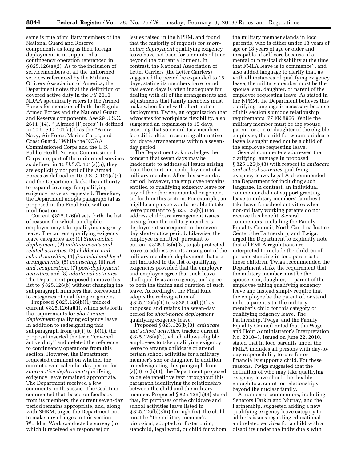same is true of military members of the National Guard and Reserve components as long as their foreign deployment is in support of a contingency operation referenced in § 825.126(a)(2). As to the inclusion of servicemembers of all the uniformed services referenced by the Military Officers Association of America, the Department notes that the definition of covered active duty in the FY 2010 NDAA specifically refers to the Armed Forces for members of both the Regular Armed Forces and the National Guard and Reserve components. *See* 29 U.S.C. 2611 (14). ''[A]rmed [F]orces'' is defined in 10 U.S.C. 101(a)(4) as the ''Army, Navy, Air Force, Marine Corps, and Coast Guard.'' While the NOAA Commissioned Corps and the U.S. Public Health Service Commissioned Corps are, part of the uniformed services as defined in 10 U.S.C. 101(a)(5), they are explicitly not part of the Armed Forces as defined in 10 U.S.C. 101(a)(4) and the Department lacks the authority to expand coverage for qualifying exigency leave as requested. Therefore, the Department adopts paragraph (a) as proposed in the Final Rule without modification.

Current § 825.126(a) sets forth the list of reasons for which an eligible employee may take qualifying exigency leave. The current qualifying exigency leave categories are: (1) *Short-notice deployment,* (2) *military events and related activities,* (3) *childcare and school activities,* (4) *financial and legal arrangements,* (5) *counseling,* (6) *rest and recuperation,* (7) *post-deployment activities,* and (8) *additional activities.*  The Department proposed to move this list to § 825.126(b) without changing the subparagraph numbers that correspond to categories of qualifying exigencies.

Proposed § 825.126(b)(1) tracked current § 825.126(a)(1), which sets forth the requirements for *short-notice deployment* qualifying exigency leave. In addition to redesignating this subparagraph from  $(a)(1)$  to  $(b)(1)$ , the proposal inserted the term ''covered active duty'' and deleted the reference to contingency operations from this section. However, the Department requested comment on whether the current seven-calendar-day period for *short-notice deployment* qualifying exigency leave remained appropriate. The Department received a few comments on this issue. The Coalition commented that, based on feedback from its members, the current seven-day period remains appropriate, and, along with SHRM, urged the Department not to make any changes to this section. World at Work conducted a survey (to which it received 94 responses) on

issues raised in the NPRM, and found that the majority of requests for *short– notice deployment* qualifying exigency leave have not been for amounts of time beyond the current allotment. In contrast, the National Association of Letter Carriers (the Letter Carriers) suggested the period be expanded to 15 days, stating its members have found that seven days is often inadequate for dealing with all of the arrangements and adjustments that family members must make when faced with short-notice deployment. Twiga, an organization that advocates for workplace flexibility, also suggested an expansion to 15 days, asserting that some military members face difficulties in securing alternative childcare arrangements within a sevenday period.

The Department acknowledges the concern that seven days may be inadequate to address all issues arising from the short-notice deployment of a military member. After this seven-dayperiod, however, the employee remains entitled to qualifying exigency leave for any of the other enumerated exigencies set forth in this section. For example, an eligible employee would be able to take leave pursuant to § 825.126(b)(3) to address childcare arrangement issues arising from the military member's deployment subsequent to the sevenday short-notice period. Likewise, the employee is entitled, pursuant to current § 825.126(a)(8), to job-protected leave to address events arising out of the military member's deployment that are not included in the list of qualifying exigencies provided that the employer and employee agree that such leave shall qualify as an exigency, and agree to both the timing and duration of such leave. Accordingly, the Final Rule adopts the redesignation of § 825.126(a)(1) to § 825.126(b)(1) as proposed and retains the seven-day period for *short-notice deployment*  qualifying exigency leave.

Proposed § 825.126(b)(3), *childcare and school activities,* tracked current § 825.126(a)(3), which allows eligible employees to take qualifying exigency leave to arrange childcare or attend certain school activities for a military member's son or daughter. In addition to redesignating this paragraph from (a)(3) to (b)(3), the Department proposed to delete repetitive text throughout this paragraph identifying the relationship between the child and the military member. Proposed § 825.126(b)(3) stated that, for purposes of the childcare and school activities leave listed in § 825.126(b)(3)(i) through (iv), the child must be ''the military member's biological, adopted, or foster child, stepchild, legal ward, or child for whom

the military member stands in loco parentis, who is either under 18 years of age or 18 years of age or older and incapable of self-care because of a mental or physical disability at the time that FMLA leave is to commence'', and also added language to clarify that, as with all instances of qualifying exigency leave, the military member must be the spouse, son, daughter, or parent of the employee requesting leave. As stated in the NPRM, the Department believes this clarifying language is necessary because of this section's unique relationship requirements. 77 FR 8966. While the military member must be the spouse, parent, or son or daughter of the eligible employee, the child for whom childcare leave is sought need not be a child of the employee requesting leave.

Several commenters addressed the clarifying language in proposed § 825.126(b)(3) with respect to *childcare and school activities* qualifying exigency leave. Legal Aid commended the Department for including such language. In contrast, an individual commenter did not support granting leave to military members' families to take leave for school activities when non-military working parents do not receive this benefit. Several commenters, including the Family Equality Council, North Carolina Justice Center, the Partnership, and Twiga, urged the Department to explicitly note that all FMLA regulations are interpreted to include the children of persons standing in loco parentis to those children. Twiga recommended the Department strike the requirement that the military member must be the spouse, son, daughter, or parent of the employee taking qualifying exigency leave and instead simply require that the employee be the parent of, or stand in loco parentis to, the military member's child for this category of qualifying exigency leave. The Partnership, Twiga, and the Family Equality Council noted that the Wage and Hour Administrator's Interpretation No. 2010–3, issued on June 22, 2010, stated that in loco parentis under the FMLA includes all persons with day-today responsibility to care for or financially support a child. For these reasons, Twiga suggested that the definition of who may take qualifying exigency leave should be flexible enough to account for relationships beyond the nuclear family.

A number of commenters, including Senators Harkin and Murray, and the Partnership, suggested adding a new qualifying exigency leave category to address issues regarding educational and related services for a child with a disability under the Individuals with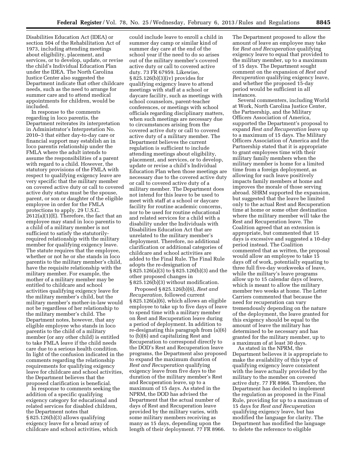Disabilities Education Act (IDEA) or section 504 of the Rehabilitation Act of 1973, including attending meetings about eligibility, placement, and services, or to develop, update, or revise the child's Individual Education Plan under the IDEA. The North Carolina Justice Center also suggested the Department indicate that other childcare needs, such as the need to arrange for summer care and to attend medical appointments for children, would be included.

In response to the comments regarding in loco parentis, the Department reiterates its interpretation in Administrator's Interpretation No. 2010–3 that either day-to-day care or financial support may establish an in loco parentis relationship under the FMLA where the adult intends to assume the responsibilities of a parent with regard to a child. However, the statutory provisions of the FMLA with respect to qualifying exigency leave are very specific that the military member on covered active duty or call to covered active duty status must be the spouse, parent, or son or daughter of the eligible employee in order for the FMLA protections to apply. 29 U.S.C.  $2612(a)(1)(E)$ . Therefore, the fact that an employee may stand in loco parentis to a child of a military member is not sufficient to satisfy the statutorilyrequired relationship with the military member for qualifying exigency leave. The statute requires that the employee, whether or not he or she stands in loco parentis to the military member's child, have the requisite relationship with the military member. For example, the mother of a military member may be entitled to childcare and school activities qualifying exigency leave for the military member's child, but the military member's mother-in-law would not be regardless of her relationship to the military member's child. The Department notes, however, that any eligible employee who stands in loco parentis to the child of a military member (or any other child) is entitled to take FMLA leave if the child needs care due to a serious health condition. In light of the confusion indicated in the comments regarding the relationship requirements for qualifying exigency leave for childcare and school activities, the Department believes that the proposed clarification is beneficial.

In response to comments seeking the addition of a specific qualifying exigency category for educational and related services for disabled children, the Department notes that § 825.126(b)(3) allows qualifying exigency leave for a broad array of childcare and school activities, which

could include leave to enroll a child in summer day camp or similar kind of summer day care at the end of the school year if the need to do so arises out of the military member's covered active duty or call to covered active duty. 73 FR 67959. Likewise, § 825.126(b)(3)(iv) provides for qualifying exigency leave to attend meetings with staff at a school or daycare facility, such as meetings with school counselors, parent-teacher conferences, or meetings with school officials regarding disciplinary matters, when such meetings are necessary due to circumstances arising from the covered active duty or call to covered active duty of a military member. The Department believes the current regulation is sufficient to include attending meetings about eligibility, placement, and services, or to develop, update or revise a child's Individual Education Plan when those meetings are necessary due to the covered active duty or call to covered active duty of a military member. The Department does not intend for this leave to be used to meet with staff at a school or daycare facility for routine academic concerns, nor to be used for routine educational and related services for a child with a disability under the Individuals with Disabilities Education Act that are unrelated to the military member's deployment. Therefore, no additional clarification or additional categories of childcare and school activities are added to the Final Rule. The Final Rule adopts the re-designation of § 825.126(a)(3) to § 825.126(b)(3) and the other proposed changes in § 825.126(b)(3) without modification.

Proposed § 825.126(b)(6), *Rest and Recuperation,* followed current § 825.126(a)(6), which allows an eligible employee to take up to five days of leave to spend time with a military member on Rest and Recuperation leave during a period of deployment. In addition to re-designating this paragraph from (a)(6) to (b)(6) and capitalizing Rest and Recuperation to correspond directly to the DOD's Rest and Recuperation leave programs, the Department also proposed to expand the maximum duration of *Rest and Recuperation* qualifying exigency leave from five days to the duration of the military member's Rest and Recuperation leave, up to a maximum of 15 days. As stated in the NPRM, the DOD has advised the Department that the actual number of days of Rest and Recuperation leave provided by the military varies, with some military members receiving as many as 15 days, depending upon the length of their deployment. 77 FR 8966.

The Department proposed to allow the amount of leave an employee may take for *Rest and Recuperation* qualifying exigency leave to equal that provided to the military member, up to a maximum of 15 days. The Department sought comment on the expansion of *Rest and Recuperation* qualifying exigency leave, and whether the proposed 15-day period would be sufficient in all instances.

Several commenters, including World at Work, North Carolina Justice Center, the Partnership, and the Military Officers Association of America, supported the Department's proposal to expand *Rest and Recuperation* leave up to a maximum of 15 days. The Military Officers Association of America and the Partnership stated that it is appropriate to grant employees time with their military family members when the military member is home for a limited time from a foreign deployment, as allowing for such leave positively impacts family members at home and improves the morale of those serving abroad. SHRM supported the expansion, but suggested that the leave be limited only to the actual Rest and Recuperation time at home or some other destination where the military member will take the Rest and Recuperation leave. The Coalition agreed that an extension is appropriate, but commented that 15 days is excessive and suggested a 10-day period instead. The Coalition commented that as written, the proposal would allow an employee to take 15 days off of work, potentially equating to three full five-day workweeks of leave, while the military's leave programs allow up to 15 calendar days of leave, which is meant to allow the military member two weeks at home. The Letter Carriers commented that because the need for recuperation can vary tremendously depending on the nature of the deployment, the leave granted for this exigency should be equal to the amount of leave the military has determined to be necessary and has granted for the military member, up to a maximum of at least 30 days.

As stated in the NPRM, the Department believes it is appropriate to make the availability of this type of qualifying exigency leave consistent with the leave actually provided by the military to the member on covered active duty. 77 FR 8966. Therefore, the Department has decided to implement the regulation as proposed in the Final Rule, providing for up to a maximum of 15 days for *Rest and Recuperation*  qualifying exigency leave, but has modified the language for clarity. The Department has modified the language to delete the reference to eligible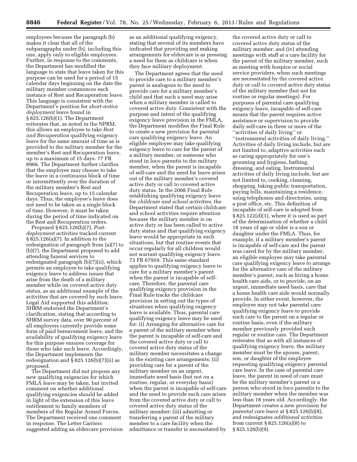employees because the paragraph (b) makes it clear that all of the subparagraphs under (b), including this one, apply only to eligible employees. Further, in response to the comments, the Department has modified the language to state that leave taken for this purpose can be used for a period of 15 calendar days beginning on the date the military member commences each instance of Rest and Recuperation leave. This language is consistent with the Department's position for *short-notice deployment* leave found in § 825.126(b)(1). The Department reiterates that, as noted in the NPRM, this allows an employee to take *Rest and Recuperation* qualifying exigency leave for the same amount of time as is provided to the military member for the member's Rest and Recuperation leave, up to a maximum of 15 days. 77 FR 8966. The Department further clarifies that the employee may choose to take the leave in a continuous block of time or intermittently over the duration of the military member's Rest and Recuperation leave, up to 15 calendar days. Thus, the employee's leave does not need to be taken as a single block of time. However, it must be taken during the period of time indicated on the Rest and Recuperation orders.

Proposed § 825.126(b)(7), *Postdeployment activities* tracked current § 825.126(a)(7). In addition to the redesignation of paragraph from (a)(7) to (b)(7), the Department proposed to add attending funeral services to redesignated paragraph (b)(7)(ii), which permits an employee to take qualifying exigency leave to address issues that arise from the death of a military member while on covered active duty status, as an additional example of the activities that are covered by such leave. Legal Aid supported this addition. SHRM endorsed the Department's clarification, stating that according to SHRM survey data, over 90 percent of all employers currently provide some form of paid bereavement leave, and the availability of qualifying exigency leave for this purpose ensures coverage for those who take such leave. Accordingly, the Department implements the redesignation and § 825.126(b)(7)(ii) as proposed.

The Department did not propose any new qualifying exigencies for which FMLA leave may be taken, but invited comment on whether additional qualifying exigencies should be added in light of the extension of this leave entitlement to family members of members of the Regular Armed Forces. The Department received one comment in response. The Letter Carriers suggested adding an eldercare provision

as an additional qualifying exigency, stating that several of its members have indicated that providing and making arrangements for eldercare is as pressing a need for them as childcare is when they face military deployment.

The Department agrees that the need to provide care to a military member's parent is analogous to the need to provide care for a military member's child and that such a need may arise when a military member is called to covered active duty. Consistent with the purpose and intent of the qualifying exigency leave provision in the FMLA, the Department modifies the Final Rule to create a new provision for parental care qualifying exigency leave. An eligible employee may take qualifying exigency leave to care for the parent of a military member, or someone who stood in loco parentis to the military member, when the parent is incapable of self-care and the need for leave arises out of the military member's covered active duty or call to covered active duty status. In the 2008 Final Rule establishing qualifying exigency leave for *childcare and school activities,* the Department stated that certain childcare and school activities require attention because the military member is on active duty or has been called to active duty status and that qualifying exigency leave would be appropriate in such situations, but that routine events that occur regularly for all children would not warrant qualifying exigency leave. 73 FR 67959. This same standard applies to qualifying exigency leave to care for a military member's parent when the parent is incapable of selfcare. Therefore, the parental care qualifying exigency provision in the Final Rule tracks the childcare provision in setting out the types of situations when qualifying exigency leave is available. Thus, parental care qualifying exigency leave may be used for: (i) Arranging for alternative care for a parent of the military member when the parent is incapable of self-care and the covered active duty or call to covered active duty status of the military member necessitates a change in the existing care arrangements; (ii) providing care for a parent of the military member on an urgent, immediate need basis (but not on a routine, regular, or everyday basis) when the parent is incapable of self-care and the need to provide such care arises from the covered active duty or call to covered active duty status of the military member; (iii) admitting or transferring a parent of the military member to a care facility when the admittance or transfer is necessitated by

the covered active duty or call to covered active duty status of the military member; and (iv) attending meetings with staff at a care facility for the parent of the military member, such as meeting with hospice or social service providers, when such meetings are necessitated by the covered active duty or call to covered active duty status of the military member (but not for routine or regular meetings). For purposes of parental care qualifying exigency leave, incapable of self-care means that the parent requires active assistance or supervision to provide daily self-care in three or more of the ''activities of daily living'' or ''instrumental activities of daily living.'' Activities of daily living include, but are not limited to, adaptive activities such as caring appropriately for one's grooming and hygiene, bathing, dressing, and eating. Instrumental activities of daily living include, but are not limited to, cooking, cleaning, shopping, taking public transportation, paying bills, maintaining a residence, using telephones and directories, using a post office, etc. This definition of incapable of self-care is adopted from  $\S 825.122(d)(1)$ , where it is used as part of the determination of whether a child 18 years of age or older is a son or daughter under the FMLA. Thus, for example, if a military member's parent is incapable of self-care and the parent was cared for by the military member, an eligible employee may take parental care qualifying exigency leave to arrange for the alternative care of the military member's parent, such as hiring a home health care aide, or to provide, on an urgent, immediate need basis, care that a home health care aide would normally provide. In either event, however, the employee may not take parental care qualifying exigency leave to provide such care to the parent on a regular or routine basis, even if the military member previously provided such regular or routine care. The Department reiterates that as with all instances of qualifying exigency leave, the military member must be the spouse, parent, son, or daughter of the employee requesting qualifying exigency parental care leave. In the case of parental care leave, the parent in need of care must be the military member's parent or a person who stood in loco parentis to the military member when the member was less than 18 years old. Accordingly, the Department creates a new provision for *parental care* leave at § 825.126(b)(8), and redesignates *additional activities*  from current § 825.126(a)(8) to § 825.126(b)(9).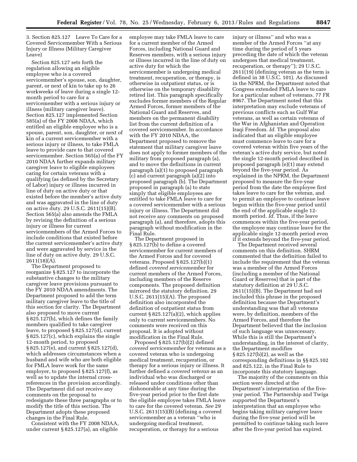3. Section 825.127 Leave To Care for a Covered Servicemember With a Serious Injury or Illness (Military Caregiver Leave)

Section 825.127 sets forth the regulation allowing an eligible employee who is a covered servicemember's spouse, son, daughter, parent, or next of kin to take up to 26 workweeks of leave during a single 12 month period to care for a servicemember with a serious injury or illness (military caregiver leave). Section 825.127 implemented Section 585(a) of the FY 2008 NDAA, which entitled an eligible employee who is a spouse, parent, son, daughter, or next of kin of a current servicemember with a serious injury or illness, to take FMLA leave to provide care to that covered servicemember. Section 565(a) of the FY 2010 NDAA further expands military caregiver leave to eligible employees caring for certain veterans with a qualifying (as defined by the Secretary of Labor) injury or illness incurred in line of duty on active duty or that existed before the member's active duty and was aggravated in the line of duty on active duty. 29 U.S.C. 2611(15)(B). Section 565(a) also amends the FMLA by revising the definition of a serious injury or illness for current servicemembers of the Armed Forces to include conditions that existed before the current servicemember's active duty and were aggravated by service in the line of duty on active duty. 29 U.S.C. 2611(18)(A).

The Department proposed to reorganize § 825.127 to incorporate the substantive changes to the military caregiver leave provisions pursuant to the FY 2010 NDAA amendments. The Department proposed to add the term military caregiver leave to the title of this section for clarity. The Department also proposed to move current § 825.127(b), which defines the family members qualified to take caregiver leave, to proposed § 825.127(d), current § 825.127(c), which explains the single 12-month period, to proposed § 825.127(e), and current § 825.127(d), which addresses circumstances when a husband and wife who are both eligible for FMLA leave work for the same employer, to proposed § 825.127(f), as well as to update the internal crossreferences in the provision accordingly. The Department did not receive any comments on the proposal to redesignate these three paragraphs or to modify the title of this section. The Department adopts these proposed changes in the Final Rule.

Consistent with the FY 2008 NDAA, under current § 825.127(a), an eligible

employee may take FMLA leave to care for a current member of the Armed Forces, including National Guard and Reserves members, with a serious injury or illness incurred in the line of duty on active duty for which the servicemember is undergoing medical treatment, recuperation, or therapy, is otherwise in outpatient status, or is otherwise on the temporary disability retired list. This paragraph specifically excludes former members of the Regular Armed Forces, former members of the National Guard and Reserves, and members on the permanent disability list from the current definition of a covered servicemember. In accordance with the FY 2010 NDAA, the Department proposed to remove the statement that military caregiver leave does not apply to former members of the military from proposed paragraph (a), and to move the definitions in current paragraph (a)(1) to proposed paragraph (c) and current paragraph (a)(2) into proposed paragraph (b). The Department proposed in paragraph (a) to state simply that eligible employees are entitled to take FMLA leave to care for a covered servicemember with a serious injury or illness. The Department did not receive any comments on proposed paragraph (a), and therefore, adopts this paragraph without modification in the Final Rule.

The Department proposed in § 825.127(b) to define a covered servicemember for current members of the Armed Forces and for covered veterans. Proposed § 825.127(b)(1) defined *covered servicemember* for current members of the Armed Forces, including members of the Reserve components. The proposed definition mirrored the statutory definition. 29 U.S.C. 2611(15)(A). The proposed definition also incorporated the definition of outpatient status from current  $\S 825.127(a)(2)$ , which applies only to current servicemembers. No comments were received on this proposal. It is adopted without modification in the Final Rule.

Proposed § 825.127(b)(2) defined *covered servicemember* for veterans as a covered veteran who is undergoing medical treatment, recuperation, or therapy for a serious injury or illness. It further defined a *covered veteran* as an individual who was discharged or released under conditions other than dishonorable at any time during the five-year period prior to the first date the eligible employee takes FMLA leave to care for the covered veteran. *See* 29 U.S.C. 2611(15)(B) (defining a covered servicemember as a veteran ''who is undergoing medical treatment, recuperation, or therapy for a serious

injury or illness'' and who was a member of the Armed Forces ''at any time during the period of 5 years preceding the date of which the veteran undergoes that medical treatment, recuperation, or therapy''); 29 U.S.C. 2611(19) (defining veteran as the term is defined in 38 U.S.C. 101). As discussed in the NPRM, the Department noted that Congress extended FMLA leave to care for a particular subset of veterans. 77 FR 8967. The Department noted that this interpretation may exclude veterans of previous conflicts such as Gulf War veterans, as well as certain veterans of the War in Afghanistan and Operation Iraqi Freedom. *Id.* The proposal also indicated that an eligible employee must commence leave to care for a covered veteran within five years of the veteran's active duty service, but noted the single 12-month period described in proposed paragraph (e)(1) may extend beyond the five-year period. As explained in the NPRM, the Department proposed to measure the five-year period from the date the employee first takes leave to care for the veteran, and to permit an employee to continue leave begun within the five-year period until the end of the applicable single 12 month period. *Id.* Thus, if the leave commences within the five-year period, the employee may continue leave for the applicable single 12-month period even if it extends beyond the five-year period.

The Department received several comments on this definition. SHRM commented that the definition failed to include the requirement that the veteran was a member of the Armed Forces (including a member of the National Guard or Reserves) that is part of the statutory definition at 29 U.S.C. 2611(15)(B). The Department had not included this phrase in the proposed definition because the Department's understanding was that all veterans were, by definition, members of the Armed Forces, and therefore the Department believed that the inclusion of such language was unnecessary. While this is still the Department's understanding, in the interest of clarity, the Department modifies § 825.127(b)(2), as well as the corresponding definitions in §§ 825.102 and 825.122, in the Final Rule to incorporate this statutory language.

The majority of the comments on this section were directed at the Department's interpretation of the fiveyear period. The Partnership and Twiga supported the Department's interpretation that an employee who begins taking military caregiver leave during the five-year period will be permitted to continue taking such leave after the five-year period has expired.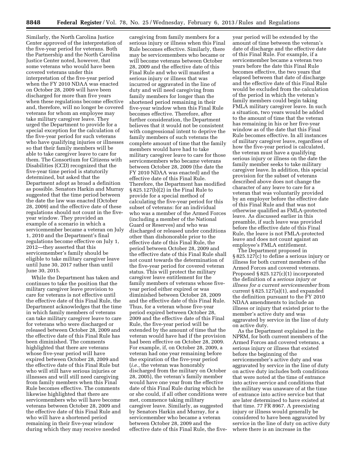Similarly, the North Carolina Justice Center approved of the interpretation of the five-year period for veterans. Both the Partnership and the North Carolina Justice Center noted, however, that some veterans who would have been covered veterans under this interpretation of the five-year period when the FY 2010 NDAA was enacted on October 28, 2009 will have been discharged for more than five years when these regulations become effective and, therefore, will no longer be covered veterans for whom an employee may take military caregiver leave. They urged the Department to provide for a special exception for the calculation of the five-year period for such veterans who have qualifying injuries or illnesses so that their family members will be able to take caregiver leave to care for them. The Consortium for Citizens with Disabilities (CCD) recognized that the five-year time period is statutorily determined, but asked that the Department adopt as broad a definition as possible. Senators Harkin and Murray suggested that the time period between the date the law was enacted (October 28, 2009) and the effective date of these regulations should not count in the fiveyear window. They provided an example of a scenario in which a servicemember became a veteran on July 1, 2010 and the Department's final regulations become effective on July 1, 2012—they asserted that this servicemember's family should be eligible to take military caregiver leave until June 30, 2017 rather than until June 30, 2015.

While the Department has taken and continues to take the position that the military caregiver leave provision to care for veterans is not effective until the effective date of this Final Rule, the Department acknowledges that the time in which family members of veterans can take military caregiver leave to care for veterans who were discharged or released between October 28, 2009 and the effective date of this Final Rule has been diminished. The comments highlighted that there are veterans whose five-year period will have expired between October 28, 2009 and the effective date of this Final Rule but who will still have serious injuries or illnesses and will still need caregiving from family members when this Final Rule becomes effective. The comments likewise highlighted that there are servicemembers who will have become veterans between October 28, 2009 and the effective date of this Final Rule and who will have a shortened period remaining in their five-year window during which they may receive needed

caregiving from family members for a serious injury or illness when this Final Rule becomes effective. Similarly, there may be servicemembers who became or will become veterans between October 28, 2009 and the effective date of this Final Rule and who will manifest a serious injury or illness that was incurred or aggravated in the line of duty and will need caregiving from family members for longer than the shortened period remaining in their five-year window when this Final Rule becomes effective. Therefore, after further consideration, the Department believes that it would not be consistent with congressional intent to deprive the family members of such veterans the complete amount of time that the family members would have had to take military caregiver leave to care for those servicemembers who became veterans between October 28, 2009 (the date the FY 2010 NDAA was enacted) and the effective date of this Final Rule. Therefore, the Department has modified § 825.127(b)(2) in the Final Rule to provide for a special method of calculating the five-year period for this subset of veterans: for an individual who was a member of the Armed Forces (including a member of the National Guard or Reserves) and who was discharged or released under conditions other than dishonorable prior to the effective date of this Final Rule, the period between October 28, 2009 and the effective date of this Final Rule shall not count towards the determination of the five-year period for covered veteran status. This will protect the military caregiver leave entitlement for the family members of veterans whose fiveyear period either expired or was diminished between October 28, 2009 and the effective date of this Final Rule. Thus, for a veteran whose five-year period expired between October 28, 2009 and the effective date of this Final Rule, the five-year period will be extended by the amount of time that the veteran would have had if the provision had been effective on October 28, 2009. For example, if, on October 28, 2009, a veteran had one year remaining before the expiration of the five-year period (*i.e.,* the veteran was honorably discharged from the military on October 28, 2005), the veteran's family member would have one year from the effective date of this Final Rule during which he or she could, if all other conditions were met, commence taking military caregiver leave. Similarly, as suggested by Senators Harkin and Murray, for a servicemember who became a veteran between October 28, 2009 and the effective date of this Final Rule, the five-

year period will be extended by the amount of time between the veteran's date of discharge and the effective date of this Final Rule. For example, if a servicemember became a veteran two years before the date this Final Rule becomes effective, the two years that elapsed between that date of discharge and the effective date of this Final Rule would be excluded from the calculation of the period in which the veteran's family members could begin taking FMLA military caregiver leave. In such a situation, two years would be added to the amount of time that the veteran has remaining in his or her five-year window as of the date that this Final Rule becomes effective. In all instances of military caregiver leave, regardless of how the five-year period is calculated, the veteran must have a qualifying serious injury or illness on the date the family member seeks to take military caregiver leave. In addition, this special provision for the subset of veterans described above does not change the character of any leave to care for a veteran that was voluntarily provided by an employer before the effective date of this Final Rule and that was not otherwise qualified as FMLA-protected leave. As discussed earlier in this preamble, if such leave was provided before the effective date of this Final Rule, the leave is not FMLA-protected leave and does not count against an employee's FMLA entitlement.

The Department proposed in § 825.127(c) to define a serious injury or illness for both current members of the Armed Forces and covered veterans. Proposed § 825.127(c)(1) incorporated the definition of a *serious injury or illness for a current servicemember* from current § 825.127(a)(1), and expanded the definition pursuant to the FY 2010 NDAA amendments to include an illness or injury that existed prior to the member's active duty and was aggravated by service in the line of duty on active duty.

As the Department explained in the NPRM, for both current members of the Armed Forces and covered veterans, a serious injury or illness that existed before the beginning of the servicemember's active duty and was aggravated by service in the line of duty on active duty includes both conditions that were noted at the time of entrance into active service and conditions that the military was unaware of at the time of entrance into active service but that are later determined to have existed at that time. 77 FR 8967. A preexisting injury or illness would generally be considered to have been aggravated by service in the line of duty on active duty where there is an increase in the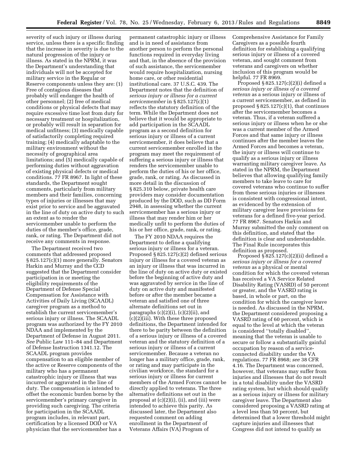severity of such injury or illness during service, unless there is a specific finding that the increase in severity is due to the natural progression of the injury or illness. As stated in the NPRM, it was the Department's understanding that individuals will not be accepted for military service in the Regular or Reserve components unless they are: (1) Free of contagious diseases that probably will endanger the health of other personnel; (2) free of medical conditions or physical defects that may require excessive time lost from duty for necessary treatment or hospitalization, or probably will result in separation for medical unfitness; (3) medically capable of satisfactorily completing required training; (4) medically adaptable to the military environment without the necessity of geographical area limitations; and (5) medically capable of performing duties without aggravation of existing physical defects or medical conditions. 77 FR 8967. In light of these standards, the Department sought comments, particularly from military members and their families, concerning types of injuries or illnesses that may exist prior to service and be aggravated in the line of duty on active duty to such an extent as to render the servicemember unable to perform the duties of the member's office, grade, rank, or rating. The Department did not receive any comments in response.

The Department received two comments that addressed proposed § 825.127(c)(1) more generally. Senators Harkin and Murray and the CCD suggested that the Department consider participation in or meeting the eligibility requirements of the Department of Defense Special Compensation for Assistance with Activities of Daily Living (SCAADL) caregiver program as a method to establish the current servicemember's serious injury or illness. The SCAADL program was authorized by the FY 2010 NDAA and implemented by the Department of Defense in August 2011. *See* Public Law 111–84 and Department of Defense Instruction 1341.12. The SCAADL program provides compensation to an eligible member of the active or Reserve components of the military who has a permanent catastrophic injury or illness that was incurred or aggravated in the line of duty. The compensation is intended to offset the economic burden borne by the servicemember's primary caregiver in providing such caregiving. The criteria for participation in the SCAADL program includes, in relevant part, certification by a licensed DOD or VA physician that the servicemember has a

permanent catastrophic injury or illness and is in need of assistance from another person to perform the personal functions required in everyday living and that, in the absence of the provision of such assistance, the servicemember would require hospitalization, nursing home care, or other residential institutional care. 37 U.S.C. 439. The Department notes that the definition of *serious injury or illness for a current servicemember* in § 825.127(c)(1) reflects the statutory definition of the term. While the Department does not believe that it would be appropriate to add participation in the SCAADL program as a second definition for serious injury or illness of a current servicemember, it does believe that a current servicemember enrolled in the program may meet the requirement of suffering a serious injury or illness that renders the servicemember unable to perform the duties of his or her office, grade, rank, or rating. As discussed in more detail in the discussion of § 825.310 below, private health care providers may consider documentation produced by the DOD, such as DD Form 2948, in assessing whether the current servicemember has a serious injury or illness that may render him or her medically unfit to perform the duties of his or her office, grade, rank, or rating.

The FY 2010 NDAA requires the Department to define a qualifying serious injury or illness for a veteran. Proposed § 825.127(c)(2) defined serious injury or illness for a covered veteran as an injury or illness that was incurred in the line of duty on active duty or existed before the beginning of active duty and was aggravated by service in the line of duty on active duty and manifested before or after the member became a veteran and satisfied one of three alternate definitions set out in paragraphs  $(c)(2)(i)$ ,  $(c)(2)(ii)$ , and (c)(2)(iii). With these three proposed definitions, the Department intended for there to be parity between the definition of a serious injury or illness of a covered veteran and the statutory definition of a serious injury or illness of a current servicemember. Because a veteran no longer has a military office, grade, rank, or rating and may participate in the civilian workforce, the standard for a serious injury or illness for current members of the Armed Forces cannot be directly applied to veterans. The three alternative definitions set out in the proposal at (c)(2)(i), (ii), and (iii) were intended to achieve this parity. As discussed later, the Department also requested comment on adding enrollment in the Department of Veterans Affairs (VA) Program of

Comprehensive Assistance for Family Caregivers as a possible fourth definition for establishing a qualifying serious injury or illness of a covered veteran, and sought comment from veterans and caregivers on whether inclusion of this program would be helpful. 77 FR 8969.

Proposed  $\S 825.127(c)(2)(i)$  defined a *serious injury or illness of a covered veteran* as a serious injury or illness of a current servicemember, as defined in proposed  $\S 825.127(c)(1)$ , that continues after the servicemember becomes a veteran. Thus, if a veteran suffered a serious injury or illness when he or she was a current member of the Armed Forces and that same injury or illness continues after the member leaves the Armed Forces and becomes a veteran, the injury or illness will continue to qualify as a serious injury or illness warranting military caregiver leave. As stated in the NPRM, the Department believes that allowing qualifying family members to take leave to care for covered veterans who continue to suffer from these serious injuries or illnesses is consistent with congressional intent, as evidenced by the extension of military caregiver leave provisions for veterans for a defined five-year period. 77 FR 8967. Senators Harkin and Murray submitted the only comment on this definition, and stated that the definition is clear and understandable. The Final Rule incorporates this definition as proposed.

Proposed  $\S 825.127(c)(2)(ii)$  defined a *serious injury or illness for a covered veteran* as a physical or mental condition for which the covered veteran has received a VA Service Related Disability Rating (VASRD) of 50 percent or greater, and the VASRD rating is based, in whole or part, on the condition for which the caregiver leave is needed. As discussed in the NPRM, the Department considered proposing a VASRD rating of 60 percent, which is equal to the level at which the veteran is considered ''totally disabled'', meaning that the veteran is unable to secure or follow a substantially gainful occupation by reason of a serviceconnected disability under the VA regulations. 77 FR 8968; *see* 38 CFR 4.16. The Department was concerned, however, that veterans may suffer from injuries and illnesses that do not result in a total disability under the VASRD rating system, but which should qualify as a serious injury or illness for military caregiver leave. The Department also considered proposing a VASRD rating at a level less than 50 percent, but determined that a lower threshold might capture injuries and illnesses that Congress did not intend to qualify as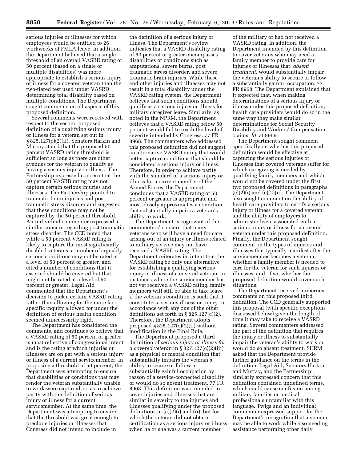serious injuries or illnesses for which employees would be entitled to 26 workweeks of FMLA leave. In addition, the Department believed that a single threshold of an overall VASRD rating of 50 percent (based on a single or multiple disabilities) was more appropriate to establish a serious injury or illness for a covered veteran than the two-tiered test used under VASRD determining total disability based on multiple conditions. The Department sought comments on all aspects of this proposed definition.

Several comments were received with respect to the second proposed definition of a qualifying serious injury or illness for a veteran set out in § 825.127(c)(2)(ii). Senators Harkin and Murray stated that the proposed 50 percent VASRD rating threshold is sufficient so long as there are other avenues for the veteran to qualify as having a serious injury or illness. The Partnership expressed concern that the 50 percent VASRD rating may not capture certain serious injuries and illnesses. The Partnership pointed to traumatic brain injuries and post traumatic stress disorder and suggested that these conditions may not be captured by the 50 percent threshold. An individual commenter expressed a similar concern regarding post traumatic stress disorder. The CCD noted that while a 50 percent VASRD rating is likely to capture the most significantly disabled veterans, a number of arguably serious conditions may not be rated at a level of 50 percent or greater, and cited a number of conditions that it asserted should be covered but that might not be rated at a level of 50 percent or greater. Legal Aid commented that the Department's decision to pick a certain VASRD rating rather than allowing for the more factspecific inquiry allowed for under the definition of serious health condition seemed unnecessarily rigid.

The Department has considered the comments, and continues to believe that a VASRD rating of 50 percent or greater is most reflective of congressional intent and is the rating at which injuries or illnesses are on par with a serious injury or illness of a current servicemember. In proposing a threshold of 50 percent, the Department was attempting to ensure that disabilities or conditions that may render the veteran substantially unable to work were captured, so as to achieve parity with the definition of serious injury or illness for a current servicemember. At the same time, the Department was attempting to ensure that the threshold was great enough to preclude injuries or illnesses that Congress did not intend to include in

the definition of a serious injury or illness. The Department's review indicates that a VASRD disability rating of 50 percent or greater encompasses disabilities or conditions such as amputations, severe burns, post traumatic stress disorder, and severe traumatic brain injuries. While these and other injuries and illnesses may not result in a total disability under the VASRD rating system, the Department believes that such conditions should qualify as a serious injury or illness for military caregiver leave. Similarly, as noted in the NPRM, the Department believes that a VASRD rating below 50 percent would fail to reach the level of severity intended by Congress. 77 FR 8968. The commenters who addressed this proposed definition did not suggest an alternative VASRD rating that would better capture conditions that should be considered a serious injury or illness. Therefore, in order to achieve parity with the standard of a serious injury or illness for a current member of the Armed Forces, the Department concludes that a VASRD rating of 50 percent or greater is appropriate and most closely approximates a condition that substantially impairs a veteran's ability to work.

The Department is cognizant of the commenters' concern that many veterans who will have a need for care arising out of an injury or illness related to military service may not have received a VASRD rating. The Department reiterates its intent that the VASRD rating be only one alternative for establishing a qualifying serious injury or illness of a covered veteran. In instances where the servicemember has not yet received a VASRD rating, family members will still be able to take leave if the veteran's condition is such that it constitutes a serious illness or injury in accordance with any one of the other definitions set forth in § 825.127(c)(2). Therefore, the Department adopts proposed  $§ 825.127(c)(2)(ii)$  without modification in the Final Rule.

The Department proposed a third definition of *serious injury or illness for a covered veteran* in § 827.127(c)(2)(iii) as a physical or mental condition that substantially impairs the veteran's ability to secure or follow a substantially gainful occupation by reason of a service-connected disability or would do so absent treatment. 77 FR 8968. This definition was intended to cover injuries and illnesses that are similar in severity to the injuries and illnesses qualifying under the proposed definitions in (c)(2)(i) and (ii), but for which the veteran did not obtain certification as a serious injury or illness when he or she was a current member

of the military or had not received a VASRD rating. In addition, the Department intended by this definition to cover veterans who may need a family member to provide care for injuries or illnesses that, *absent treatment,* would substantially impair the veteran's ability to secure or follow a substantially gainful occupation. 77 FR 8968. The Department explained that it expected that, when making determinations of a serious injury or illness under this proposed definition, health care providers would do so in the same way they make similar determinations for Social Security Disability and Workers' Compensation claims. *Id.* at 8969.

The Department sought comment specifically on whether this proposed definition would be effective at capturing the serious injuries or illnesses that covered veterans suffer for which caregiving is needed by qualifying family members and which would not be covered under the first two proposed definitions in paragraphs  $(c)(2)(i)$  and  $(c)(2)(ii)$ . The Department also sought comment on the ability of health care providers to certify a serious injury or illness for a covered veteran and the ability of employers to administer leave associated with a serious injury or illness for a covered veteran under this proposed definition. Finally, the Department sought comment on the types of injuries and illnesses that typically manifest after the servicemember becomes a veteran, whether a family member is needed to care for the veteran for such injuries or illnesses, and, if so, whether the proposed definition would cover such situations.

The Department received numerous comments on this proposed third definition. The CCD generally supported this proposal (with specific exceptions discussed below) given the length of time it may take to receive a VASRD rating. Several commenters addressed the part of the definition that requires the injury or illness to substantially impair the veteran's ability to work or would do so absent treatment. SHRM asked that the Department provide further guidance on the terms in the definition. Legal Aid, Senators Harkin and Murray, and the Partnership similarly expressed concern that this definition contained undefined terms, which could cause confusion among military families or medical professionals unfamiliar with this language. Twiga and an individual commenter expressed support for the Department's recognition that a veteran may be able to work while also needing assistance performing other daily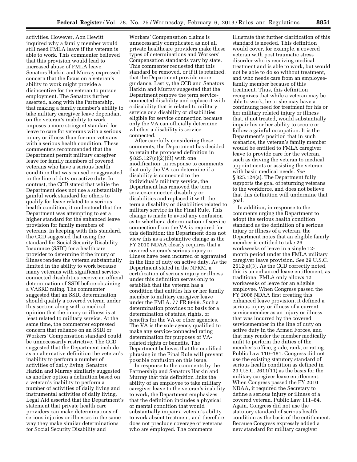activities. However, Aon Hewitt inquired why a family member would still need FMLA leave if the veteran is able to work. This commenter believed that this provision would lead to increased abuse of FMLA leave. Senators Harkin and Murray expressed concern that the focus on a veteran's ability to work might provide a disincentive for the veteran to pursue employment. The Senators further asserted, along with the Partnership, that making a family member's ability to take military caregiver leave dependant on the veteran's inability to work imposes a more stringent standard for leave to care for veterans with a serious injury or illness than for non-veterans with a serious health condition. These commenters recommended that the Department permit military caregiver leave for family members of covered veterans who have a serious health condition that was caused or aggravated in the line of duty on active duty. In contrast, the CCD stated that while the Department does not use a substantially gainful work standard for others to qualify for leave related to a serious health condition, it understood that the Department was attempting to set a higher standard for the enhanced leave provision for family members of veterans. In keeping with this standard, the CCD suggested that using the standard for Social Security Disability Insurance (SSDI) for a healthcare provider to determine if the injury or illness renders the veteran substantially limited in the ability to work because many veterans with significant serviceconnected disabilities receive an official determination of SSDI before obtaining a VASRD rating. The commenter suggested that an SSDI determination should qualify a covered veteran under this section along with a medical opinion that the injury or illness is at least related to military service. At the same time, the commenter expressed concern that reliance on an SSDI or Workers' Compensation standard could be unnecessarily restrictive. The CCD suggested that the Department include as an alternative definition the veteran's inability to perform a number of activities of daily living. Senators Harkin and Murray similarly suggested as another option a definition based on a veteran's inability to perform a number of activities of daily living and instrumental activities of daily living. Legal Aid asserted that the Department's statement that private health care providers can make determinations of serious injuries or illnesses in the same way they make similar determinations for Social Security Disability and

Workers' Compensation claims is unnecessarily complicated as not all private healthcare providers make these types of determinations and Workers' Compensation standards vary by state. This commenter requested that this standard be removed, or if it is retained, that the Department provide more guidance. Lastly, the CCD and Senators Harkin and Murray suggested that the Department remove the term serviceconnected disability and replace it with a disability that is related to military service or a disability or disabilities eligible for service connection because only the VA can officially determine whether a disability is serviceconnected.

After carefully considering these comments, the Department has decided to retain the proposed definition in § 825.127(c)(2)(iii) with one modification. In response to comments that only the VA can determine if a disability is connected to the individual's military service, the Department has removed the term service-connected disability or disabilities and replaced it with the term a disability or disabilities related to military service in the Final Rule. This change is made to avoid any confusion as to whether a determination of service connection from the VA is required for this definition; the Department does not view this as a substantive change as the FY 2010 NDAA clearly requires that a covered veteran's serious injury or illness have been incurred or aggravated in the line of duty on active duty. As the Department stated in the NPRM, a certification of serious injury or illness under this definition serves only to establish that the veteran has a condition that entitles his or her family member to military caregiver leave under the FMLA. 77 FR 8969. Such a determination provides no basis for a determination of status, rights, or benefits for the VA or other agencies. The VA is the sole agency qualified to make any service-connected rating determination for purposes of VArelated rights or benefits. The Department believes that the modified phrasing in the Final Rule will prevent possible confusion on this issue.

In response to the comments by the Partnership and Senators Harkin and Murray that this definition links the ability of an employee to take military caregiver leave to the veteran's inability to work, the Department emphasizes that the definition includes a physical or mental condition that would substantially impair a veteran's ability to work absent treatment, and therefore does not preclude coverage of veterans who are employed. The comments

illustrate that further clarification of this standard is needed. This definition would cover, for example, a covered veteran with post traumatic stress disorder who is receiving medical treatment and is able to work, but would not be able to do so without treatment, and who needs care from an employeefamily member because of this treatment. Thus, this definition recognizes that while a veteran may be able to work, he or she may have a continuing need for treatment for his or her military related injury or illness that, if not treated, would substantially impair his or her ability to secure or follow a gainful occupation. It is the Department's position that in such scenarios, the veteran's family member would be entitled to FMLA caregiver leave to provide care for the veteran, such as driving the veteran to medical appointments or assisting the veteran with basic medical needs. *See*  § 825.124(a). The Department fully supports the goal of returning veterans to the workforce, and does not believe that this definition will undermine that goal.

In addition, in response to the comments urging the Department to adopt the serious health condition standard as the definition of a serious injury or illness of a veteran, the Department notes that an eligible family member is entitled to take 26 workweeks of leave in a single 12 month period under the FMLA military caregiver leave provision. *See* 29 U.S.C. 2612(a)(3). As the CCD correctly noted, this is an enhanced leave entitlement, as traditional FMLA only allows 12 workweeks of leave for an eligible employee. When Congress passed the FY 2008 NDAA first creating this enhanced leave provision, it defined a serious injury or illness of a current servicemember as an injury or illness that was incurred by the covered servicemember in the line of duty on active duty in the Armed Forces, and that may render the member medically unfit to perform the duties of the member's office, grade, rank, or rating. Public Law 110–181. Congress did not use the existing statutory standard of serious health condition as defined in 29 U.S.C. 2611(11) as the basis for the military caregiver leave entitlement. When Congress passed the FY 2010 NDAA, it required the Secretary to define a serious injury or illness of a covered veteran. Public Law 111–84. Again, Congress did not use the statutory standard of serious health condition as the basis of the entitlement. Because Congress expressly added a new standard for military caregiver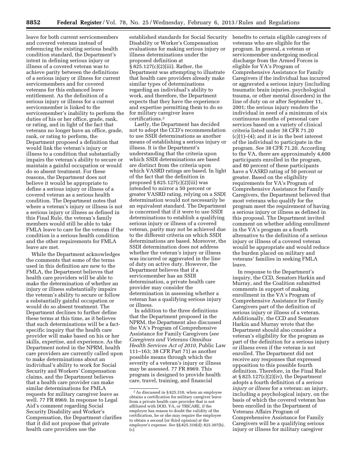leave for both current servicemembers and covered veterans instead of referencing the existing serious health condition standard, the Department's intent in defining serious injury or illness of a covered veteran was to achieve parity between the definitions of a serious injury or illness for current servicemembers and for covered veterans for this enhanced leave entitlement. As the definition of a serious injury or illness for a current servicemember is linked to the servicemember's inability to perform the duties of his or her office, grade, rank, or rating, and in light of the fact that veterans no longer have an office, grade, rank, or rating to perform, the Department proposed a definition that would link the veteran's injury or illness to a condition that substantially impairs the veteran's ability to secure or maintain a gainful occupation or would do so absent treatment. For these reasons, the Department does not believe it would be appropriate to define a serious injury or illness of a covered veteran as a serious health condition. The Department notes that where a veteran's injury or illness is not a serious injury or illness as defined in this Final Rule, the veteran's family members would still be able to take FMLA leave to care for the veteran if the condition is a serious health condition and the other requirements for FMLA leave are met.

While the Department acknowledges the comments that some of the terms used in this definition are new to the FMLA, the Department believes that health care providers will be able to make the determination of whether an injury or illness substantially impairs the veteran's ability to secure or follow a substantially gainful occupation or would do so absent treatment. The Department declines to further define these terms at this time, as it believes that such determinations will be a factspecific inquiry that the health care provider will make based on his or her skills, expertise, and experience. As the Department noted in the NPRM, health care providers are currently called upon to make determinations about an individual's ability to work for Social Security and Workers' Compensation claims, and the Department believes that a health care provider can make similar determinations for FMLA requests for military caregiver leave as well. 77 FR 8969. In response to Legal Aid's comment regarding Social Security Disability and Worker's Compensation, the Department clarifies that it did not propose that private health care providers use the

established standards for Social Security Disability or Worker's Compensation evaluations for making serious injury or illness determinations under the proposed definition at § 825.127(c)(2)(iii). Rather, the Department was attempting to illustrate that health care providers already make similar types of determinations regarding an individual's ability to work, and therefore, the Department expects that they have the experience and expertise permitting them to do so for military caregiver leave certifications.2

Lastly, the Department has decided not to adopt the CCD's recommendation to use SSDI determinations as another means of establishing a serious injury or illness. It is the Department's understanding that the criteria upon which SSDI determinations are based are distinct from the criteria upon which VASRD ratings are based. In light of the fact that the definition in proposed  $\S 825.127(c)(2)(iii)$  was intended to mirror a 50 percent or greater VASRD rating, relying on a SSDI determination would not necessarily be an equivalent standard. The Department is concerned that if it were to use SSDI determinations to establish a qualifying serious injury or illness of a covered veteran, parity may not be achieved due to the different criteria on which SSDI determinations are based. Moreover, the SSDI determination does not address whether the veteran's injury or illness was incurred or aggravated in the line of duty on active duty. However, the Department believes that if a servicemember has an SSDI determination, a private health care provider may consider the determination in assessing whether a veteran has a qualifying serious injury or illness.

In addition to the three definitions that the Department proposed in the NPRM, the Department also discussed the VA's Program of Comprehensive Assistance for Family Caregivers (*see Caregivers and Veterans Omnibus Health Services Act of 2010,* Public Law 111–163; 38 CFR Part 71) as another possible means through which the severity of a veteran's injury or illness may be assessed. 77 FR 8969. This program is designed to provide health care, travel, training, and financial

benefits to certain eligible caregivers of veterans who are eligible for the program. In general, a veteran or servicemember undergoing medical discharge from the Armed Forces is eligible for VA's Program of Comprehensive Assistance for Family Caregivers if the individual has incurred or aggravated a serious injury (including traumatic brain injuries, psychological trauma, or other mental disorders) in the line of duty on or after September 11, 2001; the serious injury renders the individual in need of a minimum of six continuous months of personal care services based on a variety of clinical criteria listed under 38 CFR 71.20  $(c)(1)$ – $(4)$ ; and it is in the best interest of the individual to participate in the program. *See* 38 CFR 71.20. According to the VA, there are approximately 4,600 participants enrolled in the program, and 80 percent of these participants have a VASRD rating of 50 percent or greater. Based on the eligibility requirements for VA's Program of Comprehensive Assistance for Family Caregivers, the Department believed that most veterans who qualify for the program meet the requirement of having a serious injury or illness as defined in this proposal. The Department invited comment on whether adding enrollment in the VA's program as a fourth alternative to the definition of a serious injury or illness of a covered veteran would be appropriate and would reduce the burden placed on military and veterans' families in seeking FMLA leave.

In response to the Department's inquiry, the CCD, Senators Harkin and Murray, and the Coalition submitted comments in support of making enrollment in the VA's Program of Comprehensive Assistance for Family Caregivers part of the definition of serious injury or illness of a veteran. Additionally, the CCD and Senators Harkin and Murray wrote that the Department should also consider a veteran's eligibility for the program as part of the definition for a serious injury or illness even if the veteran is not enrolled. The Department did not receive any responses that expressed opposition to this possible fourth definition. Therefore, in the Final Rule at  $\S 825.127(c)(2)(iv)$ , the Department adopts a fourth definition of a *serious injury or illness* for a veteran: an injury, including a psychological injury, on the basis of which the covered veteran has been enrolled in the Department of Veterans Affairs Program of Comprehensive Assistance for Family Caregivers will be a qualifying serious injury or illness for military caregiver

<sup>2</sup>As discussed in § 825.310, when an employee obtains a certification for military caregiver leave from a private health care provider that is not affiliated with DOD, VA, or TRICARE, if the employer has reason to doubt the validity of the certification, he or she may require the employee to obtain a second (or third opinion) at the employer's expense. *See* §§ 825.310(d); 825.307(b), (c).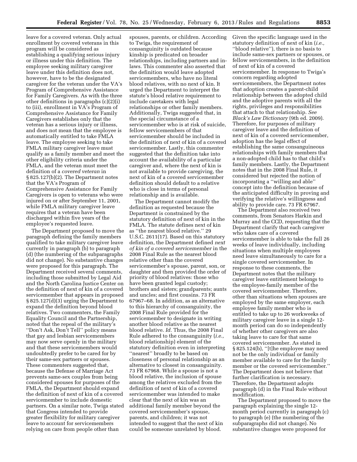leave for a covered veteran. Only actual enrollment by covered veterans in this program will be considered as establishing a qualifying serious injury or illness under this definition. The employee seeking military caregiver leave under this definition does not, however, have to be the designated caregiver for the veteran under the VA's Program of Comprehensive Assistance for Family Caregivers. As with the three other definitions in paragraphs (c)(2)(i) to (iii), enrollment in VA's Program of Comprehensive Assistance for Family Caregivers establishes only that the veteran has a serious injury or illness, and does not mean that the employee is automatically entitled to take FMLA leave. The employee seeking to take FMLA military caregiver leave must qualify as a family member and meet the other eligibility criteria under the FMLA, and the veteran must meet the definition of a *covered veteran* in § 825.127(b)(2). The Department notes that the VA's Program of Comprehensive Assistance for Family Caregivers is open to veterans who were injured on or after September 11, 2001, while FMLA military caregiver leave requires that a veteran have been discharged within five years of the employee's requested leave.

The Department proposed to move the paragraph defining the family members qualified to take military caregiver leave currently in paragraph (b) to paragraph (d) (the numbering of the subparagraphs did not change). No substantive changes were proposed for this paragraph. The Department received several comments, including those submitted by Legal Aid and the North Carolina Justice Center on the definition of next of kin of a covered servicemember that appears in proposed § 825.127(d)(3) urging the Department to expand the definition beyond blood relatives. Two commenters, the Family Equality Council and the Partnership, noted that the repeal of the military's ''Don't Ask, Don't Tell'' policy means that gay and lesbian servicemembers may now serve openly in the military and that these servicemembers would undoubtedly prefer to be cared for by their same-sex partners or spouses. These commenters suggested that, because the Defense of Marriage Act prevents same-sex couples from being considered spouses for purposes of the FMLA, the Department should expand the definition of next of kin of a covered servicemember to include domestic partners. On a similar note, Twiga stated that Congress intended to provide greater flexibility for military caregiver leave to account for servicemembers relying on care from people other than

spouses, parents, or children. According to Twiga, the requirement of consanguinity is outdated because kinship is predicated on broader relationships, including partners and inlaws. This commenter also asserted that the definition would leave adopted servicemembers, who have no literal blood relatives, with no next of kin. It urged the Department to interpret the statute's blood relative requirement to include caretakers with legal relationships or other family members. Additionally, Twiga suggested that, in the special circumstance of a servicemember who is at risk of suicide, fellow servicemembers of that servicemember should be included in the definition of next of kin of a covered servicemember. Lastly, this commenter suggested that the definition take into account the availability of a particular caregiver and, where the next of kin is not available to provide caregiving, the next of kin of a covered servicemember definition should default to a relative who is close in terms of personal relationship and is available.

The Department cannot modify the definition as requested because the Department is constrained by the statutory definition of next of kin in the FMLA. The statute defines next of kin as ''the nearest blood relative.'' 29 U.S.C. 2611(17). Based on this statutory definition, the Department defined *next of kin of a covered servicemember* in the 2008 Final Rule as the nearest blood relative other than the covered servicemember's spouse, parent, son, or daughter and then provided the order of priority of blood relatives: those who have been granted legal custody; brothers and sisters; grandparents; aunts and uncles; and first cousins. 73 FR 67967–68. In addition, as an alternative to this hierarchy of consanguinity, the 2008 Final Rule provided for the servicemember to designate in writing another blood relative as the nearest blood relative. *Id.* Thus, the 2008 Final Rule adhered to the consanguinity (*i.e.,*  blood relationship) element of the statutory definition even in interpreting ''nearest'' broadly to be based on closeness of personal relationship as an alternative to closest in consanguinity. 73 FR 67968. While a spouse is not a blood relative, the inclusion of spouse among the relatives excluded from the definition of next of kin of a covered servicemember was intended to make clear that the next of kin was an additional family member beyond the covered servicemember's spouse, parents, and children; it was not intended to suggest that the next of kin could be someone unrelated by blood.

Given the specific language used in the statutory definition of next of kin (*i.e.,*  ''blood relative''), there is no basis to include same-sex partners or spouses, or fellow servicemembers, in the definition of next of kin of a covered servicemember. In response to Twiga's concern regarding adopted servicemembers, the Department notes that adoption creates a parent-child relationship between the adopted child and the adoptive parents with all the rights, privileges and responsibilities that attach to that relationship. *See Black's Law Dictionary* (9th ed. 2009). Therefore, for purposes of military caregiver leave and the definition of next of kin of a covered servicemember, adoption has the legal effect of establishing the same consanguineous relationships with family members that a non-adopted child has to that child's family members. Lastly, the Department notes that in the 2008 Final Rule, it considered but rejected the notion of incorporating a ''willing and able'' concept into the definition because of the anticipated difficulty in proving and verifying the relative's willingness and ability to provide care. 73 FR 67967.

The Department also received two comments, from Senators Harkin and Murray and the CCD, requesting that the Department clarify that each caregiver who takes care of a covered servicemember is able to take the full 26 weeks of leave individually, including situations when multiple employees need leave simultaneously to care for a single covered servicemember. In response to these comments, the Department notes that the military caregiver leave entitlement belongs to the employee-family member of the covered servicemember. Therefore, other than situations when spouses are employed by the same employer, each employee family member who is entitled to take up to 26 workweeks of military caregiver leave in a single 12 month period can do so independently of whether other caregivers are also taking leave to care for that same covered servicemember. As stated in § 825.124(b), ''[t]he employee may need not be the only individual or family member available to care for the family member or the covered servicemember.'' The Department does not believe that further clarification is necessary. Therefore, the Department adopts paragraph (d) in the Final Rule without modification.

The Department proposed to move the paragraph explaining the single 12 month period currently in paragraph (c) to paragraph (e) (the numbering of the subparagraphs did not change). No substantive changes were proposed for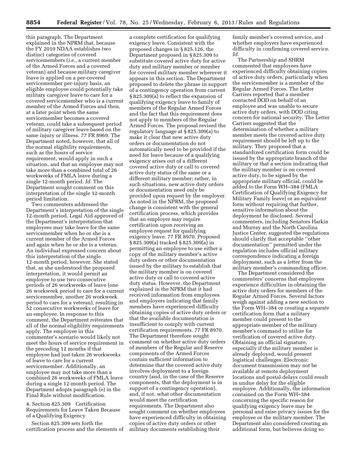this paragraph. The Department explained in the NPRM that, because the FY 2010 NDAA establishes two distinct categories of covered servicemembers (*i.e.,* a current member of the Armed Forces and a covered veteran) and because military caregiver leave is applied on a per-covered servicemember per-injury basis, an eligible employee could potentially take military caregiver leave to care for a covered servicemember who is a current member of the Armed Forces and then, at a later point when the same servicemember becomes a covered veteran, could take a subsequent period of military caregiver leave based on the same injury or illness. 77 FR 8969. The Department noted, however, that all of the normal eligibility requirements, such as the hours of service requirement, would apply in such a situation, and that an employee may not take more than a combined total of 26 workweeks of FMLA leave during a single 12-month period. *Id.* The Department sought comment on this interpretation of the single 12-month period limitation.

Two commenters addressed the Department's interpretation of the single 12-month period. Legal Aid approved of the Department's interpretation that employees may take leave for the same servicemember when he or she is a current member of the Armed Forces and again when he or she is a veteran. An individual expressed concern about this interpretation of the single 12-month period, however. She stated that, as she understood the proposed interpretation, it would permit an employee to use two consecutive periods of 26 workweeks of leave (one 26 workweek period to care for a current servicemember, another 26 workweek period to care for a veteran), resulting in 52 consecutive workweeks of leave for an employee. In response to this comment, the Department reiterates that all of the normal eligibility requirements apply. The employee in this commenter's scenario would likely not meet the hours of service requirement in the preceding 12 months if that employee had just taken 26 workweeks of leave to care for a current servicemember. Additionally, an employee may not take more than a combined 26 workweeks of FMLA leave during a single 12-month period. The Department adopts paragraph (e) in the Final Rule without modification.

4. Section 825.309 Certification Requirements for Leave Taken Because of a Qualifying Exigency

Section 825.309 sets forth the certification process and the elements of

a complete certification for qualifying exigency leave. Consistent with the proposed changes in § 825.126, the Department proposed in § 825.309 to substitute covered active duty for active duty and military member or member for covered military member wherever it appears in this section. The Department proposed to delete the phrase in support of a contingency operation from current § 825.309(a) to reflect the expansion of qualifying exigency leave to family of members of the Regular Armed Forces and the fact that this requirement does not apply to members of the Regular Armed Forces. The proposal revised the regulatory language at § 825.309(a) to make it clear that new active duty orders or documentation do not automatically need to be provided if the need for leave because of a qualifying exigency arises out of a different covered active duty or call to covered active duty status of the same or a different military member; rather, in such situations, new active duty orders or documentation need only be provided upon request by the employer. As noted in the NPRM, the proposed change is consistent with the general certification process, which provides that an employer may require certification upon receiving an employee request for qualifying exigency leave. 77 FR 8970. Proposed § 825.309(a) tracked § 825.309(a) in permitting an employee to use either a copy of the military member's active duty orders or other documentation issued by the military to establish that the military member is on covered active duty or call to covered active duty status. However, the Department explained in the NPRM that it had received information from employees and employers indicating that family members have experienced difficulty obtaining copies of active duty orders or that the available documentation is insufficient to comply with current certification requirements. 77 FR 8970. The Department therefore sought comment on whether active duty orders of members of the Regular and Reserve components of the Armed Forces contain sufficient information to determine that the covered active duty involves deployment to a foreign country (and, in the case of the Reserve components, that the deployment is in support of a contingency operation), and, if not, what other documentation would meet the certification requirements. The Department also sought comment on whether employees have experienced difficulty in obtaining copies of active duty orders or other military documents establishing their

family member's covered service, and whether employers have experienced difficulty in confirming covered service. *Id.* 

The Partnership and SHRM commented that employees have experienced difficulty obtaining copies of active duty orders, particularly when the servicemember is a member of the Regular Armed Forces. The Letter Carriers reported that a member contacted DOD on behalf of an employee and was unable to secure active duty orders, with DOD citing concern for national security. The Letter Carriers suggested that the determination of whether a military member meets the covered active duty requirement should be left up to the military. They proposed that a standardized certification form could be issued by the appropriate branch of the military or that a section indicating that the military member is on covered active duty, to be signed by the appropriate military official, could be added to the Form WH–384 (FMLA Certification of Qualifying Exigency for Military Family leave) or an equivalent form without requiring that further, sensitive information about the deployment be disclosed. Several commenters, including Senators Harkin and Murray and the North Carolina Justice Center, suggested the regulations should clarify that acceptable ''other documentation'' permitted under the regulation includes official military correspondence indicating a foreign deployment, such as a letter from the military member's commanding officer.

The Department considered the commenters' concerns that employees experience difficulties in obtaining the active duty orders for members of the Regular Armed Forces. Several factors weigh against adding a new section to the Form WH–384 or creating a separate certification form that a military member could present to the appropriate member of the military member's command to utilize for verification of covered active duty. Obtaining an official signature, especially if the military member is already deployed, would present logistical challenges. Electronic document transmission may not be available at remote deployment locations and postal delays could result in undue delay for the eligible employee. Additionally, the information contained on the Form WH–384 concerning the specific reason for qualifying exigency leave may be personal and raise privacy issues for the employee or the military member. The Department also considered creating an additional form, but believes doing so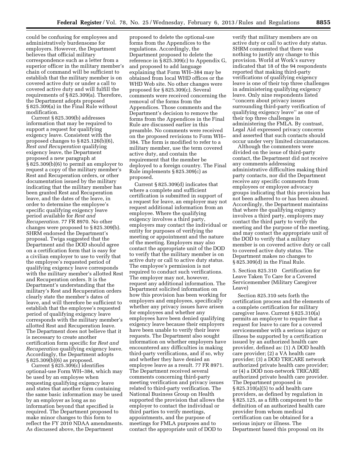could be confusing for employees and administratively burdensome for employers. However, the Department believes that official military correspondence such as a letter from a superior officer in the military member's chain of command will be sufficient to establish that the military member is on covered active duty or under a call to covered active duty and will fulfill the requirements of § 825.309(a). Therefore, the Department adopts proposed § 825.309(a) in the Final Rule without modification.

Current § 825.309(b) addresses information that may be required to support a request for qualifying exigency leave. Consistent with the proposed changes to § 825.126(b)(6), *Rest and Recuperation* qualifying exigency leave, the Department proposed a new paragraph at § 825.309(b)(6) to permit an employer to request a copy of the military member's Rest and Recuperation orders, or other documentation issued by the military indicating that the military member has been granted Rest and Recuperation leave, and the dates of the leave, in order to determine the employee's specific qualifying exigency leave period available for *Rest and Recuperation.* 77 FR 8970. No other changes were proposed to § 825.309(b). SHRM endorsed the Department's proposal. Twiga suggested that the Department and the DOD should agree on a certification form that is easy for a civilian employer to use to verify that the employee's requested period of qualifying exigency leave corresponds with the military member's allotted Rest and Recuperation orders. It is the Department's understanding that the military's Rest and Recuperation orders clearly state the member's dates of leave, and will therefore be sufficient to establish that the employee's requested period of qualifying exigency leave corresponds with the military member's allotted Rest and Recuperation leave. The Department does not believe that it is necessary to create another certification form specific for *Rest and Recuperation* qualifying exigency leave. Accordingly, the Department adopts § 825.309(b)(6) as proposed.

Current § 825.309(c) identifies optional-use Form WH–384, which may be used by an employee when requesting qualifying exigency leave and states that another form containing the same basic information may be used by an employer as long as no information beyond that specified is required. The Department proposed to make minor changes to this form to reflect the FY 2010 NDAA amendments. As discussed above, the Department

proposed to delete the optional-use forms from the Appendices to the regulations. Accordingly, the Department proposed to delete the reference in § 825.309(c) to Appendix G, and proposed to add language explaining that Form WH–384 may be obtained from local WHD offices or the WHD Web site. No other changes were proposed for § 825.309(c). Several comments were received concerning the removal of the forms from the Appendices. Those comments and the Department's decision to remove the forms from the Appendices in the Final Rule are discussed earlier in this preamble. No comments were received on the proposed revisions to Form WH– 384. The form is modified to refer to a military member, use the term covered active duty, and contain the requirement that the member be deployed to a foreign country. The Final Rule implements § 825.309(c) as proposed.

Current § 825.309(d) indicates that where a complete and sufficient certification is submitted in support of a request for leave, an employer may not request additional information from an employee. Where the qualifying exigency involves a third party, employers may contact the individual or entity for purposes of verifying the meeting or appointment and the nature of the meeting. Employers may also contact the appropriate unit of the DOD to verify that the military member is on active duty or call to active duty status. The employee's permission is not required to conduct such verifications. The employer may not, however, request any additional information. The Department solicited information on how this provision has been working for employers and employees, specifically whether any privacy issues have arisen for employees and whether any employees have been denied qualifying exigency leave because their employers have been unable to verify their leave requests. The Department also sought information on whether employers have encountered any difficulties in making third-party verifications, and if so, why and whether they have denied an employee leave as a result. 77 FR 8971. The Department received several comments concerning third-party meeting verification and privacy issues related to third-party verification. The National Business Group on Health supported the provision that allows the employer to contact the individual or third parties to verify meetings, appointments, and the purpose of meetings for FMLA purposes and to contact the appropriate unit of DOD to

verify that military members are on active duty or call to active duty status. SHRM commented that there was nothing to justify any change to this provision. World at Work's survey indicated that 18 of the 94 respondents reported that making third-party verifications of qualifying exigency leave is one of their top three challenges in administering qualifying exigency leave. Only nine respondents listed ''concern about privacy issues surrounding third-party verification of qualifying exigency leave'' as one of their top three challenges in administering the FMLA. By contrast, Legal Aid expressed privacy concerns and asserted that such contacts should occur under very limited circumstances.

Although the commenters were divided on the issue of third-party contact, the Department did not receive any comments addressing administrative difficulties making third party contacts, nor did the Department receive any specific comments from employees or employee advocacy groups indicating that this provision has not been adhered to or has been abused. Accordingly, the Department maintains that where the qualifying exigency involves a third party, employers may contact the third party to verify the meeting and the purpose of the meeting, and may contact the appropriate unit of the DOD to verify that a military member is on covered active duty or call to covered active duty status. The Department makes no changes to § 825.309(d) in the Final Rule.

5. Section 825.310 Certification for Leave Taken To Care for a Covered Servicemember (Military Caregiver Leave)

Section 825.310 sets forth the certification process and the elements of a complete certification for military caregiver leave. Current § 825.310(a) permits an employer to require that a request for leave to care for a covered servicemember with a serious injury or illness be supported by a certification issued by an authorized health care provider, defined as: (1) A DOD health care provider; (2) a VA health care provider; (3) a DOD TRICARE network authorized private health care provider; or (4) a DOD non-network TRICARE authorized private health care provider. The Department proposed in § 825.310(a)(5) to add health care providers, as defined by regulation in § 825.125, as a fifth component to the definition of an authorized health care provider from whom medical certification can be obtained for a serious injury or illness. The Department based this proposal on its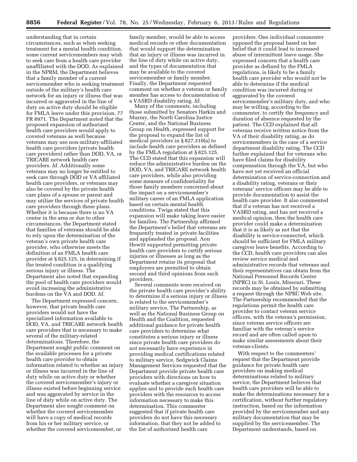understanding that in certain circumstances, such as when seeking treatment for a mental health condition, some current servicemembers may wish to seek care from a health care provider unaffiliated with the DOD. As explained in the NPRM, the Department believes that a family member of a current servicemember who is seeking treatment outside of the military's health care network for an injury or illness that was incurred or aggravated in the line of duty on active duty should be eligible for FMLA leave under this provision. 77 FR 8971. The Department noted that the proposed expansion of authorized health care providers would apply to covered veterans as well because veterans may use non-military-affiliated health care providers (private health care providers) rather than DOD, VA, or TRICARE network health care providers. *Id.* Additionally some veterans may no longer be entitled to seek care through DOD or VA affiliated health care providers, or veterans may also be covered by the private health care plans of a spouse or parent and may utilize the services of private health care providers through these plans. Whether it is because there is no VA center in the area or due to other circumstances, the Department stated that families of veterans should be able to rely upon the determination of the veteran's own private health care provider, who otherwise meets the definition of an FMLA health care provider at § 825.125, in determining if the treated condition is a qualifying serious injury or illness. The Department also noted that expanding the pool of health care providers would avoid increasing the administrative burdens on the VA and DOD. *Id.* 

The Department expressed concern, however, that private health care providers would not have the specialized information available to DOD, VA, and TRICARE network health care providers that is necessary to make several of the military-related determinations. Therefore, the Department sought public comment on the available processes for a private health care provider to obtain information related to whether an injury or illness was incurred in the line of duty while on active duty or whether the covered servicemember's injury or illness existed before beginning service and was aggravated by service in the line of duty while on active duty. The Department also sought comment on whether the covered servicemember will have a copy of medical records from his or her military service, or whether the covered servicemember, or

family member, would be able to access medical records or other documentation that would support the determination that an injury or illness was incurred in the line of duty while on active duty, and the types of documentation that may be available to the covered servicemember or family member. Finally, the Department requested comment on whether a veteran or family member has access to documentation of a VASRD disability rating. *Id.* 

Many of the comments, including those submitted by Senators Harkin and Murray, the North Carolina Justice Center, and the National Business Group on Health, expressed support for the proposal to expand the list of medical providers in § 827.310(a) to include health care providers as defined by the FMLA regulation at § 825.125. The CCD stated that this expansion will reduce the administrative burden on the DOD, VA, and TRICARE network health care providers, while also providing some measure of confidentiality for those family members concerned about the impact on a servicemember's military career of an FMLA application based on certain mental health conditions. Twiga stated that this expansion will make taking leave easier for families. The Partnership affirmed the Department's belief that veterans are frequently treated in private facilities and applauded the proposal. Aon Hewitt supported permitting private health care providers to certify serious injuries or illnesses as long as the Department retains its proposal that employers are permitted to obtain second and third opinions from such providers.

Several comments were received on the private health care provider's ability to determine if a serious injury or illness is related to the servicemember's military service. The Partnership, as well as the National Business Group on Health and the Coalition, requested additional guidance for private health care providers to determine what constitutes a serious injury or illness since private health care providers do not necessarily have experience in providing medical certifications related to military service. Sedgwick Claims Management Services requested that the Department provide private health care providers with directions on how to evaluate whether a caregiver situation applies and to provide such health care providers with the resources to access information necessary to make this determination. This commenter suggested that if private health care providers do not have this necessary information, that they not be added to the list of authorized health care

providers. One individual commenter opposed the proposal based on her belief that it could lead to increased abuse of intermittent leave usage. She expressed concern that a health care provider as defined by the FMLA regulations, is likely to be a family health care provider who would not be able to determine if the medical condition was incurred during or aggravated by the covered servicemember's military duty, and who may be willing, according to the commenter, to certify the frequency and duration of absence requested by the patient. The CCD explained that all veterans receive written notice from the VA of their disability rating, as do servicemembers in the case of a service department disability rating. The CCD further explained that for veterans who have filed claims for disability compensation through the VA, but who have not yet received an official determination of service-connection and a disability rating, veterans or their veterans' service officers may be able to provide documentation to assist the health care provider. It also commented that if a veteran has not received a VASRD rating, and has not received a medical opinion, then the health care provider could make a determination that it is as likely as not that the disability is service-connected, which should be sufficient for FMLA military caregiver leave benefits. According to the CCD, health care providers can also review service medical and administrative records that veterans and their representatives can obtain from the National Personnel Records Center (NPRC) in St. Louis, Missouri. These records may be obtained by submitting a request through the NPRC Web site. The Partnership recommended that the regulations permit the health care provider to contact veteran service officers, with the veteran's permission, since veteran service officers are familiar with the veteran's service record and are often called upon to make similar assessments about their veteran-clients.

With respect to the commenters' request that the Department provide guidance for private health care providers on making medical determinations related to military service, the Department believes that health care providers will be able to make the determinations necessary for a certification, without further regulatory instruction, based on the information provided by the servicemember and any military documentation that may be supplied by the servicemember. The Department understands, based on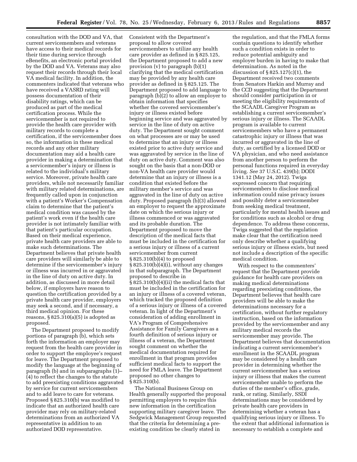consultation with the DOD and VA, that current servicemembers and veterans have access to their medical records for their time during service through eBenefits, an electronic portal provided by the DOD and VA. Veterans may also request their records through their local VA medical facility. In addition, the commenters indicated that veterans who have received a VASRD rating will possess documentation of their disability ratings, which can be produced as part of the medical certification process. While the servicemember is not required to provide the health care provider with military records to complete a certification, if the servicemember does so, the information in these medical records and any other military documentation may aid a health care provider in making a determination that a servicemember's injury or illness is related to the individual's military service. Moreover, private health care providers, while not necessarily familiar with military related determinations, are frequently called upon in conjunction with a patient's Worker's Compensation claim to determine that the patient's medical condition was caused by the patient's work even if the health care provider is not intimately familiar with that patient's particular occupation. Based on their medical experience, private health care providers are able to make such determinations. The Department believes that private health care providers will similarly be able to determine if the servicemember's injury or illness was incurred in or aggravated in the line of duty on active duty. In addition, as discussed in more detail below, if employers have reason to question the certification provided by a private health care provider, employers may seek a second, and if necessary, a third medical opinion. For these reasons,  $§ 825.310(a)(5)$  is adopted as proposed.

The Department proposed to modify portions of paragraph (b), which sets forth the information an employer may request from the health care provider in order to support the employee's request for leave. The Department proposed to modify the language at the beginning of paragraph (b) and in subparagraphs (1)– (4) to reflect the changes to the statute to add preexisting conditions aggravated by service for current servicemembers and to add leave to care for veterans. Proposed § 825.310(b) was modified to indicate that an authorized health care provider may rely on military-related determinations from an authorized VA representative in addition to an authorized DOD representative.

Consistent with the Department's proposal to allow covered servicemembers to utilize any health care provider as defined in § 825.125, the Department proposed to add a new provision (v) to paragraph (b)(1) clarifying that the medical certification may be provided by any health care provider as defined in § 825.125. The Department proposed to add language to paragraph (b)(2) to allow an employer to obtain information that specifies whether the covered servicemember's injury or illness existed before beginning service and was aggravated by service in the line of duty on active duty. The Department sought comment on what processes are or may be used to determine that an injury or illness existed prior to active duty service and was aggravated by service in the line of duty on active duty. Comment was also sought on the basis that a non-DOD or non-VA health care provider would determine that an injury or illness is a condition that existed before the military member's service and was aggravated in the line of duty on active duty. Proposed paragraph (b)(3) allowed an employer to request the approximate date on which the serious injury or illness commenced or was aggravated and its probable duration. The Department proposed to move the description of the medical facts that must be included in the certification for a serious injury or illness of a current servicemember from current § 825.310(b)(4) to proposed § 825.310(b)(4)(i), without any changes in that subparagraph. The Department proposed to describe in § 825.310(b)(4)(ii) the medical facts that must be included in the certification for an injury or illness of a covered veteran, which tracked the proposed definition of a serious injury or illness of a covered veteran. In light of the Department's consideration of adding enrollment in VA's Program of Comprehensive Assistance for Family Caregivers as a fourth definition of serious injury or illness of a veteran, the Department sought comment on whether the medical documentation required for enrollment in that program provides sufficient medical facts to support the need for FMLA leave. The Department proposed no other changes to § 825.310(b).

The National Business Group on Health generally supported the proposal permitting employers to require this new information in the certification supporting military caregiver leave. The Sedgwick Management Group requested that the criteria for determining a preexisting condition be clearly stated in

the regulation, and that the FMLA forms contain questions to identify whether such a condition exists in order to reduce potential ambiguity and employer burden in having to make that determination. As noted in the discussion of § 825.127(c)(1), the Department received two comments from Senators Harkin and Murray and the CCD suggesting that the Department should consider participation in or meeting the eligibility requirements of the SCAADL Caregiver Program as establishing a current servicemember's serious injury or illness. The SCAADL program is available to current servicemembers who have a permanent catastrophic injury or illness that was incurred or aggravated in the line of duty, as certified by a licensed DOD or VA physician, and who need assistance from another person to perform the personal functions required in everyday living. *See* 37 U.S.C. 439(b); DODI 1341.12 (May 24, 2012). Twiga expressed concern that requiring servicemembers to disclose medical information could raise privacy issues and possibly deter a servicemember from seeking medical treatment, particularly for mental health issues and for conditions such as alcohol or drug dependence. To address these concerns, Twiga suggested that the regulation make clear that the certification need only describe whether a qualifying serious injury or illness exists, but need not include a description of the specific medical condition.

With respect to the commenters' request that the Department provide guidance for health care providers on making medical determinations regarding preexisting conditions, the Department believes that health care providers will be able to make the determinations necessary for a certification, without further regulatory instruction, based on the information provided by the servicemember and any military medical records the servicemember may provide. The Department believes that documentation indicating a current servicemember's enrollment in the SCAADL program may be considered by a health care provider in determining whether the current servicemember has a serious injury or illness that makes the current servicemember unable to perform the duties of the member's office, grade, rank, or rating. Similarly, SSDI determinations may be considered by private health care providers in determining whether a veteran has a qualifying serious injury or illness. To the extent that additional information is necessary to establish a complete and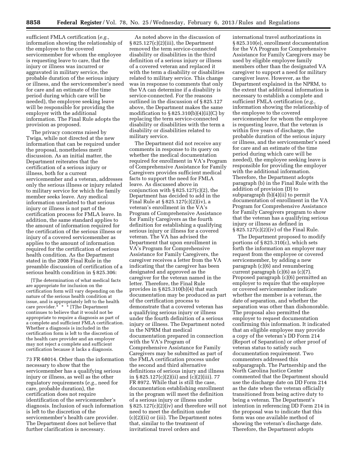sufficient FMLA certification (*e.g.,*  information showing the relationship of the employee to the covered servicemember for whom the employee is requesting leave to care, that the injury or illness was incurred or aggravated in military service, the probable duration of the serious injury or illness, and the servicemember's need for care and an estimate of the time period during which care will be needed), the employee seeking leave will be responsible for providing the employer with the additional information. The Final Rule adopts the provision as proposed.

The privacy concerns raised by Twiga, while not directed at the new information that can be required under the proposal, nonetheless merit discussion. As an initial matter, the Department reiterates that the certification of a serious injury or illness, both for a current servicemember and a veteran, addresses only the serious illness or injury related to military service for which the family member seeks leave. Any medical information unrelated to that serious injury or illness is not part of the certification process for FMLA leave. In addition, the same standard applies to the amount of information required for the certification of the serious illness or injury of a covered servicemember as applies to the amount of information required for the certification of serious health condition. As the Department stated in the 2008 Final Rule in the preamble discussion of certification of a serious health condition in § 825.306:

[T]he determination of what medical facts are appropriate for inclusion on the certification form will vary depending on the nature of the serious health condition at issue, and is appropriately left to the health care provider.\* \* \* [T]he Department continues to believe that it would not be appropriate to require a diagnosis as part of a complete and sufficient FMLA certification. Whether a diagnosis is included in the certification form is left to the discretion of the health care provider and an employer may not reject a complete and sufficient certification because it lacks a diagnosis.

73 FR 68014. Other than the information necessary to show that the servicemember has a qualifying serious injury or illness, as well as the other regulatory requirements (*e.g.,* need for care, probable duration), the certification does not require identification of the servicemember's diagnosis. Inclusion of such information is left to the discretion of the servicemember's health care provider. The Department does not believe that further clarification is necessary.

As noted above in the discussion of  $\S 825.127(c)(2)(iii)$ , the Department removed the term service-connected disability or disabilities in the third definition of a serious injury or illness of a covered veteran and replaced it with the term a disability or disabilities related to military service. This change was in response to comments that only the VA can determine if a disability is service-connected. For the reasons outlined in the discussion of § 825.127 above, the Department makes the same modification to  $\S 825.310(b)(4)(ii)(C)$  by replacing the term service-connected disability or disabilities with the term a disability or disabilities related to military service.

The Department did not receive any comments in response to its query on whether the medical documentation required for enrollment in VA's Program of Comprehensive Assistance for Family Caregivers provides sufficient medical facts to support the need for FMLA leave. As discussed above in conjunction with § 825.127(c)(2), the Department has decided to add in the Final Rule at § 825.127(c)(2)(iv), a veteran's enrollment in the VA's Program of Comprehensive Assistance for Family Caregivers as the fourth definition for establishing a qualifying serious injury or illness for a covered veteran. The VA has advised the Department that upon enrollment in VA's Program for Comprehensive Assistance for Family Caregivers, the caregiver receives a letter from the VA indicating that the caregiver has been designated and approved as the caregiver for the veteran named in the letter. Therefore, the Final Rule provides in § 825.310(b)(4) that such documentation may be produced as part of the certification process to demonstrate that a covered veteran has a qualifying serious injury or illness under the fourth definition of a serious injury or illness. The Department noted in the NPRM that medical documentation prepared in connection with the VA's Program of Comprehensive Assistance for Family Caregivers may be submitted as part of the FMLA certification process under the second and third alternative definitions of serious injury and illness in § 825.127(c)(2)(ii) and (c)(2)(iii). 77 FR 8972. While that is still the case, documentation establishing enrollment in the program will meet the definition of a serious injury or illness under § 825.127(c)(2)(iv) and therefore will not need to meet the definition under (c)(2)(ii) or (iii). The Department notes that, similar to the treatment of invitational travel orders and

international travel authorizations in § 825.310(e), enrollment documentation for the VA Program for Comprehensive Assistance for Family Caregivers may be used by eligible employee family members other than the designated VA caregiver to support a need for military caregiver leave. However, as the Department explained in the NPRM, to the extent that additional information is necessary to establish a complete and sufficient FMLA certification (*e.g.,*  information showing the relationship of the employee to the covered servicemember for whom the employee is requesting leave, that the veteran is within five years of discharge, the probable duration of the serious injury or illness, and the servicemember's need for care and an estimate of the time period during which care will be needed), the employee seeking leave is responsible for providing the employer with the additional information. Therefore, the Department adopts paragraph (b) in the Final Rule with the addition of provision (D) to subparagraph (b)(4)(ii) to permit documentation of enrollment in the VA Program for Comprehensive Assistance for Family Caregivers program to show that the veteran has a qualifying serious injury or illness as defined in § 825.127(c)(2)(iv) of the Final Rule.

The Department proposed to modify portions of § 825.310(c), which sets forth the information an employer may request from the employee or covered servicemember, by adding a new paragraph (c)(6) and renumbering current paragraph (c)(6) as (c)(7). Proposed paragraph (c)(6) permitted an employer to require that the employee or covered servicemember indicate whether the member is a veteran, the date of separation, and whether the separation was other than dishonorable. The proposal also permitted the employer to request documentation confirming this information. It indicated that an eligible employee may provide a copy of the veteran's DD Form 214 (Report of Separation) or other proof of veteran status to satisfy such documentation requirement. Two commenters addressed this subparagraph. The Partnership and the North Carolina Justice Center commented that the Department should use the discharge date on DD Form 214 as the date when the veteran officially transitioned from being active duty to being a veteran. The Department's intention in referencing DD Form 214 in the proposal was to indicate that this form was one available method of showing the veteran's discharge date. Therefore, the Department adopts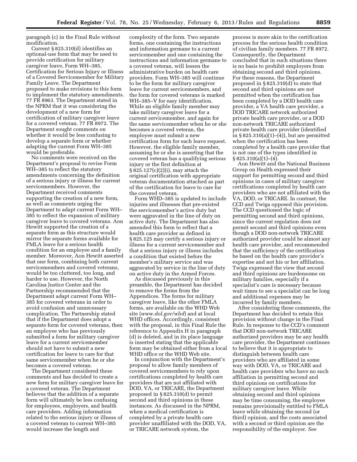paragraph (c) in the Final Rule without modification.

Current § 825.310(d) identifies an optional-use form that may be used to provide certification for military caregiver leave, Form WH–385, Certification for Serious Injury or Illness of a Covered Servicemember for Military Family Leave. The Department proposed to make revisions to this form to implement the statutory amendments. 77 FR 8963. The Department stated in the NPRM that it was considering the development of a new form for certification of military caregiver leave for a covered veteran. 77 FR 8972. The Department sought comments on whether it would be less confusing to develop a separate form or whether adapting the current Form WH–385 would be preferable.

No comments were received on the Department's proposal to revise Form WH–385 to reflect the statutory amendments concerning the definition of a serious injury or illness for current servicemembers. However, the Department received comments supporting the creation of a new form, as well as comments urging the Department to adapt current Form WH– 385 to reflect the expansion of military caregiver leave to covered veterans. Aon Hewitt supported the creation of a separate form as this structure would mirror the separate forms available for FMLA leave for a serious health condition for an employee and a family member. Moreover, Aon Hewitt asserted that one form, combining both current servicemembers and covered veterans, would be too cluttered, too long, and harder to use. However, the North Carolina Justice Center and the Partnership recommended that the Department adapt current Form WH– 385 for covered veterans in order to avoid confusion and unnecessary complication. The Partnership stated that if the Department does adopt a separate form for covered veterans, then an employee who has previously submitted a form for military caregiver leave for a current servicemember should not have to submit a new certification for leave to care for that same servicemember when he or she becomes a covered veteran.

The Department considered these comments and has decided to create a new form for military caregiver leave for a covered veteran. The Department believes that the addition of a separate form will ultimately be less confusing for employees, employers, and health care providers. Adding information related to the serious injury or illness of a covered veteran to current WH–385 would increase the length and

complexity of the form. Two separate forms, one containing the instructions and information germane to a current servicemember and one containing the instructions and information germane to a covered veteran, will lessen the administrative burden on health care providers. Form WH–385 will continue to be the form for military caregiver leave for current servicemembers, and the form for covered veterans is marked WH–385–V for easy identification. While an eligible family member may take military caregiver leave for a current servicemember, and again for the same servicemember when he or she becomes a covered veteran, the employee must submit a new certification form for each leave request. However, the eligible family member, assuming he or she is asserting that the covered veteran has a qualifying serious injury or the first definition at § 825.127(c)(2)(i), may attach the original certification with appropriate veteran documentation attached as part of the certification for leave to care for the covered veteran.

Form WHD–385 is updated to include injuries and illnesses that pre-existed the servicemember's active duty but were aggravated in the line of duty on active duty. The Department has also amended this form to reflect that a health care provider as defined in § 825.125 may certify a serious injury or illness for a current servicemember and that a serious injury or illness includes a condition that existed before the member's military service and was aggravated by service in the line of duty on active duty in the Armed Forces.

As discussed previously in this preamble, the Department has decided to remove the forms from the Appendices. The forms for military caregiver leave, like the other FMLA forms, are available on the WHD Web site (*[www.dol.gov/whd](http://www.dol.gov/whd)*) and at local WHD offices. Accordingly, consistent with the proposal, in this Final Rule the reference to Appendix H in paragraph (d) is deleted, and in its place language is inserted stating that the applicable form may be obtained either from a local WHD office or the WHD Web site.

In conjunction with the Department's proposal to allow family members of covered servicemembers to rely upon certifications completed by health care providers that are not affiliated with DOD, VA, or TRICARE, the Department proposed in § 825.310(d) to permit second and third opinions in these instances. As discussed in the NPRM, when a medical certification is completed by a private health care provider unaffiliated with the DOD, VA, or TRICARE network system, the

process is more akin to the certification process for the serious health condition of civilian family members. 77 FR 8972. Consequently, the Department concluded that in such situations there is no basis to prohibit employers from obtaining second and third opinions. For these reasons, the Department proposed in § 825.310(d) to state that second and third opinions are not permitted when the certification has been completed by a DOD health care provider, a VA health care provider, a DOD TRICARE network authorized private health care provider, or a DOD non-network TRICARE authorized private health care provider (identified in § 825.310(a)(1)–(4)), but are permitted when the certification has been completed by a health care provider that is not one of the types identified in  $§ 825.310(a)(1)–(4).$ 

Aon Hewitt and the National Business Group on Health expressed their support for permitting second and third opinions in cases of military caregiver certifications completed by health care providers who are not affiliated with the VA, DOD, or TRICARE. In contrast, the CCD and Twiga opposed this provision. The CCD questioned the logic of permitting second and third opinions, since the current regulation does not permit second and third opinions even though a DOD non-network TRICARE authorized provider could be almost any health care provider, and recommended that the sufficiency of the certification be based on the health care provider's expertise and not his or her affiliation. Twiga expressed the view that second and third opinions are burdensome on military families, especially if a specialist's care is necessary because wait times to see a specialist can be long and additional expenses may be incurred by family members.

After considering these comments, the Department has decided to retain this provision without change in the Final Rule. In response to the CCD's comment that DOD non-network TRICARE authorized providers may be any health care provider, the Department continues to believe that it is appropriate to distinguish between health care providers who are affiliated in some way with DOD, VA, or TRICARE and health care providers who have no such affiliation in permitting second and third opinions on certifications for military caregiver leave. While obtaining second and third opinions may be time consuming, the employee remains provisionally entitled to FMLA leave while obtaining the second (or third) opinion, and the costs associated with a second or third opinion are the responsibility of the employer. *See*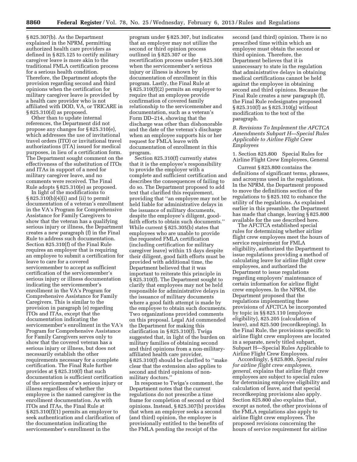§ 825.307(b). As the Department explained in the NPRM, permitting authorized health care providers as defined in § 825.125 to certify military caregiver leave is more akin to the traditional FMLA certification process for a serious health condition. Therefore, the Department adopts the provision regarding second and third opinions when the certification for military caregiver leave is provided by a health care provider who is not affiliated with DOD, VA, or TRICARE in § 825.310(d) as proposed.

Other than to update internal references, the Department did not propose any changes for § 825.310(e), which addresses the use of invitational travel orders (ITO) or invitational travel authorizations (ITA) issued for medical purposes, in lieu of a certification form. The Department sought comment on the effectiveness of the substitution of ITOs and ITAs in support of a need for military caregiver leave, and no comments were received. The Final Rule adopts § 825.310(e) as proposed.

In light of the modifications to § 825.310(b)(4)(i) and (ii) to permit documentation of a veteran's enrollment in the VA's Program for Comprehensive Assistance for Family Caregivers to show that the veteran has a qualifying serious injury or illness, the Department creates a new paragraph (f) in the Final Rule to address such documentation. Section 825.310(f) of the Final Rule requires an employer that is requiring an employee to submit a certification for leave to care for a covered servicemember to accept as sufficient certification of the servicemember's serious injury or illness documentation indicating the servicemember's enrollment in the VA's Program for Comprehensive Assistance for Family Caregivers. This is similar to the provision in paragraph (e) regarding ITOs and ITAs, except that the documentation indicating the servicemember's enrollment in the VA's Program for Comprehensive Assistance for Family Caregivers serves only to show that the covered veteran has a serious injury or illness, but does not necessarily establish the other requirements necessary for a complete certification. The Final Rule further provides at § 825.310(f) that such documentation is sufficient certification of the servicemember's serious injury or illness regardless of whether the employee is the named caregiver in the enrollment documentation. As with ITOs and ITAs, the Final Rule at § 825.310(f)(1) permits an employer to seek authentication and clarification of the documentation indicating the servicemember's enrollment in the

program under § 825.307, but indicates that an employer may not utilize the second or third opinion process outlined in § 825.307 or the recertification process under § 825.308 when the servicemember's serious injury or illness is shown by documentation of enrollment in this program. Lastly, the Final Rule at § 825.310(f)(2) permits an employer to require that an employee provide confirmation of covered family relationship to the servicemember and documentation, such as a veteran's Form DD–214, showing that the discharge was other than dishonorable and the date of the veteran's discharge when an employee supports his or her request for FMLA leave with documentation of enrollment in this program.

Section 825.310(f) currently states that it is the employee's responsibility to provide the employer with a complete and sufficient certification and describes the consequences of failing to do so. The Department proposed to add text that clarified this requirement, providing that ''an employee may not be held liable for administrative delays in the issuance of military documents, despite the employee's diligent, goodfaith efforts to obtain such documents.'' While current § 825.305(b) states that employees who are unable to provide the requested FMLA certification (including certification for military caregiver leave) within 15 days despite their diligent, good faith efforts must be provided with additional time, the Department believed that it was important to reiterate this principle in § 825.310(f). The Department sought to clarify that employees may not be held responsible for administrative delays in the issuance of military documents where a good faith attempt is made by the employee to obtain such documents. Two organizations provided comments on this proposal. Legal Aid commended the Department for making this clarification in § 825.310(f). Twiga suggested that, in light of the burden on military families of obtaining second and third opinions from a non-militaryaffiliated health care provider, § 825.310(f) should be clarified to ''make clear that the extension also applies to second and third opinions of nonmilitary doctors.''

In response to Twiga's comment, the Department notes that the current regulations do not prescribe a time frame for completion of second or third opinions. Instead, § 825.307(b) provides that when an employer seeks a second (and third) opinion, the employee is provisionally entitled to the benefits of the FMLA pending the receipt of the

second (and third) opinion. There is no prescribed time within which an employee must obtain the second or third opinion. Therefore, the Department believes that it is unnecessary to state in the regulation that administrative delays in obtaining medical certifications cannot be held against the employee in obtaining second and third opinions. Because the Final Rule creates a new paragraph (f), the Final Rule redesignates proposed § 825.310(f) as § 825.310(g) without modification to the text of the paragraph.

# *B. Revisions To Implement the AFCTCA Amendments Subpart H—Special Rules Applicable to Airline Flight Crew Employees*

1. Section 825.800 Special Rules for Airline Flight Crew Employees, General

Current § 825.800 contains the definitions of significant terms, phrases, and acronyms used in the regulations. In the NPRM, the Department proposed to move the definitions section of the regulations to § 825.102 to enhance the utility of the regulations. As explained earlier in this preamble, the Department has made that change, leaving § 825.800 available for the use described here.

The AFCTCA established special rules for determining whether airline flight crew employees meet the hours of service requirement for FMLA eligibility, authorized the Department to issue regulations providing a method of calculating leave for airline flight crew employees, and authorized the Department to issue regulations regarding employers' maintenance of certain information for airline flight crew employees. In the NPRM, the Department proposed that the regulations implementing these provisions of AFCTCA be incorporated by topic in §§ 825.110 (employee eligibility), 825.205 (calculation of leave), and 825.500 (recordkeeping). In the Final Rule, the provisions specific to airline flight crew employees are located in a separate, newly titled subpart, Subpart H—Special Rules Applicable to Airline Flight Crew Employees.

Accordingly, § 825.800, *Special rules for airline flight crew employees, general,* explains that airline flight crew employees are subject to special rules for determining employee eligibility and calculation of leave, and that special recordkeeping provisions also apply. Section 825.800 also explains that, except as noted, the other provisions of the FMLA regulations also apply to airline flight crew employees. The proposed revisions concerning the hours of service requirement for airline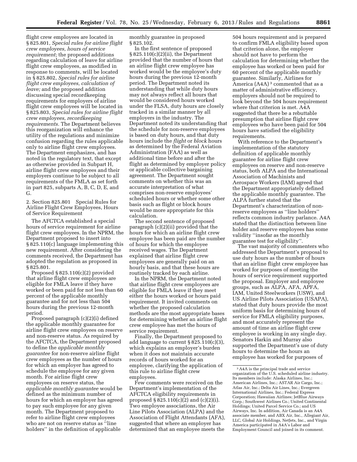flight crew employees are located in § 825.801, *Special rules for airline flight crew employees, hours of service requirement;* the proposed additions regarding calculation of leave for airline flight crew employees, as modified in response to comments, will be located in § 825.802, *Special rules for airline flight crew employees, calculation of leave;* and the proposed addition discussing special recordkeeping requirements for employers of airline flight crew employees will be located in § 825.803, *Special rules for airline flight crew employees, recordkeeping requirements.* The Department believes this reorganization will enhance the utility of the regulations and minimize confusion regarding the rules applicable only to airline flight crew employees. The Department emphasizes, and has noted in the regulatory text, that except as otherwise provided in Subpart H, airline flight crew employees and their employers continue to be subject to all requirements of the FMLA as set forth in part 825, subparts A, B, C, D, E, and  $G.$ 

2. Section 825.801 Special Rules for Airline Flight Crew Employees, Hours of Service Requirement

The AFCTCA established a special hours of service requirement for airline flight crew employees. In the NPRM, the Department proposed to insert into § 825.110(c) language implementing this new requirement. After considering the comments received, the Department has adopted the regulation as proposed in § 825.801.

Proposed § 825.110(c)(2) provided that airline flight crew employees are eligible for FMLA leave if they have worked or been paid for not less than 60 percent of the applicable monthly guarantee and for not less than 504 hours during the previous 12-month period.

Proposed paragraph (c)(2)(i) defined the applicable monthly guarantee for airline flight crew employees on reserve and non-reserve status. As required by the AFCTCA, the Department proposed to define the *applicable monthly guarantee* for non-reserve airline flight crew employees as the number of hours for which an employer has agreed to schedule the employee for any given month. For airline flight crew employees on reserve status, the *applicable monthly guarantee* would be defined as the minimum number of hours for which an employer has agreed to pay such employee for any given month. The Department proposed to refer to airline flight crew employees who are not on reserve status as ''line holders'' in the definition of applicable

monthly guarantee in proposed § 825.102.

In the first sentence of proposed § 825.110(c)(2)(ii), the Department provided that the number of hours that an airline flight crew employee has worked would be the employee's duty hours during the previous 12-month period. The Department noted its understanding that while duty hours may not always reflect all hours that would be considered hours worked under the FLSA, duty hours are closely tracked in a similar manner by all employers in the industry. The Department noted its understanding that the schedule for non-reserve employees is based on duty hours, and that duty hours include the *flight* or *block* hours as determined by the Federal Aviation Administration (FAA) as well as additional time before and after the flight as determined by employer policy or applicable collective bargaining agreement. The Department sought comments on whether this was an accurate interpretation of what comprises non-reserve employees' scheduled hours or whether some other basis such as flight or block hours would be more appropriate for this calculation.

The second sentence of proposed paragraph (c)(2)(ii) provided that the hours for which an airline flight crew employee has been paid are the number of hours for which the employee received wages. The Department explained that airline flight crew employees are generally paid on an hourly basis, and that these hours are routinely tracked by each airline.

In the NPRM, the Department noted that airline flight crew employees are eligible for FMLA leave if they meet either the hours worked or hours paid requirement. It invited comments on whether the proposed calculation methods are the most appropriate bases for determining whether an airline flight crew employee has met the hours of service requirement.

Finally, the Department proposed to add language to current § 825.110(c)(3), which explains an employer's burden when it does not maintain accurate records of hours worked for an employee, clarifying the application of this rule to airline flight crew employees.

Few comments were received on the Department's implementation of the AFCTCA eligibility requirements in proposed  $\S 825.110(c)(2)$  and  $(c)(2)(i)$ . Two employee associations, the Air Line Pilots Association (ALPA) and the Association of Flight Attendants (AFA), suggested that where an employer has determined that an employee meets the

504 hours requirement and is prepared to confirm FMLA eligibility based upon that criterion alone, the employer should not have to perform the calculation for determining whether the employee has worked or been paid for 60 percent of the applicable monthly guarantee. Similarly, Airlines for America (A4A) 3 commented that as a matter of administrative efficiency, employers should not be required to look beyond the 504 hours requirement where that criterion is met. A4A suggested that there be a rebuttable presumption that airline flight crew employees who have been paid for 504 hours have satisfied the eligibility requirements.

With reference to the Department's implementation of the statutory definition of applicable monthly guarantee for airline flight crew employees on reserve and non-reserve status, both ALPA and the International Association of Machinists and Aerospace Workers (IAM) agreed that the Department appropriately defined the applicable monthly guarantee. The ALPA further stated that the Department's characterization of nonreserve employees as ''line holders'' reflects common industry parlance. A4A stated that the distinction between line holder and reserve employees has some validity ''insofar as the monthly guarantee test for eligibility''.

The vast majority of commenters who addressed the Department's proposal to use duty hours as the number of hours that an airline flight crew employee has worked for purposes of meeting the hours of service requirement supported the proposal. Employer and employee groups, such as ALPA, AFA, APFA, IAM, United Steelworkers (USW), and US Airline Pilots Association (USAPA), stated that duty hours provide the most uniform basis for determining hours of service for FMLA eligibility purposes, and most accurately represent the amount of time an airline flight crew employee is working in any single day. Senators Harkin and Murray also supported the Department's use of duty hours to determine the hours an employee has worked for purposes of

<sup>3</sup>A4A is the principal trade and service organization of the U.S. scheduled airline industry. Its members include: Alaska Airlines, Inc.; American Airlines, Inc.; ASTAR Air Cargo, Inc.; Atlas Air, Inc.; Delta Air Lines, Inc.; Evergreen International Airlines, Inc.; Federal Express Corporation; Hawaiian Airlines; JetBlue Airways Corp.; Southwest Airlines Co.; United Continental Holdings; United Parcel Service Co.; and US Airways, Inc. In addition, Air Canada is an A4A associate member, and ABX Air, Inc., Allegiant Air, LLC, Global Air Holdings, NetJets, Inc., and Virgin America participated in A4A's Labor and Employment Council and joined in its comment.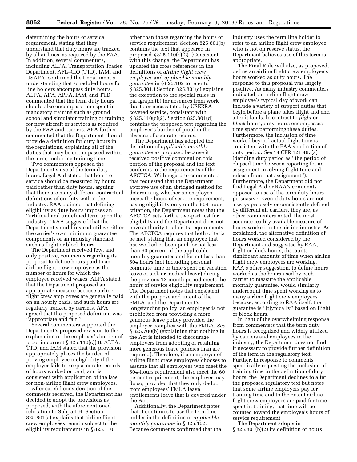determining the hours of service requirement, stating that they understand that duty hours are tracked by all airlines, as required by the FAA. In addition, several commenters, including ALPA, Transportation Trades Department, AFL–CIO (TTD), IAM, and USAPA, confirmed the Department's understanding that scheduled hours for line holders encompass duty hours. ALPA, AFA, APFA, IAM, and TTD commented that the term duty hours should also encompass time spent in mandatory training such as ground school and simulator training or training for new aircraft or services as required by the FAA and carriers. AFA further commented that the Department should provide a definition for duty hours in the regulations, explaining all of the duties that may be encompassed within the term, including training time.

Two commenters opposed the Department's use of the term duty hours. Legal Aid stated that hours of service should be measured by hours paid rather than duty hours, arguing that there are many different contractual definitions of on duty within the industry. RAA claimed that defining eligibility as duty hours imposes an ''artificial and undefined term upon the industry.'' RAA suggested that the Department should instead utilize either the carrier's own minimum guarantee components or an industry standard such as flight or block hours.

The Department received few, and only positive, comments regarding its proposal to define hours paid to an airline flight crew employee as the number of hours for which the employee received wages. ALPA stated that the Department proposed an appropriate measure because airline flight crew employees are generally paid on an hourly basis, and such hours are regularly tracked by carriers. AFA agreed that the proposed definition was ''appropriate and fair.''

Several commenters supported the Department's proposed revision to the explanation of the employer's burden of proof in current § 825.110(c)(3). ALPA, TTD, and IAM stated that the provision appropriately places the burden of proving employee ineligibility if the employer fails to keep accurate records of hours worked or paid, and is consistent with application of the law for non-airline flight crew employees.

After careful consideration of the comments received, the Department has decided to adopt the provisions as proposed, with the aforementioned relocation to Subpart H. Section 825.801(a) explains that airline flight crew employees remain subject to the eligibility requirements in § 825.110

other than those regarding the hours of service requirement. Section 825.801(b) contains the text that appeared in proposed § 825.110(c)(2). (Consistent with this change, the Department has updated the cross references in the definitions of *airline flight crew employee* and *applicable monthly guarantee* in § 825.102 to refer to § 825.801.) Section 825.801(c) explains the exception to the special rules in paragraph (b) for absences from work due to or necessitated by USERRAcovered service, consistent with § 825.110(c)(2). Section 825.801(d) contains the proposed text regarding the employer's burden of proof in the absence of accurate records.

The Department has adopted the definition of *applicable monthly guarantee* as proposed because it received positive comment on this portion of the proposal and the text conforms to the requirements of the AFCTCA. With regard to commenters that requested that the Department approve use of an abridged method for determining whether an employee meets the hours of service requirement, basing eligibility only on the 504-hour criterion, the Department notes that the AFCTCA sets forth a two-part test for eligibility and the Department does not have authority to alter its requirements. The AFCTCA requires that both criteria be met, stating that an employee that has worked or been paid for not less than 60 percent of the applicable monthly guarantee and for not less than 504 hours (not including personal commute time or time spent on vacation leave or sick or medical leave) during the previous 12-month period meets the hours of service eligibility requirement. The Department notes that consistent with the purpose and intent of the FMLA, and the Department's longstanding policy, an employer is not prohibited from providing a more generous leave policy provided the employer complies with the FMLA. *See*  § 825.700(b) (explaining that nothing in the Act is intended to discourage employers from adopting or retaining more generous leave policies than are required). Therefore, if an employer of airline flight crew employees chooses to assume that all employees who meet the 504-hours requirement also meet the 60 percent requirement, the employer may do so, provided that they only deduct from employees' FMLA leave entitlements leave that is covered under the Act.

Additionally, the Department notes that it continues to use the term line holder in the definition of *applicable monthly guarantee* in § 825.102. Because comments confirmed that the industry uses the term line holder to refer to an airline flight crew employee who is not on reserve status, the Department believes use of this term is appropriate.

The Final Rule will also, as proposed, define an airline flight crew employee's hours worked as duty hours. The response to this proposal was largely positive. As many industry commenters indicated, an airline flight crew employee's typical day of work can include a variety of support duties that begin before a plane takes flight and end after it lands. In contrast to *flight* or *block* hours, duty hours encompasses time spent performing these duties. Furthermore, the inclusion of time worked beyond actual flight time is consistent with the FAA's definition of duty period. *See* 14 CFR 121.467(a) (defining duty period as ''the period of elapsed time between reporting for an assignment involving flight time and release from that assignment''). Furthermore, the Department did not find Legal Aid or RAA's comments opposed to use of the term duty hours persuasive. Even if duty hours are not always precisely or consistently defined by different air carriers, they are, as other commenters noted, the most accurate readily available measure of hours worked in the airline industry. As explained, the alternative definition of hours worked considered by the Department and suggested by RAA, flight or block hours, discounts significant amounts of time when airline flight crew employees are working. RAA's other suggestion, to define hours worked as the hours used by each carrier to measure the applicable monthly guarantee, would similarly undercount time spent working as to many airline flight crew employees because, according to RAA itself, the guarantee is ''[t]ypically'' based on flight or block hours.

In light of the overwhelming response from commenters that the term duty hours is recognized and widely utilized by carriers and employees in the industry, the Department does not find it necessary to provide further definition of the term in the regulatory text. Further, in response to comments specifically requesting the inclusion of training time in the definition of duty hours, the Department declines to alter the proposed regulatory text but notes that some airline employers pay for training time and to the extent airline flight crew employees are paid for time spent in training, that time will be counted toward the employee's hours of service requirement.

The Department adopts in § 825.801(b)(2) its definition of hours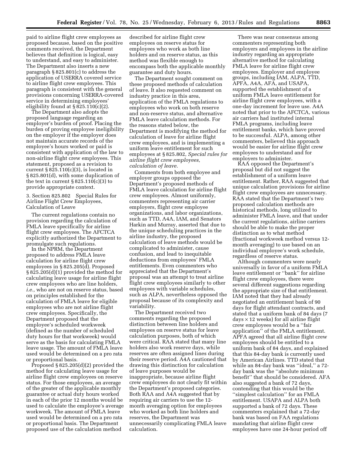paid to airline flight crew employees as proposed because, based on the positive comments received, the Department believes that definition is logical, easy to understand, and easy to administer. The Department also inserts a new paragraph § 825.801(c) to address the application of USERRA covered service to airline flight crew employees. This paragraph is consistent with the general provisions concerning USERRA-covered service in determining employees' eligibility found at § 825.110(c)(2).

The Department also adopts the proposed language regarding an employer's burden of proof. Placing the burden of proving employee ineligibility on the employer if the employer does not maintain accurate records of the employee's hours worked or paid is consistent with application of the law to non-airline flight crew employees. This statement, proposed as a revision to current  $\S 825.110(c)(3)$ , is located in § 825.801(d), with some duplication of the text in current  $\S 825.110(c)(3)$  to provide appropriate context.

3. Section 825.802 Special Rules for Airline Flight Crew Employees, Calculation of Leave

The current regulations contain no provision regarding the calculation of FMLA leave specifically for airline flight crew employees. The AFCTCA explicitly authorized the Department to promulgate such regulations.

In the NPRM, the Department proposed to address FMLA leave calculation for airline flight crew employees in § 825.205(d). Proposed § 825.205(d)(1) provided the method for calculating leave usage for airline flight crew employees who are line holders, *i.e.,* who are not on reserve status, based on principles established for the calculation of FMLA leave for eligible employees who are not airline flight crew employees. Specifically, the Department proposed that the employee's scheduled workweek (defined as the number of scheduled duty hours for that workweek) would serve as the basis for calculating FMLA leave usage. The amount of FMLA leave used would be determined on a pro rata or proportional basis.

Proposed § 825.205(d)(2) provided the method for calculating leave usage for airline flight crew employees on reserve status. For those employees, an average of the greater of the applicable monthly guarantee or actual duty hours worked in each of the prior 12 months would be used to calculate the employee's average workweek. The amount of FMLA leave used would be determined on a pro rata or proportional basis. The Department proposed use of the calculation method

described for airline flight crew employees on reserve status for employees who work as both line holders and on reserve status, as this method was flexible enough to encompass both the applicable monthly guarantee and duty hours.

The Department sought comment on these proposed methods of calculation of leave. It also requested comment on industry practice in this area, application of the FMLA regulations to employees who work on both reserve and non-reserve status, and alternative FMLA leave calculation methods. For the reasons stated below, the Department is modifying the method for calculation of leave for airline flight crew employees, and is implementing a uniform leave entitlement for such employees at § 825.802, *Special rules for airline flight crew employees, calculation of leave.* 

Comments from both employee and employer groups opposed the Department's proposed methods of FMLA leave calculation for airline flight crew employees. Almost uniformly, commenters representing air carrier employers, flight crew employee organizations, and labor organizations, such as TTD, A4A, IAM, and Senators Harkin and Murray, asserted that due to the unique scheduling practices in the airline industry, the proposed calculation of leave methods would be complicated to administer, cause confusion, and lead to inequitable deductions from employees' FMLA entitlements. Even commenters who appreciated that the Department's proposal was an attempt to treat airline flight crew employees similarly to other employees with variable schedules, such as ALPA, nevertheless opposed the proposal because of its complexity and variability.

The Department received two comments regarding the proposed distinction between line holders and employees on reserve status for leave calculation purposes, both of which were critical. RAA stated that many line holders also work reserve days, while reserves are often assigned lines during their reserve period. A4A cautioned that drawing this distinction for calculation of leave purposes would be inappropriate, because airline flight crew employees do not clearly fit within the Department's proposed categories. Both RAA and A4A suggested that by requiring air carriers to use the 12 month averaging option for employees who worked as both line holders and reserves, the Department was unnecessarily complicating FMLA leave calculation.

There was near consensus among commenters representing both employers and employees in the airline industry regarding an appropriate alternative method for calculating FMLA leave for airline flight crew employees. Employer and employee groups, including IAM, ALPA, TTD, APFA, A4A, AFA, and USAPA, supported the establishment of a uniform FMLA leave entitlement for airline flight crew employees, with a one-day increment for leave use. A4A noted that prior to the AFCTCA, various air carriers had instituted internal FMLA programs, including leave entitlement banks, which have proved to be successful. ALPA, among other commenters, believed this approach would be easier for airline flight crew employees to understand and for employers to administer.

RAA opposed the Department's proposal but did not suggest the establishment of a uniform leave entitlement. Rather, RAA suggested that unique calculation provisions for airline flight crew employees are unnecessary. RAA stated that the Department's two proposed calculation methods are historical methods, long utilized to administer FMLA leave, and that under the current regulations, airline carriers should be able to make the proper distinction as to what method (fractional workweek method versus 12 month averaging) to use based on an individual employee's work schedule, regardless of reserve status.

Although commenters were nearly universally in favor of a uniform FMLA leave entitlement or ''bank'' for airline flight crew employees, there were several different suggestions regarding the appropriate size of that entitlement. IAM noted that they had already negotiated an entitlement bank of 90 days for flight attendant contracts, and stated that a uniform bank of 84 days (7  $days \times 12$  weeks) for all airline flight crew employees would be a ''fair application'' of the FMLA entitlement. APFA agreed that all airline flight crew employees should be entitled to a uniform bank of 84 days, and explained that this 84-day bank is currently used by American Airlines. TTD stated that while an 84-day bank was ''ideal,'' a 72 day bank was the ''absolute minimum benefit'' that should be considered. AFA also suggested a bank of 72 days, contending that this would be the ''simplest calculation'' for an FMLA entitlement. USAPA and ALPA both supported a bank of 72 days. These commenters explained that a 72-day bank was based on FAA regulations mandating that airline flight crew employees have one 24-hour period off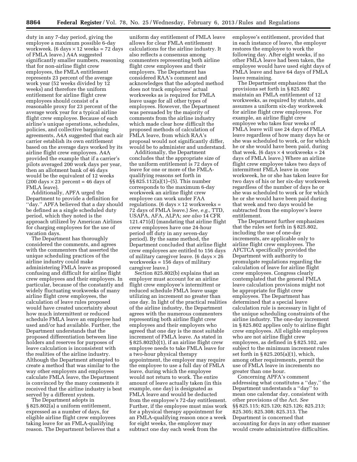duty in any 7-day period, giving the employee a maximum possible 6-day workweek. (6 days  $\times$  12 weeks = 72 days of FMLA leave.) A4A suggested significantly smaller numbers, reasoning that for non-airline flight crew employees, the FMLA entitlement represents 23 percent of the average work year (52 weeks divided by 12 weeks) and therefore the uniform entitlement for airline flight crew employees should consist of a reasonable proxy for 23 percent of the average work year for a typical airline flight crew employee. Because of each airline's unique operations, schedules, policies, and collective bargaining agreements, A4A suggested that each air carrier establish its own entitlement based on the average days worked by its airline flight crew employees. A4A provided the example that if a carrier's pilots averaged 200 work days per year, then an allotment bank of 46 days would be the equivalent of 12 weeks  $(200 \text{ days} \times 23 \text{ percent} = 46 \text{ days of})$ FMLA leave).

Additionally, APFA urged the Department to provide a definition for ''day.'' APFA believed that a day should be defined as a single scheduled duty period, which they noted is the approach utilized by American Airlines for charging employees for the use of vacation days.

The Department has thoroughly considered the comments, and agrees with the commenters that asserted the unique scheduling practices of the airline industry could make administering FMLA leave as proposed confusing and difficult for airline flight crew employees and their employers. In particular, because of the constantly and widely fluctuating workweeks of many airline flight crew employees, the calculation of leave rules proposed would have created uncertainty about how much intermittent or reduced schedule FMLA leave an employee had used and/or had available. Further, the Department understands that the proposed differentiation between line holders and reserves for purposes of leave calculation is inconsistent with the realities of the airline industry. Although the Department attempted to create a method that was similar to the way other employers and employees calculate FMLA leave, the Department is convinced by the many comments it received that the airline industry is best served by a different system.

The Department adopts in § 825.802(a) a uniform entitlement, expressed as a number of days, for eligible airline flight crew employees taking leave for an FMLA-qualifying reason. The Department believes that a

uniform day entitlement of FMLA leave allows for clear FMLA entitlement calculations for the airline industry. It also reflects a consensus among commenters representing both airline flight crew employees and their employers. The Department has considered RAA's comment and acknowledges that the adopted method does not track employees' actual workweeks as is required for FMLA leave usage for all other types of employees. However, the Department was persuaded by the majority of comments from the airline industry which made clear how difficult the proposed methods of calculation of FMLA leave, from which RAA's proposal would not significantly differ, would be to administer and understand.

Additionally, the Department concludes that the appropriate size of the uniform entitlement is 72 days of leave for one or more of the FMLAqualifying reasons set forth in §§ 825.112(a)(1)–(5). This number corresponds to the maximum 6-day workweek an airline flight crew employee can work under FAA regulations. (6 days  $\times$  12 workweeks = 72 days of FMLA leave.) *See, e.g.,* TTD, USAPA, AFA, ALPA; *see also* 14 CFR 121.471(d) (mandating that airline flight crew employees have one 24-hour period off duty in any seven-day period). By the same method, the Department concluded that airline flight crew employees are entitled to 156 days of military caregiver leave. (6 days  $\times 26$ workweeks = 156 days of military caregiver leave.)

Section 825.802(b) explains that an employer must account for an airline flight crew employee's intermittent or reduced schedule FMLA leave usage utilizing an increment no greater than one day. In light of the practical realities of the airline industry, the Department agrees with the numerous commenters representing both airline flight crew employees and their employers who agreed that one day is the most suitable increment of FMLA leave. As stated in § 825.802(b)(1), if an airline flight crew employee needs to take FMLA leave for a two-hour physical therapy appointment, the employer may require the employee to use a full day of FMLA leave, during which the employee would not return to work. The entire amount of leave actually taken (in this example, one day) is designated as FMLA leave and would be deducted from the employee's 72-day entitlement. Further, if the employee must miss work for a physical therapy appointment for an FMLA-qualifying reason once a week for eight weeks, the employer may subtract one day each week from the

employee's entitlement, provided that in each instance of leave, the employer restores the employee to work the following day. After eight weeks, if no other FMLA leave had been taken, the employee would have used eight days of FMLA leave and have 64 days of FMLA leave remaining.

The Department emphasizes that the provisions set forth in § 825.802 maintain an FMLA entitlement of 12 workweeks, as required by statute, and assumes a uniform six-day workweek for airline flight crew employees. For example, an airline flight crew employee who takes four weeks of FMLA leave will use 24 days of FMLA leave regardless of how many days he or she was scheduled to work, or for which he or she would have been paid, during that week. (6 days  $\times$  4 workweeks = 24 days of FMLA leave.) Where an airline flight crew employee takes two days of intermittent FMLA leave in one workweek, he or she has taken leave for two days of his or her six-day workweek regardless of the number of days he or she was scheduled to work or for which he or she would have been paid during that week and two days would be subtracted from the employee's leave entitlement.

The Department further emphasizes that the rules set forth in § 825.802, including the use of one-day increments, are applicable only to airline flight crew employees. The AFCTCA specifically provided the Department with authority to promulgate regulations regarding the calculation of leave for airline flight crew employees. Congress clearly contemplated that the general FMLA leave calculation provisions might not be appropriate for flight crew employees. The Department has determined that a special leave calculation rule is necessary in light of the unique scheduling constraints of the airline industry. The one-day increment in § 825.802 applies only to airline flight crew employees. All eligible employees who are not airline flight crew employees, as defined in § 825.102, are subject to the minimum increment rules set forth in § 825.205(a)(1), which, among other requirements, permit the use of FMLA leave in increments no greater than one hour.

Concerning APFA's comment addressing what constitutes a ''day,'' the Department understands a ''day'' to mean one calendar day, consistent with other provisions of the Act. *See*  §§ 825.115; 825.120; 825.126; 825.213; 825.305; 825.308; 825.313. The Department is concerned that accounting for days in any other manner would create administrative difficulties.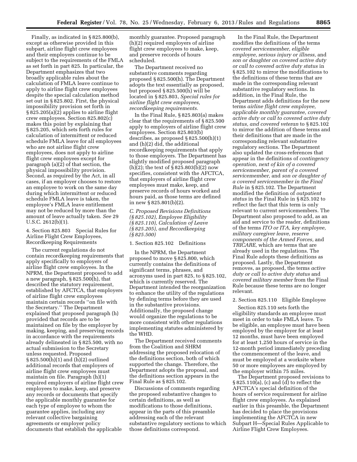Finally, as indicated in § 825.800(b), except as otherwise provided in this subpart, airline flight crew employees and their employers continue to be subject to the requirements of the FMLA as set forth in part 825. In particular, the Department emphasizes that two broadly applicable rules about the calculation of FMLA leave continue to apply to airline flight crew employees despite the special calculation method set out in § 825.802. First, the physical impossibility provision set forth in § 825.205(a)(2) applies to airline flight crew employees. Section 825.802(c) makes this point by explaining that § 825.205, which sets forth rules for calculation of intermittent or reduced schedule FMLA leave for all employees who are not airline flight crew employees, does not apply to airline flight crew employees except for paragraph (a)(2) of that section, the physical impossibility provision. Second, as required by the Act, in all cases, if an employer chooses to restore an employee to work on the same day during which intermittent or reduced schedule FMLA leave is taken, the employee's FMLA leave entitlement may not be reduced by more than the amount of leave actually taken. *See* 29 U.S.C. 2612(b)(1).

# 4. Section 825.803 Special Rules for Airline Flight Crew Employees, Recordkeeping Requirements

The current regulations do not contain recordkeeping requirements that apply specifically to employers of airline flight crew employees. In the NPRM, the Department proposed to add a new paragraph, § 825.500(h), that described the statutory requirement, established by AFCTCA, that employers of airline flight crew employees maintain certain records ''on file with the Secretary.'' The Department explained that proposed paragraph (h) provided that records are to be maintained on file by the employer by making, keeping, and preserving records in accordance with the requirements already delineated in § 825.500, with no actual submission to the Secretary unless requested. Proposed § 825.500(h)(1) and (h)(2) outlined additional records that employers of airline flight crew employees must maintain on file. Paragraph (h)(1) required employers of airline flight crew employees to make, keep, and preserve any records or documents that specify the applicable monthly guarantee for each type of employee to whom the guarantee applies, including any relevant collective bargaining agreements or employer policy documents that establish the applicable

monthly guarantee. Proposed paragraph (h)(2) required employers of airline flight crew employees to make, keep, and preserve records of hours scheduled.

The Department received no substantive comments regarding proposed § 825.500(h). The Department adopts the text essentially as proposed, but proposed § 825.500(h) will be located in § 825.803, *Special rules for airline flight crew employees, recordkeeping requirements.* 

In the Final Rule, § 825.803(a) makes clear that the requirements of § 825.500 apply to employers of airline flight crew employees. Section 825.803(b) describes, as proposed § 825.500(h)(1) and (h)(2) did, the additional recordkeeping requirements that apply to those employers. The Department has slightly modified proposed paragraph (h)(2); the text of § 825.803(b)(2) now specifies, consistent with the AFCTCA, that employers of airline flight crew employees must make, keep, and preserve records of hours worked and hours paid, as those terms are defined in new § 825.801(b)(2).

*C. Proposed Revisions Definitions (§ 825.102), Employee Eligibility (§ 825.110), Calculation of Leave (§ 825.205), and Recordkeeping (§ 825.500)* 

# 1. Section 825.102 Definitions

In the NPRM, the Department proposed to move § 825.800, which currently contains the definitions of significant terms, phrases, and acronyms used in part 825, to § 825.102, which is currently reserved. The Department intended the reorganization to enhance the utility of the regulations by defining terms before they are used in the substantive provisions. Additionally, the proposed change would organize the regulations to be more consistent with other regulations implementing statutes administered by the WHD.

The Department received comments from the Coalition and SHRM addressing the proposed relocation of the definitions section, both of which supported the change. Therefore, the Department adopts the proposal, and the definitions section appears in the Final Rule as § 825.102.

Discussions of comments regarding the proposed substantive changes to certain definitions, as well as modifications to those definitions, appear in the parts of this preamble addressing each of the relevant substantive regulatory sections to which those definitions correspond.

In the Final Rule, the Department modifies the definitions of the terms *covered servicemember, eligible employee, serious injury or illness,* and *son or daughter on covered active duty or call to covered active duty status* in § 825.102 to mirror the modifications to the definitions of these terms that are made in the corresponding relevant substantive regulatory sections. In addition, in the Final Rule, the Department adds definitions for the new terms *airline flight crew employee, applicable monthly guarantee, covered active duty or call to covered active duty status, and covered veteran* to § 825.102 to mirror the addition of these terms and their definitions that are made in the corresponding relevant substantive regulatory sections. The Department also updated the cross-references that appear in the definitions of *contingency operation, next of kin of a covered servicemember, parent of a covered servicemember,* and *son or daughter of a covered servicemember in the Final Rule* in § 825.102. The Department modified the definition of *outpatient status* in the Final Rule in § 825.102 to reflect the fact that this term is only relevant to current servicemembers. The Department also proposed to add, as an aid and service to the reader, definitions of the terms *ITO or ITA, key employee, military caregiver leave, reserve components of the Armed Forces,* and *TRICARE,* which are terms that are already used in the regulations. The Final Rule adopts these definitions as proposed. Lastly, the Department removes, as proposed, the terms *active duty or call to active duty status* and *covered military member* from the Final Rule because these terms are no longer relevant.

## 2. Section 825.110 Eligible Employee

Section 825.110 sets forth the eligibility standards an employee must meet in order to take FMLA leave. To be eligible, an employee must have been employed by the employer for at least 12 months, must have been employed for at least 1,250 hours of service in the 12-month period immediately preceding the commencement of the leave, and must be employed at a worksite where 50 or more employees are employed by the employer within 75 miles.

The Department proposed revisions to § 825.110(a), (c) and (d) to reflect the AFCTCA's special definition of the hours of service requirement for airline flight crew employees. As explained earlier in this preamble, the Department has decided to place the provisions implementing the AFCTCA in new Subpart H—Special Rules Applicable to Airline Flight Crew Employees.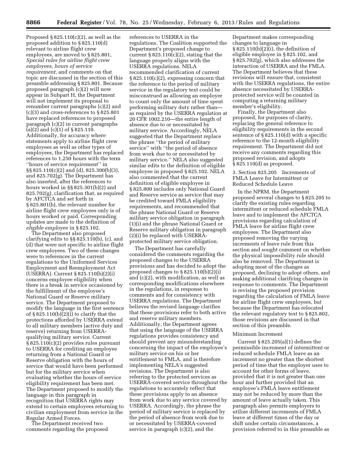Proposed  $\S 825.110(c)(2)$ , as well as the proposed addition to § 825.110(d) relevant to airline flight crew employees, are moved to § 825.801, *Special rules for airline flight crew employees, hours of service requirement,* and comments on that topic are discussed in the section of this preamble addressing § 825.801. Because proposed paragraph (c)(2) will now appear in Subpart H, the Department will not implement its proposal to renumber current paragraphs (c)(2) and (c)(3) and cross-references to § 825.801 have replaced references to proposed paragraph (c)(2) in current paragraphs (a)(2) and (c)(1) of § 825.110. Additionally, for accuracy where statements apply to airline flight crew employees as well as other types of employees, the Department has replaced references to 1,250 hours with the term ''hours of service requirement'' in §§ 825.110(c)(2) and (d), 825.300(b)(3), and 825.702(g). The Department has also inserted, after the references to hours worked in §§ 825.301(b)(2) and 825.702(g), clarification that, as required by AFCTCA and set forth in § 825.801(b), the relevant number for airline flight crew employees only is of hours worked or paid. Corresponding updates are made to the definition of *eligible employee* in § 825.102.

The Department also proposed clarifying edits to §§ 825.110(b), (c), and (d) that were not specific to airline flight crew employees. Two of these changes were to references in the current regulations to the Uniformed Services Employment and Reemployment Act (USERRA). Current § 825.110(b)(2)(i) concerns employee eligibility when there is a break in service occasioned by the fulfillment of the employee's National Guard or Reserve military service. The Department proposed to modify the language in the first sentence of § 825.110(b) $\tilde{O}(2)$ (i) to clarify that the protections afforded by USERRA extend to all military members (active duty and reserve) returning from USERRAqualifying military service. Current § 825.110(c)(2) provides rules pursuant to USERRA for crediting an employee returning from a National Guard or Reserve obligation with the hours of service that would have been performed but for the military service when evaluating whether the hours of service eligibility requirement has been met. The Department proposed to modify the language in this paragraph in recognition that USERRA rights may extend to certain employees returning to civilian employment from service in the Regular Armed Forces.

The Department received two comments regarding the proposed references to USERRA in the regulations. The Coalition supported the Department's proposed change to current  $\S 825.110(c)(2)$ , stating that the language properly aligns with the USERRA regulations. NELA recommended clarification of current § 825.110(c)(2), expressing concern that the reference to the period of military service in the regulatory text could be misconstrued as allowing an employer to count only the amount of time spent performing military duty rather than as required by the USERRA regulation at 20 CFR 1002.210—the entire length of absence due to or necessitated by military service. Accordingly, NELA suggested that the Department replace the phrase ''the period of military service'' with ''the period of absence from work due to or necessitated by military service.'' NELA also suggested similar edits to the definition of eligible employee in proposed § 825.102. NELA also commented that the current definition of eligible employee in § 825.800 includes only National Guard and Reserve service as service that may be credited toward FMLA eligibility requirements, and recommended that the phrase National Guard or Reserve military service obligation in paragraph (1)(i) and the phrase National Guard or Reserve military obligation in paragraph (2)(i) be replaced with USERRAprotected military service obligation.

The Department has carefully considered the comments regarding the proposed changes to the USERRA provisions and has decided to adopt the proposed changes to § 825.110(b)(2)(i) and (c)(2), with modification, as well as corresponding modifications elsewhere in the regulations, in response to comments and for consistency with USERRA regulations. The Department believes the revised language clarifies that these provisions refer to both active and reserve military members. Additionally, the Department agrees that using the language of the USERRA regulations provides consistency and should prevent any misunderstanding concerning the impact of the employee's military service on his or her entitlement to FMLA, and is therefore implementing NELA's suggested revisions. The Department is also referring to the protected services as USERRA-covered service throughout the regulations to accurately reflect that these provisions apply to an absence from work due to any service covered by USERRA. Accordingly, the phrase the period of military service is replaced by the period of absence from work due to or necessitated by USERRA-covered service in paragraph (c)(2), and the

Department makes corresponding changes to language in § 825.110(b)(2)(i), the definition of eligible employee in § 825.102, and § 825.702(g), which also addresses the interaction of USERRA and the FMLA. The Department believes that these revisions will ensure that, consistent with the USERRA regulations, the entire absence necessitated by USERRAprotected service will be counted in computing a returning military member's eligibility.

Finally, the Department also proposed, for purposes of clarity, replacing the general reference to eligibility requirements in the second sentence of § 825.110(d) with a specific reference to the 12-month eligibility requirement. The Department did not receive any comments regarding this proposed revision, and adopts § 825.110(d) as proposed.

3. Section 825.205 Increments of FMLA Leave for Intermittent or Reduced Schedule Leave

In the NPRM, the Department proposed several changes to § 825.205 to clarify the existing rules regarding intermittent or reduced schedule FMLA leave and to implement the AFCTCA provisions regarding calculation of FMLA leave for airline flight crew employees. The Department also proposed removing the varying increments of leave rule from this section and sought comment on whether the physical impossibility rule should also be removed. The Department is adopting most of the changes as proposed, declining to adopt others, and making additional clarifying changes in response to comments. The Department is revising the proposed provision regarding the calculation of FMLA leave for airline flight crew employees, but because the Department has relocated the relevant regulatory text to § 825.802, those revisions are discussed in that section of this preamble.

#### Minimum Increment

Current § 825.205(a)(1) defines the permissible increment of intermittent or reduced schedule FMLA leave as an increment no greater than the shortest period of time that the employer uses to account for other forms of leave, provided that it is not greater than one hour and further provided that an employee's FMLA leave entitlement may not be reduced by more than the amount of leave actually taken. This paragraph also permits employers to utilize different increments of FMLA leave at different times of the day or shift under certain circumstances, a provision referred to in this preamble as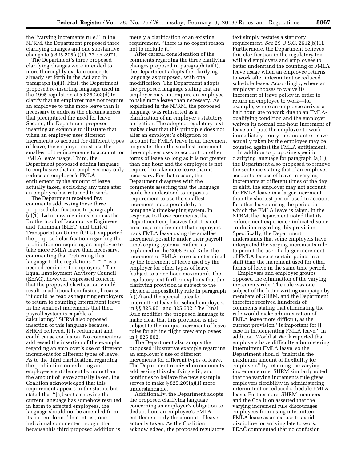the ''varying increments rule.'' In the NPRM, the Department proposed three clarifying changes and one substantive change to § 825.205(a)(1). 77 FR 8974.

The Department's three proposed clarifying changes were intended to more thoroughly explain concepts already set forth in the Act and in paragraph (a)(1). First, the Department proposed re-inserting language used in the 1995 regulation at § 825.203(d) to clarify that an employer may not require an employee to take more leave than is necessary to address the circumstances that precipitated the need for leave. Second, the Department proposed inserting an example to illustrate that when an employer uses different increments to account for different types of leave, the employer must use the smallest of the increments to account for FMLA leave usage. Third, the Department proposed adding language to emphasize that an employer may only reduce an employee's FMLA entitlement by the amount of leave actually taken, excluding any time after an employee has returned to work.

The Department received few comments addressing these three proposed clarifications to paragraph (a)(1). Labor organizations, such as the Brotherhood of Locomotive Engineers and Trainman (BLET) and United Transportation Union (UTU), supported the proposed clarification regarding the prohibition on requiring an employee to take more FMLA leave than necessary, commenting that ''returning this language to the regulations \* \* \* is a needed reminder to employers.'' The Equal Employment Advisory Council (EEAC), however, expressed concern that the proposed clarification would result in additional confusion, because ''it could be read as requiring employers to return to counting intermittent leave in the smallest increments that their payroll system is capable of calculating.'' SHRM also opposed insertion of this language because, SHRM believed, it is redundant and could cause confusion. No commenters addressed the insertion of the example regarding an employer's use of different increments for different types of leave. As to the third clarification, regarding the prohibition on reducing an employee's entitlement by more than the amount of leave actually taken, the Coalition acknowledged that this requirement appears in the statute but stated that ''[a]bsent a showing the current language has somehow resulted in harm to affected employees, the language should not be amended from its current form.'' In contrast, one individual commenter thought that because this third proposed addition is

merely a clarification of an existing requirement, ''there is no cogent reason not to include it.''

After careful consideration of the comments regarding the three clarifying changes proposed in paragraph (a)(1), the Department adopts the clarifying language as proposed, with one modification. The Department adopts the proposed language stating that an employer may not require an employee to take more leave than necessary. As explained in the NPRM, the proposed language was reinserted as a clarification of an employer's statutory obligation. The adopted regulatory text makes clear that this principle does not alter an employer's obligation to account for FMLA leave in an increment no greater than the smallest increment the employer uses to account for other forms of leave so long as it is not greater than one hour and the employee is not required to take more leave than is necessary. For that reason, the Department disagrees with the comments asserting that the language could be understood to impose a requirement to use the smallest increment made possible by a company's timekeeping system. In response to those comments, the Department emphasizes that it is not creating a requirement that employers track FMLA leave using the smallest increment possible under their payroll timekeeping systems. Rather, as explained in the 2008 Final Rule, the increment of FMLA leave is determined by the increment of leave used by the employer for other types of leave (subject to a one hour maximum). The regulatory text further explains that the clarifying provision is subject to the physical impossibility rule in paragraph (a)(2) and the special rules for intermittent leave for school employees in §§ 825.601 and 825.602. The Final Rule modifies the proposed language to make clear that this provision is also subject to the unique increment of leave rules for airline flight crew employees in § 825.802.

The Department also adopts the proposed illustrative example regarding an employer's use of different increments for different types of leave. The Department received no comments addressing this clarifying edit, and continues to believe the new example serves to make § 825.205(a)(1) more understandable.

Additionally, the Department adopts the proposed clarifying language concerning an employer's obligation to deduct from an employee's FMLA entitlement only the amount of leave actually taken. As the Coalition acknowledged, the proposed regulatory

text simply restates a statutory requirement. *See* 29 U.S.C. 2612(b)(1). Furthermore, the Department believes this clarification in the regulatory text will aid employers and employees to better understand the counting of FMLA leave usage when an employee returns to work after intermittent or reduced schedule leave. Accordingly, where an employer chooses to waive its increment of leave policy in order to return an employee to work—for example, where an employee arrives a half hour late to work due to an FMLAqualifying condition and the employer waives its normal one-hour increment of leave and puts the employee to work immediately—only the amount of leave actually taken by the employee may be counted against the FMLA entitlement.

In addition to proposing specific clarifying language for paragraph (a)(1), the Department also proposed to remove the sentence stating that if an employer accounts for use of leave in varying increments at different times of the day or shift, the employer may not account for FMLA leave in a larger increment than the shortest period used to account for other leave during the period in which the FMLA leave is taken. In the NPRM, the Department noted that its enforcement experience indicated some confusion regarding this provision. Specifically, the Department understands that some employers have interpreted the varying increments rule to permit the use of a larger increment of FMLA leave at certain points in a shift than the increment used for other forms of leave in the same time period.

Employers and employer groups opposed the elimination of the varying increments rule. The rule was one subject of the letter-writing campaign by members of SHRM, and the Department therefore received hundreds of comments stating that eliminating the rule would make administration of FMLA leave more difficult, as the current provision ''is important for [] ease in implementing FMLA leave.'' In addition, World at Work reported that employers have difficulty administering intermittent FMLA leave, so the Department should ''maintain the maximum amount of flexibility for employers'' by retaining the varying increments rule. SHRM similarly noted that the varying increments rule gives employers flexibility in administering intermittent or reduced schedule FMLA leave. Furthermore, SHRM members and the Coalition asserted that the varying increment rule discourages employees from using intermittent FMLA leave as an excuse to avoid discipline for arriving late to work. EEAC commented that no confusion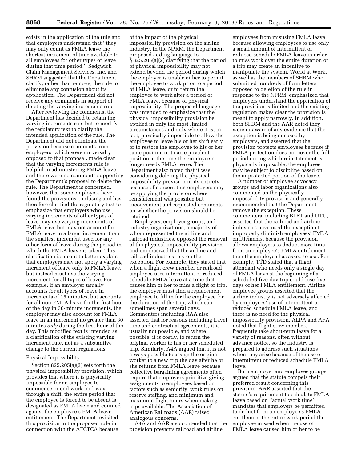exists in the application of the rule and that employers understand that ''they may only count as FMLA leave the shortest increment of time available to all employees for other types of leave during that time period.'' Sedgwick Claim Management Services, Inc. and SHRM suggested that the Department clarify, rather than remove, the rule to eliminate any confusion about its application. The Department did not receive any comments in support of deleting the varying increments rule.

After reviewing the comments, the Department has decided to retain the varying increments rule but to modify the regulatory text to clarify the intended application of the rule. The Department did not eliminate the provision because comments from employers, which were universally opposed to that proposal, made clear that the varying increments rule is helpful in administering FMLA leave, and there were no comments supporting the Department's proposal to delete the rule. The Department is concerned, however, that some employers have found the provisions confusing and has therefore clarified the regulatory text to emphasize that employers who use varying increments of other types of leave may use varying increments of FMLA leave but may not account for FMLA leave in a larger increment than the smallest increment used for any other form of leave during the period in which the FMLA leave is taken. This clarification is meant to better explain that employers may not apply a varying increment of leave only to FMLA leave, but instead must use the varying increment for all types of leave. For example, if an employer usually accounts for all types of leave in increments of 15 minutes, but accounts for all non-FMLA leave for the first hour of the day in 30-minute increments, the employer may also account for FMLA leave in an increment no greater than 30 minutes *only* during the first hour of the day. This modified text is intended as a clarification of the existing varying increment rule, not as a substantive change to the current regulations.

## Physical Impossibility

Section 825.205(a)(2) sets forth the physical impossibility provision, which provides that where it is physically impossible for an employee to commence or end work mid-way through a shift, the entire period that the employee is forced to be absent is designated as FMLA leave and counted against the employee's FMLA leave entitlement. The Department revisited this provision in the proposed rule in connection with the AFCTCA because

of the impact of the physical impossibility provision on the airline industry. In the NPRM, the Department proposed adding language to § 825.205(a)(2) clarifying that the period of physical impossibility may not extend beyond the period during which the employer is unable either to permit the employee to work prior to a period of FMLA leave, or to return the employee to work after a period of FMLA leave, because of physical impossibility. The proposed language was intended to emphasize that the physical impossibility provision be applied in only the most limited circumstances and only where it is, in fact, physically impossible to allow the employee to leave his or her shift early or to restore the employee to his or her same position or to an equivalent position at the time the employee no longer needs FMLA leave. The Department also noted that it was considering deleting the physical impossibility provision in its entirety because of concern that employers may be applying the provision where reinstatement was possible but inconvenient and requested comments on whether the provision should be retained.

Employers, employer groups, and industry organizations, a majority of whom represented the airline and railroad industries, opposed the removal of the physical impossibility provision and emphasized that the airline and railroad industries rely on the exception. For example, they stated that when a flight crew member or railroad employee uses intermittent or reduced schedule FMLA leave at a time that causes him or her to miss a flight or trip, the employer must find a replacement employee to fill in for the employee for the duration of the trip, which can sometimes span several days. Commenters including RAA also asserted that for reasons including travel time and contractual agreements, it is usually not possible, and where possible, it is costly, to return the original worker to his or her scheduled trip. Similarly, A4A argued that it is not always possible to assign the original worker to a new trip the day after he or she returns from FMLA leave because collective bargaining agreements often require that employers prioritize giving assignments to employees based on factors such as seniority, work rules on reserve staffing, and minimum and maximum flight hours when making trips available. The Association of American Railroads (AAR) raised analogous concerns.

A4A and AAR also contended that the provision prevents railroad and airline

employees from misusing FMLA leave, because allowing employees to use only a small amount of intermittent or reduced schedule FMLA leave in order to miss work over the entire duration of a trip may create an incentive to manipulate the system. World at Work, as well as the members of SHRM who submitted hundreds of form letters opposed to deletion of the rule in response to the NPRM, emphasized that employers understand the application of the provision is limited and the existing regulation makes clear the provision is meant to apply narrowly. In addition, both SHRM and the AAR noted they were unaware of any evidence that the exception is being misused by employers, and asserted that the provision protects employees because if FMLA protection does not cover the full period during which reinstatement is physically impossible, the employee may be subject to discipline based on the unprotected portion of the leave.

A number of employee advocacy groups and labor organizations also commented on the physically impossibility provision and generally recommended that the Department remove the exception. These commenters, including BLET and UTU, asserted that the railroad and airline industries have used the exception to improperly diminish employees' FMLA entitlements, because the provision allows employers to deduct more time from an employee's FMLA entitlement than the employee has asked to use. For example, TTD stated that a flight attendant who needs only a single day of FMLA leave at the beginning of a scheduled five-day trip could lose five days of her FMLA entitlement. Airline employee groups asserted that the airline industry is not adversely affected by employees' use of intermittent or reduced schedule FMLA leave, and there is no need for the physical impossibility provision. ALPA and AFA noted that flight crew members frequently take short-term leave for a variety of reasons, often without advance notice, so the industry is prepared to address such situations when they arise because of the use of intermittent or reduced schedule FMLA leave.

Both employer and employee groups argued that the statute compels their preferred result concerning this provision. AAR asserted that the statute's requirement to calculate FMLA leave based on ''actual work time'' mandates that employers be permitted to deduct from an employee's FMLA entitlement the entire work period the employee missed when the use of FMLA leave caused him or her to be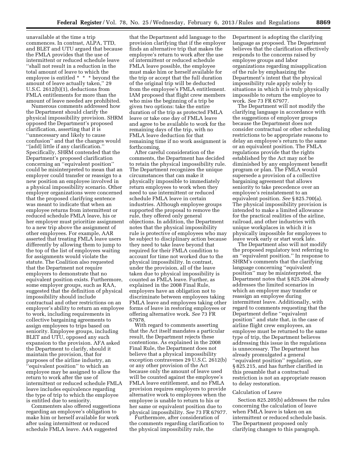unavailable at the time a trip commences. In contrast, ALPA, TTD, and BLET and UTU argued that because the FMLA provides that the use of intermittent or reduced schedule leave ''shall not result in a reduction in the total amount of leave to which the employee is entitled \* \* \* beyond the amount of leave actually taken,'' 29 U.S.C. 2612(b)(1), deductions from FMLA entitlements for more than the amount of leave needed are prohibited.

Numerous comments addressed how the Department should clarify the physical impossibility provision. SHRM opposed the Department's proposed clarification, asserting that it is ''unnecessary and likely to cause confusion'' and that the changes would ''[add] little if any clarification.'' Specifically, SHRM contended that the Department's proposed clarification concerning an ''equivalent position'' could be misinterpreted to mean that an employer could transfer or reassign to a new position an employee involved in a physical impossibility scenario. Other employer organizations were concerned that the proposed clarifying sentence was meant to indicate that when an employee returns from intermittent or reduced schedule FMLA leave, his or her employer must prioritize assignment to a new trip above the assignment of other employees. For example, AAR asserted that treating FMLA leave users differently by allowing them to jump to the top of the list of employees waiting for assignments would violate the statute. The Coalition also requested that the Department not require employers to demonstrate that no equivalent position exists. Furthermore, some employer groups, such as RAA, suggested that the definition of physical impossibility should include contractual and other restrictions on an employer's ability to return an employee to work, including requirements in collective bargaining agreements to assign employees to trips based on seniority. Employee groups, including BLET and UTU, opposed any such expansion to the provision. AFA asked the Department to clarify, should it maintain the provision, that for purposes of the airline industry, an ''equivalent position'' to which an employee may be assigned to allow the return to work after the use of intermittent or reduced schedule FMLA leave includes equivalence regarding the type of trip to which the employee is entitled due to seniority.

Commenters also offered suggestions regarding an employee's obligation to make him or herself available for work after using intermittent or reduced schedule FMLA leave. A4A suggested

that the Department add language to the provision clarifying that if the employer finds an alternative trip that makes the employee's return to work after the use of intermittent or reduced schedule FMLA leave possible, the employee must make him or herself available for the trip or accept that the full duration of the original trip will be deducted from the employee's FMLA entitlement. IAM proposed that flight crew members who miss the beginning of a trip be given two options: take the entire duration of the trip as protected FMLA leave or take one day of FMLA leave and agree to be available to work for the remaining days of the trip, with no FMLA leave deduction for that remaining time if no work assignment is forthcoming.

After careful consideration of the comments, the Department has decided to retain the physical impossibility rule. The Department recognizes the unique circumstances that can make it physically impossible to immediately return employees to work when they need to use intermittent or reduced schedule FMLA leave in certain industries. Although employee groups supported the proposal to remove the rule, they offered only general objections. In addition, the Department notes that the physical impossibility rule is protective of employees who may be subject to disciplinary action because they need to take leave beyond that required for their FMLA condition to account for time not worked due to the physical impossibility. In contrast, under the provision, all of the leave taken due to physical impossibility is counted as FMLA leave. Further, as explained in the 2008 Final Rule, employers have an obligation not to discriminate between employees taking FMLA leave and employees taking other forms of leave in restoring employees or offering alternative work. *See* 73 FR 67978.

With regard to comments asserting that the Act itself mandates a particular result, the Department rejects these contentions. As explained in the 2008 Final Rule, the Department does not believe that a physical impossibility exception contravenes 29 U.S.C. 2612(b) or any other provision of the Act because only the amount of leave used will be counted against the employee's FMLA leave entitlement, and no FMLA provision requires employers to provide alternative work to employees when the employee is unable to return to his or her same or equivalent position due to physical impossibility. *See* 73 FR 67977.

Furthermore, after consideration of the comments regarding clarification to the physical impossibility rule, the

Department is adopting the clarifying language as proposed. The Department believes that the clarification effectively responds to the concerns raised by employee groups and labor organizations regarding misapplication of the rule by emphasizing the Department's intent that the physical impossibility rule apply solely to situations in which it is truly physically impossible to return the employee to work. *See* 73 FR 67977.

The Department will not modify the clarifying language in accordance with the suggestions of employer groups because the Department does not consider contractual or other scheduling restrictions to be appropriate reasons to delay an employee's return to the same or an equivalent position. The FMLA regulations provide that the rights established by the Act may not be diminished by any employment benefit program or plan. The FMLA would supersede a provision of a collective bargaining agreement that allows seniority to take precedence over an employee's reinstatement to an equivalent position. *See* § 825.700(a). The physical impossibility provision is intended to make a limited allowance for the practical realities of the airline, railroad, and other industries with unique workplaces in which it is physically impossible for employees to leave work early or start work late.

The Department also will not modify the proposed regulatory text referring to an ''equivalent position.'' In response to SHRM's comments that the clarifying language concerning ''equivalent position'' may be misinterpreted, the Department notes that § 825.204 already addresses the limited scenarios in which an employer may transfer or reassign an employee during intermittent leave. Additionally, with regard to comments requesting that the Department define ''equivalent position'' and state that, in the case of airline flight crew employees, an employee must be returned to the same type of trip, the Department believes addressing this issue in the regulations is unnecessary. The Department has already promulgated a general ''equivalent position'' regulation, *see*  § 825.215, and has further clarified in this preamble that a contractual restriction is not an appropriate reason to delay restoration.

#### Calculation of Leave

Section 825.205(b) addresses the rules concerning the calculation of leave when FMLA leave is taken on an intermittent or reduced schedule basis. The Department proposed only clarifying changes to this paragraph.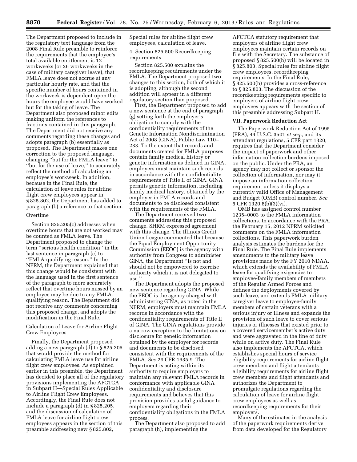The Department proposed to include in the regulatory text language from the 2008 Final Rule preamble to reinforce the requirements that the employee's total available entitlement is 12 workweeks (or 26 workweeks in the case of military caregiver leave), that FMLA leave does not accrue at any particular hourly rate, and that the specific number of hours contained in the workweek is dependent upon the hours the employee would have worked but for the taking of leave. The Department also proposed minor edits making uniform the references to fractions contained in this paragraph. The Department did not receive any comments regarding these changes and adopts paragraph (b) essentially as proposed. The Department makes one correction to the proposed language, changing ''but for the FMLA leave'' to ''but for the use of leave,'' to accurately reflect the method of calculating an employee's workweek. In addition, because in the Final Rule, the calculation of leave rules for airline flight crew employees appear in § 825.802, the Department has added to paragraph (b) a reference to that section.

#### Overtime

Section 825.205(c) addresses when overtime hours that are not worked may be counted as FMLA leave. The Department proposed to change the term ''serious health condition'' in the last sentence in paragraph (c) to ''FMLA-qualifying reason.'' In the NPRM, the Department explained that this change would be consistent with the language used in the first sentence of the paragraph to more accurately reflect that overtime hours missed by an employee may be due to any FMLAqualifying reason. The Department did not receive any comments concerning this proposed change, and adopts the modification in the Final Rule.

### Calculation of Leave for Airline Flight Crew Employees

Finally, the Department proposed adding a new paragraph (d) to § 825.205 that would provide the method for calculating FMLA leave use for airline flight crew employees. As explained earlier in this preamble, the Department has decided to place all of the regulatory provisions implementing the AFCTCA in Subpart H—Special Rules Applicable to Airline Flight Crew Employees. Accordingly, the Final Rule does not include a paragraph (d) in § 825.205, and the discussion of calculation of FMLA leave for airline flight crew employees appears in the section of this preamble addressing new § 825.802,

Special rules for airline flight crew employees, calculation of leave.

4. Section 825.500 Recordkeeping requirements

Section 825.500 explains the recordkeeping requirements under the FMLA. The Department proposed two changes to this section, both of which it is adopting, although the second addition will appear in a different regulatory section than proposed.

First, the Department proposed to add a new sentence at the end of paragraph (g) setting forth the employer's obligation to comply with the confidentiality requirements of the Genetic Information Nondiscrimination Act of 2008 (GINA), Public Law 110– 233. To the extent that records and documents created for FMLA purposes contain family medical history or genetic information as defined in GINA, employers must maintain such records in accordance with the confidentiality requirements of Title II of GINA. GINA permits genetic information, including family medical history, obtained by the employer in FMLA records and documents to be disclosed consistent with the requirements of the FMLA.

The Department received two comments addressing this proposed change. SHRM expressed agreement with this change. The Illinois Credit Union League commented that because the Equal Employment Opportunity Commission (EEOC) is the agency with authority from Congress to administer GINA, the Department ''is not and should not be empowered to exercise authority which it is not delegated to use.''

The Department adopts the proposed new sentence regarding GINA. While the EEOC is the agency charged with administering GINA, as noted in the NPRM, employers must maintain FMLA records in accordance with the confidentiality requirements of Title II of GINA. The GINA regulations provide a narrow exception to the limitations on disclosure for genetic information obtained by the employer for records and documents to be disclosed consistent with the requirements of the FMLA. *See* 29 CFR 1635.9. The Department is acting within its authority to require employers to maintain any relevant FMLA records in conformance with applicable GINA confidentiality and disclosure requirements and believes that this provision provides useful guidance to employers regarding their confidentiality obligations in the FMLA process.

The Department also proposed to add paragraph (h), implementing the

AFCTCA statutory requirement that employers of airline flight crew employees maintain certain records on file with the Secretary. The substance of proposed § 825.500(h) will be located in § 825.803, Special rules for airline flight crew employees, recordkeeping requirements. In the Final Rule, § 825.500(h) provides a cross-reference to § 825.803. The discussion of the recordkeeping requirements specific to employers of airline flight crew employees appears with the section of this preamble addressing Subpart H.

#### **VII. Paperwork Reduction Act**

The Paperwork Reduction Act of 1995 (PRA), 44 U.S.C. 3501 *et seq.,* and its attendant regulations, 5 CFR part 1320, requires that the Department consider the impact of paperwork and other information collection burdens imposed on the public. Under the PRA, an agency may not collect or sponsor the collection of information, nor may it impose an information collection requirement unless it displays a currently valid Office of Management and Budget (OMB) control number. *See*  5 CFR 1320.8(b)(3)(vi).

OMB has assigned control number 1235–0003 to the FMLA information collections. In accordance with the PRA, the February 15, 2012 NPRM solicited comments on the FMLA information collections. This paperwork burden analysis estimates the burdens for the Final Rule. The Final Rule implements amendments to the military leave provisions made by the FY 2010 NDAA, which extends the availability of FMLA leave for qualifying exigencies to employee-family members of members of the Regular Armed Forces and defines the deployments covered by such leave, and extends FMLA military caregiver leave to employee-family members of certain veterans with a serious injury or illness and expands the provision of such leave to cover serious injuries or illnesses that existed prior to a covered servicemember's active duty and were aggravated in the line of duty while on active duty. The Final Rule also implements the AFCTCA, which establishes special hours of service eligibility requirements for airline flight crew members and flight attendants eligibility requirements for airline flight crew members and flight attendants and authorizes the Department to promulgate regulations regarding the calculation of leave for airline flight crew employees as well as recordkeeping requirements for their employers.

Many of the estimates in the analysis of the paperwork requirements derive from data developed for the Regulatory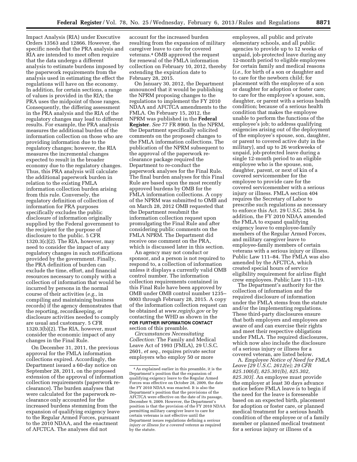Impact Analysis (RIA) under Executive Orders 13563 and 12866. However, the specific needs that the PRA analysis and RIA are intended to meet often require that the data undergo a different analysis to estimate burdens imposed by the paperwork requirements from the analysis used in estimating the effect the regulations will have on the economy. In addition, for certain sections, a range of values is provided in the RIA; the PRA uses the midpoint of those ranges. Consequently, the differing assessment in the PRA analysis and the RIA of the regulatory changes may lead to different results. For example, the PRA analysis measures the additional burden of the information collection on those who are providing information due to the regulatory changes; however, the RIA measures the incremental changes expected to result in the broader economy due to the regulatory changes. Thus, this PRA analysis will calculate the additional paperwork burden in relation to the existing FMLA information collection burden arising from this rule. Conversely, the regulatory definition of collection of information for PRA purposes specifically excludes the public disclosure of information originally supplied by the Federal government to the recipient for the purpose of disclosure to the public. 5 CFR  $1320.3(c)(2)$ . The RIA, however, may need to consider the impact of any regulatory changes in such notifications provided by the government. Finally, the PRA definition of burden can exclude the time, effort, and financial resources necessary to comply with a collection of information that would be incurred by persons in the normal course of their activities (*e.g.,* in compiling and maintaining business records) if the agency demonstrates that the reporting, recordkeeping, or disclosure activities needed to comply are usual and customary. 5 CFR 1320.3(b)(2). The RIA, however, must consider the economic impact of any changes in the Final Rule.

On December 31, 2011, the previous approval for the FMLA information collections expired. Accordingly, the Department issued a 60-day notice on September 28, 2011, on the proposed extension of the approval of information collection requirements (paperwork reclearance). The burden analyses that were calculated for the paperwork reclearance only accounted for the increased burdens stemming from the expansion of qualifying exigency leave to the Regular Armed Forces, pursuant to the 2010 NDAA, and the enactment of AFCTCA. The analyses did not

account for the increased burden resulting from the expansion of military caregiver leave to care for covered veterans.4 OMB approved the request for renewal of the FMLA information collection on February 10, 2012, thereby extending the expiration date to February 28, 2015.

On January 30, 2012, the Department announced that it would be publishing the NPRM proposing changes to the regulations to implement the FY 2010 NDAA and AFCTCA amendments to the FMLA. On February 15, 2012, the NPRM was published in the **Federal Register**. *See* 77 FR 8960. In the NPRM, the Department specifically solicited comments on the proposed changes to the FMLA information collections. The publication of the NPRM subsequent to the approval of the paperwork reclearance package required the Department to re-conduct the paperwork analyses for the Final Rule. The final burden analyses for this Final Rule are based upon the most recently approved burdens by OMB for the FMLA information collections. A copy of the NPRM was submitted to OMB and on March 28, 2012 OMB requested that the Department resubmit the information collection request upon promulgating the Final Rule and after considering public comments on the FMLA NPRM. The Department did receive one comment on the PRA, which is discussed later in this section.

An agency may not conduct or sponsor, and a person is not required to respond to, a collection of information unless it displays a currently valid OMB control number. The information collection requirements contained in this Final Rule have been approved by OMB under OMB control number 1235– 0003 through February 28, 2015. A copy of the information collection request can be obtained at *[www.reginfo.gov](http://www.reginfo.gov)* or by contacting the WHD as shown in the **FOR FURTHER INFORMATION CONTACT** section of this preamble.

*Circumstances Necessitating Collection:* The Family and Medical Leave Act of 1993 (FMLA), 29 U.S.C. 2601, *et seq.,* requires private sector employers who employ 50 or more

employees, all public and private elementary schools, and all public agencies to provide up to 12 weeks of unpaid, job-protected leave during any 12-month period to eligible employees for certain family and medical reasons (*i.e.,* for birth of a son or daughter and to care for the newborn child; for placement with the employee of a son or daughter for adoption or foster care; to care for the employee's spouse, son, daughter, or parent with a serious health condition; because of a serious health condition that makes the employee unable to perform the functions of the employee's job; to address qualifying exigencies arising out of the deployment of the employee's spouse, son, daughter, or parent to covered active duty in the military), and up to 26 workweeks of unpaid, job-protected leave during a single 12-month period to an eligible employee who is the spouse, son, daughter, parent, or next of kin of a covered servicemember for the employee to provide care for the covered servicemember with a serious injury or illness. FMLA section 404 requires the Secretary of Labor to prescribe such regulations as necessary to enforce this Act. 29 U.S.C. 2654. In addition, the FY 2010 NDAA amended the FMLA to expand qualifying exigency leave to employee-family members of the Regular Armed Forces, and military caregiver leave to employee-family members of certain veterans with a serious injury or illness. Public Law 111–84. The FMLA was also amended by the AFCTCA, which created special hours of service eligibility requirement for airline flight crew employees. Public Law 111–119.

The Department's authority for the collection of information and the required disclosure of information under the FMLA stems from the statute and/or the implementing regulations. These third-party disclosures ensure that both employers and employees are aware of and can exercise their rights and meet their respective obligations under FMLA. The required disclosures, which now also include the disclosure of a serious injury or illness for a covered veteran, are listed below.

A. *Employee Notice of Need for FMLA Leave [29 U.S.C. 2612(e); 29 CFR 825.100(d), 825.301(b), 825.302, 825.303].* An employee must provide the employer at least 30 days advance notice before FMLA leave is to begin if the need for the leave is foreseeable based on an expected birth, placement for adoption or foster care, or planned medical treatment for a serious health condition of the employee or of a family member or planned medical treatment for a serious injury or illness of a

<sup>4</sup>As explained earlier in this preamble, it is the Department's position that the expansion of qualifying exigency leave to the Regular Armed Forces was effective on October 28, 2009, the date the FY 2010 NDAA was enacted. It is also the Department's position that the provisions of the AFCTCA were effective on the date of its passage, December 9, 2009. However, the Department's position is that the provision of the FY 2010 NDAA permitting military caregiver leave to care for certain veterans is not effective until the Department issues regulations defining a *serious injury or illness for a covered veteran* as required by the statute.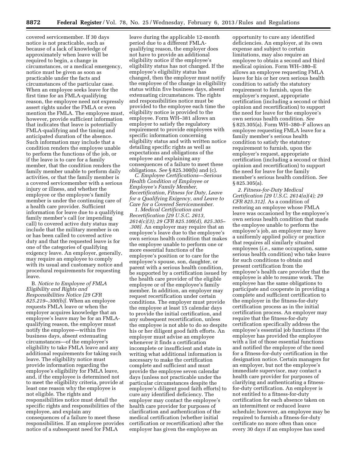covered servicemember. If 30 days notice is not practicable, such as because of a lack of knowledge of approximately when leave will be required to begin, a change in circumstances, or a medical emergency, notice must be given as soon as practicable under the facts and circumstances of the particular case. When an employee seeks leave for the first time for an FMLA-qualifying reason, the employee need not expressly assert rights under the FMLA or even mention the FMLA. The employee must, however, provide sufficient information that indicates that leave is potentially FMLA-qualifying and the timing and anticipated duration of the absence. Such information may include that a condition renders the employee unable to perform the functions of the job, or if the leave is to care for a family member, that the condition renders the family member unable to perform daily activities, or that the family member is a covered servicemember with a serious injury or illness, and whether the employee or the employee's family member is under the continuing care of a health care provider. Sufficient information for leave due to a qualifying family member's call (or impending call) to covered active duty status may include that the military member is on or has been called to covered active duty and that the requested leave is for one of the categories of qualifying exigency leave. An employer, generally, may require an employee to comply with its usual and customary notice and procedural requirements for requesting leave.

B. *Notice to Employee of FMLA Eligibility and Rights and Responsibilities Notice [29 CFR 825.219–.300(b)].* When an employee requests FMLA leave or when the employer acquires knowledge that an employee's leave may be for an FMLAqualifying reason, the employer must notify the employee—within five business days, absent extenuating circumstances—of the employee's eligibility to take FMLA leave and any additional requirements for taking such leave. The eligibility notice must provide information regarding the employee's eligibility for FMLA leave, and, if the employee is determined not to meet the eligibility criteria, provide at least one reason why the employee is not eligible. The rights and responsibilities notice must detail the specific rights and responsibilities of the employee, and explain any consequences of a failure to meet these responsibilities. If an employee provides notice of a subsequent need for FMLA

leave during the applicable 12-month period due to a different FMLAqualifying reason, the employer does not have to provide an additional eligibility notice if the employee's eligibility status has not changed. If the employee's eligibility status has changed, then the employer must notify the employee of the change in eligibility status within five business days, absent extenuating circumstances. The rights and responsibilities notice must be provided to the employee each time the eligibility notice is provided to the employee. Form WH–381 allows an employer to satisfy the regulatory requirement to provide employees with specific information concerning eligibility status and with written notice detailing specific rights as well as expectations and obligations of the employee and explaining any consequences of a failure to meet these obligations. *See* § 825.300(b) and (c).

*C. Employee Certifications—Serious Health Condition of Employee or Employee's Family Member, Recertification, Fitness for Duty, Leave for a Qualifying Exigency, and Leave to Care for a Covered Servicemember.* 

*1. Medical Certification and Recertification [29 U.S.C. 2613, 2614(c)(3); 29 CFR 825.100(d), 825.305– .308].* An employer may require that an employee's leave due to the employee's own serious health condition that makes the employee unable to perform one or more essential functions of the employee's position or to care for the employee's spouse, son, daughter, or parent with a serious health condition, be supported by a certification issued by the health care provider of the eligible employee or of the employee's family member. In addition, an employer may request recertification under certain conditions. The employer must provide the employee at least 15 calendar days to provide the initial certification, and any subsequent recertification, unless the employee is not able to do so despite his or her diligent good faith efforts. An employer must advise an employee whenever it finds a certification incomplete or insufficient and state in writing what additional information is necessary to make the certification complete and sufficient and must provide the employee seven calendar days (unless not practicable under the particular circumstances despite the employee's diligent good faith efforts) to cure any identified deficiency. The employer may contact the employee's health care provider for purposes of clarification and authentication of the medical certification (whether initial certification or recertification) after the employer has given the employee an

opportunity to cure any identified deficiencies. An employer, at its own expense and subject to certain limitations, may also require an employee to obtain a second and third medical opinion. Form WH–380–E allows an employee requesting FMLA leave for his or her own serious health condition to satisfy the statutory requirement to furnish, upon the employer's request, appropriate certification (including a second or third opinion and recertification) to support the need for leave for the employee's own serious health condition. *See*  § 825.305(a). Form WH–380–F allows an employee requesting FMLA leave for a family member's serious health condition to satisfy the statutory requirement to furnish, upon the employer's request, appropriate certification (including a second or third opinion and recertification) to support the need for leave for the family member's serious health condition. *See*  § 825.305(a).

*2. Fitness-for-Duty Medical Certification [29 U.S.C. 2614(a)(4); 29 CFR 825.312].* As a condition of restoring an employee whose FMLA leave was occasioned by the employee's own serious health condition that made the employee unable to perform the employee's job, an employer may have a uniformly applied policy or practice that requires all similarly situated employees (*i.e.,* same occupation, same serious health condition) who take leave for such conditions to obtain and present certification from the employee's health care provider that the employee is able to resume work. The employee has the same obligations to participate and cooperate in providing a complete and sufficient certification to the employer in the fitness-for-duty certification process as in the initial certification process. An employer may require that the fitness-for-duty certification specifically address the employee's essential job functions if the employer has provided the employee with a list of those essential functions and notified the employee of the need for a fitness-for-duty certification in the designation notice. Certain managers for an employer, but not the employee's immediate supervisor, may contact a health care provider for purposes of clarifying and authenticating a fitnessfor-duty certification. An employer is not entitled to a fitness-for-duty certification for each absence taken on an intermittent or reduced leave schedule; however, an employee may be required to furnish a fitness-for-duty certificate no more often than once every 30 days if an employee has used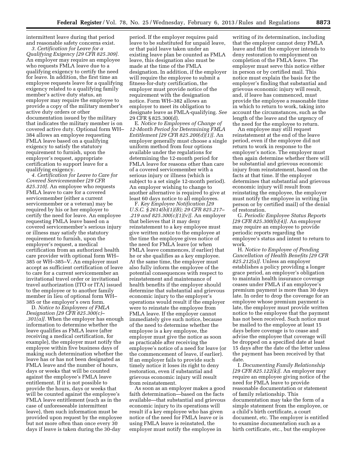intermittent leave during that period and reasonable safety concerns exist.

*3. Certification for Leave for a Qualifying Exigency [29 CFR 825.309].*  An employer may require an employee who requests FMLA leave due to a qualifying exigency to certify the need for leave. In addition, the first time an employee requests leave for a qualifying exigency related to a qualifying family member's active duty status, an employer may require the employee to provide a copy of the military member's active duty orders or other documentation issued by the military that indicates the military member is on covered active duty. Optional form WH– 384 allows an employee requesting FMLA leave based on a qualifying exigency to satisfy the statutory requirement to furnish, upon the employer's request, appropriate certification to support leave for a qualifying exigency.

*4. Certification for Leave to Care for Covered Servicemember [29 CFR 825.310].* An employee who requests FMLA leave to care for a covered servicemember (either a current servicemember or a veteran) may be required by his or her employer to certify the need for leave. An employee requesting FMLA leave based on a covered servicemember's serious injury or illness may satisfy the statutory requirement to furnish, upon the employer's request, a medical certification from an authorized health care provider with optional form WH– 385 or WH–385–V. An employer must accept as sufficient certification of leave to care for a current servicemember an invitational travel order or invitational travel authorization (ITO or ITA) issued to the employee or to another family member in lieu of optional form WH– 385 or the employer's own form.

D. *Notice to Employees of FMLA Designation [29 CFR 825.300(c)– .301(a)].* When the employer has enough information to determine whether the leave qualifies as FMLA leave (after receiving a medical certification, for example), the employer must notify the employee within five business days of making such determination whether the leave has or has not been designated as FMLA leave and the number of hours, days or weeks that will be counted against the employee's FMLA leave entitlement. If it is not possible to provide the hours, days or weeks that will be counted against the employee's FMLA leave entitlement (such as in the case of unforeseeable intermittent leave), then such information must be provided upon request by the employee but not more often than once every 30 days if leave is taken during the 30-day

period. If the employer requires paid leave to be substituted for unpaid leave, or that paid leave taken under an existing leave plan be counted as FMLA leave, this designation also must be made at the time of the FMLA designation. In addition, if the employer will require the employee to submit a fitness-for-duty certification, the employer must provide notice of the requirement with the designation notice. Form WH–382 allows an employer to meet its obligation to designate leave as FMLA-qualifying. *See*  29 CFR § 825.300(d).

E. *Notice to Employees of Change of 12-Month Period for Determining FMLA Entitlement [29 CFR 825.200(d)(1)].* An employer generally must choose a single uniform method from four options available under the regulations for determining the 12-month period for FMLA leave for reasons other than care of a covered servicemember with a serious injury or illness (which is subject to a set single 12-month period). An employer wishing to change to another alternative is required to give at least 60 days notice to all employees.

F. *Key Employee Notification [29 U.S.C. § 2614(b)(1)(B); 29 CFR 825.217– .219 and 825.300(c)(1)(v)].* An employer that believes that it may deny reinstatement to a key employee must give written notice to the employee at the time the employee gives notice of the need for FMLA leave (or when FMLA leave commences, if earlier) that he or she qualifies as a key employee. At the same time, the employer must also fully inform the employee of the potential consequences with respect to reinstatement and maintenance of health benefits if the employer should determine that substantial and grievous economic injury to the employer's operations would result if the employer were to reinstate the employee from FMLA leave. If the employer cannot immediately give such notice, because of the need to determine whether the employee is a key employee, the employer must give the notice as soon as practicable after receiving the employee's notice of a need for leave (or the commencement of leave, if earlier). If an employer fails to provide such timely notice it loses its right to deny restoration, even if substantial and grievous economic injury will result from reinstatement.

As soon as an employer makes a good faith determination—based on the facts available—that substantial and grievous economic injury to its operations will result if a key employee who has given notice of the need for FMLA leave or is using FMLA leave is reinstated, the employer must notify the employee in

writing of its determination, including that the employer cannot deny FMLA leave and that the employer intends to deny restoration to employment on completion of the FMLA leave. The employer must serve this notice either in person or by certified mail. This notice must explain the basis for the employer's finding that substantial and grievous economic injury will result, and, if leave has commenced, must provide the employee a reasonable time in which to return to work, taking into account the circumstances, such as the length of the leave and the urgency of the need for the employee to return.

An employee may still request reinstatement at the end of the leave period, even if the employee did not return to work in response to the employer's notice. The employer must then again determine whether there will be substantial and grievous economic injury from reinstatement, based on the facts at that time. If the employer determines that substantial and grievous economic injury will result from reinstating the employee, the employer must notify the employee in writing (in person or by certified mail) of the denial of restoration.

G. *Periodic Employee Status Reports [29 CFR 825.300(b)(4)].* An employer may require an employee to provide periodic reports regarding the employee's status and intent to return to work.

H. *Notice to Employee of Pending Cancellation of Health Benefits [29 CFR 825.212(a)].* Unless an employer establishes a policy providing a longer grace period, an employer's obligation to maintain health insurance coverage ceases under FMLA if an employee's premium payment is more than 30 days late. In order to drop the coverage for an employee whose premium payment is late, the employer must provide written notice to the employee that the payment has not been received. Such notice must be mailed to the employee at least 15 days before coverage is to cease and advise the employee that coverage will be dropped on a specified date at least 15 days after the date of the letter unless the payment has been received by that date.

I. *Documenting Family Relationship [29 CFR 825.122(k)].* An employer may require an employee giving notice of the need for FMLA leave to provide reasonable documentation or statement of family relationship. This documentation may take the form of a simple statement from the employee, or a child's birth certificate, a court document, etc. The employer is entitled to examine documentation such as a birth certificate, etc., but the employee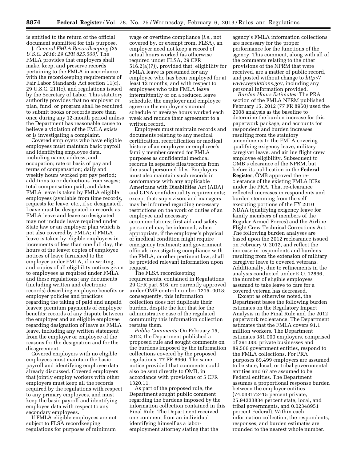is entitled to the return of the official document submitted for this purpose.

J. *General FMLA Recordkeeping [29 U.S.C. 2616; 29 CFR 825.500].* The FMLA provides that employers shall make, keep, and preserve records pertaining to the FMLA in accordance with the recordkeeping requirements of Fair Labor Standards Act section 11(c), 29 U.S.C. 211(c), and regulations issued by the Secretary of Labor. This statutory authority provides that no employer or plan, fund, or program shall be required to submit books or records more than once during any 12-month period unless the Department has reasonable cause to believe a violation of the FMLA exists or is investigating a complaint.

Covered employers who have eligible employees must maintain basic payroll and identifying employee data, including name, address, and occupation; rate or basis of pay and terms of compensation; daily and weekly hours worked per pay period; additions to or deductions from wages; total compensation paid; and dates FMLA leave is taken by FMLA eligible employees (available from time records, requests for leave, etc., if so designated). Leave must be designated in records as FMLA leave and leave so designated may not include leave required under State law or an employer plan which is not also covered by FMLA; if FMLA leave is taken by eligible employees in increments of less than one full day, the hours of the leave; copies of employee notices of leave furnished to the employer under FMLA, if in writing, and copies of all eligibility notices given to employees as required under FMLA and these regulations; any documents (including written and electronic records) describing employee benefits or employer policies and practices regarding the taking of paid and unpaid leaves; premium payments of employee benefits; records of any dispute between the employer and an eligible employee regarding designation of leave as FMLA leave, including any written statement from the employer or employee of the reasons for the designation and for the disagreement.

Covered employers with no eligible employees must maintain the basic payroll and identifying employee data already discussed. Covered employers that jointly employ workers with other employers must keep all the records required by the regulations with respect to any primary employees, and must keep the basic payroll and identifying employee data with respect to any secondary employees.

If FMLA-eligible employees are not subject to FLSA recordkeeping regulations for purposes of minimum

wage or overtime compliance (*i.e.,* not covered by, or exempt from, FLSA), an employer need not keep a record of actual hours worked (as otherwise required under FLSA, 29 CFR 516.2(a)(7)), provided that: eligibility for FMLA leave is presumed for any employee who has been employed for at least 12 months; and with respect to employees who take FMLA leave intermittently or on a reduced leave schedule, the employer and employee agree on the employee's normal schedule or average hours worked each week and reduce their agreement to a written record.

Employers must maintain records and documents relating to any medical certification, recertification or medical history of an employee or employee's family member created for FMLA purposes as confidential medical records in separate files/records from the usual personnel files. Employers must also maintain such records in conformance with any applicable Americans with Disabilities Act (ADA) and GINA confidentiality requirements; except that: supervisors and managers may be informed regarding necessary restrictions on the work or duties of an employee and necessary accommodations; first aid and safety personnel may be informed, when appropriate, if the employee's physical or medical condition might require emergency treatment; and government officials investigating compliance with the FMLA, or other pertinent law, shall be provided relevant information upon request.

The FLSA recordkeeping requirements, contained in Regulations 29 CFR part 516, are currently approved under OMB control number 1215–0018; consequently, this information collection does not duplicate their burden, despite the fact that for the administrative ease of the regulated community this information collection restates them.

*Public Comments:* On February 15, 2012, the Department published a proposed rule and sought comments on the burdens imposed by the information collections covered by the proposed regulations. 77 FR 8960. The same notice provided that comments could also be sent directly to OMB, in accordance with provisions of 5 CFR 1320.11.

As part of the proposed rule, the Department sought public comment regarding the burdens imposed by the information collection contained in this Final Rule. The Department received one comment from an individual identifying himself as a laboremployment attorney stating that the

agency's FMLA information collections are necessary for the proper performance for the functions of the agency. This comment, along with all of the comments relating to the other provisions of the NPRM that were received, are a matter of public record, and posted without change to *[http://](http://www.regulations.gov) [www.regulations.gov,](http://www.regulations.gov)* including any personal information provided.

*Burden Hours Estimates:* The PRA section of the FMLA NPRM published February 15, 2012 (77 FR 8960) used the 2008 analysis as the baseline to determine the burden increase for this paperwork package, and accounts for respondent and burden increases resulting from the statutory amendments to the FMLA covering qualifying exigency leave, military caregiver leave, and airline flight crew employee eligibility. Subsequent to OMB's clearance of the NPRM, but before its publication in the **Federal Register**, OMB approved the reclearance of the existing FMLA ICRs under the PRA. That re-clearance reflected increases in respondents and burden stemming from the selfexecuting portions of the FY 2010 NDAA (qualifying exigency leave for family members of members of the Regular Armed Forces) and the Airline Flight Crew Technical Corrections Act. The following burden analyses are based upon the 2012 reclearance issued on February 9, 2012, and reflect the increase in respondents and burdens resulting from the extension of military caregiver leave to covered veterans. Additionally, due to refinements in the analysis conducted under E.O. 12866, the number of eligible employees assumed to take leave to care for a covered veteran has decreased.

Except as otherwise noted, the Department bases the following burden estimates on the Regulatory Impact Analysis in the Final Rule and the 2012 paperwork reclearance. The Department estimates that the FMLA covers 91.1 million workers. The Department estimates 381,000 employers, comprised of 291,000 private businesses and 89,566 government entities, respond to the FMLA collections. For PRA purposes 89,499 employers are assumed to be state, local, or tribal governmental entities and 67 are assumed to be Federal entities. The Department assumes a proportional response burden between the employer entities (74.033172415 percent private, 25.94333834 percent state, local, and tribal governments, and 0.02348951 percent Federal). Within each information collection, the respondents, responses, and burden estimates are rounded to the nearest whole number.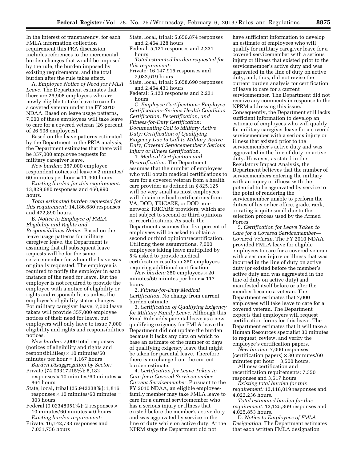In the interest of transparency, for each FMLA information collection requirement this PRA discussion includes references to the incremental burden changes that would be imposed by the rule, the burden imposed by existing requirements, and the total burden after the rule takes effect.

A. *Employee Notice of Need for FMLA Leave.* The Department estimates that there are 26,908 employees who are newly eligible to take leave to care for a covered veteran under the FY 2010 NDAA. Based on leave usage patterns, 7,000 of these employees will take leave to care for a covered veteran (26 percent of 26,908 employees).

Based on the leave patterns estimated by the Department in the PRIA analysis, the Department estimates that there will be 357,000 employee requests for military caregiver leave.

*New burden:* 357,000 employee respondent notices of leave  $\times$  2 minutes/ 60 minutes per hour = 11,900 hours.

*Existing burden for this requirement:*  13,829,680 responses and 460,990 hours.

*Total estimated burden requested for this requirement:* 14,186,680 responses and 472,890 hours.

B. *Notice to Employee of FMLA Eligibility and Rights and Responsibilities Notice.* Based on the leave usage patterns for military caregiver leave, the Department is assuming that all subsequent leave requests will be for the same servicemember for whom the leave was originally requested. The employee is required to notify the employer in each instance of the need for leave. But the employer is not required to provide the employee with a notice of eligibility or rights and responsibilities unless the employee's eligibility status changes. For military caregiver leave, 7,000 leave takers will provide 357,000 employee notices of their need for leave, but employers will only have to issue 7,000 eligibility and rights and responsibilities notices.

*New burden:* 7,000 total responses (notices of eligibility and rights and responsibilities)  $\times$  10 minutes/60 minutes per hour = 1,167 hours

- *Burden Disaggregation by Sector:*  Private (74.03317215%): 5,182  $responents \times 10 minutes/60 minutes =$
- 864 hours State, local, tribal (25.943338%): 1,816 responses × 10 minutes/60 minutes = 303 hours

Federal (0.02348951%): 2 responses  $\times$ 10 minutes/60 minutes = 0 hours *Existing burden requirement:* 

Private: 16,142,733 responses and 7,031,756 hours

- State, local, tribal: 5,656,874 responses and 2,464,128 hours
- Federal: 5,121 responses and 2,231 hours

*Total estimated burden requested for this requirement:* 

- Private: 16,147,915 responses and 7,032,619 hours
- State, local, tribal: 5,658,690 responses and 2,464,431 hours
- Federal: 5,123 responses and 2,231 hours

C. *Employee Certifications: Employee Certifications–Serious Health Condition Certification, Recertification, and Fitness-for-Duty Certification; Documenting Call to Military Active Duty; Certification of Qualifying Exigency Due to Call to Military Active Duty; Covered Servicemember's Serious Injury or Illness Certification.* 

1. *Medical Certification and Recertification.* The Department assumes that the number of employees who will obtain medical certifications to care for a covered veteran from a health care provider as defined in § 825.125 will be very small as most employees will obtain medical certifications from VA, DOD, TRICARE, or DOD nonnetwork TRICARE providers, which are not subject to second or third opinions or recertifications. As such, the Department assumes that five percent of employees will be asked to obtain a second or third opinion/recertification. Utilizing these assumptions, 7,000 employees taking leave multiplied by 5% asked to provide medical certification results in 350 employees requiring additional certification.

*New burden:* 350 employees × 20 minutes/60 minutes per hour = 117 hours.

2. *Fitness-for-Duty Medical Certification.* No change from current burden estimate.

3. *Certification of Qualifying Exigency for Military Family Leave.* Although this Final Rule adds parental leave as a new qualifying exigency for FMLA leave the Department did not update the burden because it lacks any data on which to base an estimate of the number of days of qualifying exigency leave that might be taken for parental leave. Therefore, there is no change from the current burden estimate.

4. *Certification for Leave Taken to Care for a Covered Servicemember— Current Servicemember.* Pursuant to the FY 2010 NDAA, an eligible employeefamily member may take FMLA leave to care for a current servicemember who has a serious injury or illness that existed before the member's active duty and was aggravated by service in the line of duty while on active duty. At the NPRM stage the Department did not

have sufficient information to develop an estimate of employees who will qualify for military caregiver leave for a covered servicemember with a serious injury or illness that existed prior to the servicemember's active duty and was aggravated in the line of duty on active duty, and, thus, did not revise the current burden analysis for certification of leave to care for a current servicemember. The Department did not receive any comments in response to the NPRM addressing this issue. Consequently, the Department still lacks sufficient information to develop an estimate of employees who will qualify for military caregiver leave for a covered servicemember with a serious injury or illness that existed prior to the servicemember's active duty and was aggravated in the line of duty on active duty. However, as stated in the Regulatory Impact Analysis, the Department believes that the number of servicemembers entering the military with an injury or illness with the potential to be aggravated by service to the point of rendering the servicemember unable to perform the duties of his or her office, grade, rank, or rating is quite small due to the selection process used by the Armed Forces.

5. *Certification for Leave Taken to Care for a Covered Servicemember— Covered Veteran.* The FY 2010 NDAA provided FMLA leave for eligible employees to care for a covered veteran with a serious injury or illness that was incurred in the line of duty on active duty (or existed before the member's active duty and was aggravated in the line of duty on active duty) and manifested itself before or after the member became a veteran. The Department estimates that 7,000 employees will take leave to care for a covered veteran. The Department expects that employers will request certification forms for this leave. The Department estimates that it will take a Human Resources specialist 30 minutes to request, review, and verify the employee's certification papers.

*New burden:* 7,000 responses (certification papers)  $\times$  30 minutes/60 minutes per hour = 3,500 hours.

All new certification and recertification requirements: 7,350 responses and 3,617 hours.

*Existing total burden for this requirement:* 12,118,019 responses and 4,022,236 hours.

*Total estimated burden for this requirement:* 12,125,369 responses and 4,025,853 hours.

D. *Notice to Employees of FMLA Designation.* The Department estimates that each written FMLA designation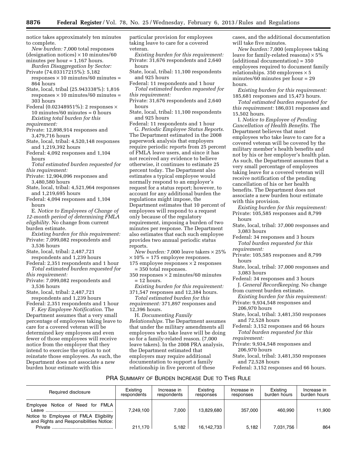notice takes approximately ten minutes to complete.

*New burden:* 7,000 total responses (designation notices)  $\times$  10 minutes/60 minutes per hour  $= 1,167$  hours.

- *Burden Disaggregation by Sector:*  Private (74.03317215%): 5,182
- responses  $\times$  10 minutes/60 minutes = 864 hours
- State, local, tribal (25.943338%): 1,816  $responents \times 10 minutes/60 minutes =$ 303 hours

Federal (0.02348951%): 2 responses  $\times$ 10 minutes/60 minutes = 0 hours *Existing total burden for this* 

- *requirement:*
- Private: 12,898,914 responses and 3,479,716 hours
- State, local, tribal: 4,520,148 responses and 1,219,392 hours
- Federal: 4,092 responses and 1,104 hours
- *Total estimated burden requested for this requirement:*
- Private: 12,904,096 responses and 3,480,580 hours
- State, local, tribal: 4,521,964 responses and 1,219,695 hours
- Federal: 4,094 responses and 1,104 hours

E. *Notice to Employees of Change of 12-month period of determining FMLA eligibility.* No change from current burden estimate.

- 
- *Existing burden for this requirement:*  Private: 7,099,082 respondents and 3,536 hours
- State, local, tribal: 2,487,721 respondents and 1,239 hours
- Federal: 2,351 respondents and 1 hour *Total estimated burden requested for*
- *this requirement:*  Private: 7,099,082 respondents and 3,536 hours
- State, local, tribal: 2,487,721

respondents and 1,239 hours Federal: 2,351 respondents and 1 hour

F. *Key Employee Notification.* The Department assumes that a very small percentage of employees taking leave to care for a covered veteran will be determined key employees and even fewer of those employees will receive notice from the employer that they intend to exercise the option to not reinstate those employees. As such, the Department does not associate a new burden hour estimate with this

particular provision for employees taking leave to care for a covered veteran.

*Existing burden for this requirement:*  Private: 31,676 respondents and 2,640 hours

- State, local, tribal: 11,100 respondents and 925 hours
- Federal: 11 respondents and 1 hour *Total estimated burden requested for*
- *this requirement:*
- Private: 31,676 respondents and 2,640 hours
- State, local, tribal: 11,100 respondents and 925 hours

Federal: 11 respondents and 1 hour G. *Periodic Employee Status Reports.*  The Department estimated in the 2008 paperwork analysis that employers require periodic reports from 25 percent of FMLA leave users, and since it has not received any evidence to believe otherwise, it continues to estimate 25 percent today. The Department also estimates a typical employee would normally respond to an employer's request for a status report; however, to account for any additional burden the regulations might impose, the Department estimates that 10 percent of employees will respond to a request only because of the regulatory requirement, imposing a burden of two minutes per response. The Department also estimates that each such employee provides two annual periodic status reports.

- *New burden:* 7,000 leave takers × 25%  $\times$  10% = 175 employee responses.
- 175 employee responses  $\times$  2 responses = 350 total responses.
- 350 responses × 2 minutes/60 minutes = 12 hours.
- *Existing burden for this requirement:*  371,547 responses and 12,384 hours.

*Total estimated burden for this requirement:* 371,897 responses and 12,396 hours.

H. *Documenting Family Relationships.* The Department assumes that under the military amendments all employees who take leave will be doing so for a family-related reason. (7,000 leave takers). In the 2008 PRA analysis, the Department estimated that employers may require additional documentation to support a family relationship in five percent of these

cases, and the additional documentation will take five minutes.

*New burden:* 7,000 (employees taking leave for family-related reasons)  $\times$  5% (additional documentation) = 350 employees required to document family relationships. 350 employees  $\times$  5 minutes/60 minutes per hour = 29 hours.

*Existing burden for this requirement:*  185,681 responses and 15,473 hours.

*Total estimated burden requested for this requirement:* 186,031 responses and 15,502 hours.

I. *Notice to Employee of Pending Cancellation of Health Benefits.* The Department believes that most employees who take leave to care for a covered veteran will be covered by the military member's health benefits and not by his or her employer's health plan. As such, the Department assumes that a very small percentage of employees taking leave for a covered veteran will receive notification of the pending cancellation of his or her health benefits. The Department does not associate a new burden hour estimate with this provision.

*Existing burden for this requirement:*  Private: 105,585 responses and 8,799 hours

- State, local, tribal: 37,000 responses and 3,083 hours
- Federal: 34 responses and 3 hours *Total burden requested for this requirement:*
- 
- Private: 105,585 responses and 8,799 hours
- State, local, tribal: 37,000 responses and 3,083 hours
- Federal: 34 responses and 3 hours J. *General Recordkeeping.* No change
- from current burden estimate.

*Existing burden for this requirement:*  Private: 9,934,548 responses and 206,970 hours

- State, local, tribal: 3,481,350 responses and 72,528 hours
- Federal: 3,152 responses and 66 hours *Total burden requested for this*
- *requirement:*
- Private: 9,934,548 responses and 206,970 hours
- State, local, tribal: 3,481,350 responses and 72,528 hours
- Federal: 3,152 responses and 66 hours.

# PRA SUMMARY OF BURDEN INCREASE DUE TO THIS RULE

| Required disclosure                                                        | Existing<br>respondents | Increase in<br>respondents | Existing<br>responses | Increase in<br>responses | Existing<br>burden hours | Increase in<br>burden hours |
|----------------------------------------------------------------------------|-------------------------|----------------------------|-----------------------|--------------------------|--------------------------|-----------------------------|
| Employee Notice of Need for FMLA<br>Notice to Employee of FMLA Eligibility | 7.249.100               | 7.000                      | 13.829.680            | 357,000                  | 460.990                  | 11.900                      |
| and Rights and Responsibilities Notice:<br>Private                         | 211.170                 | 5.182                      | 16.142.733            | 5.182                    | 7.031.756                | 864                         |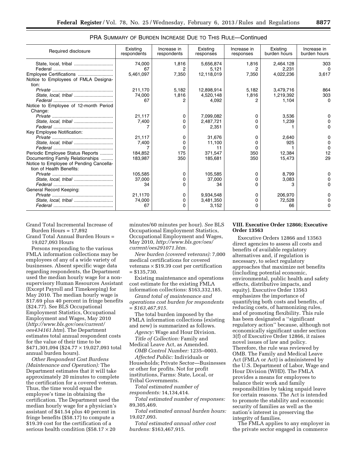| Required disclosure                                                 | Existina<br>respondents | Increase in<br>respondents | Existing<br>responses | Increase in<br>responses | Existing<br>burden hours | Increase in<br>burden hours |
|---------------------------------------------------------------------|-------------------------|----------------------------|-----------------------|--------------------------|--------------------------|-----------------------------|
|                                                                     | 74,000                  | 1,816                      | 5,656,874             | 1,816                    | 2.464.128                | 303                         |
|                                                                     | 67                      | 2                          | 5,121                 | 2                        | 2,231                    | $\Omega$                    |
| Employee Certifications                                             | 5,461,097               | 7,350                      | 12,118,019            | 7,350                    | 4,022,236                | 3,617                       |
| Notice to Employees of FMLA Designa-<br>tion:                       |                         |                            |                       |                          |                          |                             |
|                                                                     | 211,170                 | 5,182                      | 12,898,914            | 5,182                    | 3,479,716                | 864                         |
|                                                                     | 74,000                  | 1,816                      | 4,520,148             | 1,816                    | 1,219,392                | 303                         |
|                                                                     | 67                      | 2                          | 4.092                 | 2                        | 1,104                    | 0                           |
| Notice to Employee of 12-month Period                               |                         |                            |                       |                          |                          |                             |
| Change:                                                             |                         |                            |                       |                          |                          |                             |
|                                                                     | 21,117                  | 0                          | 7,099,082             | 0                        | 3,536                    |                             |
|                                                                     | 7.400                   | O                          | 2,487,721             | O                        | 1,239                    |                             |
|                                                                     |                         | O                          | 2,351                 | 0                        |                          | 0                           |
| Key Employee Notification:                                          |                         |                            |                       |                          |                          |                             |
|                                                                     | 21,117                  | 0                          | 31,676                | 0                        | 2,640                    |                             |
| State, local, tribal                                                | 7.400                   | 0                          | 11,100                | 0                        | 925                      | 0                           |
|                                                                     |                         | O                          | 11                    | 0                        |                          | $\Omega$                    |
| Periodic Employee Status Reports                                    | 184.852                 | 175                        | 371,547               | 350                      | 12,384                   | 12                          |
| Documenting Family Relationships                                    | 183,987                 | 350                        | 185,681               | 350                      | 15,473                   | 29                          |
| Notice to Employee of Pending Cancella-<br>tion of Health Benefits: |                         |                            |                       |                          |                          |                             |
|                                                                     | 105,585                 | O                          | 105,585               | 0                        | 8.799                    |                             |
|                                                                     | 37,000                  |                            | 37,000                | 0                        | 3,083                    |                             |
|                                                                     | 34                      | O                          | 34                    | 0                        |                          | <sup>0</sup>                |
| General Record Keeping:                                             |                         |                            |                       |                          |                          |                             |
|                                                                     | 21.1170                 | 0                          | 9,934,548             | 0                        | 206,970                  |                             |
| State, local, tribal                                                | 74,000                  | 0                          | 3,481,350             | 0                        | 72,528                   |                             |
|                                                                     | 67                      | O                          | 3,152                 | 0                        | 66                       |                             |

| <b>PRA SUMMARY OF BURDEN INCREASE DUE TO THIS RULE—Continued</b> |  |  |
|------------------------------------------------------------------|--|--|
|------------------------------------------------------------------|--|--|

Grand Total Incremental Increase of Burden Hours = 17,892

Grand Total Annual Burden Hours = 19,027,093 Hours

Persons responding to the various FMLA information collections may be employees of any of a wide variety of businesses. Absent specific wage data regarding respondents, the Department used the median hourly wage for a nonsupervisory Human Resources Assistant (Except Payroll and Timekeeping) for May 2010. The median hourly wage is \$17.69 plus 40 percent in fringe benefits (\$24.77). See BLS Occupational Employment Statistics, Occupational Employment and Wages, May 2010 (*[http://www.bls.gov/oes/current/](http://www.bls.gov/oes/current/oes434161.htm) [oes434161.htm](http://www.bls.gov/oes/current/oes434161.htm)*). The Department estimates total annual respondent costs for the value of their time to be \$471,301,094 (\$24.77 × 19,027,093 total annual burden hours).

*Other Respondent Cost Burdens (Maintenance and Operation):* The Department estimates that it will take approximately 20 minutes to complete the certification for a covered veteran. Thus, the time would equal the employee's time in obtaining the certification. The Department used the median hourly wage for a physician's assistant of \$41.54 plus 40 percent in fringe benefits (\$58.17) to compute a \$19.39 cost for the certification of a serious health condition (\$58.17  $\times$  20

minutes/60 minutes per hour). *See* BLS Occupational Employment Statistics, Occupational Employment and Wages, May 2010, *[http://www.bls.gov/oes/](http://www.bls.gov/oes/current/oes291071.htm)  [current/oes291071.htm.](http://www.bls.gov/oes/current/oes291071.htm)* 

*New burden (covered veterans):* 7,000 medical certifications for covered veterans  $\times$  \$19.39 cost per certification  $= $135,730.$ 

Existing maintenance and operations cost estimate for the existing FMLA information collections: \$163,332,185.

*Grand total of maintenance and operations cost burden for respondents = \$163,467,915.* 

The total burden imposed by the FMLA information collections (existing and new) is summarized as follows.

*Agency:* Wage and Hour Division. *Title of Collection:* Family and

Medical Leave Act, as Amended. *OMB Control Number:* 1235–0003.

*Affected Public:* Individuals or Households; Private Sector—Businesses or other for profits. Not for profit institutions, Farms: State, Local, or Tribal Governments.

*Total estimated number of respondents:* 14,134,414.

*Total estimated number of responses:*  89,305,469.

*Total estimated annual burden hours:*  19,027,093.

*Total estimated annual other cost burdens:* \$163,467,915.

## **VIII. Executive Order 12866; Executive Order 13563**

Executive Orders 12866 and 13563 direct agencies to assess all costs and benefits of available regulatory alternatives and, if regulation is necessary, to select regulatory approaches that maximize net benefits (including potential economic, environmental, public health and safety effects, distributive impacts, and equity). Executive Order 13563 emphasizes the importance of quantifying both costs and benefits, of reducing costs, of harmonizing rules, and of promoting flexibility. This rule has been designated a ''significant regulatory action'' because, although not economically significant under section 3(f) of Executive Order 12866, it raises novel issues of law and policy. Therefore, the rule was reviewed by OMB. The Family and Medical Leave Act (FMLA or Act) is administered by the U.S. Department of Labor, Wage and Hour Division (WHD). The FMLA provides a means for employees to balance their work and family responsibilities by taking unpaid leave for certain reasons. The Act is intended to promote the stability and economic security of families as well as the nation's interest in preserving the integrity of families.

The FMLA applies to any employer in the private sector engaged in commerce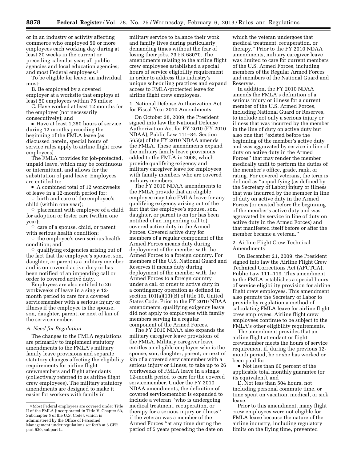or in an industry or activity affecting commerce who employed 50 or more employees each working day during at least 20 weeks in the current or preceding calendar year; all public agencies and local education agencies; and most Federal employees.5

To be eligible for leave, an individual must:

B. Be employed by a covered employer at a worksite that employs at least 50 employees within 75 miles;

C. Have worked at least 12 months for the employer (not necessarily consecutively); and

■ Have at least 1,250 hours of service during 12 months preceding the beginning of the FMLA leave (as discussed herein, special hours of service rules apply to airline flight crew employees).

The FMLA provides for job-protected, unpaid leave, which may be continuous or intermittent, and allows for the substitution of paid leave. Employees are entitled to:

 $\blacksquare$  A combined total of 12 workweeks of leave in a 12-month period for:

Æ birth and care of the employee's child (within one year);

 $\circ$  placement with employee of a child for adoption or foster care (within one year);

 $\circ$  care of a spouse, child, or parent with serious health condition;

 $\circ$  the employee's own serious health condition; and

 $\circ$  qualifying exigencies arising out of the fact that the employee's spouse, son, daughter, or parent is a military member and is on covered active duty or has been notified of an impending call or order to covered active duty.

Employees are also entitled to 26 workweeks of leave in a single 12 month period to care for a covered servicemember with a serious injury or illness if the employee is the spouse, son, daughter, parent, or next of kin of the servicemember.

#### *A. Need for Regulation*

The changes to the FMLA regulations are primarily to implement statutory amendments to the FMLA's military family leave provisions and separate statutory changes affecting the eligibility requirements for airline flight crewmembers and flight attendants (collectively referred to as airline flight crew employees). The military statutory amendments are designed to make it easier for workers with family in

military service to balance their work and family lives during particularly demanding times without the fear of losing their jobs. 73 FR 68070. The amendments relating to the airline flight crew employees established a special hours of service eligibility requirement in order to address this industry's unique scheduling practices and expand access to FMLA-protected leave for airline flight crew employees.

1. National Defense Authorization Act for Fiscal Year 2010 Amendments

On October 28, 2009, the President signed into law the National Defense Authorization Act for FY 2010 (FY 2010 NDAA), Public Law 111–84. Section 565(a) of the FY 2010 NDAA amends the FMLA. These amendments expand the military family leave provisions added to the FMLA in 2008, which provide qualifying exigency and military caregiver leave for employees with family members who are covered military members.

The FY 2010 NDAA amendments to the FMLA provide that an eligible employee may take FMLA leave for any qualifying exigency arising out of the fact that the employee's spouse, son, daughter, or parent is on (or has been notified of an impending call to) covered active duty in the Armed Forces. Covered active duty for members of a regular component of the Armed Forces means duty during deployment of the member with the Armed Forces to a foreign country. For members of the U.S. National Guard and Reserves it means duty during deployment of the member with the Armed Forces to a foreign country under a call or order to active duty in a contingency operation as defined in section 101(a)(13)(B) of title 10, United States Code. Prior to the FY 2010 NDAA amendments, qualifying exigency leave did not apply to employees with family members serving in a regular component of the Armed Forces.

The FY 2010 NDAA also expands the military caregiver leave provisions of the FMLA. Military caregiver leave entitles an eligible employee who is the spouse, son, daughter, parent, or next of kin of a covered servicemember with a serious injury or illness, to take up to 26 workweeks of FMLA leave in a single 12-month period to care for the covered servicemember. Under the FY 2010 NDAA amendments, the definition of covered servicemember is expanded to include a veteran ''who is undergoing medical treatment, recuperation, or therapy for a serious injury or illness'' if the veteran was a member of the Armed Forces ''at any time during the period of 5 years preceding the date on

which the veteran undergoes that medical treatment, recuperation, or therapy.'' Prior to the FY 2010 NDAA amendments, military caregiver leave was limited to care for current members of the U.S. Armed Forces, including members of the Regular Armed Forces and members of the National Guard and Reserves.

In addition, the FY 2010 NDAA amends the FMLA's definition of a serious injury or illness for a current member of the U.S. Armed Forces, including National Guard or Reserves, to include not only a serious injury or illness that was incurred by the member in the line of duty on active duty but also one that ''existed before the beginning of the member's active duty and was aggravated by service in line of duty on active duty in the Armed Forces'' that may render the member medically unfit to perform the duties of the member's office, grade, rank, or rating. For covered veterans, the term is defined as ''a qualifying (as defined by the Secretary of Labor) injury or illness that was incurred by the member in line of duty on active duty in the Armed Forces (or existed before the beginning of the member's active duty and was aggravated by service in line of duty on active duty in the Armed Forces) and that manifested itself before or after the member became a veteran.''

### 2. Airline Flight Crew Technical Amendments

On December 21, 2009, the President signed into law the Airline Flight Crew Technical Corrections Act (AFCTCA), Public Law 111–119. This amendment to the FMLA establishes a special hours of service eligibility provision for airline flight crew employees. This amendment also permits the Secretary of Labor to provide by regulation a method of calculating FMLA leave for airline flight crew employees. Airline flight crew employees continue to be subject to the FMLA's other eligibility requirements.

The amendment provides that an airline flight attendant or flight crewmember meets the hours of service requirement if, during the previous 12 month period, he or she has worked or been paid for:

■ Not less than 60 percent of the applicable total monthly guarantee (or its equivalent), and

D. Not less than 504 hours, not including personal commute time, or time spent on vacation, medical, or sick leave.

Prior to this amendment, many flight crew employees were not eligible for FMLA leave because the nature of the airline industry, including regulatory limits on the flying time, prevented

<sup>5</sup>Most Federal employees are covered under Title II of the FMLA (incorporated in Title V, Chapter 63, Subchapter 5 of the U.S. Code), which is administered by the Office of Personnel Management under regulations set forth at 5 CFR part 630, subpart L.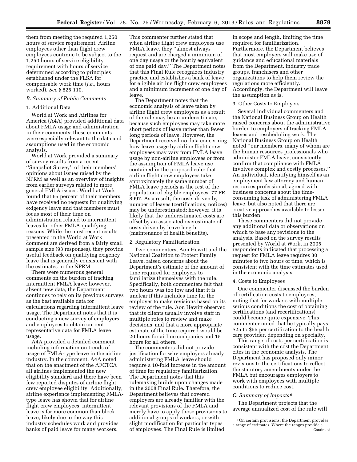them from meeting the required 1,250 hours of service requirement. Airline employees other than flight crew employees continue to be subject to the 1,250 hours of service eligibility requirement with hours of service determined according to principles established under the FLSA for compensable work time (*i.e.,* hours worked). *See* § 825.110.

# *B. Summary of Public Comments*

#### 1. Additional Data

World at Work and Airlines for America (A4A) provided additional data about FMLA usage and administration in their comments; these comments were especially relevant to the data and assumptions used in the economic analysis.

World at Work provided a summary of survey results from a recent ''Snapshot Survey'' of their members' opinions about issues raised by the NPRM as well as an overview of insights from earlier surveys related to more general FMLA issues. World at Work found that 65 percent of their members have received no requests for qualifying exigency leave and that members must focus most of their time on administration related to intermittent leaves for other FMLA-qualifying reasons. While the most recent results presented in the World at Work comment are derived from a fairly small sample size (93 responses), they provide useful feedback on qualifying exigency leave that is generally consistent with the estimates in the NPRM.

There were numerous general comments on the burden of tracking intermittent FMLA leave; however, absent new data, the Department continues to rely on its previous surveys as the best available data for calculations regarding intermittent leave usage. The Department notes that it is conducting a new survey of employers and employees to obtain current representative data for FMLA leave usage.

A4A provided a detailed comment including information on trends of usage of FMLA-type leave in the airline industry. In the comment, A4A noted that on the enactment of the AFCTCA all airlines implemented the new eligibility standard and there have been few reported disputes of airline flight crew employee eligibility. Additionally, airline experience implementing FMLAtype leave has shown that for airline flight crew employees, intermittent leave is far more common than block leave, likely due to the way this industry schedules work and provides banks of paid leave for many workers.

This commenter further stated that when airline flight crew employees use FMLA leave, they ''almost always request and are charged a minimum of one day usage or the hourly equivalent of one paid day.'' The Department notes that this Final Rule recognizes industry practice and establishes a bank of leave for eligible airline flight crew employees and a minimum increment of one day of leave.

The Department notes that the economic analysis of leave taken by airline flight crew employees as a result of the rule may be an underestimate, because such employees may take more short periods of leave rather than fewer long periods of leave. However, the Department received no data concerning how leave usage by airline flight crew employees may vary from FMLA leave usage by non-airline employees or from the assumption of FMLA leave use contained in the proposed rule: that airline flight crew employees take approximately the same number of FMLA leave periods as the rest of the population of eligible employees. 77 FR 8997. As a result, the costs driven by number of leaves (certifications, notices) may be underestimated; however, it is likely that the underestimated costs are offset by an associated overestimate of costs driven by leave length (maintenance of health benefits).

#### 2. Regulatory Familiarization

Two commenters, Aon Hewitt and the National Coalition to Protect Family Leave, raised concerns about the Department's estimate of the amount of time required for employers to familiarize themselves with the rule. Specifically, both commenters felt that two hours was too low and that it is unclear if this includes time for the employer to make revisions based on its review of the rule. Aon Hewitt observed that its clients usually involve staff in multiple roles to review and make decisions, and that a more appropriate estimate of the time required would be 20 hours for airline companies and 15 hours for all others.

The commenters did not provide justification for why employers already administering FMLA leave should require a 10-fold increase in the amount of time for regulatory familiarization. The Department notes that this rulemaking builds upon changes made in the 2008 Final Rule. Therefore, the Department believes that covered employers are already familiar with the relevant provisions of the FMLA and merely have to apply those provisions to additional groups of workers, or with slight modification for particular types of employees. The Final Rule is limited

in scope and length, limiting the time required for familiarization. Furthermore, the Department believes that most employers will make use of guidance and educational materials from the Department, industry trade groups, franchisers and other organizations to help them review the regulations more efficiently. Accordingly, the Department will leave the assumption as is.

#### 3. Other Costs to Employers

Several individual commenters and the National Business Group on Health raised concerns about the administrative burden to employers of tracking FMLA leaves and rescheduling work. The National Business Group on Health noted ''our members, many of whom are the human resources professionals who administer FMLA leave, consistently confirm that compliance with FMLA involves complex and costly processes.'' An individual, identifying himself as an employment law attorney and human resources professional, agreed with business concerns about the timeconsuming task of administering FMLA leave, but also noted that there are creative approaches available to lessen this burden.

These commenters did not provide any additional data or observations on which to base any revisions to the analysis. Based on the survey results presented by World at Work, in 2005 respondents indicated that processing a request for FMLA leave requires 30 minutes to two hours of time, which is consistent with the time estimates used in the economic analysis.

### 4. Costs to Employees

One commenter discussed the burden of certification costs to employees, noting that for workers with multiple serious conditions the cost of obtaining certifications (and recertifications) could become quite expensive. This commenter noted that he typically pays \$25 to \$55 per certification to the health care provider, depending on specialty.

This range of costs per certification is consistent with the cost the Department cites in the economic analysis. The Department has proposed only minor revisions to the certifications to reflect the statutory amendments under the FMLA but encourages employers to work with employees with multiple conditions to reduce cost.

#### *C. Summary of Impacts* 6

The Department projects that the average annualized cost of the rule will

<sup>6</sup>On certain provisions, the Department provides a range of estimates. Where the ranges provide a Continued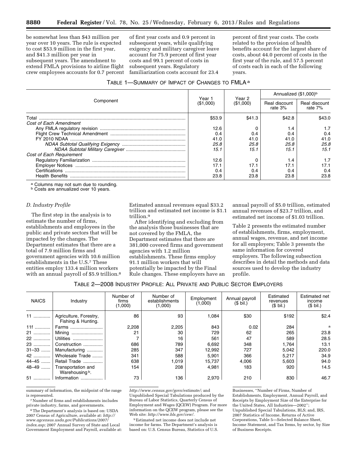be somewhat less than \$43 million per year over 10 years. The rule is expected to cost \$53.9 million in the first year, and \$41.3 million per year in subsequent years. The amendment to extend FMLA provisions to airline flight crew employees accounts for 0.7 percent

of first year costs and 0.9 percent in subsequent years, while qualifying exigency and military caregiver leave account for 75.9 percent of first year costs and 99.1 percent of costs in subsequent years. Regulatory familiarization costs account for 23.4

percent of first year costs. The costs related to the provision of health benefits account for the largest share of costs, about 44.0 percent of costs in the first year of the rule, and 57.5 percent of costs each in each of the following years.

| TABLE 1-SUMMARY OF IMPACT OF CHANGES TO FMLA <sup>a</sup> |  |  |  |
|-----------------------------------------------------------|--|--|--|
|-----------------------------------------------------------|--|--|--|

|                          |                     |                     | Annualized (\$1,000)b    |                          |  |
|--------------------------|---------------------|---------------------|--------------------------|--------------------------|--|
| Component                | Year 1<br>(\$1,000) | Year 2<br>(\$1.000) | Real discount<br>rate 3% | Real discount<br>rate 7% |  |
| Total                    | \$53.9              | \$41.3              | \$42.8                   | \$43.0                   |  |
| Cost of Each Amendment   |                     |                     |                          |                          |  |
|                          | 12.6                |                     | 1.4                      |                          |  |
|                          | 0.4                 | 0.4                 | 0.4                      | 0.4                      |  |
|                          | 41.0                | 41.0                | 41.0                     | 41.0                     |  |
|                          | 25.8                | 25.8                | 25.8                     | 25.8                     |  |
|                          | 15.1                | 15.1                | 15.1                     | 15.1                     |  |
| Cost of Each Requirement |                     |                     |                          |                          |  |
|                          | 12.6                |                     | 1.4                      |                          |  |
|                          | 17.1                | 17.1                | 17.1                     | 17.1                     |  |
| <b>Certifications</b>    | 0.4                 | 0.4                 | 0.4                      | 0.4                      |  |
| <b>Health Benefits</b>   | 23.8                | 23.8                | 23.8                     | 23.8                     |  |

<sup>a</sup> Columns may not sum due to rounding.<br><sup>b</sup> Costs are annualized over 10 years.

# *D. Industry Profile*

The first step in the analysis is to estimate the number of firms, establishments and employees in the public and private sectors that will be impacted by the changes. The Department estimates that there are a total of 7.9 million firms and government agencies with 10.6 million establishments in the U.S.7 These entities employ 133.4 million workers with an annual payroll of \$5.9 trillion.8 Estimated annual revenues equal \$33.2 trillion and estimated net income is \$1.1 trillion.9

After identifying and excluding from the analysis those businesses that are not covered by the FMLA, the Department estimates that there are 381,000 covered firms and government agencies with 1.2 million establishments. These firms employ 91.1 million workers that will potentially be impacted by the Final Rule changes. These employers have an

annual payroll of \$5.0 trillion, estimated annual revenues of \$23.7 trillion, and estimated net income of \$1.03 trillion.

Table 2 presents the estimated number of establishments, firms, employment, annual wages, revenue, and net income for all employers; Table 3 presents the same information for covered employers. The following subsection describes in detail the methods and data sources used to develop the industry profile.

## TABLE 2—2008 INDUSTRY PROFILE: ALL PRIVATE AND PUBLIC SECTOR EMPLOYERS

| <b>NAICS</b> | Industry                                     | Number of<br>firms<br>(1,000) | Number of<br>establishments<br>(1,000) | Employment<br>(1,000) | Annual payroll<br>$(S$ bil.) | Estimated<br>revenues<br>$($$ bil.) | Estimated net<br>income<br>$($$ bil.) |
|--------------|----------------------------------------------|-------------------------------|----------------------------------------|-----------------------|------------------------------|-------------------------------------|---------------------------------------|
| 11           | Agriculture, Forestry,<br>Fishing & Hunting. | 86                            | 93                                     | 1,084                 | \$30                         | \$192                               | \$2.4                                 |
| 11f          | Farms                                        | 2.208                         | 2,205                                  | 843                   | 0.02                         | 284                                 | a                                     |
| 21           | Mining                                       | 21                            | 30                                     | 729                   | 62                           | 265                                 | 23.8                                  |
| 22           | Utilities                                    |                               | 16                                     | 561                   | 47                           | 589                                 | 28.5                                  |
| 23           | Construction                                 | 686                           | 789                                    | 6,692                 | 348                          | 1,764                               | 13.1                                  |
| $31 - 33$    | Manufacturing                                | 285                           | 347                                    | 12,992                | 727                          | 5,042                               | 220.0                                 |
| 42           | Wholesale Trade                              | 341                           | 588                                    | 5,901                 | 366                          | 5,217                               | 34.9                                  |
| 44-45        | Retail Trade                                 | 638                           | 1,019                                  | 15.737                | 4.006                        | 5.603                               | 94.0                                  |
| 48-49        | Transportation and<br>Warehousing b.         | 154                           | 208                                    | 4.981                 | 183                          | 920                                 | 14.5                                  |
| 51           | Information                                  | 73                            | 136                                    | 2.970                 | 210                          | 830                                 | 46.7                                  |

summary of information, the midpoint of the range is represented.

7Number of firms and establishments includes private industry, farms, and governments.

8The Department's analysis is based on: USDA 2007 Census of Agriculture, available at: *[http://](http://www.agcensus.usda.gov/Publications/2007/index.asp) [www.agcensus.usda.gov/Publications/2007/](http://www.agcensus.usda.gov/Publications/2007/index.asp) [index.asp;](http://www.agcensus.usda.gov/Publications/2007/index.asp)* 2007 Annual Survey of State and Local Government Employment and Payroll, available at: *[http://www.census.gov/govs/estimate/;](http://www.census.gov/govs/estimate/)* and Unpublished Special Tabulations produced by the Bureau of Labor Statistics, Quarterly Census of Employment and Wages (QCEW) Program. For more information on the QCEW program, please see the Web site: *[http://www.bls.gov/cew/.](http://www.bls.gov/cew/)* 

9Estimated net income does not include net income for farms. The Department's analysis is based on: U.S. Census Bureau, Statistics of U.S. Businesses, ''Number of Firms, Number of Establishments, Employment, Annual Payroll, and Receipts by Employment Size of the Enterprise for the United States, All Industries—2002''; Unpublished Special Tabulations, BLS; and, IRS, 2007 Statistics of Income, Returns of Active Corporations, Table 5—Selected Balance Sheet, Income Statement, and Tax Items, by sector, by Size of Business Receipts.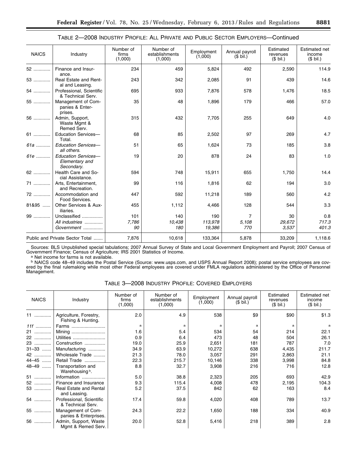| <b>NAICS</b> | Industry                                                   | Number of<br>firms<br>(1,000) | Number of<br>establishments<br>(1,000) | Employment<br>(1,000) | Annual payroll<br>$($$ bil.) | Estimated<br>revenues<br>$($$ bil.) | Estimated net<br>income<br>$($$ bil.) |
|--------------|------------------------------------------------------------|-------------------------------|----------------------------------------|-----------------------|------------------------------|-------------------------------------|---------------------------------------|
| 52           | Finance and Insur-<br>ance.                                | 234                           | 459                                    | 5,824                 | 492                          | 2,590                               | 114.9                                 |
| $53$         | Real Estate and Rent-<br>al and Leasing.                   | 243                           | 342                                    | 2,085                 | 91                           | 439                                 | 14.6                                  |
| 54           | Professional, Scientific<br>& Technical Serv.              | 695                           | 933                                    | 7,876                 | 578                          | 1,476                               | 18.5                                  |
| 55           | Management of Com-<br>panies & Enter-<br>prises.           | 35                            | 48                                     | 1,896                 | 179                          | 466                                 | 57.0                                  |
| 56           | Admin, Support,<br>Waste Mgmt &<br>Remed Serv.             | 315                           | 432                                    | 7,705                 | 255                          | 649                                 | 4.0                                   |
| 61           | <b>Education Services-</b><br>Total.                       | 68                            | 85                                     | 2,502                 | 97                           | 269                                 | 4.7                                   |
| 61a          | <b>Education Services-</b><br>all others.                  | 51                            | 65                                     | 1,624                 | 73                           | 185                                 | 3.8                                   |
| 61e          | <b>Education Services-</b><br>Elementary and<br>Secondary. | 19                            | 20                                     | 878                   | 24                           | 83                                  | 1.0                                   |
| 62           | Health Care and So-<br>cial Assistance.                    | 594                           | 748                                    | 15,911                | 655                          | 1,750                               | 14.4                                  |
| 71           | Arts, Entertainment,<br>and Recreation.                    | 99                            | 116                                    | 1,816                 | 62                           | 194                                 | 3.0                                   |
| 72           | Accommodation and<br>Food Services.                        | 447                           | 592                                    | 11,218                | 189                          | 560                                 | 4.2                                   |
| 81&95        | Other Services & Aux-<br>iliaries.                         | 455                           | 1,112                                  | 4,466                 | 128                          | 544                                 | 3.3                                   |
| 99           | Unclassified                                               | 101                           | 140                                    | 190                   | 7                            | 30                                  | 0.8                                   |
|              | All industries                                             | 7,786                         | 10,438                                 | 113,978               | 5,108                        | 29,672                              | 717.3                                 |
|              | Government                                                 | 90                            | 180                                    | 19,386                | 770                          | 3.537                               | 401.3                                 |
|              | Public and Private Sector Total                            | 7,876                         | 10,618                                 | 133,364               | 5,878                        | 33,209                              | 1,118.6                               |

# TABLE 2—2008 INDUSTRY PROFILE: ALL PRIVATE AND PUBLIC SECTOR EMPLOYERS—Continued

Sources: BLS Unpublished special tabulations; 2007 Annual Survey of State and Local Government Employment and Payroll; 2007 Census of Agriculture; IRS 2001 Statistics of Income. Government Finance; Census of Agriculture; IRS 2001 Statistics of Income.<br>a Net income for farms is not available.

**b NAICS code 48–49 includes the Postal Service (Source: [www.usps.com,](http://www.usps.com) and USPS Annual Report 2008); postal service employees are cov**ered by the final rulemaking while most other Federal employees are covered under FMLA regulations administered by the Office of Personnel Management.

| TABLE 3—2008 INDUSTRY PROFILE: COVERED EMPLOYERS |  |  |
|--------------------------------------------------|--|--|
|                                                  |  |  |

| <b>NAICS</b>  | Industry                                      | Number of<br>firms<br>(1,000) | Number of<br>establishments<br>(1,000) | Employment<br>(1,000) | Annual payroll<br>$(S$ bil.) | Estimated<br>revenues<br>$($$ bil.) | Estimated net<br>income<br>$($$ bil.) |
|---------------|-----------------------------------------------|-------------------------------|----------------------------------------|-----------------------|------------------------------|-------------------------------------|---------------------------------------|
| 11            | Agriculture, Forestry,<br>Fishing & Hunting.  | 2.0                           | 4.9                                    | 538                   | \$9                          | \$90                                | \$1.3                                 |
| $11f$         | Farms                                         | $\mathbf a$                   | a                                      |                       | a                            | a                                   | a                                     |
| 21            | Mining                                        | 1.6                           | 5.4                                    | 534                   | 54                           | 214                                 | 22.1                                  |
| 22            | Utilities                                     | 0.9                           | 6.4                                    | 473                   | 48                           | 504                                 | 26.1                                  |
| 23            | Construction                                  | 19.0                          | 25.9                                   | 2,651                 | 181                          | 787                                 | 7.0                                   |
| $31 - 33$     | Manufacturing                                 | 34.9                          | 63.9                                   | 10,272                | 638                          | 4,435                               | 211.7                                 |
| 42            | Wholesale Trade                               | 21.3                          | 78.0                                   | 3,057                 | 291                          | 2,863                               | 21.1                                  |
| $44 - 45$<br> | Retail Trade                                  | 22.3                          | 215.7                                  | 10,146                | 338                          | 3,998                               | 84.8                                  |
| 48-49         | Transportation and<br>Warehousing b.          | 8.8                           | 32.7                                   | 3,908                 | 216                          | 716                                 | 12.8                                  |
| 51            | Information                                   | 5.0                           | 38.8                                   | 2,323                 | 205                          | 693                                 | 42.9                                  |
| 52            | Finance and Insurance                         | 9.3                           | 115.4                                  | 4,008                 | 478                          | 2,195                               | 104.3                                 |
| 53            | <b>Real Estate and Rental</b><br>and Leasing. | 5.2                           | 37.5                                   | 842                   | 62                           | 163                                 | 8.4                                   |
| 54            | Professional, Scientific<br>& Technical Serv. | 17.4                          | 59.8                                   | 4,020                 | 408                          | 789                                 | 13.7                                  |
| 55            | Management of Com-<br>panies & Enterprises.   | 24.3                          | 22.2                                   | 1,650                 | 188                          | 334                                 | 40.9                                  |
| 56            | Admin, Support, Waste<br>Mgmt & Remed Serv.   | 20.0                          | 52.8                                   | 5,416                 | 218                          | 389                                 | 2.8                                   |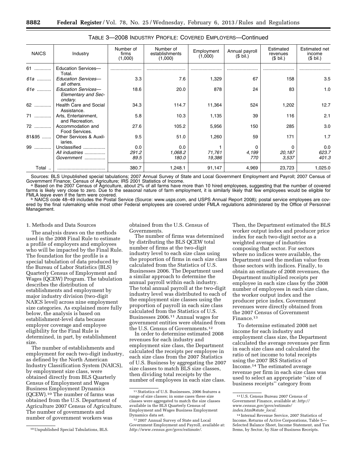| <b>NAICS</b> | Industry                                                     | Number of<br>firms<br>(1,000) | Number of<br>establishments<br>(1,000) | Employment<br>(1,000) | Annual payroll<br>$($$ bil.) | Estimated<br>revenues<br>$($$ bil.) | Estimated net<br>income<br>$($$ bil.) |
|--------------|--------------------------------------------------------------|-------------------------------|----------------------------------------|-----------------------|------------------------------|-------------------------------------|---------------------------------------|
| 61           | <b>Education Services-</b><br>Total.                         |                               |                                        |                       |                              |                                     |                                       |
| 61a          | <b>Education Services-</b><br>all others.                    | 3.3                           | 7.6                                    | 1,329                 | 67                           | 158                                 | 3.5                                   |
| 61e          | <b>Education Services-</b><br>Elementary and Sec-<br>ondary. | 18.6                          | 20.0                                   | 878                   | 24                           | 83                                  | 1.0                                   |
| 62           | Health Care and Social<br>Assistance.                        | 34.3                          | 114.7                                  | 11,364                | 524                          | 1,202                               | 12.7                                  |
| 71           | Arts, Entertainment,<br>and Recreation.                      | 5.8                           | 10.3                                   | 1,135                 | 39                           | 116                                 | 2.1                                   |
| 72           | Accommodation and<br>Food Services.                          | 27.6                          | 105.2                                  | 5,956                 | 150                          | 285                                 | 3.0                                   |
| $81895$      | Other Services & Auxil-<br>iaries.                           | 9.5                           | 51.0                                   | 1,260                 | 59                           | 171                                 | 1.7                                   |
| 99           | Unclassified                                                 | 0.0                           | 0.0                                    |                       | 0                            | $\Omega$                            | 0.0                                   |
|              | All industries                                               | 291.2                         | 1,068.2                                | 71,761                | 4,199                        | 20,187                              | 623.7                                 |
|              | Government                                                   | 89.5                          | 180.0                                  | 19,386                | 770                          | 3,537                               | 401.3                                 |
| Total        |                                                              | 380.7                         | 1,248.1                                | 91,147                | 4,969                        | 23,723                              | 1,025.0                               |

| TABLE 3-2008 INDUSTRY PROFILE: COVERED EMPLOYERS-Continued |
|------------------------------------------------------------|
|                                                            |

Sources: BLS Unpublished special tabulations; 2007 Annual Survey of State and Local Government Employment and Payroll; 2007 Census of Government Finance; Census of Agriculture; IRS 2001 Statistics of Income.<br><sup>a</sup> Based on the 2007 Census of Agriculture, about 2% of all farms have more than 10 hired employees, suggesting that the number of covered

farms is likely very close to zero. Due to the seasonal nature of farm employment, it is similarly likely that few employees would be eligible for<br>FMLA leave even if the farm were covered.

b NAICS code 48–49 includes the Postal Service (Source: [www.usps.com,](http://www.usps.com) and USPS Annual Report 2008); postal service employees are covered by the final rulemaking while most other Federal employees are covered under FMLA regulations administered by the Office of Personnel Management.

#### 1. Methods and Data Sources

The analysis draws on the methods used in the 2008 Final Rule to estimate a profile of employers and employees who will be impacted by the Final Rule. The foundation for the profile is a special tabulation of data produced by the Bureau of Labor Statistics (BLS) Quarterly Census of Employment and Wages (QCEW) Program. The tabulation describes the distribution of establishments and employment by major industry division (two-digit NAICS level) across nine employment size categories. As explained more fully below, the analysis is based on establishment-level data because employer coverage and employee eligibility for the Final Rule is determined, in part, by establishment size.

The number of establishments and employment for each two-digit industry, as defined by the North American Industry Classification System (NAICS), by employment size class, were obtained directly from BLS Quarterly Census of Employment and Wages Business Employment Dynamics (QCEW).10 The number of farms was obtained from the U.S. Department of Agriculture 2007 Census of Agriculture. The number of governments and number of government workers was

obtained from the U.S. Census of Governments.

The number of firms was determined by distributing the BLS QCEW total number of firms at the two-digit industry level to each size class using the proportion of firms in each size class calculated from the Statistics of U.S. Businesses 2006. The Department used a similar approach to determine the annual payroll within each industry. The total annual payroll at the two-digit industry level was distributed to each of the employment size classes using the proportion of payroll in each size class calculated from the Statistics of U.S. Businesses 2006.11 Annual wages for government entities were obtained from the U.S. Census of Governments.12

In order to determine estimated 2008 revenues for each industry and employment size class, the Department calculated the receipts per employee in each size class from the 2007 Statistics of U.S. Business by aggregating the 2007 size classes to match BLS size classes, then dividing total receipts by the number of employees in each size class.

Then, the Department estimated the BLS worker output index and producer price index for each two-digit sector as a weighted average of industries composing that sector. For sectors where no indices were available, the Department used the median value from those sectors with indices. Finally, to obtain an estimate of 2008 revenues, the Department multiplied receipts per employee in each size class by the 2008 number of employees in each size class, the worker output index and the producer price index. Government revenues were directly obtained from the 2007 Census of Government Finance.<sup>13</sup>

To determine estimated 2008 net income for each industry and employment class size, the Department calculated the average revenues per firm in each size class and calculated the ratio of net income to total receipts using the 2007 IRS Statistics of Income.14 The estimated average revenue per firm in each size class was used to select an appropriate ''size of business receipts'' category from

<sup>10</sup>Unpublished Special Tabulations, BLS.

 $^{\rm 11}$  Statistics of U.S. Businesses, 2006 features a range of size classes; in some cases these size classes were aggregated to match the size classes available in the BLS Quarterly Census of Employment and Wages Business Employment Dynamics data set.

<sup>12</sup> 2007 Annual Survey of State and Local Government Employment and Payroll, available at: *[http://www.census.gov/govs/estimate/.](http://www.census.gov/govs/estimate/)* 

<sup>13</sup>U.S. Census Bureau 2007 Census of Government Finance, available at: *[http://](http://www.census.gov/govs/estimate/index.html#state_local) [www.census.gov/govs/estimate/](http://www.census.gov/govs/estimate/index.html#state_local) [index.html#state](http://www.census.gov/govs/estimate/index.html#state_local)*\_*local.* 

<sup>14</sup> Internal Revenue Service, 2007 Statistics of Income, Returns of Active Corporations, Table 5— Selected Balance Sheet, Income Statement, and Tax Items, by Sector, by Size of Business Receipts.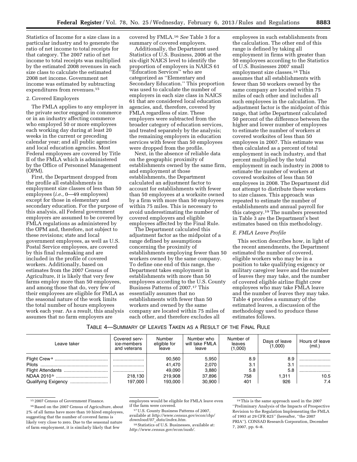Statistics of Income for a size class in a particular industry and to generate the ratio of net income to total receipts for that category. The 2007 ratio of net income to total receipts was multiplied by the estimated 2008 revenues in each size class to calculate the estimated 2008 net income. Government net income was estimated by subtracting expenditures from revenues.15

## 2. Covered Employers

The FMLA applies to any employer in the private sector engaged in commerce or in an industry affecting commerce who employed 50 or more employees each working day during at least 20 weeks in the current or preceding calendar year; and all public agencies and local education agencies. Most Federal employees are covered by Title II of the FMLA which is administered by the Office of Personnel Management (OPM).

First, the Department dropped from the profile all establishments in employment size classes of less than 50 employees (*i.e.,* 0—49 employees) except for those in elementary and secondary education. For the purpose of this analysis, all Federal government employers are assumed to be covered by FMLA regulations as administered by the OPM and, therefore, not subject to these revisions; state and local government employees, as well as U.S. Postal Service employees, are covered by this final rulemaking and are included in the profile of covered workers. Additionally, based on estimates from the 2007 Census of Agriculture, it is likely that very few farms employ more than 50 employees, and among those that do, very few of their employees are eligible for FMLA as the seasonal nature of the work limits the total number of hours employees work each year. As a result, this analysis assumes that no farm employers are

covered by FMLA.16 *See* Table 3 for a summary of covered employers.

Additionally, the Department used Statistics of U.S. Business, 2006 at the six-digit NAICS level to identify the proportion of employers in NAICS 61 ''Education Services'' who are categorized as ''Elementary and Secondary Education.'' This proportion was used to calculate the number of employers in each size class in NAICS 61 that are considered local education agencies, and, therefore, covered by FMLA regardless of size. These employers were subtracted from the broader category of education services, and treated separately by the analysis; the remaining employers in education services with fewer than 50 employees were dropped from the profile.

Next, in the absence of reliable data on the geographic proximity of establishments owned by the same firm, and employment at those establishments, the Department calculated an adjustment factor to account for establishments with fewer than 50 employees at a worksite owned by a firm with more than 50 employees within 75 miles. This is necessary to avoid underestimating the number of covered employers and eligible employees affected by the Final Rule.

The Department calculated this adjustment factor as the midpoint of a range defined by assumptions concerning the proximity of establishments employing fewer than 50 workers owned by the same company. To define one end of this range, the Department takes employment in establishments with more than 50 employees according to the U.S. County Business Patterns of 2007.17 This essentially assumes that no establishments with fewer than 50 workers and owned by the same company are located within 75 miles of each other, and therefore excludes all

employees in such establishments from the calculation. The other end of this range is defined by taking all employment in firms with greater than 50 employees according to the Statistics of U.S. Businesses 2007 small employment size classes.18 This assumes that all establishments with fewer than 50 workers owned by the same company are located within 75 miles of each other and includes all such employees in the calculation. The adjustment factor is the midpoint of this range, that isthe Department calculated 50 percent of the difference between the higher and lower number of employees to estimate the number of workers at covered worksites of less than 50 employees in 2007. This estimate was then calculated as a percent of total employment in each industry, and that percent multiplied by the total employment in each industry in 2008 to estimate the number of workers at covered worksites of less than 50 employees in 2008. The Department did not attempt to distribute these workers to size classes. This approach was repeated to estimate the number of establishments and annual payroll for this category.19 The numbers presented in Table 3 are the Department's best estimates based on this methodology.

### *E. FMLA Leave Profile*

This section describes how, in light of the recent amendments, the Department estimated the number of covered, eligible workers who may be in a position to take qualifying exigency or military caregiver leave and the number of leaves they may take, and the number of covered eligible airline flight crew employees who may take FMLA leave and the number of leaves they may take. Table 4 provides a summary of the estimated leaves, a discussion of the methodology used to produce these estimates follows.

# TABLE 4—SUMMARY OF LEAVES TAKEN AS A RESULT OF THE FINAL RULE

| Leave taker         | Covered serv-<br>ice-members<br>and veterans | Number<br>eligible for<br>leave | Number who<br>will take FMLA<br>leave | Number of<br>leaves<br>(1,000) | Days of leave<br>(1,000) | Hours of leave<br>(mil.) |
|---------------------|----------------------------------------------|---------------------------------|---------------------------------------|--------------------------------|--------------------------|--------------------------|
|                     |                                              | 90,560                          | 5,950                                 | 8.9                            | 8.9                      |                          |
|                     |                                              | 41,470                          | 2,070                                 | 3.1                            | 3.1                      |                          |
|                     |                                              | 49,090                          | 3.880                                 | 5.8                            | 5.8                      |                          |
|                     | 218.130                                      | 219.908                         | 37,896                                | 758                            | 1.311                    | 10.5                     |
| Qualifying Exigency | 197.000                                      | 193.000                         | 30.900                                | 401                            | 926                      | 7.4                      |

<sup>15</sup> 2007 Census of Government Finance.

<sup>&</sup>lt;sup>16</sup> Based on the 2007 Census of Agriculture, about 2% of all farms have more than 10 hired employees, suggesting that the number of covered farms is likely very close to zero. Due to the seasonal nature of farm employment, it is similarly likely that few

employees would be eligible for FMLA leave even if the farm were covered. 17U.S. County Business Patterns of 2007,

available at *[http://www.census.gov/econ/cbp/](http://www.census.gov/econ/cbp/download/07_data/index.htm)  download/07*\_*[data/index.htm.](http://www.census.gov/econ/cbp/download/07_data/index.htm)* 

<sup>18</sup>Statistics of U.S. Businesses, available at: *[http://www.census.gov/econ/susb/.](http://www.census.gov/econ/susb/)* 

<sup>19</sup>This is the same approach used in the 2007 ''Preliminary Analysis of the Impacts of Prospective Revision to the Regulation Implementing the FMLA of 1993 at 29 CFR 825'' (hereafter, ''the 2007 PRIA''). CONSAD Research Corporation, December 7, 2007, pp. 6–8.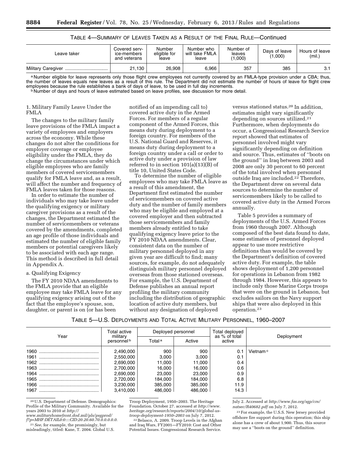| Leave taker | Covered serv-<br>ice-members<br>and veterans | Number<br>eligible for<br>leave | Number who<br>will take FMLA<br>leave |     | Davs of leave<br>(1,000) | Hours of leave<br>(mil.) |
|-------------|----------------------------------------------|---------------------------------|---------------------------------------|-----|--------------------------|--------------------------|
|             | 21.130                                       | 26.908                          | 6.966                                 | 357 | 385                      | 3.1                      |

| TABLE 4—SUMMARY OF LEAVES TAKEN AS A RESULT OF THE FINAL RULE—Continued |  |  |  |  |  |
|-------------------------------------------------------------------------|--|--|--|--|--|
|-------------------------------------------------------------------------|--|--|--|--|--|

a Number eligible for leave represents only those flight crew employees not currently covered by an FMLA-type provision under a CBA; thus, the number of leaves equals new leaves as a result of this rule. The Department did not estimate the number of hours of leave for flight crew<br>employees because the rule establishes a bank of days of leave, to be used in fu

b Number of days and hours of leave estimated based on leave profiles, see discussion for more detail.

#### 1. Military Family Leave Under the FMLA

The changes to the military family leave provisions of the FMLA impact a variety of employees and employers across the economy. While these changes do not alter the conditions for employer coverage or employee eligibility under the FMLA, they do change the circumstances under which eligible employees who are family members of covered servicemembers qualify for FMLA leave and, as a result, will affect the number and frequency of FMLA leaves taken for those reasons.

In order to estimate the number of individuals who may take leave under the qualifying exigency or military caregiver provisions as a result of the changes, the Department estimated the number of servicemembers or veterans covered by the amendments, completed an age profile of those individuals and estimated the number of eligible family members or potential caregivers likely to be associated with each age range. This method is described in full detail in Appendix A.

#### a. Qualifying Exigency

The FY 2010 NDAA amendments to the FMLA provide that an eligible employee may take FMLA leave for any qualifying exigency arising out of the fact that the employee's spouse, son, daughter, or parent is on (or has been

notified of an impending call to) covered active duty in the Armed Forces. For members of a regular component of the Armed Forces, this means duty during deployment to a foreign country. For members of the U.S. National Guard and Reserves, it means duty during deployment to a foreign country under a call or order to active duty under a provision of law referred to in section 101(a)(13)(B) of title 10, United States Code.

To determine the number of eligible employees who may take FMLA leave as a result of this amendment, the Department first estimated the number of servicemembers on covered active duty and the number of family members who may be eligible and employed at a covered employer and then subtracted those servicemembers and family members already entitled to take qualifying exigency leave prior to the FY 2010 NDAA amendments. Clear, consistent data on the number of military personnel deployed in any given year are difficult to find; many sources, for example, do not adequately distinguish military personnel deployed overseas from those stationed overseas. For example, the U.S. Department of Defense publishes an annual report profiling the military community including the distribution of geographic location of active duty members, but without any designation of deployed

versus stationed status.20 In addition, estimates might vary significantly depending on sources utilized.21 Furthermore, when deployments do occur, a Congressional Research Service report showed that estimates of personnel involved might vary significantly depending on definition and source. Thus, estimates of ''boots on the ground'' in Iraq between 2003 and 2008 are only 30 percent to 60 percent of the total involved when personnel outside Iraq are included.22 Therefore, the Department drew on several data sources to determine the number of servicemembers likely to be called to covered active duty in the Armed Forces annually.

Table 5 provides a summary of deployments of the U.S. Armed Forces from 1960 through 2007. Although composed of the best data found to date, some estimates of personnel deployed appear to use more restrictive definitions than would be covered by the Department's definition of covered active duty. For example, the table shows deployment of 1,200 personnel for operations in Lebanon from 1982 through 1984. However, this appears to include only those Marine Corps troops that were on the ground in Lebanon, but excludes sailors on the Navy support ships that were also deployed in this operation.23

| TABLE 5-U.S. DEPLOYMENTS AND TOTAL ACTIVE MILITARY PERSONNEL, 1960-2007 |  |  |
|-------------------------------------------------------------------------|--|--|
|-------------------------------------------------------------------------|--|--|

| Year | Total active            | Deployed personnel |         | Total deploved<br>as % of total | Deployment           |
|------|-------------------------|--------------------|---------|---------------------------------|----------------------|
|      | military<br>personnel b | Total <sup>a</sup> | Active  | active                          |                      |
|      | 2,490,000               | 900                | 900     | 0.1                             | Vietnam <sup>c</sup> |
|      | 2,550,000               | 3,000              | 3,000   | 0.1                             |                      |
|      | 2,690,000               | 11.000             | 11.000  | 0.4                             |                      |
|      | 2,700,000               | 16,000             | 16,000  | 0.6                             |                      |
|      | 2,690,000               | 23,000             | 23,000  | 0.9                             |                      |
|      | 2,720,000               | 184,000            | 184,000 | 6.8                             |                      |
|      | 3,230,000               | 385.000            | 385,000 | 11.9                            |                      |
|      | 3,410,000               | 486.000            | 486.000 | 14.3                            |                      |

<sup>20</sup>U.S. Department of Defense. Demographics: Profile of the Military Community. Available for the years 2003 to 2010 at *[http://](http://www.militaryhomefront.dod.mil/pls/psgprod/f?p=MHF:DETAIL0:0::::CID:20.20.60.70.0.0.0.0.0)* 

*[www.militaryhomefront.dod.mil/pls/psgprod/](http://www.militaryhomefront.dod.mil/pls/psgprod/f?p=MHF:DETAIL0:0::::CID:20.20.60.70.0.0.0.0.0)  [f?p=MHF:DETAIL0:0::::CID:20.20.60.70.0.0.0.0.0.](http://www.militaryhomefront.dod.mil/pls/psgprod/f?p=MHF:DETAIL0:0::::CID:20.20.60.70.0.0.0.0.0)* 

21*See*, for example, the promisingly, but misleadingly, titled: Kane, T. 2004. Global U.S. Troop Deployment, 1950–2003. The Heritage Foundation. October 27. accessed at *[http://www.](http://www.heritage.org/research/reports/2004/10/global-us-troop-deployment-1950-2003) [heritage.org/research/reports/2004/10/global-us-](http://www.heritage.org/research/reports/2004/10/global-us-troop-deployment-1950-2003)*

<sup>22</sup> Belasco, A. 2009. Troop Levels in the Afghan and Iraq Wars, FY2001—FY2010: Cost and Other Potential Issues. Congressional Research Service.

July 2. Accessed at *[http://www.fas.org/sgp/crs/](http://www.fas.org/sgp/crs/natsec/R40682.pdf) [natsec/R40682.pdf](http://www.fas.org/sgp/crs/natsec/R40682.pdf)* on July 7, 2012.

23For example, the U.S.S. New Jersey provided offshore fire support during this operation; this ship alone has a crew of about 1,900. Thus, this source may use a ''boots on the ground'' definition.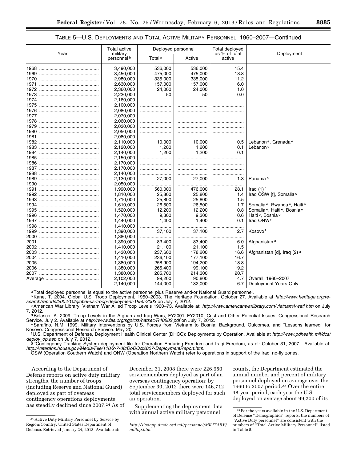# TABLE 5—U.S. DEPLOYMENTS AND TOTAL ACTIVE MILITARY PERSONNEL, 1960–2007—Continued

|      | Total active                       | Deployed personnel |         | Total deployed          |                                                                 |
|------|------------------------------------|--------------------|---------|-------------------------|-----------------------------------------------------------------|
| Year | military<br>personnel <sup>b</sup> | Total <sup>a</sup> | Active  | as % of total<br>active | Deployment                                                      |
|      | 3,490,000                          | 536,000            | 536,000 | 15.4                    |                                                                 |
| 1969 | 3,450,000                          | 475,000            | 475,000 | 13.8                    |                                                                 |
| 1970 | 2,980,000                          | 335,000            | 335,000 | 11.2                    |                                                                 |
| 1971 | 2,630,000                          | 157,000            | 157,000 | 6.0                     |                                                                 |
|      | 2,360,000                          | 24,000             | 24,000  | 1.0                     |                                                                 |
| 1973 | 2,230,000                          | 50                 | 50      | 0.0                     |                                                                 |
| 1974 | 2,160,000                          |                    |         |                         |                                                                 |
| 1975 | 2,100,000                          |                    |         |                         |                                                                 |
| 1976 | 2,080,000                          |                    |         |                         |                                                                 |
| 1977 | 2,070,000                          |                    |         |                         |                                                                 |
| 1978 | 2,060,000                          |                    |         |                         |                                                                 |
| 1979 | 2,030,000                          |                    |         |                         |                                                                 |
| 1980 | 2,050,000                          |                    |         |                         |                                                                 |
| 1981 | 2,080,000                          |                    |         |                         |                                                                 |
| 1982 | 2,110,000                          | 10,000             | 10,000  | 0.5                     | Lebanon <sup>e</sup> , Grenada <sup>e</sup>                     |
| 1983 | 2,120,000                          | 1,200              | 1,200   | 0.1                     | Lebanon <sup>e</sup>                                            |
| 1984 | 2,140,000                          | 1,200              | 1,200   | 0.1                     |                                                                 |
| 1985 | 2,150,000                          |                    |         |                         |                                                                 |
| 1986 | 2,170,000                          |                    |         |                         |                                                                 |
| 1987 | 2,170,000                          |                    |         |                         |                                                                 |
| 1988 | 2,140,000                          |                    |         |                         |                                                                 |
|      | 2,130,000                          | 27,000             | 27,000  | 1.3                     | Panama <sup>e</sup>                                             |
| 1990 | 2,050,000                          |                    | .       |                         |                                                                 |
| 1991 | 1,990,000                          | 560,000            | 476,000 | 28.1                    | Iraq $(1)$ <sup>f</sup>                                         |
| 1992 | 1,810,000                          | 25,800             | 25,800  | 1.4                     | Iraq OSW [f], Somalia <sup>e</sup>                              |
| 1993 | 1,710,000                          | 25,800             | 25,800  | 1.5                     |                                                                 |
| 1994 | 1,610,000                          | 26,500             | 26,500  | 1.7                     | Somalia <sup>e</sup> , Rwanda <sup>e</sup> , Haiti <sup>e</sup> |
| 1995 | 1,520,000                          | 12,200             | 12,200  | 0.8                     | Somalia <sup>e</sup> , Haiti <sup>e</sup> , Bosnia <sup>e</sup> |
| 1996 | 1,470,000                          | 9,300              | 9,300   | 0.6                     | Haiti <sup>e</sup> , Bosnia <sup>e</sup>                        |
| 1997 | 1,440,000                          | 1,400              | 1,400   | 0.1                     | Iraq ONW <sup>f</sup>                                           |
| 1998 | 1,410,000                          |                    |         | .                       |                                                                 |
| 1999 | 1,390,000                          | 37,100             | 37,100  | 2.7                     | Kosovo <sup>f</sup>                                             |
| 2000 | 1,380,000                          |                    |         |                         |                                                                 |
| 2001 | 1,390,000                          | 83,400             | 83,400  | 6.0                     | Afghanistan <sup>d</sup>                                        |
| 2002 | 1,410,000                          | 21,100             | 21,100  | 1.5                     |                                                                 |
| 2003 | 1,430,000                          | 237,600            | 178,200 | 16.6                    | Afghanistan [d], Iraq (2) 9                                     |
| 2004 | 1,410,000                          | 236,100            | 177,100 | 16.7                    |                                                                 |
| 2005 | 1,380,000                          | 258,900            | 194,200 | 18.8                    |                                                                 |
| 2006 | 1,380,000                          | 265,400            | 199,100 | 19.2                    |                                                                 |
|      | 1,380,000                          | 285,700            | 214,300 | 20.7                    |                                                                 |
|      | 2,102,000                          | 99,200             | 90,800  | 4.7                     | Overall, 1960-2007                                              |
|      | 2,140,000                          | 144,000            | 132,000 | 6.7                     | Deployment Years Only                                           |

a Total deployed personnel is equal to the active personnel plus Reserve and/or National Guard personnel.

bKane, T. 2004. Global U.S. Troop Deployment, 1950–2003. The Heritage Foundation. October 27. Available at *[http://www.heritage.org/re](http://www.heritage.org/research/reports/2004/10/global-us-troop-deployment-1950-2003)*[search/reports/2004/10/global-us-troop-deployment-1950-2003](http://www.heritage.org/research/reports/2004/10/global-us-troop-deployment-1950-2003) on July 7, 2012.<br>CAmerican War Library. Vietnam War Allied Troop Levels 1960–73. Available at: <http://www.americanwarlibrary.com/vietnam/vwatl.htm>on July

7, 2012.<br><sup>d</sup>Belasco, A. 2009. Troop Levels in the Afghan and Iraq Wars, FY2001–FY2010: Cost and Other Potential Issues. Congressional Research<br>Service. July 2. Available at *http://www.fas.org/sgp/crs/natsec/R40682.pdf* on

Example of the U.S. Processional Research Service Box 1999. Nullevelops by U.S. Forces from Vietnam to Bosnia: Background, Outcomes, and "Lessons learned" for<br>Kosovo. Congressional Research Service. May 20.

<sup>f</sup> U.S. Department of Defense, Deployment Health Clinical Center (DHCC): Deployments by Operation. Available at *[http://www.pdhealth.mil/dcs/](http://www.pdhealth.mil/dcs/deploy_op.asp)* deploy\_op.asp on July 7, 2012.<br>[g](http://www.pdhealth.mil/dcs/deploy_op.asp) "Contingency Tracking System deployment file for Operation Enduring Freedom and Iraqi Freedom, as of: October 31, 2007." Available at:

*[http://veterans.house.gov/Media/File/110/2-7-08/DoDOct2007-DeploymentReport.htm.](http://veterans.house.gov/Media/File/110/2-7-08/DoDOct2007-DeploymentReport.htm)* 

OSW (Operation Southern Watch) and ONW (Operation Northern Watch) refer to operations in support of the Iraqi no-fly zones.

According to the Department of Defense reports on active duty military strengths, the number of troops (including Reserve and National Guard) deployed as part of overseas contingency operations deployments has steadily declined since 2007.24 As of December 31, 2008 there were 226,950 servicemembers deployed as part of an overseas contingency operation; by September 30, 2012 there were 146,712 total servicemembers deployed for such an operation.

Supplementing the deployment data with annual active military personnel

counts, the Department estimated the annual number and percent of military personnel deployed on average over the 1960 to 2007 period.25 Over the entire 48-year period, each year the U.S. deployed on average about 99,200 of its

<sup>24</sup>Active Duty Military Personnel by Service by Region/Country. United States Department of Defense. Retrieved January 24, 2013. Available at:

*[http://siadapp.dmdc.osd.mil/personnel/MILITARY/](http://siadapp.dmdc.osd.mil/personnel/MILITARY/miltop.htm)  [miltop.htm.](http://siadapp.dmdc.osd.mil/personnel/MILITARY/miltop.htm)* 

 $^{\rm 25}$  For the years available in the U.S. Department of Defense ''Demographics'' reports, the numbers of ''Active Duty personnel'' are consistent with the numbers of ''Total Active Military Personnel'' listed in Table 5.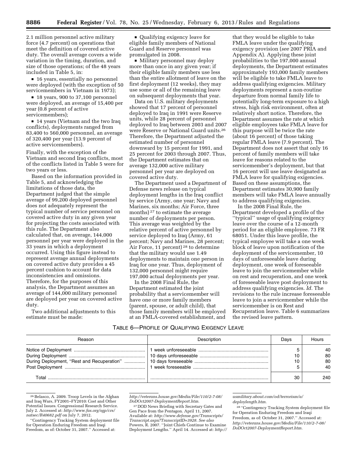2.1 million personnel active military force (4.7 percent) on operations that meet the definition of covered active duty. The overall average covers a wide variation in the timing, duration, and size of those operations; of the 48 years included in Table 5, in:

■ 16 years, essentially no personnel were deployed (with the exception of 50 servicemembers in Vietnam in 1973);

 $\blacksquare$  18 years, 900 to 37,100 personnel were deployed, an average of 15,400 per year (0.8 percent of active servicemembers);

■ 14 years (Vietnam and the two Iraq conflicts), deployments ranged from 83,400 to 560,000 personnel, an average of 320,400 per year (13.9 percent of active servicemembers).

Finally, with the exception of the Vietnam and second Iraq conflicts, most of the conflicts listed in Table 5 were for two years or less.

Based on the information provided in Table 5, and acknowledging the limitations of those data, the Department judged that the simple average of 99,200 deployed personnel does not adequately represent the typical number of service personnel on covered active duty in any given year for projecting the costs associated with this rule. The Department also calculated that, on average, 144,000 personnel per year were deployed in the 33 years in which a deployment occurred. Using this figure instead to represent average annual deployments on covered active duty provides a 45 percent cushion to account for data inconsistencies and omissions. Therefore, for the purposes of this analysis, the Department assumes an average of 144,000 military personnel are deployed per year on covered active duty.

Two additional adjustments to this estimate must be made:

• Qualifying exigency leave for eligible family members of National Guard and Reserve personnel was promulgated in 2008.

• Military personnel may deploy more than once in any given year; if their eligible family members use less than the entire allotment of leave on the first deployment (12 weeks), they may use some or all of the remaining leave on subsequent deployments that year.

Data on U.S. military deployments showed that 17 percent of personnel deployed to Iraq in 1991 were Reserve units, while 28 percent of personnel deployed to Iraq between 2003 and 2007 were Reserve or National Guard units.26 Therefore, the Department adjusted the estimated number of personnel downward by 15 percent for 1991, and 25 percent for 2003 through 2007. Thus, the Department estimates that on average 132,000 active military personnel per year are deployed on covered active duty.

The Department used a Department of Defense news release on typical deployment lengths in the Iraq conflict by service (Army, one year; Navy and Marines, six months; Air Force, three months)<sup>27</sup> to estimate the average number of deployments per person. This average was weighted by the relative percent of active personnel by service deployed to Iraq (Army, 61 percent; Navy and Marines, 28 percent; Air Force, 11 percent) 28 to determine that the military would use 1.49 deployments to maintain one person in Iraq for one year. Thus, deployment of 132,000 personnel might require 197,000 actual deployments per year.

In the 2008 Final Rule, the Department estimated the joint probability that a servicemember will have one or more family members (parent, spouse, or adult child), that those family members will be employed at an FMLA-covered establishment, and

that they would be eligible to take FMLA leave under the qualifying exigency provision (*see* 2007 PRIA and Appendix A). Applying these joint probabilities to the 197,000 annual deployments, the Department estimates approximately 193,000 family members will be eligible to take FMLA leave to address qualifying exigencies. Military deployments represent a non-routine departure from normal family life to potentially long-term exposure to a high stress, high risk environment, often at relatively short notice. Therefore, the Department assumes the rate at which eligible employees take FMLA leave for this purpose will be twice the rate (about 16 percent) of those taking regular FMLA leave (7.9 percent). The Department does not assert that only 16 percent of family members will take leave for reasons related to the servicemember's deployment, but that 16 percent will use leave designated as FMLA leave for qualifying exigencies. Based on these assumptions, the Department estimates 30,900 family members will take FMLA leave annually to address qualifying exigencies.

In the 2008 Final Rule, the Department developed a profile of the ''typical'' usage of qualifying exigency leave over the course of a 12-month period for an eligible employee. 73 FR 68051. Under this leave profile, the typical employee will take a one week block of leave upon notification of the deployment of the servicemember, 10 days of unforeseeable leave during deployment, one week of foreseeable leave to join the servicemember while on rest and recuperation, and one week of foreseeable leave post deployment to address qualifying exigencies. *Id.* The revisions to the rule increase foreseeable leave to join a servicemember while the servicemember is on Rest and Recuperation leave. Table 6 summarizes the revised leave pattern.

# TABLE 6—PROFILE OF QUALIFYING EXIGENCY LEAVE

| Reason | Description | Davs | Hours |
|--------|-------------|------|-------|
|        |             |      | 40    |
|        |             | 10   | 80    |
|        |             | 10   | 80    |
|        |             |      | 40    |
| Total  |             | 30   | 240   |

<sup>&</sup>lt;sup>26</sup> Belasco, A. 2009. Troop Levels in the Afghan and Iraq Wars, FY2001–FY2010: Cost and Other Potential Issues. Congressional Research Service. July 2. Accessed at: *[http://www.fas.org/sgp/crs/](http://www.fas.org/sgp/crs/natsec/R40682.pdf) [natsec/R40682.pdf](http://www.fas.org/sgp/crs/natsec/R40682.pdf)* on July 7, 2012.

''Contingency Tracking System deployment file for Operation Enduring Freedom and Iraqi Freedom, as of: October 31, 2007.'' Accessed at:

*[http://veterans.house.gov/Media/File/110/2-7-08/](http://veterans.house.gov/Media/File/110/2-7-08/DoDOct2007-DeploymentReport.htm) [DoDOct2007-DeploymentReport.htm.](http://veterans.house.gov/Media/File/110/2-7-08/DoDOct2007-DeploymentReport.htm)* 

27 DOD News Briefing with Secretary Gates and Gen Pace from the Pentagon. April 11, 2007. Available at: *[http://www.defense.gov/Transcripts/](http://www.defense.gov/Transcripts/Transcript.aspx?TranscriptID=3928) [Transcript.aspx?TranscriptID=3928.](http://www.defense.gov/Transcripts/Transcript.aspx?TranscriptID=3928) See also*  Powers, R. 2007. ''Joint Chiefs Continue to Examine Deployment Lengths.'' April 14. Accessed at: *[http://](http://usmilitary.about.com/od/terrorism/a/deploylength.htm)* 

*[usmilitary.about.com/od/terrorism/a/](http://usmilitary.about.com/od/terrorism/a/deploylength.htm) [deploylength.htm.](http://usmilitary.about.com/od/terrorism/a/deploylength.htm)* 

28 ''Contingency Tracking System deployment file for Operation Enduring Freedom and Iraqi Freedom, as of: October 31, 2007.'' Accessed at: *[http://veterans.house.gov/Media/File/110/2-7-08/](http://veterans.house.gov/Media/File/110/2-7-08/DoDOct2007-DeploymentReport.htm) [DoDOct2007-DeploymentReport.htm.](http://veterans.house.gov/Media/File/110/2-7-08/DoDOct2007-DeploymentReport.htm)*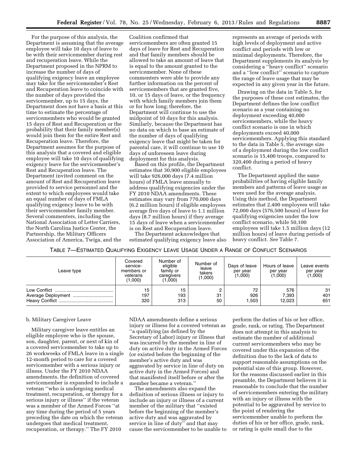For the purpose of this analysis, the Department is assuming that the average employee will take 10 days of leave to be with their servicemember during rest and recuperation leave. While the Department proposed in the NPRM to increase the number of days of qualifying exigency leave an employee may take for the servicemember's Rest and Recuperation leave to coincide with the number of days provided the servicemember, up to 15 days, the Department does not have a basis at this time to estimate the percentage of servicemembers who would be granted 15 days of Rest and Recuperation or the probability that their family member(s) would join them for the entire Rest and Recuperation leave. Therefore, the Department assumes for the purpose of this analysis that a covered and eligible employee will take 10 days of qualifying exigency leave for the servicemember's Rest and Recuperation leave. The Department invited comment on the amount of Rest and Recuperation leave provided to service personnel and the extent to which employees would take an equal number of days of FMLA qualifying exigency leave to be with their servicemember family member. Several commenters, including the National Association of Letter Carriers, the North Carolina Justice Center, the Partnership, the Military Officers Association of America, Twiga, and the

Coalition confirmed that servicemembers are often granted 15 days of leave for Rest and Recuperation and that family members should be allowed to take an amount of leave that is equal to the amount granted to the servicemember. None of these commenters were able to provide any further information on the percent of servicemembers that are granted five, 10, or 15 days of leave, or the frequency with which family members join them or for how long; therefore, the Department will continue to use the midpoint of 10 days for this analysis. Similarly, because the Department has no data on which to base an estimate of the number of days of qualifying exigency leave that might be taken for parental care, it will continue to use 10 days of unforeseen leave during deployment for this analysis.

Based on this profile, the Department estimates that 30,900 eligible employees will take 926,000 days (7.4 million hours) of FMLA leave annually to address qualifying exigencies under the FY 2010 NDAA amendments. These estimates may vary from 770,000 days (6.2 million hours) if eligible employees average five days of leave to 1.1 million days (8.7 million hours) if they average 15 days of leave when a servicemember is on Rest and Recuperation leave.

The Department acknowledges that estimated qualifying exigency leave also represents an average of periods with high levels of deployment and active conflict and periods with low or minimal deployments. Therefore, the Department supplements its analysis by considering a ''heavy conflict'' scenario and a ''low conflict'' scenario to capture the range of leave usage that may be expected in any given year in the future.

Drawing on the data in Table 5, for the purposes of these cost estimates, the Department defines the low conflict scenario as a year containing no deployment exceeding 40,000 servicemembers, while the heavy conflict scenario is one in which deployments exceed 40,000 servicemembers. Applying this standard to the data in Table 5, the average size of a deployment during the low conflict scenario is 15,400 troops, compared to 320,400 during a period of heavy conflict.

The Department applied the same probabilities of having eligible family members and patterns of leave usage as were used for the average analysis. Using this method, the Department estimates that 2,400 employees will take 72,000 days (576,500 hours) of leave for qualifying exigencies under the low conflict scenario, while 50,100 employees will take 1.5 million days (12 million hours) of leave during periods of heavy conflict. *See* Table 7.

| TABLE 7—ESTIMATED QUALIFYING EXIGENCY LEAVE USAGE UNDER A RANGE OF CONFLICT SCENARIOS |
|---------------------------------------------------------------------------------------|
|---------------------------------------------------------------------------------------|

| Leave type | Covered<br>service-<br>members or<br>veterans<br>(1,000) | Number of<br>eligible<br>family or<br>caregivers<br>(1,000) | Number of<br>leave<br>takers<br>(1,000) | Days of leave<br>per year<br>(1,000) | Hours of leave<br>per year<br>(1,000) | Leave events<br>per year<br>(1,000) |
|------------|----------------------------------------------------------|-------------------------------------------------------------|-----------------------------------------|--------------------------------------|---------------------------------------|-------------------------------------|
|            | 15<br>197<br>320                                         | 15<br>193<br>313                                            | 31<br>50                                | 72<br>926<br>.503                    | 576<br>7.393<br>12,023                | 31<br>401<br>651                    |

#### b. Military Caregiver Leave

Military caregiver leave entitles an eligible employee who is the spouse, son, daughter, parent, or next of kin of a covered servicemember to take up to 26 workweeks of FMLA leave in a single 12-month period to care for a covered servicemember with a serious injury or illness. Under the FY 2010 NDAA amendments, the definition of covered servicemember is expanded to include a veteran ''who is undergoing medical treatment, recuperation, or therapy for a serious injury or illness'' if the veteran was a member of the Armed Forces ''at any time during the period of 5 years preceding the date on which the veteran undergoes that medical treatment, recuperation, or therapy.'' The FY 2010

NDAA amendments define a serious injury or illness for a covered veteran as ''a qualifying (as defined by the Secretary of Labor) injury or illness that was incurred by the member in line of duty on active duty in the Armed Forces (or existed before the beginning of the member's active duty and was aggravated by service in line of duty on active duty in the Armed Forces) and that manifested itself before or after the member became a veteran.''

The amendments also expand the definition of serious illness or injury to include an injury or illness of a current member of the military that ''existed before the beginning of the member's active duty and was aggravated by service in line of duty'' and that may cause the servicemember to be unable to

perform the duties of his or her office, grade, rank, or rating. The Department does not attempt in this analysis to estimate the number of additional current servicemembers who may be covered under this expansion of the definition due to the lack of data to support reasonable assumptions on the potential size of this group. However, for the reasons discussed earlier in this preamble, the Department believes it is reasonable to conclude that the number of servicemembers entering the military with an injury or illness with the potential to be aggravated by service to the point of rendering the servicemember unable to perform the duties of his or her office, grade, rank, or rating is quite small due to the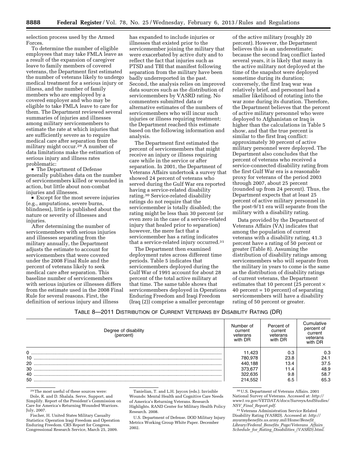selection process used by the Armed Forces.

To determine the number of eligible employees that may take FMLA leave as a result of the expansion of caregiver leave to family members of covered veterans, the Department first estimated the number of veterans likely to undergo medical treatment for a serious injury or illness, and the number of family members who are employed by a covered employer and who may be eligible to take FMLA leave to care for them. The Department reviewed several summaries of injuries and illnesses among military servicemembers to estimate the rate at which injuries that are sufficiently severe as to require medical care after separation from the military might occur.29 A number of data limitations make the estimation of serious injury and illness rates problematic:

 $\blacksquare$  The Department of Defense generally publishes data on the number of servicemembers killed or wounded in action, but little about non-combat injuries and illnesses.

 $\blacksquare$  Except for the most severe injuries (e.g., amputations, severe burns, blindness), little is published about the nature or severity of illnesses and injuries.

After determining the number of servicemembers with serious injuries and illnesses separating from the military annually, the Department adjusts the estimate to account for servicemembers that were covered under the 2008 Final Rule and the percent of veterans likely to seek medical care after separation. This baseline number of servicemembers with serious injuries or illnesses differs from the estimate used in the 2008 Final Rule for several reasons. First, the definition of serious injury and illness

has expanded to include injuries or illnesses that existed prior to the servicemember joining the military that were exacerbated by active duty and to reflect the fact that injuries such as PTSD and TBI that manifest following separation from the military have been badly underreported in the past. Second, the analysis relies on improved data sources such as the distribution of servicemembers by VASRD rating. No commenters submitted data or alternative estimates of the numbers of servicemembers who will incur such injuries or illness requiring treatment; the Department reached this estimate based on the following information and analysis.

The Department first estimated the percent of servicemembers that might receive an injury or illness requiring care while in the service or after separation. In 2001, the Department of Veterans Affairs undertook a survey that showed 24 percent of veterans who served during the Gulf War era reported having a service-related disability rating.30 Service-related disability ratings do not require that the servicemember is totally disabled; the rating might be less than 30 percent (or even zero in the case of a service-related injury that healed prior to separation) however, the mere fact that a servicemember has a rating indicates that a service-related injury occurred.31

The Department then examined deployment rates across different time periods. Table 5 indicates that servicemembers deployed during the Gulf War of 1991 account for about 28 percent of the total active military at that time. The same table shows that servicemembers deployed in Operations Enduring Freedom and Iraqi Freedom (Iraq (2)) comprise a smaller percentage

of the active military (roughly 20 percent). However, the Department believes this is an underestimate; because the second Iraq conflict lasted several years, it is likely that many in the active military not deployed at the time of the snapshot were deployed sometime during its duration; conversely, the first Iraq war was relatively brief, and personnel had a smaller likelihood of rotating into the war zone during its duration. Therefore, the Department believes that the percent of active military personnel who were deployed to Afghanistan or Iraq is higher than the calculations in Table 5 show, and that the true percent is similar to the first Iraq conflict: approximately 30 percent of active military personnel were deployed. The Department also concludes that the percent of veterans who received a service-connected disability rating from the first Gulf War era is a reasonable proxy for veterans of the period 2003 through 2007, about 25 percent (rounded up from 24 percent). Thus, the Department expects that at least 25 percent of active military personnel in the post-9/11 era will separate from the military with a disability rating.

Data provided by the Department of Veterans Affairs (VA) indicates that among the population of current veterans with a disability rating, 41.3 percent have a rating of 50 percent or greater (Table 8). Assuming the distribution of disability ratings among servicemembers who will separate from the military in years to come is the same as the distribution of disability ratings of current veterans, the Department estimates that 10 percent (25 percent × 40 percent = 10 percent) of separating servicemembers will have a disability rating of 50 percent or greater.

|  | TABLE 8-2011 DISTRIBUTION OF CURRENT VETERANS BY DISABILITY RATING (DR) |  |  |  |
|--|-------------------------------------------------------------------------|--|--|--|
|--|-------------------------------------------------------------------------|--|--|--|

| Degree of disability<br>(percent) | Number of<br>current<br>veterans<br>with DR | Percent of<br>current<br>veterans<br>with DR | Cumulative<br>percent of<br>current<br>veterans<br>with DR |
|-----------------------------------|---------------------------------------------|----------------------------------------------|------------------------------------------------------------|
| 0                                 | 1.423                                       | 0.3                                          | 0.3                                                        |
| 10                                | 780.978                                     | 23.8                                         | 24.1                                                       |
| 20                                | 440,188                                     | 13.4                                         | 37.5                                                       |
| 30                                | 373.677                                     | 11.4                                         | 48.9                                                       |
| 40                                | 322,635                                     | 9.8                                          | 58.7                                                       |
| 50                                | 214.552                                     | 6.5                                          | 65.3                                                       |

29The most useful of these sources were: Dole, R. and D. Shalala. Serve, Support, and Simplify. Report of the President's Commission on Care for America's Returning Wounded Warriors. July, 2007.

Fischer, H. United States Military Casualty Statistics: Operation Iraqi Freedom and Operation Enduring Freedom. CRS Report for Congress. Congressional Research Service, March 25, 2009.

Tanielian, T. and L.H. Jaycox (eds.). Invisible Wounds: Mental Health and Cognitive Care Needs of America's Returning Veterans. Research Highlights. RAND Center for Military Health Policy Research. 2008.

U.S. Department of Defense. DOD Military Injury Metrics Working Group White Paper. December 2002.

<sup>30</sup>U.S. Department of Veterans Affairs. 2001 National Survey of Veterans. Accessed at: *[http://](http://www1.va.gov/VETDATA/docs/SurveysAndStudies/NSV_Final_Report.pdf) [www1.va.gov/VETDATA/docs/SurveysAndStudies/](http://www1.va.gov/VETDATA/docs/SurveysAndStudies/NSV_Final_Report.pdf) NSV*\_*Final*\_*[Report.pdf](http://www1.va.gov/VETDATA/docs/SurveysAndStudies/NSV_Final_Report.pdf)*.

<sup>31</sup> Veterans Administration Service Related Disability Rating (VASRD). Accessed at: *[http://](http://myarmybenefits.us.army.mil/Home/Benefit_Library/Federal_Benefits_Page/Veterans_Affairs_Schedule_for_Rating_Disabilities_(VASRD).html) [myarmybenefits.us.army.mil/Home/Benefit](http://myarmybenefits.us.army.mil/Home/Benefit_Library/Federal_Benefits_Page/Veterans_Affairs_Schedule_for_Rating_Disabilities_(VASRD).html)*\_ *[Library/Federal](http://myarmybenefits.us.army.mil/Home/Benefit_Library/Federal_Benefits_Page/Veterans_Affairs_Schedule_for_Rating_Disabilities_(VASRD).html)*\_*Benefits*\_*Page/Veterans*\_*Affairs*\_ *Schedule*\_*for*\_*Rating*\_*Disabilities*\_*[\(VASRD\).html](http://myarmybenefits.us.army.mil/Home/Benefit_Library/Federal_Benefits_Page/Veterans_Affairs_Schedule_for_Rating_Disabilities_(VASRD).html)*.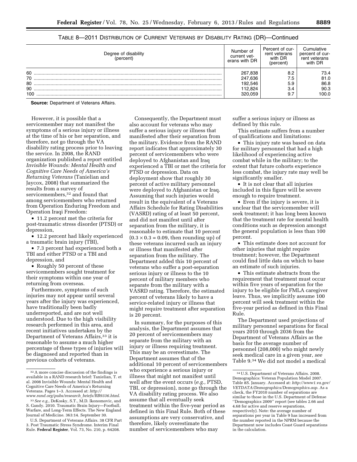|     | Degree of disability<br>(percent | Number of<br>current vet-<br>erans with DR | Percent of cur-<br>rent veterans<br>with DR<br>(percent) | Cumulative<br>percent of cur-<br>rent veterans<br>with DR |
|-----|----------------------------------|--------------------------------------------|----------------------------------------------------------|-----------------------------------------------------------|
| 60  |                                  | 267,838                                    | 8.2                                                      | 73.4                                                      |
| 70  |                                  | 247,636                                    | 7.5                                                      | 81.0                                                      |
| 80  |                                  | 192,546                                    | 5.9                                                      | 86.8                                                      |
| 90  |                                  | 112.824                                    | 3.4                                                      | 90.3                                                      |
| 100 |                                  | 320.059                                    | 9.7                                                      | 100.0                                                     |
|     |                                  |                                            |                                                          |                                                           |

# TABLE 8—2011 DISTRIBUTION OF CURRENT VETERANS BY DISABILITY RATING (DR)—Continued

**Source:** Department of Veterans Affairs.

However, it is possible that a servicemember may not manifest the symptoms of a serious injury or illness at the time of his or her separation, and therefore, not go through the VA disability rating process prior to leaving the service. In 2008, the RAND organization published a report entitled *Invisible Wounds: Mental Health and Cognitive Care Needs of America's Returning Veterans* (Tanielian and Jaycox, 2008) that summarized the results from a survey of servicemembers,32 and found that among servicemembers who returned from Operation Enduring Freedom and Operation Iraqi Freedom:

• 11.2 percent met the criteria for post-traumatic stress disorder (PTSD) or depression,

• 12.2 percent had likely experienced a traumatic brain injury (TBI),

• 7.3 percent had experienced both a TBI and either PTSD or a TBI and depression, and

• Roughly 50 percent of these servicemembers sought treatment for their symptoms within one year of returning from overseas.

Furthermore, symptoms of such injuries may not appear until several years after the injury was experienced, have traditionally been badly underreported, and are not well understood. Due to the high visibility research performed in this area, and recent initiatives undertaken by the Department of Veterans Affairs,<sup>33</sup> it is reasonable to assume a much higher percentage of these types of injuries will be diagnosed and reported than in previous cohorts of veterans.

U.S. Department of Veterans Affairs. 38 CFR Part 3. Post Traumatic Stress Syndrome. Interim Final Rule. **Federal Register**, Vol. 73, No. 210, p. 64208.

Consequently, the Department must also account for veterans who may suffer a serious injury or illness that manifested after their separation from the military. Evidence from the RAND report indicates that approximately 30 percent of servicemembers who were deployed to Afghanistan and Iraq experienced a TBI or met the criteria for PTSD or depression. Data on deployment show that roughly 30 percent of active military personnel were deployed to Afghanistan or Iraq. Assuming that such injuries would result in the equivalent of a Veterans Affairs Schedule for Rating Disabilities (VASRD) rating of at least 50 percent, and did not manifest until after separation from the military, it is reasonable to estimate that 10 percent  $(0.3 \times 0.3 = 0.09$ , then rounding up) of these veterans incurred such an injury or illness that manifested after separation from the military. The Department added this 10 percent of veterans who suffer a post-separation serious injury or illness to the 10 percent of military members who separate from the military with a VASRD rating. Therefore, the estimated percent of veterans likely to have a service-related injury or illness that might require treatment after separation is 20 percent.

In summary, for the purposes of this analysis, the Department assumes that 20 percent of servicemembers may separate from the military with an injury or illness requiring treatment. This may be an overestimate. The Department assumes that of the additional 10 percent of servicemembers who experience a serious injury or illness that might not manifest until well after the event occurs (*e.g.,* PTSD, TBI, or depression), none go through the VA disability rating process. We also assume that all eventually seek treatment within the five-year period as defined in this Final Rule. Both of these assumptions are very conservative, and therefore, likely overestimate the number of servicemembers who may

suffer a serious injury or illness as defined by this rule.

This estimate suffers from a number of qualifications and limitations:

• This injury rate was based on data for military personnel that had a high likelihood of experiencing active combat while in the military; to the extent that future cohorts experience less combat, the injury rate may well be significantly smaller.

• It is not clear that all injuries included in this figure will be severe enough to require treatment.

• Even if the injury is severe, it is unclear that the servicemember will seek treatment; it has long been known that the treatment rate for mental health conditions such as depression amongst the general population is less than 100 percent.

• This estimate does not account for other injuries that might require treatment; however, the Department could find little data on which to base an estimate of such injuries.

• This estimate abstracts from the requirement that treatment must occur within five years of separation for the injury to be eligible for FMLA caregiver leave. Thus, we implicitly assume 100 percent will seek treatment within the five-year period as defined in this Final Rule.

The Department used projections of military personnel separations for fiscal years 2010 through 2036 from the Department of Veterans Affairs as the basis for the average number of personnel (208,000) who might newly seek medical care in a given year, *see*  Table 9.34 We did not model a medical

<sup>32</sup>A more concise discussion of the findings is available in a RAND research brief: Tanielian, T. et al. 2008 Invisible Wounds: Mental Health and Cognitive Care Needs of America's Returning Veterans. Pages 1–3. Accessed at: *[http://](http://www.rand.org/pubs/research_briefs/RB9336.html) [www.rand.org/pubs/research](http://www.rand.org/pubs/research_briefs/RB9336.html)*\_*briefs/RB9336.html*.

<sup>33</sup>*See e.g.,* DeKosky, S.T., M.D. Ikonomovic, and S. Gandy. 2010. Traumatic Brain Injury—Football, Warfare, and Long-Term Effects. The New England Journal of Medicine. 363:14. September 30.

<sup>34</sup>U.S. Department of Veterans Affairs. 2008. Demographics: Veteran Population Model 2007. Table 8S. January. Accessed at: *[http://www1.va.gov/](http://www1.va.gov/VETDATA/Demographics/Demographics.asp) [VETDATA/Demographics/Demographics.asp](http://www1.va.gov/VETDATA/Demographics/Demographics.asp)*. As a check, the FY2010 number of separations are similar to those in the U.S. Department of Defense ''Demographics 2009'' report (see tables 2.66 and 4.68 for active and reserve separations, respectively). Note: the average number of separations per year in Table 9 has increased from the number reported in the NPRM because the Department now includes Coast Guard separations in the calculation.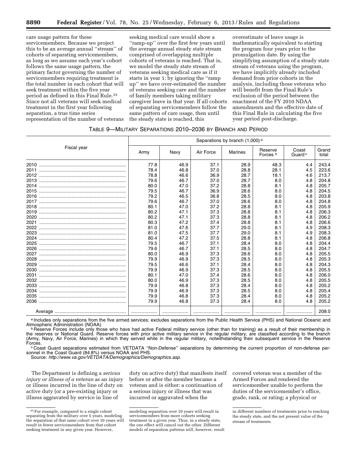care usage pattern for these servicemembers. Because we project this to be an average annual ''stream'' of cohorts of separating servicemembers, as long as we assume each year's cohort follows the same usage pattern, the primary factor governing the number of servicemembers requiring treatment is the total number in each cohort that will seek treatment within the five year period as defined in this Final Rule.35 Since not all veterans will seek medical treatment in the first year following separation, a true time series representation of the number of veterans

seeking medical care would show a ''ramp-up'' over the first few years until the average annual steady state stream comprised of overlapping multiple cohorts of veterans is reached. That is, we model the steady state stream of veterans seeking medical care as if it starts in year 1; by ignoring the ''ramp up'' we have over-estimated the number of veterans seeking care and the number of family members taking military caregiver leave in that year. If all cohorts of separating servicemembers follow the same pattern of care usage, then until the steady state is reached, this

overestimate of leave usage is mathematically equivalent to starting the program four years prior to the promulgation date. By using the simplifying assumption of a steady state stream of veterans using the program, we have implicitly already included demand from prior cohorts in the analysis, including those veterans who will benefit from the Final Rule's exclusion of the period between the enactment of the FY 2010 NDAA amendments and the effective date of this Final Rule in calculating the five year period post-discharge.

### TABLE 9—MILITARY SEPARATIONS 2010–2036 BY BRANCH AND PERIOD

|             |      |      | Separations by branch (1,000) <sup>a</sup> |         |                                |                             |                |  |  |  |
|-------------|------|------|--------------------------------------------|---------|--------------------------------|-----------------------------|----------------|--|--|--|
| Fiscal year | Army | Navy | Air Force                                  | Marines | Reserve<br>Forces <sup>b</sup> | Coast<br>Guard <sup>c</sup> | Grand<br>total |  |  |  |
|             | 77.8 | 46.9 | 37.1                                       | 28.9    | 48.3                           | 4.4                         | 243.4          |  |  |  |
| 2011        | 78.4 | 46.8 | 37.0                                       | 28.8    | 28.1                           | 4.5                         | 223.6          |  |  |  |
| 2012        | 78.8 | 46.6 | 36.9                                       | 28.7    | 18.1                           | 4.6                         | 213.7          |  |  |  |
| 2013        | 79.6 | 46.7 | 37.0                                       | 28.7    | 8.0                            | 4.8                         | 204.8          |  |  |  |
| 2014        | 80.0 | 47.0 | 37.2                                       | 28.8    | 8.1                            | 4.8                         | 205.7          |  |  |  |
|             | 79.5 | 46.7 | 36.9                                       | 28.6    | 8.0                            | 4.8                         | 204.5          |  |  |  |
| 2016        | 79.2 | 46.5 | 36.8                                       | 28.5    | 8.0                            | 4.8                         | 203.8          |  |  |  |
| 2017        | 79.6 | 46.7 | 37.0                                       | 28.6    | 8.0                            | 4.8                         | 204.8          |  |  |  |
| 2018        | 80.1 | 47.0 | 37.2                                       | 28.8    | 8.1                            | 4.8                         | 205.9          |  |  |  |
| 2019        | 80.2 | 47.1 | 37.3                                       | 28.8    | 8.1                            | 4.8                         | 206.3          |  |  |  |
| 2020        | 80.2 | 47.1 | 37.3                                       | 28.8    | 8.1                            | 4.8                         | 206.2          |  |  |  |
| 2021        | 80.3 | 47.2 | 37.4                                       | 28.8    | 8.1                            | 4.8                         | 206.6          |  |  |  |
| 2022        | 81.0 | 47.6 | 37.7                                       | 29.0    | 8.1                            | 4.9                         | 208.3          |  |  |  |
| 2023        | 81.0 | 47.5 | 37.7                                       | 29.0    | 8.1                            | 4.9                         | 208.3          |  |  |  |
| 2024        | 80.4 | 47.2 | 37.5                                       | 28.8    | 8.1                            | 4.8                         | 206.8          |  |  |  |
| 2025        | 79.5 | 46.7 | 37.1                                       | 28.4    | 8.0                            | 4.8                         | 204.4          |  |  |  |
| 2026        | 79.6 | 46.7 | 37.1                                       | 28.5    | 8.0                            | 4.8                         | 204.7          |  |  |  |
| 2027        | 80.0 | 46.9 | 37.3                                       | 28.6    | 8.0                            | 4.8                         | 205.5          |  |  |  |
| 2028        | 79.9 | 46.9 | 37.3                                       | 28.5    | 8.0                            | 4.8                         | 205.3          |  |  |  |
| 2029        | 79.5 | 46.6 | 37.1                                       | 28.4    | 8.0                            | 4.8                         | 204.3          |  |  |  |
| 2030        | 79.9 | 46.9 | 37.3                                       | 28.5    | 8.0                            | 4.8                         | 205.5          |  |  |  |
| 2031        | 80.1 | 47.0 | 37.4                                       | 28.6    | 8.0                            | 4.8                         | 206.0          |  |  |  |
| 2032        | 80.0 | 46.9 | 37.3                                       | 28.5    | 8.0                            | 4.8                         | 205.5          |  |  |  |
| 2033        | 79.9 | 46.8 | 37.3                                       | 28.4    | 8.0                            | 4.8                         | 205.2          |  |  |  |
| 2034        | 79.9 | 46.9 | 37.3                                       | 28.5    | 8.0                            | 4.8                         | 205.4          |  |  |  |
| 2035        | 79.9 | 46.8 | 37.3                                       | 28.4    | 8.0                            | 4.8                         | 205.2          |  |  |  |
|             | 79.9 | 46.8 | 37.3                                       | 28.4    | 8.0                            | 4.8                         | 205.2          |  |  |  |
|             |      |      |                                            |         |                                |                             | 208.0          |  |  |  |

a Includes only separations from the five armed services; excludes separations from the Public Health Service (PHS) and National Oceanic and Atmospheric Administration (NOAA).

<sup>b</sup> Reserve Forces include only those who have had active Federal military service (other than for training) as a result of their membership in the reserves or National Guard. Reserve forces with prior active military service in the regular military, are classified according to the branch (Army, Navy, Air Force, Marines) in which they served while in the regular military, notwithstanding their subsequent service in the Reserve<br>Forces.

<sup>c</sup> Coast Guard separations estimated from VETDATA "Non-Defense" separations by determining the current proportion of non-defense personnel in the Coast Guard (84.8%) versus NOAA and PHS.

Source: *[http://www.va.gov/VETDATA/Demographics/Demographics.asp.](http://www.va.gov/VETDATA/Demographics/Demographics.asp)* 

The Department is defining a *serious injury or illness of a veteran* as an injury or illness incurred in the line of duty on active duty (or a pre-existing injury or illness aggravated by service in line of

duty on active duty) that manifests itself before or after the member became a veteran and is either: a continuation of a serious injury or illness that was incurred or aggravated when the

covered veteran was a member of the Armed Forces and rendered the servicemember unable to perform the duties of the servicemember's office, grade, rank, or rating; a physical or

<sup>35</sup>For example, compared to a single cohort separating from the military over 5 years, modeling the separation of that same cohort over 10 years will result in fewer servicemembers from that cohort seeking treatment in any given year. However,

modeling separation over 10 years will result in servicemembers from more cohorts seeking treatment in a given year. Thus, in a steady state, the one effect will cancel out the other. Different models of separation patterns will, however, result

in different numbers of treatments prior to reaching the steady state, and the net present value of the stream of treatments.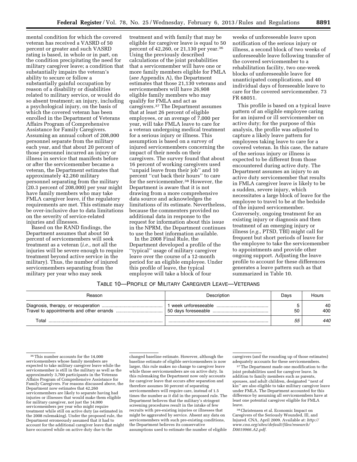mental condition for which the covered veteran has received a VASRD of 50 percent or greater and such VASRD rating is based, in whole or in part, on the condition precipitating the need for military caregiver leave; a condition that substantially impairs the veteran's ability to secure or follow a substantially gainful occupation by reason of a disability or disabilities related to military service, or would do so absent treatment; an injury, including a psychological injury, on the basis of which the covered veteran has been enrolled in the Department of Veterans Affairs Program of Comprehensive Assistance for Family Caregivers. Assuming an annual cohort of 208,000 personnel separate from the military each year, and that about 20 percent of those personnel incurred an injury or illness in service that manifests before or after the servicemember became a veteran, the Department estimates that approximately 42,260 military personnel separating from the military (20.3 percent of 208,000) per year might have family members who may take FMLA caregiver leave, if the regulatory requirements are met. This estimate may be over-inclusive due to data limitations on the severity of service-related injuries and illnesses.

Based on the RAND findings, the Department assumes that about 50 percent of servicemembers will seek treatment as a veteran (*i.e.,* not all the injuries will be severe enough to require treatment beyond active service in the military). Thus, the number of injured servicemembers separating from the military per year who may seek

treatment and with family that may be eligible for caregiver leave is equal to 50 percent of 42,260, or 21,130 per year.36 Using the previously described calculations of the joint probabilities that a servicemember will have one or more family members eligible for FMLA (*see* Appendix A), the Department estimates that those 21,130 veterans and servicemembers will have 26,908 eligible family members who may qualify for FMLA and act as caregivers.37 The Department assumes that at least 26 percent of eligible employees, or an average of 7,000 per year, will take FMLA leave to care for a veteran undergoing medical treatment for a serious injury or illness. This assumption is based on a survey of injured servicemembers concerning the impact of their needs on their caregivers. The survey found that about 16 percent of working caregivers used ''unpaid leave from their job'' and 10 percent ''cut back their hours'' to care for the servicemember.38 However, the Department is aware that it is not drawing from a more comprehensive data source and acknowledges the limitations of its estimate. Nevertheless, because the commenters provided no additional data in response to the request for information about this issue in the NPRM, the Department continues to use the best information available.

In the 2008 Final Rule, the Department developed a profile of the ''typical'' usage of military caregiver leave over the course of a 12-month period for an eligible employee. Under this profile of leave, the typical employee will take a block of four

weeks of unforeseeable leave upon notification of the serious injury or illness, a second block of two weeks of unforeseeable leave following transfer of the covered servicemember to a rehabilitation facility, two one-week blocks of unforeseeable leave for unanticipated complications, and 40 individual days of foreseeable leave to care for the covered servicemember. 73 FR 68051.

This profile is based on a typical leave pattern of an eligible employee caring for an injured or ill servicemember on active duty; for the purpose of this analysis, the profile was adjusted to capture a likely leave pattern for employees taking leave to care for a covered veteran. In this case, the nature of the serious injury or illness is expected to be different from those encountered during active duty. The Department assumes an injury to an active duty servicemember that results in FMLA caregiver leave is likely to be a sudden, severe injury, which necessitates a large block of leave for the employee to travel to be at the bedside of the injured servicemember. Conversely, ongoing treatment for an existing injury or diagnosis and then treatment of an emerging injury or illness (*e.g.,* PTSD, TBI) might call for frequent but short periods of leave for the employee to take the servicemember to appointments and provide other ongoing support. Adjusting the leave profile to account for these differences generates a leave pattern such as that summarized in Table 10.

### TABLE 10—PROFILE OF MILITARY CAREGIVER LEAVE—VETERANS

| Reason | Description | Davs | Hours     |
|--------|-------------|------|-----------|
|        |             | 50   | 40<br>400 |
| Total  |             | 55   | 440       |

caregivers (and the rounding up of those estimates) adequately accounts for these servicemembers.

37The Department made one modification to the joint probabilities used for caregiver leave. In addition to family members such as parents, spouses, and adult children, designated ''next of kin'' are also eligible to take military caregiver leave under FMLA. The Department accounted for this difference by assuming all servicemembers have at least one potential caregiver eligible for FMLA leave.

38Christensen et al. Economic Impact on Caregivers of the Seriously Wounded, Ill, and Injured. CNA, April 2009. Available at: *[http://](http://www.cna.org/sites/default/files/research/D0019966.A2.pdf) [www.cna.org/sites/default/files/research/](http://www.cna.org/sites/default/files/research/D0019966.A2.pdf)  [D0019966.A2.pdf.](http://www.cna.org/sites/default/files/research/D0019966.A2.pdf)* 

<sup>36</sup>This number accounts for the 14,000 servicemembers whose family members are expected to take military caregiver leave while the servicemember is still in the military as well as the approximately 3,700 participants in the Veterans Affairs Program of Comprehensive Assistance for Family Caregivers. For reasons discussed above, the Department now estimates that 42,260 servicemembers are likely to separate having had injuries or illnesses that would make them eligible for military caregiver, not just the 14,000 servicemembers per year who might require treatment while still on active duty (as estimated in the 2008 rulemaking). Under the proposed rule, the Department erroneously assumed that it had to account for the additional caregiver leave that might have occurred while on active duty due to the

changed baseline estimate. However, although the baseline estimate of eligible servicemembers is now larger, this rule makes no change to caregiver leave while those servicemembers are on active duty. In this rulemaking the Department now only accounts for caregiver leave that occurs after separation and therefore assumes 50 percent of separating servicemembers will require care, instead of 1.5 times the number as it did in the proposed rule. The Department believes that the military's stringent screening procedures result in the intake of few recruits with pre-existing injuries or illnesses that might be aggravated by service. Absent any data on servicemembers with such pre-existing conditions, the Department believes its conservative assumptions used to estimate the number of eligible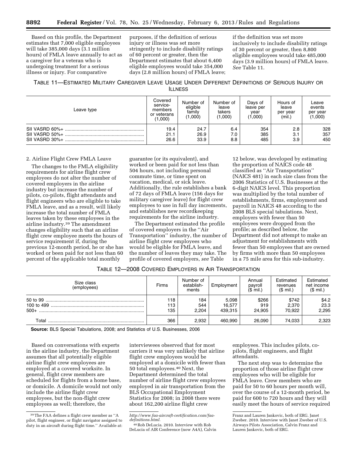Based on this profile, the Department estimates that 7,000 eligible employees will take 385,000 days (3.1 million hours) of FMLA leave annually to act as a caregiver for a veteran who is undergoing treatment for a serious illness or injury. For comparative

purposes, if the definition of serious injury or illness was set more stringently to include disability ratings of 60 percent or greater, then the Department estimates that about 6,400 eligible employees would take 354,000 days (2.8 million hours) of FMLA leave;

if the definition was set more inclusively to include disability ratings of 30 percent or greater, then 8,800 eligible employees would take 485,000 days (3.9 million hours) of FMLA leave. *See* Table 11.

TABLE 11—ESTIMATED MILITARY CAREGIVER LEAVE USAGE UNDER DIFFERENT DEFINITIONS OF SERIOUS INJURY OR **ILLNESS** 

| Leave type | Covered<br>service-<br>members<br>or veterans<br>(1,000) | Number of<br>eligible<br>family<br>(1,000) | Number of<br>leave<br>takers<br>(1,000) | Davs of<br>leave per<br>year<br>(1,000) | Hours of<br>leave<br>per year<br>(mil.) | Leave<br>events<br>per year<br>1,000 |
|------------|----------------------------------------------------------|--------------------------------------------|-----------------------------------------|-----------------------------------------|-----------------------------------------|--------------------------------------|
|            | 19.4                                                     | 24.7                                       | 6.4                                     | 354                                     | 2.8                                     | 328                                  |
|            | 21.1                                                     | 26.9                                       | 7.0                                     | 385                                     | 3.1                                     | 357                                  |
|            | 26.6                                                     | 33.9                                       | 8.8                                     | 485                                     | 3.9                                     | 450                                  |

#### 2. Airline Flight Crew FMLA Leave

The changes to the FMLA eligibility requirements for airline flight crew employees do not alter the number of covered employers in the airline industry but increase the number of pilots, co-pilots, flight attendants and flight engineers who are eligible to take FMLA leave, and as a result, will likely increase the total number of FMLA leaves taken by these employees in the airline industry.39 The amendment changes eligibility such that an airline flight crew employee meets the hours of service requirement if, during the previous 12-month period, he or she has worked or been paid for not less than 60 percent of the applicable total monthly

guarantee (or its equivalent), and worked or been paid for not less than 504 hours, not including personal commute time, or time spent on vacation, medical, or sick leave. Additionally, the rule establishes a bank of 72 days of FMLA leave (156 days for military caregiver leave) for flight crew employees to use in full day increments, and establishes new recordkeeping requirements for the airline industry.

The Department estimated the profile of covered employers in the ''Air Transportation'' industry, the number of airline flight crew employees who would be eligible for FMLA leave, and the number of leaves they may take. The profile of covered employers, *see* Table

12 below, was developed by estimating the proportion of NAICS code 48 classified as ''Air Transportation'' (NAICS 481) in each size class from the 2006 Statistics of U.S. Businesses at the 6-digit NAICS level. This proportion was multiplied by the total number of establishments, firms, employment and payroll in NAICS 48 according to the 2008 BLS special tabulations. Next, employers with fewer than 50 employees were dropped from the profile; as described below, the Department did not attempt to make an adjustment for establishments with fewer than 50 employees that are owned by firms with more than 50 employees in a 75 mile area for this sub-industry.

| Table 12—2008 Covered Employers in Air Transportation |  |
|-------------------------------------------------------|--|
|-------------------------------------------------------|--|

| Size class<br>(employees) | Firms             | Number of<br>establish-<br>ments | Employment                 | Annual<br>payroll<br>$(S \text{ mil.})$ | Estimated<br>revenues<br>$($$ mil.) | Estimated<br>net income<br>$$$ mil.) |
|---------------------------|-------------------|----------------------------------|----------------------------|-----------------------------------------|-------------------------------------|--------------------------------------|
| $500+$                    | 118<br>113<br>135 | 184<br>544<br>2.204              | 5,098<br>16,577<br>439.315 | \$266<br>919<br>24.905                  | \$742<br>2.370<br>70.922            | \$4.2<br>23.3<br>2,295               |
| Total                     | 366               | 2.932                            | 460.990                    | 26.090                                  | 74.033                              | 2,323                                |

**Source:** BLS Special Tabulations, 2008; and Statistics of U.S. Businesses, 2006

Based on conversations with experts in the airline industry, the Department assumes that all potentially eligible airline flight crew employees are employed at a covered worksite. In general, flight crew members are scheduled for flights from a home base, or domicile. A domicile would not only include the airline flight crew employees, but the non-flight crew employees as well; therefore, the

interviewees observed that for most carriers it was very unlikely that airline flight crew employees would be employed at a domicile with fewer than 50 total employees.40 Next, the Department determined the total number of airline flight crew employees employed in air transportation from the BLS Occupational Employment Statistics for 2008; in 2008 there were about 162,200 airline flight crew

40Rob DeLucia. 2010. Interview with Rob DeLucia of AIR Conference (now A4A), Calvin employees. This includes pilots, copilots, flight engineers, and flight attendants.

The next step was to determine the proportion of those airline flight crew employees who will be eligible for FMLA leave. Crew members who are paid for 50 to 60 hours per month will, over the course of a 12-month period, be paid for 600 to 720 hours and they will easily meet the hours of service required

<sup>39</sup>The FAA defines a flight crew member as ''A pilot, flight engineer, or flight navigator assigned to duty in an aircraft during flight time.'' Available at:

*[http://www.faa-aircraft-certification.com/faa](http://www.faa-aircraft-certification.com/faa-definitions.html)[definitions.html.](http://www.faa-aircraft-certification.com/faa-definitions.html)* 

Franz and Lauren Jankovic, both of ERG. Janet Zweber. 2010. Interview with Janet Zweber of U.S. Airways Pilots Association, Calvin Franz and Lauren Jankovic, both of ERG.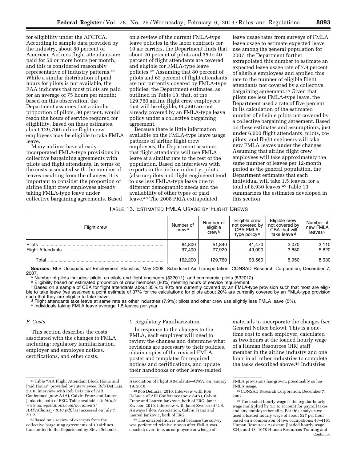for eligibility under the AFCTCA. According to sample data provided by the industry, about 80 percent of American Airlines flight attendants are paid for 50 or more hours per month, and this is considered reasonably representative of industry patterns.41 While a similar distribution of paid hours for pilots is not available, the FAA indicates that most pilots are paid for an average of 75 hours per month; based on this observation, the Department assumes that a similar proportion of pilots, 80 percent, would reach the hours of service required for eligibility. Based on these estimates, about 129,760 airline flight crew employees may be eligible to take FMLA leave.

Many airlines have already incorporated FMLA-type provisions in collective bargaining agreements with pilots and flight attendants. In terms of the costs associated with the number of leaves resulting from the changes, it is important to consider the proportion of airline flight crew employees already taking FMLA-type leave under collective bargaining agreements. Based

on a review of the current FMLA-type leave policies in the labor contracts for 19 air carriers, the Department finds that about 20 percent of pilots and 35 to 40 percent of flight attendants are covered and eligible for FMLA-type leave policies.42 Assuming that 80 percent of pilots and 63 percent of flight attendants are not currently covered by FMLA-type policies, the Department estimates, as outlined in Table 13, that, of the 129,760 airline flight crew employees that will be eligible, 90,560 are not already covered by an FMLA-type leave policy under a collective bargaining agreement.

Because there is little information available on the FMLA-type leave usage patterns of airline flight crew employees, the Department assumes that flight attendants will use FMLA leave at a similar rate to the rest of the population. Based on interviews with experts in the airline industry, pilots (also co-pilots and flight engineers) tend to use less FMLA-type leave due to different demographic needs and the availability of other types of paid leave.43 The 2008 PRIA extrapolated

leave usage rates from surveys of FMLA leave usage to estimate expected leave use among the general population for 2007; the Department further extrapolated this number to estimate an expected leave usage rate of 7.9 percent of eligible employees and applied this rate to the number of eligible flight attendants not covered by a collective bargaining agreement.44 Given that pilots use less FMLA-type leave, the Department used a rate of five percent in its calculation of the estimated number of eligible pilots not covered by a collective bargaining agreement. Based on these estimates and assumptions, just under 6,000 flight attendants, pilots, copilots, and flight engineers will take new FMLA leaves under the changes. Assuming that airline flight crew employees will take approximately the same number of leaves per 12-month period as the general population, the Department estimates that each individual will take 1.5 leaves, for a total of 8,930 leaves.45 Table 13 summarizes the estimates developed in this section.

# TABLE 13. ESTIMATED FMLA USAGE BY FLIGHT CREWS

| Flight crew | Number of<br>crew <sup>a</sup> | Number of<br>eligible<br>crew <sup>b</sup> | Eligible crew<br>not covered by<br><b>CBA FMLA-</b><br>type policy <sup>c</sup> | Eligible crew,<br>not covered by<br>CBA that will<br>take leave <sup>d</sup> | Number of<br>new FMLA<br>leaves <sup>e</sup> |
|-------------|--------------------------------|--------------------------------------------|---------------------------------------------------------------------------------|------------------------------------------------------------------------------|----------------------------------------------|
| Pilots      | 64,800<br>97.400               | 51,840<br>77.920                           | 41.470<br>49.090                                                                | 2,070<br>3.880                                                               | 3,110<br>5,820                               |
| Total       | 162.200                        | 129.760                                    | 90.560                                                                          | 5.950                                                                        | 8,930                                        |

Sources: BLS Occupational Employment Statistics, May 2008, Scheduled Air Transportation; CONSAD Research Corporation, December 7, 2007.

a Number of pilots includes: pilots, co-pilots and flight engineers (532011); and commercial pilots (532012)<br> **b** Eligibility based on estimated proportion of crew members (80%) meeting hours of service requirement.<br> **c** B ble to take leave (we assumed a point estimate of 37% for the calculation); for pilots about 20% are currently covered by an FMLA-type provision<br>such that they are eligible to take leave.

<sup>d</sup> Flight attendants take leave at same rate as other industries (7.9%); pilots and other crew use slightly less FMLA leave (5%).<br><sup>e</sup> Individuals taking FMLA leave average 1.5 leaves per year.

# *F. Costs*

This section describes the costs associated with the changes to FMLA, including: regulatory familiarization, employer and employee notices, certifications, and other costs.

### 1. Regulatory Familiarization

In response to the changes to the FMLA, each employer will need to review the changes and determine what revisions are necessary to their policies, obtain copies of the revised FMLA poster and templates for required notices and certifications, and update their handbooks or other leave-related

44The extrapolation is used because the survey was performed relatively soon after FMLA was enacted; over time, as employee knowledge of

materials to incorporate the changes (*see*  General Notice below). This is a onetime cost to each employer, calculated as two hours at the loaded hourly wage of a Human Resources (HR) staff member in the airline industry and one hour in all other industries to complete the tasks described above.46 Industries

<sup>41</sup>Table ''AA Flight Attendant Block Hours and Paid Hours'' provided by Interviewee. Rob DeLucia. 2010. Interview with Rob DeLucia of AIR Conference (now A4A), Calvin Franz and Lauren Jankovic, both of ERG. Table available at: *[http://](http://www.aanegotiations.com/documents/AAFACharts_7.8.10.pdf)  [www.aanegotiations.com/documents/](http://www.aanegotiations.com/documents/AAFACharts_7.8.10.pdf) [AAFACharts](http://www.aanegotiations.com/documents/AAFACharts_7.8.10.pdf)*\_*7.8.10.pdf;* last accessed on July 7, 2012.

<sup>42</sup>Based on a review of excerpts from the collective bargaining agreements of 19 airlines transmitted to the Department by Steve Schembs,

Association of Flight Attendants—CWA, on January 19, 2010.

<sup>43</sup>Rob DeLucia. 2010. Interview with Rob DeLucia of AIR Conference (now A4A), Calvin Franz and Lauren Jankovic, both of ERG. Janet Zweber. 2010. Interview with Janet Zweber of U.S. Airways Pilots Association, Calvin Franz and Lauren Jankovic, both of ERG.

FMLA provisions has grown, presumably so has FMLA usage.

<sup>45</sup>CONSAD Research Corporation, December 7, 2007

<sup>46</sup>The loaded hourly wage is the regular hourly wage multiplied by 1.3 to account for payroll taxes and any employee benefits. For this analysis we used a loaded hourly wage of about \$27 per hour based on a comparison of two occupations: 43–4161 Human Resources Assistant (loaded hourly wage \$24), and 13–1078 Human Resources Training and Continued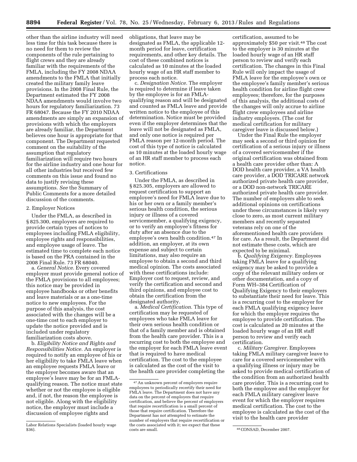other than the airline industry will need less time for this task because there is no need for them to review the components of the rule pertaining to flight crews and they are already familiar with the requirements of the FMLA, including the FY 2008 NDAA amendments to the FMLA that initially created the military family leave provisions. In the 2008 Final Rule, the Department estimated the FY 2008 NDAA amendments would involve two hours for regulatory familiarization. 73 FR 68047. Because the FY 2010 NDAA amendments are simply an expansion of provisions with which the employers are already familiar, the Department believes one hour is appropriate for that component. The Department requested comment on the suitability of the assumption that regulatory familiarization will require two hours for the airline industry and one hour for all other industries but received few comments on this issue and found no data to justify revising these assumptions. *See* the Summary of Public Comments for a more detailed discussion of the comments.

#### 2. Employer Notices

Under the FMLA, as described in § 825.300, employers are required to provide certain types of notices to employees including FMLA eligibility, employee rights and responsibilities, and employee usage of leave. The estimated time to complete each notice is based on the PRA contained in the 2008 Final Rule. 73 FR 68040.

a. *General Notice.* Every covered employer must provide general notice of the FMLA provisions to all employees; this notice may be provided in employee handbooks or other benefits and leave materials or as a one-time notice to new employees. For the purpose of this analysis, the cost associated with the changes will be a one-time cost to each employer to update the notice provided and is included under regulatory familiarization costs above.

b. *Eligibility Notice and Rights and Responsibilities Notice.* An employer is required to notify an employee of his or her eligibility to take FMLA leave when an employee requests FMLA leave or the employer becomes aware that an employee's leave may be for an FMLAqualifying reason. The notice must state whether or not the employee is eligible and, if not, the reason the employee is not eligible. Along with the eligibility notice, the employer must include a discussion of employee rights and

obligations, that leave may be designated as FMLA, the applicable 12 month period for leave, certification requirements, and other key details. The cost of these combined notices is calculated as 10 minutes at the loaded hourly wage of an HR staff member to process each notice.

c. *Designation Notice.* The employer is required to determine if leave taken by the employee is for an FMLAqualifying reason and will be designated and counted as FMLA leave and provide written notice to the employee of this determination. Notice must be provided even if the employer determines that the leave will not be designated as FMLA, and only one notice is required per FMLA reason per 12-month period. The cost of this type of notice is calculated as 10 minutes at the loaded hourly wage of an HR staff member to process each notice.

### 3. Certifications

Under the FMLA, as described in § 825.305, employers are allowed to request certification to support an employee's need for FMLA leave due to his or her own or a family member's serious health condition, the serious injury or illness of a covered servicemember, a qualifying exigency, or to verify an employee's fitness for duty after an absence due to the employee's own health condition.47 In addition, an employer, at its own expense and subject to certain limitations, may also require an employee to obtain a second and third medical opinion. The costs associated with these certifications include: Employer cost to request, review, and verify the certification and second and third opinions, and employee cost to obtain the certification from the designated authority.

a. *Medical Certification.* This type of certification may be requested of employees who take FMLA leave for their own serious health condition or that of a family member and is obtained from the health care provider. This is a recurring cost to both the employee and the employer for each FMLA leave event that is required to have medical certification. The cost to the employee is calculated as the cost of the visit to the health care provider completing the

certification, assumed to be approximately \$50 per visit.48 The cost to the employer is 30 minutes at the loaded hourly wage of an HR staff person to review and verify each certification. The changes in this Final Rule will only impact the usage of FMLA leave for the employee's own or the employee's family member's serious health condition for airline flight crew employees; therefore, for the purposes of this analysis, the additional costs of the changes will only accrue to airline flight crew employees and airline industry employers. (The cost for medical certification for military caregiver leave is discussed below.)

Under the Final Rule the employer may seek a second or third opinion for certification of a serious injury or illness of a covered servicemember if the original certification was obtained from a health care provider other than: A DOD health care provider, a VA health care provider, a DOD TRICARE network authorized private health care provider, or a DOD non-network TRICARE authorized private health care provider. The number of employers able to seek additional opinions on certifications under these circumstances is likely very close to zero, as most current military members and recently separated veterans rely on one of the aforementioned health care providers for care. As a result, the Department did not estimate these costs, which are expected to be minimal.

b. *Qualifying Exigency.* Employees taking FMLA leave for a qualifying exigency may be asked to provide a copy of the relevant military orders or other documentation, and a copy of Form WH–384 Certification of Qualifying Exigency to their employers to substantiate their need for leave. This is a recurring cost to the employer for each FMLA qualifying exigency leave for which the employer requires the employee to provide certification. The cost is calculated as 20 minutes at the loaded hourly wage of an HR staff person to review and verify each certification.

c. *Military Caregiver.* Employees taking FMLA military caregiver leave to care for a covered servicemember with a qualifying illness or injury may be asked to provide medical certification of the condition from an authorized health care provider. This is a recurring cost to both the employee and the employer for each FMLA military caregiver leave event for which the employer requires medical certification. The cost to the employee is calculated as the cost of the visit to the health care provider

Labor Relations Specialists (loaded hourly wage \$36).

<sup>47</sup>An unknown percent of employers require employees to periodically recertify their need for FMLA leave. The Department does not have any data on the percent of employers that require certification, and believe the percent of employers that require recertification is a small percent of those that require certification. Therefore the Department has not attempted to estimate the number of employers that require recertification or the costs associated with it; we expect that these costs are small.

<sup>48</sup> CONSAD, December 2007.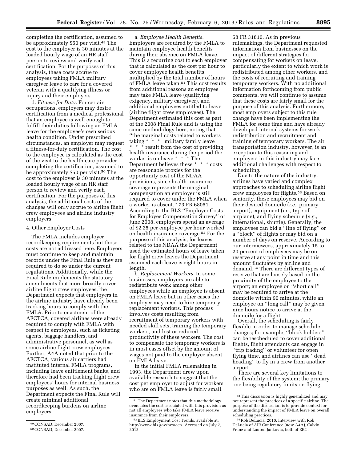completing the certification, assumed to be approximately \$50 per visit.49 The cost to the employer is 30 minutes at the loaded hourly wage of an HR staff person to review and verify each certification. For the purposes of this analysis, these costs accrue to employees taking FMLA military caregiver leave to care for a covered veteran with a qualifying illness or injury and their employers.

d. *Fitness for Duty.* For certain occupations, employers may desire certification from a medical professional that an employee is well enough to fulfill their duties following an FMLA leave for the employee's own serious health condition. Under prescribed circumstances, an employer may request a fitness-for-duty certification. The cost to the employee is calculated as the cost of the visit to the health care provider completing the certification, assumed to be approximately \$50 per visit.<sup>50</sup> The cost to the employer is 30 minutes at the loaded hourly wage of an HR staff person to review and verify each certification. For the purposes of this analysis, the additional costs of the changes will only accrue to airline flight crew employees and airline industry employers.

### 4. Other Employer Costs

The FMLA includes employer recordkeeping requirements but those costs are not addressed here. Employers must continue to keep and maintain records under the Final Rule as they are required to do so under the current regulations. Additionally, while the Final Rule implements the statutory amendments that more broadly cover airline flight crew employees, the Department expects that employers in the airline industry have already been tracking hours to comply with the FMLA. Prior to enactment of the AFCTCA, covered airlines were already required to comply with FMLA with respect to employees, such as ticketing agents, baggage handlers, and administrative personnel, as well as some airline flight crew employees. Further, A4A noted that prior to the AFCTCA, various air carriers had instituted internal FMLA programs, including leave entitlement banks, and therefore had been tracking flight crew employees' hours for internal business purposes as well. As such, the Department expects the Final Rule will create minimal additional recordkeeping burdens on airline employers.

a. *Employee Health Benefits.*  Employers are required by the FMLA to maintain employee health benefits during their absence on FMLA leave. This is a recurring cost to each employer that is calculated as the cost per hour to cover employee health benefits multiplied by the total number of hours of FMLA leave taken.51 This cost results from additional reasons an employee may take FMLA leave (qualifying exigency, military caregiver), and additional employees entitled to leave (airline flight crew employees). The Department estimated this cost as part of the 2008 Final Rule and is using the same methodology here, noting that ''the marginal costs related to workers taking \* \* \* military family leave  $*$  result from the cost of providing health insurance during the period the worker is on leave \* \* \* The Department believes these \* \* \* costs are reasonable proxies for the opportunity cost of the NDAA provisions, since health insurance coverage represents the marginal compensation an employer is still required to cover under the FMLA when a worker is absent.'' 73 FR 68051. According to the BLS ''Employer Costs for Employee Compensation Survey'' of June 2008, employers spend an average of \$2.25 per employee per hour worked on health insurance coverage.52 For the purpose of this analysis, for leaves related to the NDAA the Department used the estimated hours of leave taken, for flight crew leaves the Department assumed each leave is eight hours in length.

b. *Replacement Workers.* In some businesses, employers are able to redistribute work among other employees while an employee is absent on FMLA leave but in other cases the employer may need to hire temporary replacement workers. This process involves costs resulting from recruitment of temporary workers with needed skill sets, training the temporary workers, and lost or reduced productivity of these workers. The cost to compensate the temporary workers is in most cases offset by the amount of wages not paid to the employee absent on FMLA leave.

In the initial FMLA rulemaking in 1993, the Department drew upon available research to suggest that the cost per employer to adjust for workers who are on FMLA leave is fairly small.

58 FR 31810. As in previous rulemakings, the Department requested information from businesses on the impact of different strategies for compensating for workers on leave, particularly the extent to which work is redistributed among other workers, and the costs of recruiting and training temporary workers. With no additional information forthcoming from public comments, we will continue to assume that these costs are fairly small for the purpose of this analysis. Furthermore, most employers subject to this rule change have been implementing the FMLA for some time and have already developed internal systems for work redistribution and recruitment and training of temporary workers. The air transportation industry, however, is an exception to this reasoning and employers in this industry may face additional challenges with respect to scheduling.

Due to the nature of the industry, airlines have varied and complex approaches to scheduling airline flight crew employees for flights.53 Based on seniority, these employees may bid on their desired domicile (*i.e.,* primary airport), equipment (*i.e.,* type of airplane), and flying schedule (*e.g.,*  international, shuttle). Generally, the employees can bid a ''line of flying'' or a ''block'' of flights or may bid on a number of days on reserve. According to our interviewees, approximately 15 to 20 percent of employees may be on reserve at any point in time and this amount fluctuates by airline and demand.54 There are different types of reserve that are loosely based on the proximity of the employee to the airport; an employee on ''short call'' may be required to arrive at the domicile within 90 minutes, while an employee on ''long call'' may be given nine hours notice to arrive at the domicile for a flight.

Overall, the scheduling is fairly flexible in order to manage schedule changes; for example, ''block holders'' can be rescheduled to cover additional flights, flight attendants can engage in ''trip trading'' or volunteer for open flying time, and airlines can use ''dead heading'' to fly in a crew from another airport.

There are several key limitations to the flexibility of the system; the primary one being regulatory limits on flying

<sup>49</sup>CONSAD, December 2007.

<sup>50</sup>CONSAD, December 2007.

 $^{\rm 51}$  The Department notes that this methodology overstates the cost associated with this provision as not all employees who take FMLA leave receive insurance from their employers.

<sup>52</sup>BLS Employment Cost Trends, available at: [http://www.bls.gov/ncs/ect/.](http://www.bls.gov/ncs/ect/) Accessed on July 7, 2012.

<sup>53</sup>This discussion is highly generalized and may not represent the practices of a specific airline. The purpose of the discussion is to provide context for understanding the impact of FMLA leave on overall scheduling practices.

<sup>54</sup>Rob DeLucia. 2010. Interview with Rob DeLucia of AIR Conference (now A4A), Calvin Franz and Lauren Jankovic, both of ERG.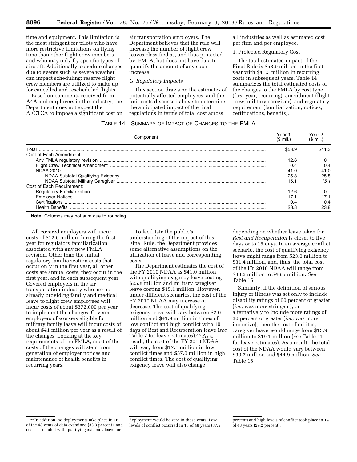time and equipment. This limitation is the most stringent for pilots who have more restrictive limitations on flying time than other flight crew members and who may only fly specific types of aircraft. Additionally, schedule changes due to events such as severe weather can impact scheduling; reserve flight crew members are utilized to make up for cancelled and rescheduled flights.

Based on comments received from A4A and employers in the industry, the Department does not expect the AFCTCA to impose a significant cost on

air transportation employers. The Department believes that the rule will increase the number of flight crew leaves classified as, and thus protected by, FMLA, but does not have data to quantify the amount of any such increase.

### *G. Regulatory Impacts*

This section draws on the estimates of potentially affected employees, and the unit costs discussed above to determine the anticipated impact of the final regulations in terms of total cost across

all industries as well as estimated cost per firm and per employee.

# 1. Projected Regulatory Cost

The total estimated impact of the Final Rule is \$53.9 million in the first year with \$41.3 million in recurring costs in subsequent years. Table 14 summarizes the total estimated costs of the changes to the FMLA by cost type (first year, recurring), amendment (flight crew, military caregiver), and regulatory requirement (familiarization, notices, certifications, benefits).

# TABLE 14—SUMMARY OF IMPACT OF CHANGES TO THE FMLA

| Component                 | $$$ mil. |       |
|---------------------------|----------|-------|
| T∩tal                     |          | 541.3 |
| Cost of Each Amendment:   |          |       |
|                           | 12.6     |       |
|                           |          | 0.4   |
|                           |          | 41.0  |
|                           | 25.8     | 25.8  |
|                           | 15.1     | 15.1  |
| Cost of Each Requirement: |          |       |
|                           | 12.6     |       |
|                           |          |       |
| Certifications            |          | 04    |
| Health Benefits           |          | 23.8  |

**Note:** Columns may not sum due to rounding.

All covered employers will incur costs of \$12.6 million during the first year for regulatory familiarization associated with any new FMLA revision. Other than the initial regulatory familiarization costs that occur only in the first year, all other costs are annual costs; they occur in the first year, and in each subsequent year. Covered employers in the air transportation industry who are not already providing family and medical leave to flight crew employees will incur costs of about \$372,000 per year to implement the changes. Covered employers of workers eligible for military family leave will incur costs of about \$41 million per year as a result of the changes. Looking at the key requirements of the FMLA, most of the costs of the changes will stem from generation of employer notices and maintenance of health benefits in recurring years.

To facilitate the public's understanding of the impact of this Final Rule, the Department provides some alternative assumptions on the utilization of leave and corresponding costs.

The Department estimates the cost of the FY 2010 NDAA as \$41.0 million, with qualifying exigency leave costing \$25.8 million and military caregiver leave costing \$15.1 million. However, under different scenarios, the cost of the FY 2010 NDAA may increase or decrease. The cost of qualifying exigency leave will vary between \$2.0 million and \$41.9 million in times of low conflict and high conflict with 10 days of Rest and Recuperation leave (*see*  Table 7 for leave estimates).55 As a result, the cost of the FY 2010 NDAA will vary from \$17.1 million in low conflict times and \$57.0 million in high conflict times. The cost of qualifying exigency leave will also change

depending on whether leave taken for *Rest and Recuperation* is closer to five days or to 15 days. In an average conflict scenario, the cost of qualifying exigency leave might range from \$23.0 million to \$31.4 million, and, thus, the total cost of the FY 2010 NDAA will range from \$38.2 million to \$46.5 million. *See*  Table 15.

Similarly, if the definition of serious injury or illness was set only to include disability ratings of 60 percent or greater (*i.e.,* was more stringent), or alternatively to include more ratings of 30 percent or greater (*i.e.,* was more inclusive), then the cost of military caregiver leave would range from \$13.9 million to \$19.1 million (*see* Table 11 for leave estimates). As a result, the total cost of the NDAA would vary between \$39.7 million and \$44.9 million. *See*  Table 15.

<sup>55</sup> In addition, no deployments take place in 16 of the 48 years of data examined (33.3 percent), and costs associated with qualifying exigency leave for

deployment would be zero in those years. Low levels of conflict occurred in 18 of 48 years (37.5

percent) and high levels of conflict took place in 14 of 48 years (29.2 percent).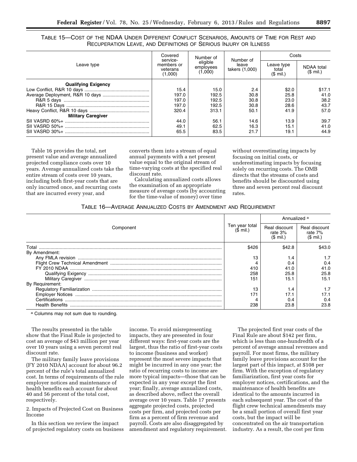TABLE 15—COST OF THE NDAA UNDER DIFFERENT CONFLICT SCENARIOS, AMOUNTS OF TIME FOR REST AND RECUPERATION LEAVE, AND DEFINITIONS OF SERIOUS INJURY OR ILLNESS

|                            | Covered<br>service-               | Number of                        | Number of               | Costs                                     |                         |  |
|----------------------------|-----------------------------------|----------------------------------|-------------------------|-------------------------------------------|-------------------------|--|
| Leave type                 | members or<br>veterans<br>(1,000) | eligible<br>employees<br>(1.000) | leave<br>takers (1,000) | Leave type<br>total<br>$(S \text{ mil.})$ | NDAA total<br>$$$ mil.) |  |
| <b>Qualifying Exigency</b> |                                   |                                  |                         |                                           |                         |  |
|                            | 15.4                              | 15.0                             | 2.4                     | \$2.0                                     | \$17.1                  |  |
|                            | 197.0                             | 192.5                            | 30.8                    | 25.8                                      | 41.0                    |  |
|                            | 197.0                             | 192.5                            | 30.8                    | 23.0                                      | 38.2                    |  |
|                            | 197.0                             | 192.5                            | 30.8                    | 28.6                                      | 43.7                    |  |
|                            | 320.4                             | 313.1                            | 50.1                    | 41.9                                      | 57.0                    |  |
| <b>Military Caregiver</b>  |                                   |                                  |                         |                                           |                         |  |
|                            | 44.0                              | 56.1                             | 14.6                    | 13.9                                      | 39.7                    |  |
|                            | 49.1                              | 62.5                             | 16.3                    | 15.1                                      | 41.0                    |  |
|                            | 65.5                              | 83.5                             | 21.7                    | 19.1                                      | 44.9                    |  |

Table 16 provides the total, net present value and average annualized projected compliance costs over 10 years. Average annualized costs take the entire stream of costs over 10 years, including both first-year costs that are only incurred once, and recurring costs that are incurred every year, and

converts them into a stream of equal annual payments with a net present value equal to the original stream of time-varying costs at the specified real discount rate.

Calculating annualized costs allows the examination of an appropriate measure of average costs (by accounting for the time-value of money) over time

without overestimating impacts by focusing on initial costs, or underestimating impacts by focusing solely on recurring costs. The OMB directs that the streams of costs and benefits should be discounted using three and seven percent real discount rates.

| TABLE 16-AVERAGE ANNUALIZED COSTS BY AMENDMENT AND REQUIREMENT |  |
|----------------------------------------------------------------|--|
|----------------------------------------------------------------|--|

|                        |       | Annualized a                                   |                                                |  |
|------------------------|-------|------------------------------------------------|------------------------------------------------|--|
| Component              |       | Real discount<br>rate 3%<br>$(S \text{ mil.})$ | Real discount<br>rate 7%<br>$(S \text{ mil.})$ |  |
| Total                  | \$426 | \$42.8                                         | 643.O                                          |  |
| By Amendment:          |       |                                                |                                                |  |
|                        | 13    | 1.4                                            |                                                |  |
|                        | 4     | ሰ 4                                            | 0.4                                            |  |
|                        | 410   | 41.0                                           | 41.0                                           |  |
|                        | 258   | 25.8                                           | 25.8                                           |  |
|                        | 151   | 15.1                                           | 15.1                                           |  |
| By Requirement:        |       |                                                |                                                |  |
|                        | 13    | 1.4                                            |                                                |  |
|                        | 171   | 17.1                                           | 17.1                                           |  |
|                        |       | 0.4                                            | 04                                             |  |
| <b>Health Benefits</b> | 238   | 23.8                                           | 23.8                                           |  |

a Columns may not sum due to rounding.

The results presented in the table show that the Final Rule is projected to cost an average of \$43 million per year over 10 years using a seven percent real discount rate.

The military family leave provisions (FY 2010 NDAA) account for about 96.2 percent of the rule's total annualized cost. In terms of requirements of the rule employer notices and maintenance of health benefits each account for about 40 and 56 percent of the total cost, respectively.

2. Impacts of Projected Cost on Business Income

In this section we review the impact of projected regulatory costs on business

income. To avoid misrepresenting impacts, they are presented in four different ways: first-year costs are the largest, thus the ratio of first-year costs to income (business and worker) represent the most severe impacts that might be incurred in any one year; the ratio of recurring costs to income are more typical impacts—those that can be expected in any year except the first year; finally, average annualized costs, as described above, reflect the overall average over 10 years. Table 17 presents aggregate projected costs, projected costs per firm, and projected costs per firm as a percent of firm revenue and payroll. Costs are also disaggregated by amendment and regulatory requirement.

The projected first year costs of the Final Rule are about \$142 per firm, which is less than one-hundredth of a percent of average annual revenues and payroll. For most firms, the military family leave provisions account for the largest part of this impact, at \$108 per firm. With the exception of regulatory familiarization, first year costs for employer notices, certifications, and the maintenance of health benefits are identical to the amounts incurred in each subsequent year. The cost of the flight crew technical amendments may be a small portion of overall first year costs, but the impact will be concentrated on the air transportation industry. As a result, the cost per firm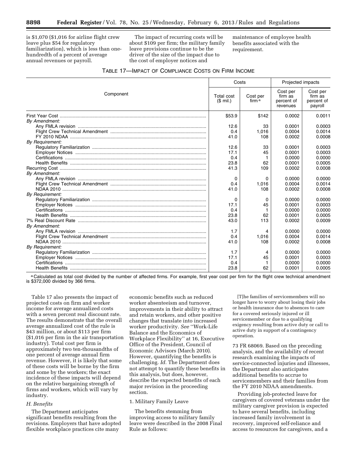is \$1,070 (\$1,016 for airline flight crew leave plus \$54 for regulatory familiarization), which is less than onehundredth of a percent of average annual revenues or payroll.

The impact of recurring costs will be about \$109 per firm; the military family leave provisions continue to be the driver of the size of the impact due to the cost of employer notices and

maintenance of employee health benefits associated with the requirement.

| TABLE 17-IMPACT OF COMPLIANCE COSTS ON FIRM INCOME |  |  |  |
|----------------------------------------------------|--|--|--|
|                                                    |  |  |  |
|                                                    |  |  |  |
|                                                    |  |  |  |
|                                                    |  |  |  |
|                                                    |  |  |  |
|                                                    |  |  |  |
|                                                    |  |  |  |
|                                                    |  |  |  |
|                                                    |  |  |  |
|                                                    |  |  |  |
|                                                    |  |  |  |
|                                                    |  |  |  |

|                        | Costs                   |                               | Projected impacts                             |                                              |  |
|------------------------|-------------------------|-------------------------------|-----------------------------------------------|----------------------------------------------|--|
| Component              | Total cost<br>$$$ mil.) | Cost per<br>firm <sup>a</sup> | Cost per<br>firm as<br>percent of<br>revenues | Cost per<br>firm as<br>percent of<br>payroll |  |
|                        | \$53.9                  | \$142                         | 0.0002                                        | 0.0011                                       |  |
| By Amendment:          | 12.6                    | 33                            | 0.0001                                        | 0.0003                                       |  |
|                        | 0.4                     | 1,016                         | 0.0004                                        | 0.0014                                       |  |
|                        | 41.0                    | 108                           | 0.0002                                        | 0.0008                                       |  |
| By Requirement:        |                         |                               |                                               |                                              |  |
|                        | 12.6                    | 33                            | 0.0001                                        | 0.0003                                       |  |
|                        | 17.1                    | 45                            | 0.0001                                        | 0.0003                                       |  |
|                        | 0.4                     |                               | 0.0000                                        | 0.0000                                       |  |
|                        | 23.8                    | 62                            | 0.0001                                        | 0.0005                                       |  |
|                        | 41.3                    | 109                           | 0.0002                                        | 0.0008                                       |  |
| By Amendment:          |                         |                               |                                               |                                              |  |
|                        | 0                       | 0                             | 0.0000                                        | 0.0000                                       |  |
|                        | 0.4                     | 1,016                         | 0.0004                                        | 0.0014                                       |  |
| <b>NDAA 2010</b>       | 41.0                    | 108                           | 0.0002                                        | 0.0008                                       |  |
| <b>By Requirement:</b> |                         |                               |                                               |                                              |  |
|                        | 0                       | 0                             | 0.0000                                        | 0.0000                                       |  |
|                        | 17.1                    | 45                            | 0.0001                                        | 0.0003                                       |  |
|                        | 0.4                     |                               | 0.0000                                        | 0.0000                                       |  |
|                        | 23.8                    | 62                            | 0.0001                                        | 0.0005                                       |  |
|                        | 43.0                    | 113                           | 0.0002                                        | 0.0009                                       |  |
| By Amendment:          |                         |                               |                                               |                                              |  |
|                        | 1.7                     | 4                             | 0.0000                                        | 0.0000                                       |  |
|                        | 0.4                     | 1,016                         | 0.0004                                        | 0.0014                                       |  |
| NDAA 2010              | 41.0                    | 108                           | 0.0002                                        | 0.0008                                       |  |
| By Requirement:        |                         |                               |                                               |                                              |  |
|                        | 1.7                     | 4                             | 0.0000                                        | 0.0000                                       |  |
|                        | 17.1                    | 45                            | 0.0001                                        | 0.0003                                       |  |
|                        | 0.4                     |                               | 0.0000                                        | 0.0000                                       |  |
|                        | 23.8                    | 62                            | 0.0001                                        | 0.0005                                       |  |

a Calculated as total cost divided by the number of affected firms. For example, first year cost per firm for the flight crew technical amendment is \$372,000 divided by 366 firms.

Table 17 also presents the impact of projected costs on firm and worker income for average annualized costs with a seven percent real discount rate. The results demonstrate that the overall average annualized cost of the rule is \$43 million, or about \$113 per firm (\$1,016 per firm in the air transportation industry). Total cost per firm is approximately two ten-thousandths of one percent of average annual firm revenue. However, it is likely that some of these costs will be borne by the firm and some by the workers; the exact incidence of these impacts will depend on the relative bargaining strength of firms and workers, which will vary by industry.

#### *H. Benefits*

The Department anticipates significant benefits resulting from the revisions. Employers that have adopted flexible workplace practices cite many

economic benefits such as reduced worker absenteeism and turnover, improvements in their ability to attract and retain workers, and other positive changes that translate into increased worker productivity. *See* ''Work-Life Balance and the Economics of Workplace Flexibility'' at 16, Executive Office of the President, Council of Economic Advisors (March 2010). However, quantifying the benefits is challenging. *Id.* The Department does not attempt to quantify these benefits in this analysis, but does, however, describe the expected benefits of each major revision in the proceeding section.

# 1. Military Family Leave

The benefits stemming from improving access to military family leave were described in the 2008 Final Rule as follows:

[T]he families of servicemembers will no longer have to worry about losing their jobs or health insurance due to absences to care for a covered seriously injured or ill servicemember or due to a qualifying exigency resulting from active duty or call to active duty in support of a contingency operation.

73 FR 68069. Based on the preceding analysis, and the availability of recent research examining the impacts of service-connected injuries and illnesses, the Department also anticipates additional benefits to accrue to servicemembers and their families from the FY 2010 NDAA amendments.

Providing job-protected leave for caregivers of covered veterans under the military caregiver provision is expected to have several benefits, including increased family involvement in recovery, improved self-reliance and access to resources for caregivers, and a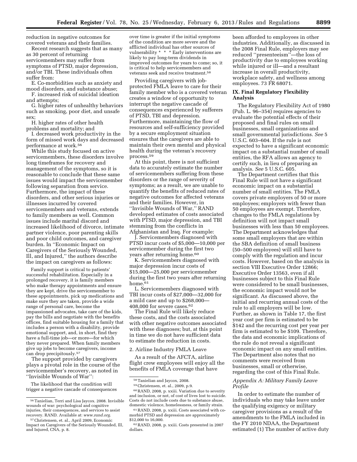reduction in negative outcomes for covered veterans and their families.

Recent research suggests that as many as 30 percent of returning servicemembers may suffer from symptoms of PTSD, major depression, and/or TBI. These individuals often suffer from:

E. Co-morbidities such as anxiety and mood disorders, and substance abuse;

F. increased risk of suicidal ideation and attempts;

G. higher rates of unhealthy behaviors such as smoking, poor diet, and unsafe sex;

H. higher rates of other health problems and mortality; and

I. decreased work productivity in the form of missed work days and decreased performance at work.56

While this study focused on active servicemembers, these disorders involve long timeframes for recovery and management of the symptoms, so it is reasonable to conclude that these same issues would impact the servicemember following separation from service. Furthermore, the impact of these disorders, and other serious injuries or illnesses incurred by covered servicemembers and veterans, extends to family members as well. Common issues include marital discord and increased likelihood of divorce, intimate partner violence, poor parenting skills and poor child outcomes, and caregiver burden. In ''Economic Impact on Caregivers of the Seriously Wounded, Ill, and Injured,'' the authors describe the impact on caregivers as follows:

Family support is critical to patients' successful rehabilitation. Especially in a prolonged recovery, it is family members who make therapy appointments and ensure they are kept, drive the servicemember to these appointments, pick up medications and make sure they are taken, provide a wide range of personal care, become the impassioned advocates, take care of the kids, pay the bills and negotiate with the benefits offices, find suitable housing for a family that includes a person with a disability, provide emotional support, and, in short, find they have a full-time job—or more—for which they never prepared. When family members give up jobs to become caregivers, income can drop precipitously.57

The support provided by caregivers plays a pivotal role in the course of the servicemember's recovery, as noted in ''Invisible Wounds of War'':

The likelihood that the condition will trigger a negative cascade of consequences over time is greater if the initial symptoms of the condition are more severe and the afflicted individual has other sources of vulnerability \* \* \* Early interventions are likely to pay long-term dividends in improved outcomes for years to come; so, it is critical to help servicemembers and veterans seek and receive treatment.58

Providing caregivers with jobprotected FMLA leave to care for their family member who is a covered veteran creates a window of opportunity to interrupt the negative cascade of consequences experienced by sufferers of PTSD, TBI and depression. Furthermore, maintaining the flow of resources and self-sufficiency provided by a secure employment situation ensures that the caregivers are able to maintain their own mental and physical health during the veteran's recovery process.59

At this point, there is not sufficient data to accurately estimate the number of servicemembers suffering from these disorders or the range of severity of symptoms; as a result, we are unable to quantify the benefits of reduced rates of negative outcomes for affected veterans and their families. However, in ''Invisible Wounds of War,'' RAND developed estimates of costs associated with PTSD, major depression, and TBI stemming from the conflicts in Afghanistan and Iraq. For example:

. Servicemembers diagnosed with PTSD incur costs of \$5,000—10,000 per servicemember during the first two years after returning home.60

K. Servicemembers diagnosed with major depression incur costs of \$15,000—25,000 per servicemember during the first two years after returning home.<sup>61</sup>

L. Servicemembers diagnosed with TBI incur costs of \$27,000—32,000 for a mild case and up to \$268,000—  $408,000$  for severe cases.<sup>62</sup>

The Final Rule will likely reduce these costs, and the costs associated with other negative outcomes associated with these diagnoses; but, at this point in time we do not have sufficient data to estimate the reduction in costs.

#### 2. Airline Industry FMLA Leave

As a result of the AFCTA, airline flight crew employees will enjoy all the benefits of FMLA coverage that have

60RAND, 2008, p. xxiii. Variation due to severity and inclusion, or not, of cost of lives lost to suicide. Costs do not include costs due to substance abuse, domestic violence, homelessness, or family strain.

been afforded to employees in other industries. Additionally, as discussed in the 2008 Final Rule, employers may see reduced ''presenteeism''—the loss of productivity due to employees working while injured or ill—and a resultant increase in overall productivity, workplace safety, and wellness among employees. 73 FR 68071.

### **IX. Final Regulatory Flexibility Analysis**

The Regulatory Flexibility Act of 1980 (Pub. L. 96–354) requires agencies to evaluate the potential effects of their proposed and final rules on small businesses, small organizations and small governmental jurisdictions. *See* 5 U.S.C. 603–604. If the rule is not expected to have a significant economic impact on a substantial number of small entities, the RFA allows an agency to certify such, in lieu of preparing an analysis. *See* 5 U.S.C. 605.

The Department certifies that this Final Rule will not have a significant economic impact on a substantial number of small entities. The FMLA covers private employers of 50 or more employees; employers with fewer than 50 employees are exempt. Therefore, changes to the FMLA regulations by definition will not impact small businesses with less than 50 employees. The Department acknowledges that some small employers that are within the SBA definition of small business (50–500 employees) will still have to comply with the regulation and incur costs. However, based on the analysis in section VIII Executive Order 12866; Executive Order 13563, even if all businesses subject to this Final Rule were considered to be small businesses, the economic impact would not be significant. As discussed above, the initial and recurring annual costs of the rule to all employers will be low. Further, as shown in Table 17, the first year cost per firm is estimated to be \$142 and the recurring cost per year per firm is estimated to be \$109. Therefore, the data and economic implications of the rule do not reveal a significant economic impact on any small entities. The Department also notes that no comments were received from businesses, small or otherwise, regarding the cost of this Final Rule.

## *Appendix A: Military Family Leave Profile*

In order to estimate the number of individuals who may take leave under the qualifying exigency or military caregiver provisions as a result of the amendments to the FMLA included in the FY 2010 NDAA, the Department estimated (1) The number of active duty

<sup>56</sup>Tanielian, Terri and Lisa Jaycox. 2008. Invisible wounds of war: psychological and cognitive injuries, their consequences, and services to assist recovery. RAND. Available at: *[www.rand.org.](http://www.rand.org)* 

<sup>57</sup>Christensen, et. al., April 2009, Economic Impact on Caregivers of the Seriously Wounded, Ill, and Injured, CNA, p. 8.

<sup>58</sup>Tanielian and Jaycox, 2008.

<sup>59</sup>Christensen, et. al., 2009, p.9.

<sup>61</sup>RAND, 2008, p. xxiii. Costs associated with comorbid PTSD and depression are approximately \$12,000 to 16,000.

<sup>62</sup>RAND, 2008, p. xxiii. Costs presented in 2007 dollars.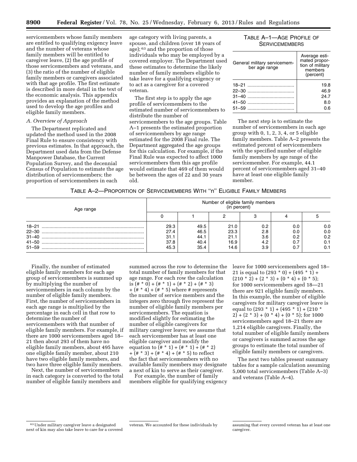servicemembers whose family members are entitled to qualifying exigency leave and the number of veterans whose family members will be entitled to caregiver leave, (2) the age profile of those servicemembers and veterans, and (3) the ratio of the number of eligible family members or caregivers associated with that age profile. The first estimate is described in more detail in the text of the economic analysis. This appendix provides an explanation of the method used to develop the age profiles and eligible family members.

#### *A. Overview of Approach*

The Department replicated and updated the method used in the 2008 Final Rule to ensure consistency with previous estimates. In that approach, the Department used data from the Defense Manpower Database, the Current Population Survey, and the decennial Census of Population to estimate the age distribution of servicemembers; the proportion of servicemembers in each

age category with living parents, a spouse, and children (over 18 years of age); 63 and the proportion of those individuals who may be employed by a covered employer. The Department used these estimates to determine the likely number of family members eligible to take leave for a qualifying exigency or to act as a caregiver for a covered veteran.

The first step is to apply the age profile of servicemembers to the estimated number of servicemembers to distribute the number of servicemembers to the age groups. Table A–1 presents the estimated proportion of servicemembers by age range estimated for the 2008 Final rule. The Department aggregated the age groups for this calculation. For example, if the Final Rule was expected to affect 1000 servicemembers then this age profile would estimate that 469 of them would be between the ages of 22 and 30 years old.

# TABLE A–1—AGE PROFILE OF **SERVICEMEMBERS**

| General military servicemem-<br>ber age range | Average esti-<br>mated propor-<br>tion of military<br>members<br>(percent) |
|-----------------------------------------------|----------------------------------------------------------------------------|
|                                               | 19.8                                                                       |
|                                               | 46.9                                                                       |
|                                               | 24.7                                                                       |
|                                               | 8.0                                                                        |
| $51 - 59$                                     |                                                                            |

The next step is to estimate the number of servicemembers in each age group with 0, 1, 2, 3, 4, or 5 eligible family members. Table A–2 presents the estimated percent of servicemembers with the specified number of eligible family members by age range of the servicemember. For example, 44.1 percent of servicemembers aged 31–40 have at least one eligible family member.

| TABLE A-2-PROPORTION OF SERVICEMEMBERS WITH "n" ELIGIBLE FAMILY MEMBERS |
|-------------------------------------------------------------------------|
|                                                                         |

| Age range | Number of eligible family members<br>(in percent) |                                      |                                      |                                 |                                 |                                 |  |  |
|-----------|---------------------------------------------------|--------------------------------------|--------------------------------------|---------------------------------|---------------------------------|---------------------------------|--|--|
|           |                                                   |                                      |                                      |                                 |                                 |                                 |  |  |
| $18 - 21$ | 29.3<br>27.4<br>31.1<br>37.8<br>45.3              | 49.5<br>46.5<br>44.1<br>40.4<br>35.4 | 21.0<br>23.3<br>21.1<br>16.9<br>14.6 | 0.2<br>2.8<br>3.6<br>4.2<br>3.9 | 0.0<br>0.0<br>0.2<br>0.7<br>0.7 | 0.0<br>0.0<br>0.2<br>0.1<br>0.1 |  |  |

Finally, the number of estimated eligible family members for each age group of servicemembers is summed up by multiplying the number of servicemembers in each column by the number of eligible family members. First, the number of servicemembers in each age range is multiplied by the percentage in each cell in that row to determine the number of servicemembers with that number of eligible family members. For example, if there are 1000 servicemembers aged 18– 21 then about 293 of them have no eligible family members, about 495 have one eligible family member, about 210 have two eligible family members, and two have three eligible family members.

Next, the number of servicemembers in each category is converted to the total number of eligible family members and

summed across the row to determine the total number of family members for that age range. For each row the calculation is  $(\# * 0) + (\# * 1) + (\# * 2) + (\# * 3)$  $+(# * 4) + (* * 5)$  where # represents the number of service members and the integers zero through five represent the number of eligible family members per servicemembers. The equation is modified slightly for estimating the number of eligible caregivers for military caregiver leave; we assume that each servicemember has at least one eligible caregiver and modify the equation to  $(\# * 1) + (\# * 1) + (\# * 2)$  $+($   $\#$   $*$  3) +  $(\#$   $*$  4) +  $(\#$   $*$  5) to reflect the fact that servicemembers with no available family members may designate a next of kin to serve as their caregiver.

For example, the number of family members eligible for qualifying exigency leave for 1000 servicemembers aged 18– 21 is equal to  $(293 * 0) + (495 * 1) +$  $(210 * 2) + (2 * 3) + (0 * 4) + (0 * 5);$ for 1000 servicemembers aged 18—21 there are 921 eligible family members. In this example, the number of eligible caregivers for military caregiver leave is equal to  $(293 * 1) + (495 * 1) + (210 *$  $2) + (2 * 3) + (0 * 4) + (0 * 5)$ ; for 1000 servicemembers aged 18–21 there are 1,214 eligible caregivers. Finally, the total number of eligible family members or caregivers is summed across the age groups to estimate the total number of eligible family members or caregivers.

The next two tables present summary tables for a sample calculation assuming 5,000 total servicemembers (Table A–3) and veterans (Table A–4).

<sup>63</sup>Under military caregiver leave a designated next of kin may also take leave to care for a covered

veteran. We accounted for these individuals by assuming that every covered veteran has at least one caregiver.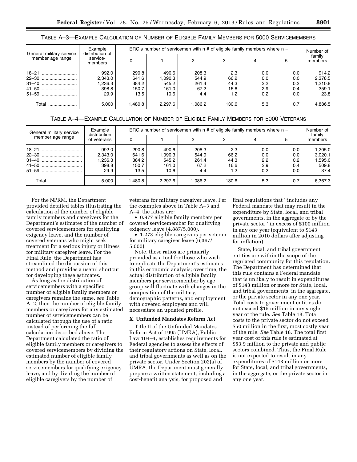| TABLE A-3-EXAMPLE CALCULATION OF NUMBER OF ELIGIBLE FAMILY MEMBERS FOR 5000 SERVICEMEMBERS |  |
|--------------------------------------------------------------------------------------------|--|
|--------------------------------------------------------------------------------------------|--|

| General military service<br>member age range | Example<br>distribution of                   | ERG's number of servicemen with $n \#$ of eligible family members where $n =$ |                                            |                                        |                                    |                                 |                                 |                                              |
|----------------------------------------------|----------------------------------------------|-------------------------------------------------------------------------------|--------------------------------------------|----------------------------------------|------------------------------------|---------------------------------|---------------------------------|----------------------------------------------|
|                                              | service-<br>members                          |                                                                               |                                            | 2                                      | 3                                  |                                 | 5                               | family<br>members                            |
| 18-21<br>22-30                               | 992.0<br>2,343.0<br>1,236.3<br>398.8<br>29.9 | 290.8<br>641.6<br>384.2<br>150.7<br>13.5                                      | 490.6<br>1,090.3<br>545.2<br>161.0<br>10.6 | 208.3<br>544.9<br>261.4<br>67.2<br>4.4 | 2.3<br>66.2<br>44.3<br>16.6<br>1.2 | 0.0<br>0.0<br>2.2<br>2.9<br>0.2 | 0.0<br>0.0<br>0.2<br>0.4<br>0.0 | 914.2<br>2,378.5<br>1,210.8<br>359.1<br>23.8 |
| Total                                        | 5,000                                        | 1.480.8                                                                       | 2.297.6                                    | 1,086.2                                | 130.6                              | 5.3                             | 0.7                             | 4,886.5                                      |

# TABLE A–4—EXAMPLE CALCULATION OF NUMBER OF ELIGIBLE FAMILY MEMBERS FOR 5000 VETERANS

| General military service | Example<br>distribution                     | ERG's number of servicemen with $n \#$ of eligible family members where $n =$ |                                            |                                        |                                    |                                           |                                 |                                                |  |
|--------------------------|---------------------------------------------|-------------------------------------------------------------------------------|--------------------------------------------|----------------------------------------|------------------------------------|-------------------------------------------|---------------------------------|------------------------------------------------|--|
| member age range         | of veterans                                 |                                                                               |                                            |                                        | З                                  |                                           |                                 | familv<br>members                              |  |
| 31-40<br>41-50<br>51-59  | 992.0<br>2.343.0<br>.236.3<br>398.8<br>29.9 | 290.8<br>641.6<br>384.2<br>150.7<br>13.5                                      | 490.6<br>1,090.3<br>545.2<br>161.0<br>10.6 | 208.3<br>544.9<br>261.4<br>67.2<br>4.4 | 2.3<br>66.2<br>44.3<br>16.6<br>1.2 | 0.0<br>0.0<br>$2.2^{\circ}$<br>2.9<br>0.2 | 0.0<br>0.0<br>0.2<br>0.4<br>0.0 | 1,205.0<br>3,020.1<br>1,595.0<br>509.8<br>37.4 |  |
| Total                    | 5.000                                       | 1.480.8                                                                       | 2.297.6                                    | 1.086.2                                | 130.6                              | 5.3                                       | 0.7                             | 6.367.3                                        |  |

For the NPRM, the Department provided detailed tables illustrating the calculation of the number of eligible family members and caregivers for the Department's estimates of the number of covered servicemembers for qualifying exigency leave, and the number of covered veterans who might seek treatment for a serious injury or illness for military caregiver leave. For the Final Rule, the Department has streamlined the discussion of this method and provides a useful shortcut for developing these estimates.

As long as the distribution of servicemembers with a specified number of eligible family members or caregivers remains the same, *see* Table A–2, then the number of eligible family members or caregivers for any estimated number of servicemembers can be calculated through the use of a ratio instead of performing the full calculation described above. The Department calculated the ratio of eligible family members or caregivers to covered servicemembers by dividing the estimated number of eligible family members by the number of covered servicemembers for qualifying exigency leave, and by dividing the number of eligible caregivers by the number of

veterans for military caregiver leave. Per the examples above in Table A–3 and A–4, the ratios are:

• 0.977 eligible family members per covered servicemember for qualifying exigency leave (4.887/5,000).

• 1.273 eligible caregivers per veteran for military caregiver leave (6,367/ 5,000).

Note, these ratios are primarily provided as a tool for those who wish to replicate the Department's estimates in this economic analysis; over time, the actual distribution of eligible family members per servicemember by age group will fluctuate with changes in the composition of the military, demographic patterns, and employment with covered employers and will necessitate an updated profile.

### **X. Unfunded Mandates Reform Act**

Title II of the Unfunded Mandates Reform Act of 1995 (UMRA), Public Law 104–4, establishes requirements for Federal agencies to assess the effects of their regulatory actions on State, local, and tribal governments as well as on the private sector. Under Section 202(a) of UMRA, the Department must generally prepare a written statement, including a cost-benefit analysis, for proposed and

final regulations that ''includes any Federal mandate that may result in the expenditure by State, local, and tribal governments, in the aggregate or by the private sector'' in excess of \$100 million in any one year (equivalent to \$143 million in 2010 dollars after adjusting for inflation).

State, local, and tribal government entities are within the scope of the regulated community for this regulation. The Department has determined that this rule contains a Federal mandate that is unlikely to result in expenditures of \$143 million or more for State, local, and tribal governments, in the aggregate, or the private sector in any one year. Total costs to government entities do not exceed \$15 million in any single year of the rule. *See* Table 18. Total costs to the private sector do not exceed \$50 million in the first, most costly year of the rule. *See* Table 18. The total first year cost of this rule is estimated at \$53.9 million to the private and public sectors combined. Thus, the Final Rule is not expected to result in any expenditures of \$143 million or more for State, local, and tribal governments, in the aggregate, or the private sector in any one year.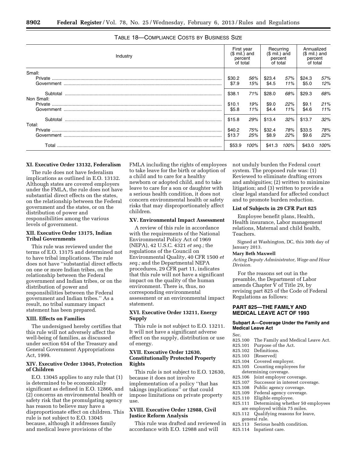| Industry               | First year<br>$($$ mil.) and<br>percent<br>of total |            | Recurring<br>$($$ mil.) and<br>percent<br>of total |            | Annualized<br>$($$ mil.) and<br>percent<br>of total |            |
|------------------------|-----------------------------------------------------|------------|----------------------------------------------------|------------|-----------------------------------------------------|------------|
| Small:                 | \$30.2<br>\$7.9                                     | 56%<br>15% | \$23.4<br>\$4.5                                    | 57%<br>11% | \$24.3<br>\$5.0                                     | 57%<br>12% |
| Subtotal<br>Non Small: | \$38.1<br>\$10.1                                    | 71%<br>19% | \$28.0<br>\$9.0                                    | 68%<br>22% | \$29.3<br>\$9.1                                     | 68%<br>21% |
|                        | \$5.8                                               | 11%        | \$4.4                                              | 11%        | \$4.6                                               | 11%        |
| Subtotal<br>Total:     | \$15.8                                              | 29%        | \$13.4                                             | 32%        | \$13.7                                              | 32%        |
|                        | \$40.2<br>\$13.7                                    | 75%<br>25% | \$32.4<br>\$8.9                                    | 78%<br>22% | \$33.5<br>\$9.6                                     | 78%<br>22% |
| Total                  | \$53.9                                              | 100%       | \$41.3                                             | 100%       | \$43.0                                              | 100%       |

# TABLE 18—COMPLIANCE COSTS BY BUSINESS SIZE

### **XI. Executive Order 13132, Federalism**

The rule does not have federalism implications as outlined in E.O. 13132. Although states are covered employers under the FMLA, the rule does not have substantial direct effects on the states, on the relationship between the Federal government and the states, or on the distribution of power and responsibilities among the various levels of government.

# **XII. Executive Order 13175, Indian Tribal Governments**

This rule was reviewed under the terms of E.O. 13175 and determined not to have tribal implications. The rule does not have ''substantial direct effects on one or more Indian tribes, on the relationship between the Federal government and Indian tribes, or on the distribution of power and responsibilities between the Federal government and Indian tribes.'' As a result, no tribal summary impact statement has been prepared.

### **XIII. Effects on Families**

The undersigned hereby certifies that this rule will not adversely affect the well-being of families, as discussed under section 654 of the Treasury and General Government Appropriations Act, 1999.

## **XIV. Executive Order 13045, Protection of Children**

E.O. 13045 applies to any rule that (1) is determined to be economically significant as defined in E.O. 12866, and (2) concerns an environmental health or safety risk that the promulgating agency has reason to believe may have a disproportionate effect on children. This rule is not subject to E.O. 13045 because, although it addresses family and medical leave provisions of the

FMLA including the rights of employees to take leave for the birth or adoption of a child and to care for a healthy newborn or adopted child, and to take leave to care for a son or daughter with a serious health condition, it does not concern environmental health or safety risks that may disproportionately affect children.

## **XV. Environmental Impact Assessment**

A review of this rule in accordance with the requirements of the National Environmental Policy Act of 1969 (NEPA), 42 U.S.C. 4321 *et seq.;* the regulations of the Council on Environmental Quality, 40 CFR 1500 *et seq.;* and the Departmental NEPA procedures, 29 CFR part 11, indicates that this rule will not have a significant impact on the quality of the human environment. There is, thus, no corresponding environmental assessment or an environmental impact statement.

# **XVI. Executive Order 13211, Energy Supply**

This rule is not subject to E.O. 13211. It will not have a significant adverse effect on the supply, distribution or use of energy.

# **XVII. Executive Order 12630, Constitutionally Protected Property Rights**

This rule is not subject to E.O. 12630, because it does not involve implementation of a policy ''that has takings implications'' or that could impose limitations on private property use.

# **XVIII. Executive Order 12988, Civil Justice Reform Analysis**

This rule was drafted and reviewed in accordance with E.O. 12988 and will

not unduly burden the Federal court system. The proposed rule was: (1) Reviewed to eliminate drafting errors and ambiguities; (2) written to minimize litigation; and (3) written to provide a clear legal standard for affected conduct and to promote burden reduction.

### **List of Subjects in 29 CFR Part 825**

Employee benefit plans, Health, Health insurance, Labor management relations, Maternal and child health, Teachers.

Signed at Washington, DC, this 30th day of January 2013.

# **Mary Beth Maxwell**

*Acting Deputy Administrator, Wage and Hour Division.* 

For the reasons set out in the preamble, the Department of Labor amends Chapter V of Title 29, by revising part 825 of the Code of Federal Regulations as follows:

## **PART 825—THE FAMILY AND MEDICAL LEAVE ACT OF 1993**

### **Subpart A—Coverage Under the Family and Medical Leave Act**

Sec.

- 825.100 The Family and Medical Leave Act.<br>825.101 Purpose of the Act
- 825.101 Purpose of the Act.<br>825.102 Definitions.
- 825.102 Definitions.<br>825.103 [Reserved]
- 825.103 [Reserved]<br>825.104 Covered en
- 825.104 Covered employer.<br>825.105 Counting employee
- Counting employees for determining coverage.
- 825.106 Joint employer coverage.<br>825.107 Successor in interest cov
- 825.107 Successor in interest coverage.<br>825.108 Public agency coverage
- 825.108 Public agency coverage.<br>825.109 Federal agency coverage
- 825.109 Federal agency coverage.<br>825.110 Eligible employee
- 825.110 Eligible employee.<br>825.111 Determining wheth
- Determining whether 50 employees are employed within 75 miles.
- 825.112 Qualifying reasons for leave, general rule.
- 825.113 Serious health condition.
- 825.114 Inpatient care.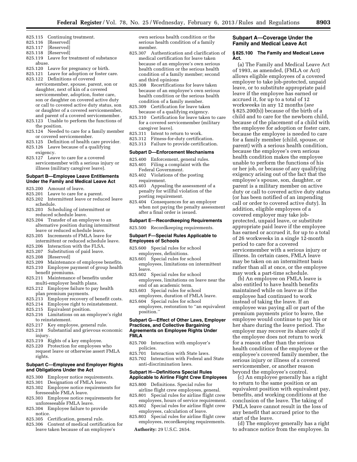- 825.115 Continuing treatment.
- 825.116 [Reserved]
- 825.117 [Reserved]
- 825.118 [Reserved]
- 825.119 Leave for treatment of substance abuse.
- 825.120 Leave for pregnancy or birth.
- 825.121 Leave for adoption or foster care.
- 825.122 Definitions of covered servicemember, spouse, parent, son or daughter, next of kin of a covered servicemember, adoption, foster care, son or daughter on covered active duty or call to covered active duty status, son or daughter of a covered servicemember, and parent of a covered servicemember.
- 825.123 Unable to perform the functions of the position.
- 825.124 Needed to care for a family member or covered servicemember.
- 825.125 Definition of health care provider. 825.126 Leave because of a qualifying
- exigency. 825.127 Leave to care for a covered servicemember with a serious injury or illness (military caregiver leave).

#### **Subpart B—Employee Leave Entitlements Under the Family and Medical Leave Act**

- 825.200 Amount of leave.
- 825.201 Leave to care for a parent.
- 825.202 Intermittent leave or reduced leave schedule.
- 825.203 Scheduling of intermittent or reduced schedule leave.
- 825.204 Transfer of an employee to an alternative position during intermittent leave or reduced schedule leave.
- 825.205 Increments of FMLA leave for
- intermittent or reduced schedule leave.<br>825.206 Interaction with the FLSA. Interaction with the FLSA.
- 825.207 Substitution of paid leave.
- 825.208 [Reserved]
- 825.209 Maintenance of employee benefits.
- 825.210 Employee payment of group health benefit premiums.
- 825.211 Maintenance of benefits under multi-employer health plans.
- 825.212 Employee failure to pay health plan premium payments.<br>825.213 Employer recovery
- Employer recovery of benefit costs.
- 825.214 Employee right to reinstatement.
- 825.215 Equivalent position.
- 825.216 Limitations on an employee's right to reinstatement.
- 825.217 Key employee, general rule.
- 825.218 Substantial and grievous economic injury.
- 825.219 Rights of a key employee.
- 825.220 Protection for employees who request leave or otherwise assert FMLA rights.

### **Subpart C—Employee and Employer Rights and Obligations Under the Act**

- 825.300 Employer notice requirements.<br>825.301 Designation of FMLA leave.
- Designation of FMLA leave.
- 825.302 Employee notice requirements for foreseeable FMLA leave.
- 825.303 Employee notice requirements for unforeseeable FMLA leave.
- 825.304 Employee failure to provide notice.
- 825.305 Certification, general rule.
- 825.306 Content of medical certification for leave taken because of an employee's

own serious health condition or the serious health condition of a family member.

- 825.307 Authentication and clarification of medical certification for leave taken because of an employee's own serious health condition or the serious health condition of a family member; second and third opinions
- 825.308 Recertifications for leave taken because of an employee's own serious health condition or the serious health condition of a family member.
- 825.309 Certification for leave taken because of a qualifying exigency.
- 825.310 Certification for leave taken to care for a covered servicemember (military caregiver leave).
- 825.311 Intent to return to work.
- 825.312 Fitness-for-duty certification.
- 825.313 Failure to provide certification.

#### **Subpart D—Enforcement Mechanisms**

- 825.400 Enforcement, general rules. 825.401 Filing a complaint with the Federal Government.
- 825.402 Violations of the posting requirement.
- 825.403 Appealing the assessment of a penalty for willful violation of the posting requirement.
- 825.404 Consequences for an employer when not paying the penalty assessment after a final order is issued.

#### **Subpart E—Recordkeeping Requirements**

# 825.500 Recordkeeping requirements.

### **Subpart F—Special Rules Applicable to Employees of Schools**

- 825.600 Special rules for school employees, definitions.
- 825.601 Special rules for school employees, limitations on intermittent leave.
- 825.602 Special rules for school employees, limitations on leave near the end of an academic term.
- 825.603 Special rules for school employees, duration of FMLA leave.

825.604 Special rules for school employees, restoration to ''an equivalent position.''

#### **Subpart G—Effect of Other Laws, Employer Practices, and Collective Bargaining Agreements on Employee Rights Under FMLA**

- 825.700 Interaction with employer's policies.
- 825.701 Interaction with State laws.
- 825.702 Interaction with Federal and State anti-discrimination laws.

# **Subpart H—Definitions Special Rules Applicable to Airline Flight Crew Employees**

- 825.800 Definitions. Special rules for airline flight crew employees, general.
- 825.801 Special rules for airline flight crew employees, hours of service requirement.
- 825.802 Special rules for airline flight crew employees, calculation of leave.
- 825.803 Special rules for airline flight crew employees, recordkeeping requirements.

**Authority:** 29 U.S.C. 2654.

### **Subpart A—Coverage Under the Family and Medical Leave Act**

#### **§ 825.100 The Family and Medical Leave Act.**

(a) The Family and Medical Leave Act of 1993, as amended, (FMLA or Act) allows eligible employees of a covered employer to take job-protected, unpaid leave, or to substitute appropriate paid leave if the employee has earned or accrued it, for up to a total of 12 workweeks in any 12 months (*see*  § 825.200(b)) because of the birth of a child and to care for the newborn child, because of the placement of a child with the employee for adoption or foster care, because the employee is needed to care for a family member (child, spouse, or parent) with a serious health condition, because the employee's own serious health condition makes the employee unable to perform the functions of his or her job, or because of any qualifying exigency arising out of the fact that the employee's spouse, son, daughter, or parent is a military member on active duty or call to covered active duty status (or has been notified of an impending call or order to covered active duty). In addition, eligible employees of a covered employer may take jobprotected, unpaid leave, or substitute appropriate paid leave if the employee has earned or accrued it, for up to a total of 26 workweeks in a single 12-month period to care for a covered servicemember with a serious injury or illness. In certain cases, FMLA leave may be taken on an intermittent basis rather than all at once, or the employee may work a part-time schedule.

(b) An employee on FMLA leave is also entitled to have health benefits maintained while on leave as if the employee had continued to work instead of taking the leave. If an employee was paying all or part of the premium payments prior to leave, the employee would continue to pay his or her share during the leave period. The employer may recover its share only if the employee does not return to work for a reason other than the serious health condition of the employee or the employee's covered family member, the serious injury or illness of a covered servicemember, or another reason beyond the employee's control.

(c) An employee generally has a right to return to the same position or an equivalent position with equivalent pay, benefits, and working conditions at the conclusion of the leave. The taking of FMLA leave cannot result in the loss of any benefit that accrued prior to the start of the leave.

(d) The employer generally has a right to advance notice from the employee. In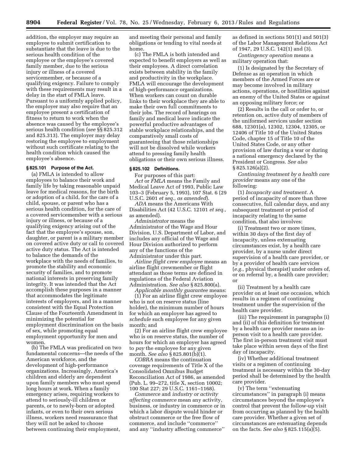addition, the employer may require an employee to submit certification to substantiate that the leave is due to the serious health condition of the employee or the employee's covered family member, due to the serious injury or illness of a covered servicemember, or because of a qualifying exigency. Failure to comply with these requirements may result in a delay in the start of FMLA leave. Pursuant to a uniformly applied policy, the employer may also require that an employee present a certification of fitness to return to work when the absence was caused by the employee's serious health condition (*see* §§ 825.312 and 825.313). The employer may delay restoring the employee to employment without such certificate relating to the health condition which caused the employee's absence.

### **§ 825.101 Purpose of the Act.**

(a) FMLA is intended to allow employees to balance their work and family life by taking reasonable unpaid leave for medical reasons, for the birth or adoption of a child, for the care of a child, spouse, or parent who has a serious health condition, for the care of a covered servicemember with a serious injury or illness, or because of a qualifying exigency arising out of the fact that the employee's spouse, son, daughter, or parent is a military member on covered active duty or call to covered active duty status. The Act is intended to balance the demands of the workplace with the needs of families, to promote the stability and economic security of families, and to promote national interests in preserving family integrity. It was intended that the Act accomplish these purposes in a manner that accommodates the legitimate interests of employers, and in a manner consistent with the Equal Protection Clause of the Fourteenth Amendment in minimizing the potential for employment discrimination on the basis of sex, while promoting equal employment opportunity for men and women.

(b) The FMLA was predicated on two fundamental concerns—the needs of the American workforce, and the development of high-performance organizations. Increasingly, America's children and elderly are dependent upon family members who must spend long hours at work. When a family emergency arises, requiring workers to attend to seriously-ill children or parents, or to newly-born or adopted infants, or even to their own serious illness, workers need reassurance that they will not be asked to choose between continuing their employment,

and meeting their personal and family obligations or tending to vital needs at home.

(c) The FMLA is both intended and expected to benefit employers as well as their employees. A direct correlation exists between stability in the family and productivity in the workplace. FMLA will encourage the development of high-performance organizations. When workers can count on durable links to their workplace they are able to make their own full commitments to their jobs. The record of hearings on family and medical leave indicate the powerful productive advantages of stable workplace relationships, and the comparatively small costs of guaranteeing that those relationships will not be dissolved while workers attend to pressing family health obligations or their own serious illness.

### **§ 825.102 Definitions.**

For purposes of this part: *Act* or *FMLA* means the Family and Medical Leave Act of 1993, Public Law 103–3 (February 5, 1993), 107 Stat. 6 (29 U.S.C. 2601 *et seq., as amended*).

*ADA* means the Americans With Disabilities Act (42 U.S.C. 12101 *et seq.,*  as amended).

*Administrator* means the Administrator of the Wage and Hour Division, U.S. Department of Labor, and includes any official of the Wage and Hour Division authorized to perform any of the functions of the Administrator under this part.

*Airline flight crew employee* means an airline flight crewmember or flight attendant as those terms are defined in regulations of the Federal Aviation Administration. *See also* § 825.800(a).

*Applicable monthly guarantee* means: (1) For an airline flight crew employee who is not on reserve status (line holder), the minimum number of hours for which an employer has agreed to *schedule* such employee for any given month; and

(2) For an airline flight crew employee who is on reserve status, the number of hours for which an employer has agreed to *pay* the employee for any given month. *See also* § 825.801(b)(1).

*COBRA* means the continuation coverage requirements of Title X of the Consolidated Omnibus Budget Reconciliation Act of 1986, as amended (Pub. L. 99–272, title X, section 10002; 100 Stat 227; 29 U.S.C. 1161–1168).

*Commerce* and *industry or activity affecting commerce* mean any activity, business, or industry in commerce or in which a labor dispute would hinder or obstruct commerce or the free flow of commerce, and include ''commerce'' and any ''industry affecting commerce''

as defined in sections 501(1) and 501(3) of the Labor Management Relations Act of 1947, 29 U.S.C. 142(1) and (3).

*Contingency operation* means a military operation that:

(1) Is designated by the Secretary of Defense as an operation in which members of the Armed Forces are or may become involved in military actions, operations, or hostilities against an enemy of the United States or against an opposing military force; or

(2) Results in the call or order to, or retention on, active duty of members of the uniformed services under section 688, 12301(a), 12302, 12304, 12305, or 12406 of Title 10 of the United States Code, chapter 15 of Title 10 of the United States Code, or any other provision of law during a war or during a national emergency declared by the President or Congress. *See also*  § 825.126(a)(2).

*Continuing treatment by a health care provider* means any one of the following:

(1) *Incapacity and treatment.* A period of incapacity of more than three consecutive, full calendar days, and any subsequent treatment or period of incapacity relating to the same condition, that also involves:

(i) Treatment two or more times, within 30 days of the first day of incapacity, unless extenuating circumstances exist, by a health care provider, by a nurse under direct supervision of a health care provider, or by a provider of health care services (*e.g.,* physical therapist) under orders of, or on referral by, a health care provider; or

(ii) Treatment by a health care provider on at least one occasion, which results in a regimen of continuing treatment under the supervision of the health care provider.

(iii) The requirement in paragraphs (i) and (ii) of this definition for treatment by a health care provider means an inperson visit to a health care provider. The first in-person treatment visit must take place within seven days of the first day of incapacity.

(iv) Whether additional treatment visits or a regimen of continuing treatment is necessary within the 30-day period shall be determined by the health care provider.

(v) The term ''extenuating circumstances'' in paragraph (i) means circumstances beyond the employee's control that prevent the follow-up visit from occurring as planned by the health care provider. Whether a given set of circumstances are extenuating depends on the facts. *See also* § 825.115(a)(5).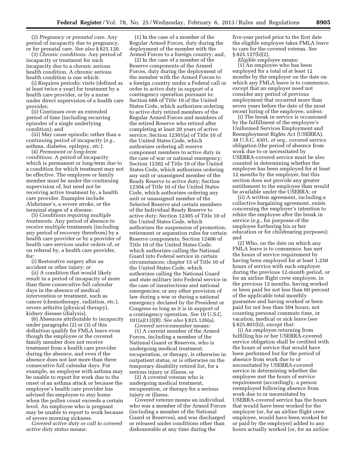(2) *Pregnancy or prenatal care.* Any period of incapacity due to pregnancy, or for prenatal care. *See also* § 825.120.

(3) *Chronic conditions.* Any period of incapacity or treatment for such incapacity due to a chronic serious health condition. A chronic serious health condition is one which:

(i) Requires periodic visits (defined as at least twice a year) for treatment by a health care provider, or by a nurse under direct supervision of a health care provider;

(ii) Continues over an extended period of time (including recurring episodes of a single underlying condition); and

(iii) May cause episodic rather than a continuing period of incapacity (*e.g.,*  asthma, diabetes, epilepsy, *etc.*).

(4) *Permanent or long-term conditions.* A period of incapacity which is permanent or long-term due to a condition for which treatment may not be effective. The employee or family member must be under the continuing supervision of, but need not be receiving active treatment by, a health care provider. Examples include Alzheimer's, a severe stroke, or the terminal stages of a disease.

(5) *Conditions requiring multiple treatments.* Any period of absence to receive multiple treatments (including any period of recovery therefrom) by a health care provider or by a provider of health care services under orders of, or on referral by, a health care provider, for:

(i) Restorative surgery after an accident or other injury; or

(ii) A condition that would likely result in a period of incapacity of more than three consecutive full calendar days in the absence of medical intervention or treatment, such as cancer (chemotherapy, radiation, etc.), severe arthritis (physical therapy), kidney disease (dialysis).

(6) Absences attributable to incapacity under paragraphs (2) or (3) of this definition qualify for FMLA leave even though the employee or the covered family member does not receive treatment from a health care provider during the absence, and even if the absence does not last more than three consecutive full calendar days. For example, an employee with asthma may be unable to report for work due to the onset of an asthma attack or because the employee's health care provider has advised the employee to stay home when the pollen count exceeds a certain level. An employee who is pregnant may be unable to report to work because of severe morning sickness.

*Covered active duty or call to covered active duty status* means:

(1) In the case of a member of the Regular Armed Forces, duty during the deployment of the member with the Armed Forces to a foreign country; and,

(2) In the case of a member of the Reserve components of the Armed Forces, duty during the deployment of the member with the Armed Forces to a foreign country under a Federal call or order to active duty in support of a contingency operation pursuant to: Section 688 of Title 10 of the United States Code, which authorizes ordering to active duty retired members of the Regular Armed Forces and members of the retired Reserve who retired after completing at least 20 years of active service; Section 12301(a) of Title 10 of the United States Code, which authorizes ordering all reserve component members to active duty in the case of war or national emergency; Section 12302 of Title 10 of the United States Code, which authorizes ordering any unit or unassigned member of the Ready Reserve to active duty; Section 12304 of Title 10 of the United States Code, which authorizes ordering any unit or unassigned member of the Selected Reserve and certain members of the Individual Ready Reserve to active duty; Section 12305 of Title 10 of the United States Code, which authorizes the suspension of promotion, retirement or separation rules for certain Reserve components; Section 12406 of Title 10 of the United States Code, which authorizes calling the National Guard into Federal service in certain circumstances; chapter 15 of Title 10 of the United States Code, which authorizes calling the National Guard and state military into Federal service in the case of insurrections and national emergencies; or any other provision of law during a war or during a national emergency declared by the President or Congress so long as it is in support of a contingency operation. *See* 10 U.S.C. 101(a)(13)(B). *See also* § 825.126(a).

*Covered servicemember* means: (1) A current member of the Armed Forces, including a member of the National Guard or Reserves, who is undergoing medical treatment, recuperation, or therapy, is otherwise in outpatient status, or is otherwise on the temporary disability retired list, for a serious injury or illness, or

(2) A covered veteran who is undergoing medical treatment, recuperation, or therapy for a serious injury or illness.

*Covered veteran* means an individual who was a member of the Armed Forces (including a member of the National Guard or Reserves), and was discharged or released under conditions other than dishonorable at any time during the

five-year period prior to the first date the eligible employee takes FMLA leave to care for the covered veteran. *See*  § 825.127(b)(2).

*Eligible employee* means:

(1) An employee who has been employed for a total of at least 12 months by the employer on the date on which any FMLA leave is to commence, except that an employer need not consider any period of previous employment that occurred more than seven years before the date of the most recent hiring of the employee, *unless:* 

(i) The break in service is occasioned by the fulfillment of the employee's Uniformed Services Employment and Reemployment Rights Act (USERRA), 38 U.S.C. 4301, *et seq.,* covered service obligation (the period of absence from work due to or necessitated by USERRA-covered service must be also counted in determining whether the employee has been employed for at least 12 months by the employer, but this section does not provide any greater entitlement to the employee than would be available under the USERRA; or

(ii) A written agreement, including a collective bargaining agreement, exists concerning the employer's intention to rehire the employee after the break in service (*e.g.,* for purposes of the employee furthering his or her education or for childrearing purposes); and

(2) Who, on the date on which any FMLA leave is to commence, has met the hours of service requirement by having been employed for at least 1,250 hours of service with such employer during the previous 12-month period, or for an airline flight crew employee, in the previous 12 months, having worked or been paid for not less than 60 percent of the applicable total monthly guarantee and having worked or been paid for not less than 504 hours, not counting personal commute time, or vacation, medical or sick leave (*see*  § 825.801(b)), *except that:* 

(i) An employee returning from fulfilling his or her USERRA-covered service obligation shall be credited with the hours of service that would have been performed but for the period of absence from work due to or necessitated by USERRA-covered service in determining whether the employee met the hours of service requirement (accordingly, a person reemployed following absence from work due to or necessitated by USERRA-covered service has the hours that would have been worked for the employer (or, for an airline flight crew employee, would have been worked for or paid by the employer) added to any hours actually worked (or, for an airline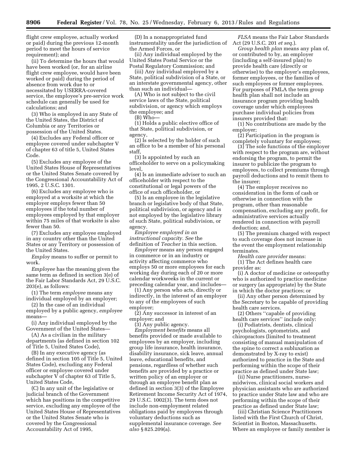flight crew employee, actually worked or paid) during the previous 12-month period to meet the hours of service requirement); and

(ii) To determine the hours that would have been worked (or, for an airline flight crew employee, would have been worked or paid) during the period of absence from work due to or necessitated by USERRA-covered service, the employee's pre-service work schedule can generally be used for calculations; and

(3) Who is employed in any State of the United States, the District of Columbia or any Territories or possession of the United States.

(4) Excludes any Federal officer or employee covered under subchapter V of chapter 63 of title 5, United States Code.

(5) Excludes any employee of the United States House of Representatives or the United States Senate covered by the Congressional Accountability Act of 1995, 2 U.S.C. 1301.

(6) Excludes any employee who is employed at a worksite at which the employer employs fewer than 50 employees if the total number of employees employed by that employer within 75 miles of that worksite is also fewer than 50.

(7) Excludes any employee employed in any country other than the United States or any Territory or possession of the United States.

*Employ* means to suffer or permit to work.

*Employee* has the meaning given the same term as defined in section 3(e) of the Fair Labor Standards Act, 29 U.S.C. 203(e), as follows:

(1) The term *employee* means any individual employed by an employer;

(2) In the case of an individual employed by a public agency, *employee*  means—

(i) Any individual employed by the Government of the United States—

(A) As a civilian in the military departments (as defined in section 102 of Title 5, United States Code),

(B) In any executive agency (as defined in section 105 of Title 5, United States Code), excluding any Federal officer or employee covered under subchapter V of chapter 63 of Title 5, United States Code,

(C) In any unit of the legislative or judicial branch of the Government which has positions in the competitive service, excluding any employee of the United States House of Representatives or the United States Senate who is covered by the Congressional Accountability Act of 1995,

(D) In a nonappropriated fund instrumentality under the jurisdiction of the Armed Forces, or

(ii) Any individual employed by the United States Postal Service or the Postal Regulatory Commission; and

(iii) Any individual employed by a State, political subdivision of a State, or an interstate governmental agency, other than such an individual—

(A) Who is not subject to the civil service laws of the State, political subdivision, or agency which employs the employee; and

(B) Who—

(1) Holds a public elective office of that State, political subdivision, or agency,

(2) Is selected by the holder of such an office to be a member of his personal staff,

(3) Is appointed by such an officeholder to serve on a policymaking level,

(4) Is an immediate adviser to such an officeholder with respect to the constitutional or legal powers of the office of such officeholder, or

(5) Is an employee in the legislative branch or legislative body of that State, political subdivision, or agency and is not employed by the legislative library of such State, political subdivision, or agency.

*Employee employed in an instructional capacity. See* the definition of *Teacher* in this section.

*Employer* means any person engaged in commerce or in an industry or activity affecting commerce who employs 50 or more employees for each working day during each of 20 or more calendar workweeks in the current or preceding calendar year, and includes—

(1) Any person who acts, directly or indirectly, in the interest of an employer to any of the employees of such employer;

(2) Any successor in interest of an employer; and

(3) Any public agency.

*Employment benefits* means all benefits provided or made available to employees by an employer, including group life insurance, health insurance, disability insurance, sick leave, annual leave, educational benefits, and pensions, regardless of whether such benefits are provided by a practice or written policy of an employer or through an employee benefit plan as defined in section 3(3) of the Employee Retirement Income Security Act of 1974, 29 U.S.C. 1002(3). The term does not include non-employment related obligations paid by employees through voluntary deductions such as supplemental insurance coverage. *See also* § 825.209(a).

*FLSA* means the Fair Labor Standards Act (29 U.S.C. 201 *et seq.*).

*Group health plan* means any plan of, or contributed to by, an employer (including a self-insured plan) to provide health care (directly or otherwise) to the employer's employees, former employees, or the families of such employees or former employees. For purposes of FMLA the term group health plan shall not include an insurance program providing health coverage under which employees purchase individual policies from insurers provided that:

(1) No contributions are made by the employer;

(2) Participation in the program is completely voluntary for employees;

(3) The sole functions of the employer with respect to the program are, without endorsing the program, to permit the insurer to publicize the program to employees, to collect premiums through payroll deductions and to remit them to the insurer;

(4) The employer receives no consideration in the form of cash or otherwise in connection with the program, other than reasonable compensation, excluding any profit, for administrative services actually rendered in connection with payroll deduction; and,

(5) The premium charged with respect to such coverage does not increase in the event the employment relationship terminates.

*Health care provider* means:

(1) The Act defines health care provider as:

(i) A doctor of medicine or osteopathy who is authorized to practice medicine or surgery (as appropriate) by the State in which the doctor practices; or

(ii) Any other person determined by the Secretary to be capable of providing health care services.

(2) Others ''capable of providing health care services" include only:

(i) Podiatrists, dentists, clinical psychologists, optometrists, and chiropractors (limited to treatment consisting of manual manipulation of the spine to correct a subluxation as demonstrated by X-ray to exist) authorized to practice in the State and performing within the scope of their practice as defined under State law;

(ii) Nurse practitioners, nursemidwives, clinical social workers and physician assistants who are authorized to practice under State law and who are performing within the scope of their practice as defined under State law;

(iii) Christian Science Practitioners listed with the First Church of Christ, Scientist in Boston, Massachusetts. Where an employee or family member is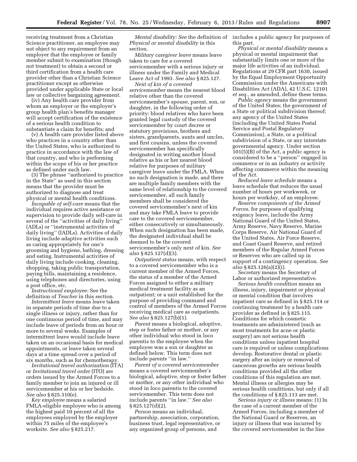receiving treatment from a Christian Science practitioner, an employee may not object to any requirement from an employer that the employee or family member submit to examination (though not treatment) to obtain a second or third certification from a health care provider other than a Christian Science practitioner except as otherwise provided under applicable State or local law or collective bargaining agreement.

(iv) Any health care provider from whom an employer or the employer's group health plan's benefits manager will accept certification of the existence of a serious health condition to substantiate a claim for benefits; and

(v) A health care provider listed above who practices in a country other than the United States, who is authorized to practice in accordance with the law of that country, and who is performing within the scope of his or her practice as defined under such law.

(3) The phrase ''authorized to practice in the State'' as used in this section means that the provider must be authorized to diagnose and treat physical or mental health conditions.

*Incapable of self-care* means that the individual requires active assistance or supervision to provide daily self-care in several of the ''activities of daily living'' (ADLs) or ''instrumental activities of daily living'' (IADLs). Activities of daily living include adaptive activities such as caring appropriately for one's grooming and hygiene, bathing, dressing and eating. Instrumental activities of daily living include cooking, cleaning, shopping, taking public transportation, paying bills, maintaining a residence, using telephones and directories, using a post office, etc.

*Instructional employee:* See the definition of *Teacher* in this section*.* 

*Intermittent leave* means leave taken in separate periods of time due to a single illness or injury, rather than for one continuous period of time, and may include leave of periods from an hour or more to several weeks. Examples of intermittent leave would include leave taken on an occasional basis for medical appointments, or leave taken several days at a time spread over a period of six months, such as for chemotherapy.

*Invitational travel authorization* (ITA) or *Invitational travel order* (ITO) are orders issued by the Armed Forces to a family member to join an injured or ill servicemember at his or her bedside. *See also* § 825.310(e).

*Key employee* means a salaried FMLA-eligible employee who is among the highest paid 10 percent of all the employees employed by the employer within 75 miles of the employee's worksite. *See also* § 825.217.

*Mental disability: See* the definition of *Physical or mental disability* in this section.

*Military caregiver leave* means leave taken to care for a covered servicemember with a serious injury or illness under the Family and Medical Leave Act of 1993. *See also* § 825.127.

*Next of kin of a covered servicemember* means the nearest blood relative other than the covered servicemember's spouse, parent, son, or daughter, in the following order of priority: blood relatives who have been granted legal custody of the covered servicemember by court decree or statutory provisions, brothers and sisters, grandparents, aunts and uncles, and first cousins, unless the covered servicemember has specifically designated in writing another blood relative as his or her nearest blood relative for purposes of military caregiver leave under the FMLA. When no such designation is made, and there are multiple family members with the same level of relationship to the covered servicemember, all such family members shall be considered the covered servicemember's next of kin and may take FMLA leave to provide care to the covered servicemember, either consecutively or simultaneously. When such designation has been made, the designated individual shall be deemed to be the covered servicemember's only next of kin. *See also* § 825.127(d)(3).

*Outpatient status* means, with respect to a covered servicemember who is a current member of the Armed Forces, the status of a member of the Armed Forces assigned to either a military medical treatment facility as an outpatient; or a unit established for the purpose of providing command and control of members of the Armed Forces receiving medical care as outpatients. *See also* § 825.127(b)(1).

*Parent* means a biological, adoptive, step or foster father or mother, or any other individual who stood in loco parentis to the employee when the employee was a son or daughter as defined below. This term does not include parents ''in law.''

*Parent of a covered servicemember*  means a covered servicemember's biological, adoptive, step or foster father or mother, or any other individual who stood in loco parentis to the covered servicemember. This term does not include parents ''in law.'' *See also*  § 825.127(d)(2).

*Person* means an individual, partnership, association, corporation, business trust, legal representative, or any organized group of persons, and

includes a public agency for purposes of this part.

*Physical or mental disability* means a physical or mental impairment that substantially limits one or more of the major life activities of an individual. Regulations at 29 CFR part 1630, issued by the Equal Employment Opportunity Commission under the Americans with Disabilities Act (ADA), 42 U.S.C. 12101 *et seq.,* as amended, define these terms.

*Public agency* means the government of the United States; the government of a State or political subdivision thereof; any agency of the United States (including the United States Postal Service and Postal Regulatory Commission), a State, or a political subdivision of a State, or any interstate governmental agency. Under section 101(5)(B) of the Act, a public agency is considered to be a ''person'' engaged in commerce or in an industry or activity affecting commerce within the meaning of the Act.

*Reduced leave schedule* means a leave schedule that reduces the usual number of hours per workweek, or hours per workday, of an employee.

*Reserve components of the Armed Forces,* for purposes of qualifying exigency leave, include the Army National Guard of the United States, Army Reserve, Navy Reserve, Marine Corps Reserve, Air National Guard of the United States, Air Force Reserve, and Coast Guard Reserve, and retired members of the Regular Armed Forces or Reserves who are called up in support of a contingency operation. *See also* § 825.126(a)(2)(i).

*Secretary* means the Secretary of Labor or authorized representative.

*Serious health condition* means an illness, injury, impairment or physical or mental condition that involves inpatient care as defined in § 825.114 or continuing treatment by a health care provider as defined in § 825.115. Conditions for which cosmetic treatments are administered (such as most treatments for acne or plastic surgery) are not serious health conditions unless inpatient hospital care is required or unless complications develop. Restorative dental or plastic surgery after an injury or removal of cancerous growths are serious health conditions provided all the other conditions of this regulation are met. Mental illness or allergies may be serious health conditions, but only if all the conditions of § 825.113 are met.

*Serious injury or illness* means: (1) In the case of a current member of the Armed Forces, including a member of the National Guard or Reserves, an injury or illness that was incurred by the covered servicemember in the line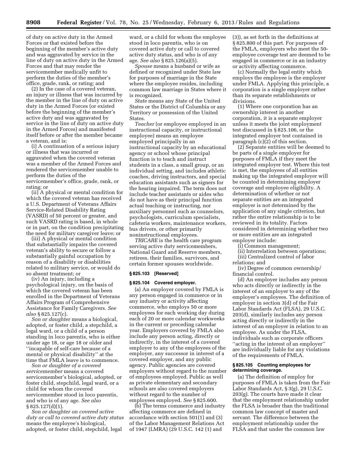of duty on active duty in the Armed Forces or that existed before the beginning of the member's active duty and was aggravated by service in the line of duty on active duty in the Armed Forces and that may render the servicemember medically unfit to perform the duties of the member's office, grade, rank, or rating; and

(2) In the case of a covered veteran, an injury or illness that was incurred by the member in the line of duty on active duty in the Armed Forces (or existed before the beginning of the member's active duty and was aggravated by service in the line of duty on active duty in the Armed Forces) and manifested itself before or after the member became a veteran, and is:

(i) A continuation of a serious injury or illness that was incurred or aggravated when the covered veteran was a member of the Armed Forces and rendered the servicemember unable to perform the duties of the servicemember's office, grade, rank, or rating; or

(ii) A physical or mental condition for which the covered veteran has received a U.S. Department of Veterans Affairs Service-Related Disability Rating (VASRD) of 50 percent or greater, and such VASRD rating is based, in whole or in part, on the condition precipitating the need for military caregiver leave; or

(iii) A physical or mental condition that substantially impairs the covered veteran's ability to secure or follow a substantially gainful occupation by reason of a disability or disabilities related to military service, or would do so absent treatment; or

(iv) An injury, including a psychological injury, on the basis of which the covered veteran has been enrolled in the Department of Veterans Affairs Program of Comprehensive Assistance for Family Caregivers. *See also* § 825.127(c).

*Son or daughter* means a biological, adopted, or foster child, a stepchild, a legal ward, or a child of a person standing in loco parentis, who is either under age 18, or age 18 or older and ''incapable of self-care because of a mental or physical disability'' at the time that FMLA leave is to commence.

*Son or daughter of a covered servicemember* means a covered servicemember's biological, adopted, or foster child, stepchild, legal ward, or a child for whom the covered servicemember stood in loco parentis, and who is of any age. *See also*  § 825.127(d)(1).

*Son or daughter on covered active duty or call to covered active duty status*  means the employee's biological, adopted, or foster child, stepchild, legal

ward, or a child for whom the employee stood in loco parentis, who is on covered active duty or call to covered active duty status, and who is of any age. *See also* § 825.126(a)(5).

*Spouse* means a husband or wife as defined or recognized under State law for purposes of marriage in the State where the employee resides, including common law marriage in States where it is recognized.

*State* means any State of the United States or the District of Columbia or any Territory or possession of the United States.

*Teacher* (or employee employed in an instructional capacity, or instructional employee) means an employee employed principally in an instructional capacity by an educational agency or school whose principal function is to teach and instruct students in a class, a small group, or an individual setting, and includes athletic coaches, driving instructors, and special education assistants such as signers for the hearing impaired. The term does not include teacher assistants or aides who do not have as their principal function actual teaching or instructing, nor auxiliary personnel such as counselors, psychologists, curriculum specialists, cafeteria workers, maintenance workers, bus drivers, or other primarily noninstructional employees.

*TRICARE* is the health care program serving active duty servicemembers, National Guard and Reserve members, retirees, their families, survivors, and certain former spouses worldwide.

#### **§ 825.103 [Reserved]**

#### **§ 825.104 Covered employer.**

(a) An employer covered by FMLA is any person engaged in commerce or in any industry or activity affecting commerce, who employs 50 or more employees for each working day during each of 20 or more calendar workweeks in the current or preceding calendar year. Employers covered by FMLA also include any person acting, directly or indirectly, in the interest of a covered employer to any of the employees of the employer, any successor in interest of a covered employer, and any public agency. Public agencies are covered employers without regard to the number of employees employed. Public as well as private elementary and secondary schools are also covered employers without regard to the number of employees employed. *See* § 825.600.

(b) The terms commerce and industry affecting commerce are defined in accordance with section 501(1) and (3) of the Labor Management Relations Act of 1947 (LMRA) (29 U.S.C. 142 (1) and

(3)), as set forth in the definitions at § 825.800 of this part. For purposes of the FMLA, employers who meet the 50 employee coverage test are deemed to be engaged in commerce or in an industry or activity affecting commerce.

(c) Normally the legal entity which employs the employee is the employer under FMLA. Applying this principle, a corporation is a single employer rather than its separate establishments or divisions.

(1) Where one corporation has an ownership interest in another corporation, it is a separate employer unless it meets the joint employment test discussed in § 825.106, or the integrated employer test contained in paragraph (c)(2) of this section.

(2) Separate entities will be deemed to be parts of a single employer for purposes of FMLA if they meet the integrated employer test. Where this test is met, the employees of all entities making up the integrated employer will be counted in determining employer coverage and employee eligibility. A determination of whether or not separate entities are an integrated employer is not determined by the application of any single criterion, but rather the entire relationship is to be reviewed in its totality. Factors considered in determining whether two or more entities are an integrated employer include:

(i) Common management;

- (ii) Interrelation between operations;
- (iii) Centralized control of labor

relations; and

(iv) Degree of common ownership/ financial control.

(d) An employer includes any person who acts directly or indirectly in the interest of an employer to any of the employer's employees. The definition of employer in section 3(d) of the Fair Labor Standards Act (FLSA), 29 U.S.C. 203(d), similarly includes any person acting directly or indirectly in the interest of an employer in relation to an employee. As under the FLSA, individuals such as corporate officers ''acting in the interest of an employer'' are individually liable for any violations of the requirements of FMLA.

# **§ 825.105 Counting employees for determining coverage.**

(a) The definition of employ for purposes of FMLA is taken from the Fair Labor Standards Act, § 3(g), 29 U.S.C. 203(g). The courts have made it clear that the employment relationship under the FLSA is broader than the traditional common law concept of master and servant. The difference between the employment relationship under the FLSA and that under the common law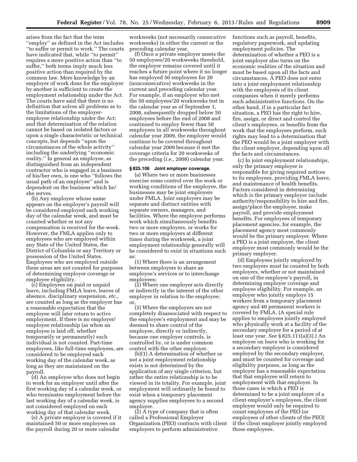arises from the fact that the term ''employ'' as defined in the Act includes ''to suffer or permit to work.'' The courts have indicated that, while ''to permit'' requires a more positive action than ''to suffer,'' both terms imply much less positive action than required by the common law. Mere knowledge by an employer of work done for the employer by another is sufficient to create the employment relationship under the Act. The courts have said that there is no definition that solves all problems as to the limitations of the employeremployee relationship under the Act; and that determination of the relation cannot be based on isolated factors or upon a single characteristic or technical concepts, but depends ''upon the circumstances of the whole activity'' including the underlying ''economic reality.'' In general an employee, as distinguished from an independent contractor who is engaged in a business of his/her own, is one who ''follows the usual path of an employee'' and is dependent on the business which he/ she serves.

(b) Any employee whose name appears on the employer's payroll will be considered employed each working day of the calendar week, and must be counted whether or not any compensation is received for the week. However, the FMLA applies only to employees who are employed within any State of the United States, the District of Columbia or any Territory or possession of the United States. Employees who are employed outside these areas are not counted for purposes of determining employer coverage or employee eligibility.

(c) Employees on paid or unpaid leave, including FMLA leave, leaves of absence, disciplinary suspension, *etc.,*  are counted as long as the employer has a reasonable expectation that the employee will later return to active employment. If there is no employer/ employee relationship (as when an employee is laid off, whether temporarily or permanently) such individual is not counted. Part-time employees, like full-time employees, are considered to be employed each working day of the calendar week, as long as they are maintained on the payroll.

(d) An employee who does not begin to work for an employer until after the first working day of a calendar week, or who terminates employment before the last working day of a calendar week, is not considered employed on each working day of that calendar week.

(e) A private employer is covered if it maintained 50 or more employees on the payroll during 20 or more calendar

workweeks (not necessarily consecutive workweeks) in either the current or the preceding calendar year.

(f) Once a private employer meets the 50 employees/20 workweeks threshold, the employer remains covered until it reaches a future point where it no longer has employed 50 employees for 20 (nonconsecutive) workweeks in the current and preceding calendar year. For example, if an employer who met the 50 employees/20 workweeks test in the calendar year as of September 1, 2008, subsequently dropped below 50 employees before the end of 2008 and continued to employ fewer than 50 employees in all workweeks throughout calendar year 2009, the employer would continue to be covered throughout calendar year 2009 because it met the coverage criteria for 20 workweeks of the preceding (*i.e.,* 2008) calendar year.

### **§ 825.106 Joint employer coverage.**

(a) Where two or more businesses exercise some control over the work or working conditions of the employee, the businesses may be joint employers under FMLA. Joint employers may be separate and distinct entities with separate owners, managers, and facilities. Where the employee performs work which simultaneously benefits two or more employers, or works for two or more employers at different times during the workweek, a joint employment relationship generally will be considered to exist in situations such as:

(1) Where there is an arrangement between employers to share an employee's services or to interchange employees;

(2) Where one employer acts directly or indirectly in the interest of the other employer in relation to the employee; or,

(3) Where the employers are not completely disassociated with respect to the employee's employment and may be deemed to share control of the employee, directly or indirectly, because one employer controls, is controlled by, or is under common control with the other employer.

(b)(1) A determination of whether or not a joint employment relationship exists is not determined by the application of any single criterion, but rather the entire relationship is to be viewed in its totality. For example, joint employment will ordinarily be found to exist when a temporary placement agency supplies employees to a second employer.

 $(2)$  Å type of company that is often called a Professional Employer Organization (PEO) contracts with client employers to perform administrative

functions such as payroll, benefits, regulatory paperwork, and updating employment policies. The determination of whether a PEO is a joint employer also turns on the economic realities of the situation and must be based upon all the facts and circumstances. A PEO does not enter into a joint employment relationship with the employees of its client companies when it merely performs such administrative functions. On the other hand, if in a particular fact situation, a PEO has the right to hire, fire, assign, or direct and control the client's employees, or benefits from the work that the employees perform, such rights may lead to a determination that the PEO would be a joint employer with the client employer, depending upon all the facts and circumstances.

(c) In joint employment relationships, only the primary employer is responsible for giving required notices to its employees, providing FMLA leave, and maintenance of health benefits. Factors considered in determining which is the primary employer include authority/responsibility to hire and fire, assign/place the employee, make payroll, and provide employment benefits. For employees of temporary placement agencies, for example, the placement agency most commonly would be the primary employer. Where a PEO is a joint employer, the client employer most commonly would be the primary employer.

(d) Employees jointly employed by two employers must be counted by both employers, whether or not maintained on one of the employer's payroll, in determining employer coverage and employee eligibility. For example, an employer who jointly employs 15 workers from a temporary placement agency and 40 permanent workers is covered by FMLA. (A special rule applies to employees jointly employed who physically work at a facility of the secondary employer for a period of at least one year. *See* § 825.111(a)(3).) An employee on leave who is working for a secondary employer is considered employed by the secondary employer, and must be counted for coverage and eligibility purposes, as long as the employer has a reasonable expectation that that employee will return to employment with that employer. In those cases in which a PEO is determined to be a joint employer of a client employer's employees, the client employer would only be required to count employees of the PEO (or employees of other clients of the PEO) if the client employer jointly employed those employees.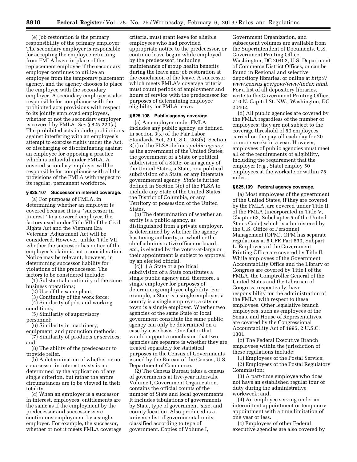(e) Job restoration is the primary responsibility of the primary employer. The secondary employer is responsible for accepting the employee returning from FMLA leave in place of the replacement employee if the secondary employer continues to utilize an employee from the temporary placement agency, and the agency chooses to place the employee with the secondary employer. A secondary employer is also responsible for compliance with the prohibited acts provisions with respect to its jointly employed employees, whether or not the secondary employer is covered by FMLA. *See* § 825.220(a). The prohibited acts include prohibitions against interfering with an employee's attempt to exercise rights under the Act, or discharging or discriminating against an employee for opposing a practice which is unlawful under FMLA. A covered secondary employer will be responsible for compliance with all the provisions of the FMLA with respect to its regular, permanent workforce.

# **§ 825.107 Successor in interest coverage.**

(a) For purposes of FMLA, in determining whether an employer is covered because it is a ''successor in interest'' to a covered employer, the factors used under Title VII of the Civil Rights Act and the Vietnam Era Veterans' Adjustment Act will be considered. However, unlike Title VII, whether the successor has notice of the employee's claim is not a consideration. Notice may be relevant, however, in determining successor liability for violations of the predecessor. The factors to be considered include:

(1) Substantial continuity of the same business operations;

(2) Use of the same plant;

(3) Continuity of the work force;

(4) Similarity of jobs and working conditions;

(5) Similarity of supervisory personnel;

(6) Similarity in machinery,

equipment, and production methods; (7) Similarity of products or services;

and

(8) The ability of the predecessor to provide relief.

(b) A determination of whether or not a successor in interest exists is not determined by the application of any single criterion, but rather the entire circumstances are to be viewed in their totality.

(c) When an employer is a successor in interest, employees' entitlements are the same as if the employment by the predecessor and successor were continuous employment by a single employer. For example, the successor, whether or not it meets FMLA coverage

criteria, must grant leave for eligible employees who had provided appropriate notice to the predecessor, or continue leave begun while employed by the predecessor, including maintenance of group health benefits during the leave and job restoration at the conclusion of the leave. A successor which meets FMLA's coverage criteria must count periods of employment and hours of service with the predecessor for purposes of determining employee eligibility for FMLA leave.

# **§ 825.108 Public agency coverage.**

(a) An employer under FMLA includes any public agency, as defined in section  $3(x)$  of the Fair Labor Standards Act, 29 U.S.C. 203(x). Section 3(x) of the FLSA defines *public agency*  as the government of the United States; the government of a State or political subdivision of a State; or an agency of the United States, a State, or a political subdivision of a State, or any interstate governmental agency. *State* is further defined in Section 3(c) of the FLSA to include any State of the United States, the District of Columbia, or any Territory or possession of the United **States** 

(b) The determination of whether an entity is a public agency, as distinguished from a private employer, is determined by whether the agency has taxing authority, or whether the chief administrative officer or board, *etc.,* is elected by the voters-at-large or their appointment is subject to approval by an elected official.

(c)(1) A State or a political subdivision of a State constitutes a single public agency and, therefore, a single employer for purposes of determining employee eligibility. For example, a State is a single employer; a county is a single employer; a city or town is a single employer. Whether two agencies of the same State or local government constitute the same public agency can only be determined on a case-by-case basis. One factor that would support a conclusion that two agencies are separate is whether they are treated separately for statistical purposes in the Census of Governments issued by the Bureau of the Census, U.S. Department of Commerce.

(2) The Census Bureau takes a census of governments at five-year intervals. Volume I, Government Organization, contains the official counts of the number of State and local governments. It includes tabulations of governments by State, type of government, size, and county location. Also produced is a universe list of governmental units, classified according to type of government. Copies of Volume I,

Government Organization, and subsequent volumes are available from the Superintendent of Documents, U.S. Government Printing Office, Washington, DC 20402, U.S. Department of Commerce District Offices, or can be found in Regional and selective depository libraries, or online at *[http://](http://www.census.gov/govs/www/index.html)  [www.census.gov/govs/www/index.html.](http://www.census.gov/govs/www/index.html)*  For a list of all depository libraries, write to the Government Printing Office, 710 N. Capitol St. NW., Washington, DC 20402.

(d) All public agencies are covered by the FMLA regardless of the number of employees; they are not subject to the coverage threshold of 50 employees carried on the payroll each day for 20 or more weeks in a year. However, employees of public agencies must meet all of the requirements of eligibility, including the requirement that the employer (*e.g.,* State) employ 50 employees at the worksite or within 75 miles.

#### **§ 825.109 Federal agency coverage.**

(a) Most employees of the government of the United States, if they are covered by the FMLA, are covered under Title II of the FMLA (incorporated in Title V, Chapter 63, Subchapter 5 of the United States Code) which is administered by the U.S. Office of Personnel Management (OPM). OPM has separate regulations at 5 CFR Part 630, Subpart L. Employees of the Government Printing Office are covered by Title II. While employees of the Government Accountability Office and the Library of Congress are covered by Title I of the FMLA, the Comptroller General of the United States and the Librarian of Congress, respectively, have responsibility for the administration of the FMLA with respect to these employees. Other legislative branch employees, such as employees of the Senate and House of Representatives, are covered by the Congressional Accountability Act of 1995, 2 U.S.C. 1301.

(b) The Federal Executive Branch employees within the jurisdiction of these regulations include:

(1) Employees of the Postal Service; (2) Employees of the Postal Regulatory Commission;

(3) A part-time employee who does not have an established regular tour of duty during the administrative workweek; and,

(4) An employee serving under an intermittent appointment or temporary appointment with a time limitation of one year or less.

(c) Employees of other Federal executive agencies are also covered by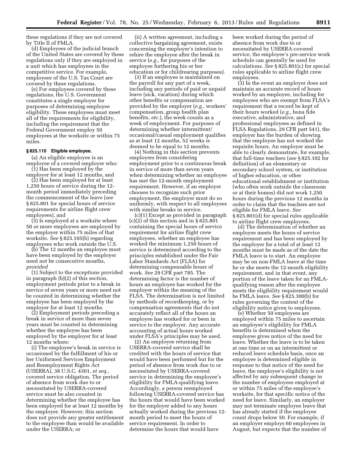these regulations if they are not covered by Title II of FMLA.

(d) Employees of the judicial branch of the United States are covered by these regulations only if they are employed in a unit which has employees in the competitive service. For example, employees of the U.S. Tax Court are covered by these regulations.

(e) For employees covered by these regulations, the U.S. Government constitutes a single employer for purposes of determining employee eligibility. These employees must meet all of the requirements for eligibility, including the requirement that the Federal Government employ 50 employees at the worksite or within 75 miles.

# **§ 825.110 Eligible employee.**

(a) An eligible employee is an employee of a covered employer who: (1) Has been employed by the

employer for at least 12 months, and

(2) Has been employed for at least 1,250 hours of service during the 12 month period immediately preceding the commencement of the leave (*see*  § 825.801 for special hours of service requirements for airline flight crew employees), and

(3) Is employed at a worksite where 50 or more employees are employed by the employer within 75 miles of that worksite. *See* § 825.105(b) regarding employees who work outside the U.S.

(b) The 12 months an employee must have been employed by the employer need not be consecutive months, *provided* 

(1) Subject to the exceptions provided in paragraph (b)(2) of this section, employment periods prior to a break in service of seven years or more need not be counted in determining whether the employee has been employed by the employer for at least 12 months.

(2) Employment periods preceding a break in service of more than seven years must be counted in determining whether the employee has been employed by the employer for at least 12 months where:

(i) The employee's break in service is occasioned by the fulfillment of his or her Uniformed Services Employment and Reemployment Rights Act (USERRA), 38 U.S.C. 4301, *et seq.,*  covered service obligation. The period of absence from work due to or necessitated by USERRA-covered service must be also counted in determining whether the employee has been employed for at least 12 months by the employer. However, this section does not provide any greater entitlement to the employee than would be available under the USERRA; or

(ii) A written agreement, including a collective bargaining agreement, exists concerning the employer's intention to rehire the employee after the break in service (*e.g.,* for purposes of the employee furthering his or her education or for childrearing purposes).

(3) If an employee is maintained on the payroll for any part of a week, including any periods of paid or unpaid leave (sick, vacation) during which other benefits or compensation are provided by the employer (*e.g.,* workers' compensation, group health plan benefits, *etc.*), the week counts as a week of employment. For purposes of determining whether intermittent/ occasional/casual employment qualifies as at least 12 months, 52 weeks is deemed to be equal to 12 months.

(4) Nothing in this section prevents employers from considering employment prior to a continuous break in service of more than seven years when determining whether an employee has met the 12-month employment requirement. However, if an employer chooses to recognize such prior employment, the employer must do so uniformly, with respect to all employees with similar breaks in service.

(c)(1) Except as provided in paragraph (c)(2) of this section and in § 825.801 containing the special hours of service requirement for airline flight crew employees, whether an employee has worked the minimum 1,250 hours of service is determined according to the principles established under the Fair Labor Standards Act (FLSA) for determining compensable hours of work. *See* 29 CFR part 785. The determining factor is the number of hours an employee has worked for the employer within the meaning of the FLSA. The determination is not limited by methods of recordkeeping, or by compensation agreements that do not accurately reflect all of the hours an employee has worked for or been in service to the employer. Any accurate accounting of actual hours worked under FLSA's principles may be used.

(2) An employee returning from USERRA-covered service shall be credited with the hours of service that would have been performed but for the period of absence from work due to or necessitated by USERRA-covered service in determining the employee's eligibility for FMLA-qualifying leave. Accordingly, a person reemployed following USERRA-covered service has the hours that would have been worked for the employer added to any hours actually worked during the previous 12 month period to meet the hours of service requirement. In order to determine the hours that would have

been worked during the period of absence from work due to or necessitated by USERRA-covered service, the employee's pre-service work schedule can generally be used for calculations. *See* § 825.801(c) for special rules applicable to airline flight crew employees.

(3) In the event an employer does not maintain an accurate record of hours worked by an employee, including for employees who are exempt from FLSA's requirement that a record be kept of their hours worked (*e.g.,* bona fide executive, administrative, and professional employees as defined in FLSA Regulations, 29 CFR part 541), the employer has the burden of showing that the employee has not worked the requisite hours. An employer must be able to clearly demonstrate, for example, that full-time teachers (*see* § 825.102 for definition) of an elementary or secondary school system, or institution of higher education, or other educational establishment or institution (who often work outside the classroom or at their homes) did not work 1,250 hours during the previous 12 months in order to claim that the teachers are not eligible for FMLA leave. *See*  § 825.801(d) for special rules applicable to airline flight crew employees.

(d) The determination of whether an employee meets the hours of service requirement and has been employed by the employer for a total of at least 12 months must be made as of the date the FMLA leave is to start. An employee may be on non-FMLA leave at the time he or she meets the 12-month eligibility requirement, and in that event, any portion of the leave taken for an FMLAqualifying reason after the employee meets the eligibility requirement would be FMLA leave. *See* § 825.300(b) for rules governing the content of the eligibility notice given to employees.

(e) Whether 50 employees are employed within 75 miles to ascertain an employee's eligibility for FMLA benefits is determined when the employee gives notice of the need for leave. Whether the leave is to be taken at one time or on an intermittent or reduced leave schedule basis, once an employee is determined eligible in response to that notice of the need for leave, the employee's eligibility is not affected by any subsequent change in the number of employees employed at or within 75 miles of the employee's worksite, for that specific notice of the need for leave. Similarly, an employer may not terminate employee leave that has already started if the employee count drops below 50. For example, if an employer employs 60 employees in August, but expects that the number of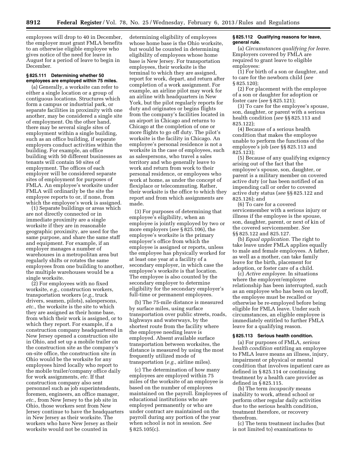employees will drop to 40 in December, the employer must grant FMLA benefits to an otherwise eligible employee who gives notice of the need for leave in August for a period of leave to begin in December.

# **§ 825.111 Determining whether 50 employees are employed within 75 miles.**

(a) Generally, a worksite can refer to either a single location or a group of contiguous locations. Structures which form a campus or industrial park, or separate facilities in proximity with one another, may be considered a single site of employment. On the other hand, there may be several single sites of employment within a single building, such as an office building, if separate employers conduct activities within the building. For example, an office building with 50 different businesses as tenants will contain 50 sites of employment. The offices of each employer will be considered separate sites of employment for purposes of FMLA. An employee's worksite under FMLA will ordinarily be the site the employee reports to or, if none, from which the employee's work is assigned.

(1) Separate buildings or areas which are not directly connected or in immediate proximity are a single worksite if they are in reasonable geographic proximity, are used for the same purpose, and share the same staff and equipment. For example, if an employer manages a number of warehouses in a metropolitan area but regularly shifts or rotates the same employees from one building to another, the multiple warehouses would be a single worksite.

(2) For employees with no fixed worksite, *e.g.,* construction workers, transportation workers (*e.g.,* truck drivers, seamen, pilots), salespersons, *etc.,* the worksite is the site to which they are assigned as their home base, from which their work is assigned, or to which they report. For example, if a construction company headquartered in New Jersey opened a construction site in Ohio, and set up a mobile trailer on the construction site as the company's on-site office, the construction site in Ohio would be the worksite for any employees hired locally who report to the mobile trailer/company office daily for work assignments, *etc.* If that construction company also sent personnel such as job superintendents, foremen, engineers, an office manager, *etc.,* from New Jersey to the job site in Ohio, those workers sent from New Jersey continue to have the headquarters in New Jersey as their worksite. The workers who have New Jersey as their worksite would not be counted in

determining eligibility of employees whose home base is the Ohio worksite, but would be counted in determining eligibility of employees whose home base is New Jersey. For transportation employees, their worksite is the terminal to which they are assigned, report for work, depart, and return after completion of a work assignment. For example, an airline pilot may work for an airline with headquarters in New York, but the pilot regularly reports for duty and originates or begins flights from the company's facilities located in an airport in Chicago and returns to Chicago at the completion of one or more flights to go off duty. The pilot's worksite is the facility in Chicago. An employee's personal residence is not a worksite in the case of employees, such as salespersons, who travel a sales territory and who generally leave to work and return from work to their personal residence, or employees who work at home, as under the concept of flexiplace or telecommuting. Rather, their worksite is the office to which they report and from which assignments are made.

(3) For purposes of determining that employee's eligibility, when an employee is jointly employed by two or more employers (*see* § 825.106), the employee's worksite is the primary employer's office from which the employee is assigned or reports, unless the employee has physically worked for at least one year at a facility of a secondary employer, in which case the employee's worksite is that location. The employee is also counted by the secondary employer to determine eligibility for the secondary employer's full-time or permanent employees.

(b) The 75-mile distance is measured by surface miles, using surface transportation over public streets, roads, highways and waterways, by the shortest route from the facility where the employee needing leave is employed. Absent available surface transportation between worksites, the distance is measured by using the most frequently utilized mode of transportation (*e.g.,* airline miles).

(c) The determination of how many employees are employed within 75 miles of the worksite of an employee is based on the number of employees maintained on the payroll. Employees of educational institutions who are employed permanently or who are under contract are maintained on the payroll during any portion of the year when school is not in session. *See*  § 825.105(c).

#### **§ 825.112 Qualifying reasons for leave, general rule.**

(a) *Circumstances qualifying for leave.*  Employers covered by FMLA are required to grant leave to eligible employees:

(1) For birth of a son or daughter, and to care for the newborn child (*see*  § 825.120);

(2) For placement with the employee of a son or daughter for adoption or foster care (*see* § 825.121);

(3) To care for the employee's spouse, son, daughter, or parent with a serious health condition (*see* §§ 825.113 and 825.122);

(4) Because of a serious health condition that makes the employee unable to perform the functions of the employee's job (*see* §§ 825.113 and 825.123);

(5) Because of any qualifying exigency arising out of the fact that the employee's spouse, son, daughter, or parent is a military member on covered active duty (or has been notified of an impending call or order to covered active duty status (*see* §§ 825.122 and 825.126); and

(6) To care for a covered servicemember with a serious injury or illness if the employee is the spouse, son, daughter, parent, or next of kin of the covered servicemember. *See*  §§ 825.122 and 825.127.

(b) *Equal application.* The right to take leave under FMLA applies equally to male and female employees. A father, as well as a mother, can take family leave for the birth, placement for adoption, or foster care of a child.

(c) *Active employee.* In situations where the employer/employee relationship has been interrupted, such as an employee who has been on layoff, the employee must be recalled or otherwise be re-employed before being eligible for FMLA leave. Under such circumstances, an eligible employee is immediately entitled to further FMLA leave for a qualifying reason.

# **§ 825.113 Serious health condition.**

(a) For purposes of FMLA, *serious health condition* entitling an employee to FMLA leave means an illness, injury, impairment or physical or mental condition that involves inpatient care as defined in § 825.114 or continuing treatment by a health care provider as defined in § 825.115.

(b) The term *incapacity* means inability to work, attend school or perform other regular daily activities due to the serious health condition, treatment therefore, or recovery therefrom.

(c) The term treatment includes (but is not limited to) examinations to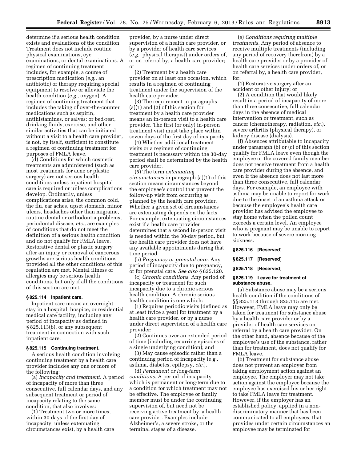determine if a serious health condition exists and evaluations of the condition. Treatment does not include routine physical examinations, eye examinations, or dental examinations. A regimen of continuing treatment includes, for example, a course of prescription medication (*e.g.,* an antibiotic) or therapy requiring special equipment to resolve or alleviate the health condition (*e.g.,* oxygen). A regimen of continuing treatment that includes the taking of over-the-counter medications such as aspirin, antihistamines, or salves; or bed-rest, drinking fluids, exercise, and other similar activities that can be initiated without a visit to a health care provider, is not, by itself, sufficient to constitute a regimen of continuing treatment for purposes of FMLA leave.

(d) Conditions for which cosmetic treatments are administered (such as most treatments for acne or plastic surgery) are not serious health conditions unless inpatient hospital care is required or unless complications develop. Ordinarily, unless complications arise, the common cold, the flu, ear aches, upset stomach, minor ulcers, headaches other than migraine, routine dental or orthodontia problems, periodontal disease, *etc.,* are examples of conditions that do not meet the definition of a serious health condition and do not qualify for FMLA leave. Restorative dental or plastic surgery after an injury or removal of cancerous growths are serious health conditions provided all the other conditions of this regulation are met. Mental illness or allergies may be serious health conditions, but only if all the conditions of this section are met.

# **§ 825.114 Inpatient care.**

Inpatient care means an overnight stay in a hospital, hospice, or residential medical care facility, including any period of incapacity as defined in § 825.113(b), or any subsequent treatment in connection with such inpatient care.

### **§ 825.115 Continuing treatment.**

A serious health condition involving continuing treatment by a health care provider includes any one or more of the following:

(a) *Incapacity and treatment.* A period of incapacity of more than three consecutive, full calendar days, and any subsequent treatment or period of incapacity relating to the same condition, that also involves:

(1) Treatment two or more times, within 30 days of the first day of incapacity, unless extenuating circumstances exist, by a health care

provider, by a nurse under direct supervision of a health care provider, or by a provider of health care services (*e.g.,* physical therapist) under orders of, or on referral by, a health care provider; or

(2) Treatment by a health care provider on at least one occasion, which results in a regimen of continuing treatment under the supervision of the health care provider.

(3) The requirement in paragraphs (a)(1) and (2) of this section for treatment by a health care provider means an in-person visit to a health care provider. The first (or only) in-person treatment visit must take place within seven days of the first day of incapacity.

(4) Whether additional treatment visits or a regimen of continuing treatment is necessary within the 30-day period shall be determined by the health care provider.

(5) The term *extenuating circumstances* in paragraph (a)(1) of this section means circumstances beyond the employee's control that prevent the follow-up visit from occurring as planned by the health care provider. Whether a given set of circumstances are extenuating depends on the facts. For example, extenuating circumstances exist if a health care provider determines that a second in-person visit is needed within the 30-day period, but the health care provider does not have any available appointments during that time period.

(b) *Pregnancy or prenatal care.* Any period of incapacity due to pregnancy, or for prenatal care. *See also* § 825.120.

(c) *Chronic conditions.* Any period of incapacity or treatment for such incapacity due to a chronic serious health condition. A chronic serious health condition is one which:

(1) Requires periodic visits (defined as at least twice a year) for treatment by a health care provider, or by a nurse under direct supervision of a health care provider;

(2) Continues over an extended period of time (including recurring episodes of a single underlying condition); and

(3) May cause episodic rather than a continuing period of incapacity (*e.g.,*  asthma, diabetes, epilepsy, *etc.*).

(d) *Permanent or long-term conditions.* A period of incapacity which is permanent or long-term due to a condition for which treatment may not be effective. The employee or family member must be under the continuing supervision of, but need not be receiving active treatment by, a health care provider. Examples include Alzheimer's, a severe stroke, or the terminal stages of a disease.

(e) *Conditions requiring multiple treatments.* Any period of absence to receive multiple treatments (including any period of recovery therefrom) by a health care provider or by a provider of health care services under orders of, or on referral by, a health care provider, for:

(1) Restorative surgery after an accident or other injury; or

(2) A condition that would likely result in a period of incapacity of more than three consecutive, full calendar days in the absence of medical intervention or treatment, such as cancer (chemotherapy, radiation, *etc.*), severe arthritis (physical therapy), or kidney disease (dialysis).

(f) Absences attributable to incapacity under paragraph (b) or (c) of this section qualify for FMLA leave even though the employee or the covered family member does not receive treatment from a health care provider during the absence, and even if the absence does not last more than three consecutive, full calendar days. For example, an employee with asthma may be unable to report for work due to the onset of an asthma attack or because the employee's health care provider has advised the employee to stay home when the pollen count exceeds a certain level. An employee who is pregnant may be unable to report to work because of severe morning sickness.

| §825.116 [Reserved] |
|---------------------|
| §825.117 [Reserved] |
| §825.118 [Reserved] |
|                     |

# **§ 825.119 Leave for treatment of substance abuse.**

(a) Substance abuse may be a serious health condition if the conditions of §§ 825.113 through 825.115 are met. However, FMLA leave may only be taken for treatment for substance abuse by a health care provider or by a provider of health care services on referral by a health care provider. On the other hand, absence because of the employee's use of the substance, rather than for treatment, does not qualify for FMLA leave.

(b) Treatment for substance abuse does not prevent an employer from taking employment action against an employee. The employer may not take action against the employee because the employee has exercised his or her right to take FMLA leave for treatment. However, if the employer has an established policy, applied in a nondiscriminatory manner that has been communicated to all employees, that provides under certain circumstances an employee may be terminated for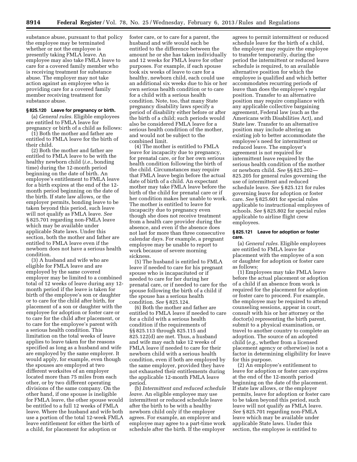substance abuse, pursuant to that policy the employee may be terminated whether or not the employee is presently taking FMLA leave. An employee may also take FMLA leave to care for a covered family member who is receiving treatment for substance abuse. The employer may not take action against an employee who is providing care for a covered family member receiving treatment for substance abuse.

# **§ 825.120 Leave for pregnancy or birth.**

(a) *General rules.* Eligible employees are entitled to FMLA leave for pregnancy or birth of a child as follows:

(1) Both the mother and father are entitled to FMLA leave for the birth of their child.

(2) Both the mother and father are entitled to FMLA leave to be with the healthy newborn child (*i.e.,* bonding time) during the 12-month period beginning on the date of birth. An employee's entitlement to FMLA leave for a birth expires at the end of the 12 month period beginning on the date of the birth. If state law allows, or the employer permits, bonding leave to be taken beyond this period, such leave will not qualify as FMLA leave. *See*  § 825.701 regarding non-FMLA leave which may be available under applicable State laws. Under this section, both the mother and father are entitled to FMLA leave even if the newborn does not have a serious health condition.

(3) A husband and wife who are eligible for FMLA leave and are employed by the same covered employer may be limited to a combined total of 12 weeks of leave during any 12 month period if the leave is taken for birth of the employee's son or daughter or to care for the child after birth, for placement of a son or daughter with the employee for adoption or foster care or to care for the child after placement, or to care for the employee's parent with a serious health condition. This limitation on the total weeks of leave applies to leave taken for the reasons specified as long as a husband and wife are employed by the same employer. It would apply, for example, even though the spouses are employed at two different worksites of an employer located more than 75 miles from each other, or by two different operating divisions of the same company. On the other hand, if one spouse is ineligible for FMLA leave, the other spouse would be entitled to a full 12 weeks of FMLA leave. Where the husband and wife both use a portion of the total 12-week FMLA leave entitlement for either the birth of a child, for placement for adoption or

foster care, or to care for a parent, the husband and wife would each be entitled to the difference between the amount he or she has taken individually and 12 weeks for FMLA leave for other purposes. For example, if each spouse took six weeks of leave to care for a healthy, newborn child, each could use an additional six weeks due to his or her own serious health condition or to care for a child with a serious health condition. Note, too, that many State pregnancy disability laws specify a period of disability either before or after the birth of a child; such periods would also be considered FMLA leave for a serious health condition of the mother, and would not be subject to the combined limit.

(4) The mother is entitled to FMLA leave for incapacity due to pregnancy, for prenatal care, or for her own serious health condition following the birth of the child. Circumstances may require that FMLA leave begin before the actual date of birth of a child. An expectant mother may take FMLA leave before the birth of the child for prenatal care or if her condition makes her unable to work. The mother is entitled to leave for incapacity due to pregnancy even though she does not receive treatment from a health care provider during the absence, and even if the absence does not last for more than three consecutive calendar days. For example, a pregnant employee may be unable to report to work because of severe morning sickness.

(5) The husband is entitled to FMLA leave if needed to care for his pregnant spouse who is incapacitated or if needed to care for her during her prenatal care, or if needed to care for the spouse following the birth of a child if the spouse has a serious health condition. *See* § 825.124.

(6) Both the mother and father are entitled to FMLA leave if needed to care for a child with a serious health condition if the requirements of §§ 825.113 through 825.115 and 825.122(d) are met. Thus, a husband and wife may each take 12 weeks of FMLA leave if needed to care for their newborn child with a serious health condition, even if both are employed by the same employer, provided they have not exhausted their entitlements during the applicable 12-month FMLA leave period.

(b) *Intermittent and reduced schedule leave.* An eligible employee may use intermittent or reduced schedule leave after the birth to be with a healthy newborn child only if the employer agrees. For example, an employer and employee may agree to a part-time work schedule after the birth. If the employer

agrees to permit intermittent or reduced schedule leave for the birth of a child, the employer may require the employee to transfer temporarily, during the period the intermittent or reduced leave schedule is required, to an available alternative position for which the employee is qualified and which better accommodates recurring periods of leave than does the employee's regular position. Transfer to an alternative position may require compliance with any applicable collective bargaining agreement, Federal law (such as the Americans with Disabilities Act), and State law. Transfer to an alternative position may include altering an existing job to better accommodate the employee's need for intermittent or reduced leave. The employer's agreement is not required for intermittent leave required by the serious health condition of the mother or newborn child. *See* §§ 825.202— 825.205 for general rules governing the use of intermittent and reduced schedule leave. *See* § 825.121 for rules governing leave for adoption or foster care. *See* § 825.601 for special rules applicable to instructional employees of schools. *See* § 825.802 for special rules applicable to airline flight crew employees.

#### **§ 825.121 Leave for adoption or foster care.**

(a) *General rules.* Eligible employees are entitled to FMLA leave for placement with the employee of a son or daughter for adoption or foster care as follows:

(1) Employees may take FMLA leave before the actual placement or adoption of a child if an absence from work is required for the placement for adoption or foster care to proceed. For example, the employee may be required to attend counseling sessions, appear in court, consult with his or her attorney or the doctor(s) representing the birth parent, submit to a physical examination, or travel to another country to complete an adoption. The source of an adopted child (*e.g.,* whether from a licensed placement agency or otherwise) is not a factor in determining eligibility for leave for this purpose.

(2) An employee's entitlement to leave for adoption or foster care expires at the end of the 12-month period beginning on the date of the placement. If state law allows, or the employer permits, leave for adoption or foster care to be taken beyond this period, such leave will not qualify as FMLA leave. *See* § 825.701 regarding non-FMLA leave which may be available under applicable State laws. Under this section, the employee is entitled to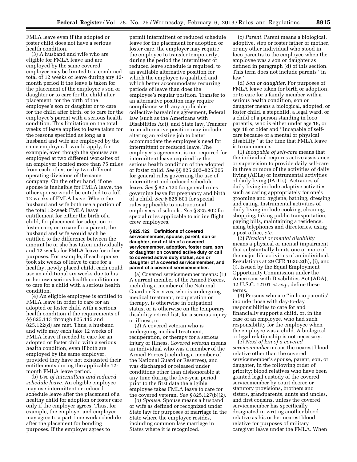FMLA leave even if the adopted or foster child does not have a serious health condition.

(3) A husband and wife who are eligible for FMLA leave and are employed by the same covered employer may be limited to a combined total of 12 weeks of leave during any 12 month period if the leave is taken for the placement of the employee's son or daughter or to care for the child after placement, for the birth of the employee's son or daughter or to care for the child after birth, or to care for the employee's parent with a serious health condition. This limitation on the total weeks of leave applies to leave taken for the reasons specified as long as a husband and wife are employed by the same employer. It would apply, for example, even though the spouses are employed at two different worksites of an employer located more than 75 miles from each other, or by two different operating divisions of the same company. On the other hand, if one spouse is ineligible for FMLA leave, the other spouse would be entitled to a full 12 weeks of FMLA leave. Where the husband and wife both use a portion of the total 12-week FMLA leave entitlement for either the birth of a child, for placement for adoption or foster care, or to care for a parent, the husband and wife would each be entitled to the difference between the amount he or she has taken individually and 12 weeks for FMLA leave for other purposes. For example, if each spouse took six weeks of leave to care for a healthy, newly placed child, each could use an additional six weeks due to his or her own serious health condition or to care for a child with a serious health condition.

(4) An eligible employee is entitled to FMLA leave in order to care for an adopted or foster child with a serious health condition if the requirements of §§ 825.113 through 825.115 and 825.122(d) are met. Thus, a husband and wife may each take 12 weeks of FMLA leave if needed to care for an adopted or foster child with a serious health condition, even if both are employed by the same employer, provided they have not exhausted their entitlements during the applicable 12 month FMLA leave period.

(b) *Use of intermittent and reduced schedule leave.* An eligible employee may use intermittent or reduced schedule leave after the placement of a healthy child for adoption or foster care only if the employer agrees. Thus, for example, the employer and employee may agree to a part-time work schedule after the placement for bonding purposes. If the employer agrees to

permit intermittent or reduced schedule leave for the placement for adoption or foster care, the employer may require the employee to transfer temporarily, during the period the intermittent or reduced leave schedule is required, to an available alternative position for which the employee is qualified and which better accommodates recurring periods of leave than does the employee's regular position. Transfer to an alternative position may require compliance with any applicable collective bargaining agreement, federal law (such as the Americans with Disabilities Act), and State law. Transfer to an alternative position may include altering an existing job to better accommodate the employee's need for intermittent or reduced leave. The employer's agreement is not required for intermittent leave required by the serious health condition of the adopted or foster child. *See* §§ 825.202–825.205 for general rules governing the use of intermittent and reduced schedule leave. *See* § 825.120 for general rules governing leave for pregnancy and birth of a child. *See* § 825.601 for special rules applicable to instructional employees of schools. *See* § 825.802 for special rules applicable to airline flight crew employees.

### **§ 825.122 Definitions of covered servicemember, spouse, parent, son or daughter, next of kin of a covered servicemember, adoption, foster care, son or daughter on covered active duty or call to covered active duty status, son or daughter of a covered servicemember, and parent of a covered servicemember.**

(a) Covered servicemember means: (1) A current member of the Armed Forces, including a member of the National Guard or Reserves, who is undergoing medical treatment, recuperation or therapy, is otherwise in outpatient status, or is otherwise on the temporary disability retired list, for a serious injury or illness; or

(2) A covered veteran who is undergoing medical treatment, recuperation, or therapy for a serious injury or illness. *Covered veteran* means an individual who was a member of the Armed Forces (including a member of the National Guard or Reserves), and was discharged or released under conditions other than dishonorable at any time during the five-year period prior to the first date the eligible employee takes FMLA leave to care for the covered veteran. *See* § 825.127(b)(2).

(b) *Spouse.* Spouse means a husband or wife as defined or recognized under State law for purposes of marriage in the State where the employee resides, including common law marriage in States where it is recognized.

(c) *Parent.* Parent means a biological, adoptive, step or foster father or mother, or any other individual who stood in loco parentis to the employee when the employee was a son or daughter as defined in paragraph (d) of this section. This term does not include parents ''in law.''

(d) *Son or daughter.* For purposes of FMLA leave taken for birth or adoption, or to care for a family member with a serious health condition, son or daughter means a biological, adopted, or foster child, a stepchild, a legal ward, or a child of a person standing in loco parentis, who is either under age 18, or age 18 or older and ''incapable of selfcare because of a mental or physical disability'' at the time that FMLA leave is to commence.

(1) *Incapable of self-care* means that the individual requires active assistance or supervision to provide daily self-care in three or more of the activities of daily living (ADLs) or instrumental activities of daily living (IADLs). Activities of daily living include adaptive activities such as caring appropriately for one's grooming and hygiene, bathing, dressing and eating. Instrumental activities of daily living include cooking, cleaning, shopping, taking public transportation, paying bills, maintaining a residence, using telephones and directories, using a post office, *etc.* 

(2) *Physical or mental disability*  means a physical or mental impairment that substantially limits one or more of the major life activities of an individual. Regulations at 29 CFR 1630.2(h), (i), and (j), issued by the Equal Employment Opportunity Commission under the Americans with Disabilities Act (ADA), 42 U.S.C. 12101 *et seq.,* define these terms.

(3) Persons who are ''in loco parentis'' include those with day-to-day responsibilities to care for and financially support a child, or, in the case of an employee, who had such responsibility for the employee when the employee was a child. A biological or legal relationship is not necessary.

(e) *Next of kin of a covered servicemember* means the nearest blood relative other than the covered servicemember's spouse, parent, son, or daughter, in the following order of priority: blood relatives who have been granted legal custody of the covered servicemember by court decree or statutory provisions, brothers and sisters, grandparents, aunts and uncles, and first cousins, unless the covered servicemember has specifically designated in writing another blood relative as his or her nearest blood relative for purposes of military caregiver leave under the FMLA. When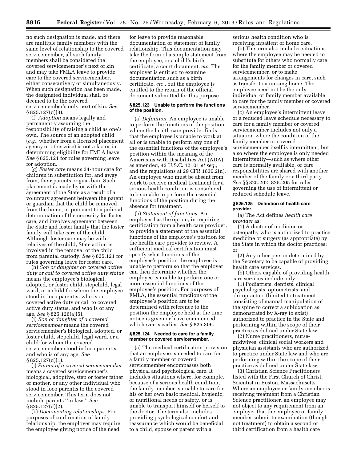no such designation is made, and there are multiple family members with the same level of relationship to the covered servicemember, all such family members shall be considered the covered servicemember's next of kin and may take FMLA leave to provide care to the covered servicemember, either consecutively or simultaneously. When such designation has been made, the designated individual shall be deemed to be the covered servicemember's only next of kin. *See*  § 825.127(d)(3).

(f) *Adoption* means legally and permanently assuming the responsibility of raising a child as one's own. The source of an adopted child (*e.g.,* whether from a licensed placement agency or otherwise) is not a factor in determining eligibility for FMLA leave. *See* § 825.121 for rules governing leave for adoption.

(g) *Foster care* means 24-hour care for children in substitution for, and away from, their parents or guardian. Such placement is made by or with the agreement of the State as a result of a voluntary agreement between the parent or guardian that the child be removed from the home, or pursuant to a judicial determination of the necessity for foster care, and involves agreement between the State and foster family that the foster family will take care of the child. Although foster care may be with relatives of the child, State action is involved in the removal of the child from parental custody. *See* § 825.121 for rules governing leave for foster care.

(h) *Son or daughter on covered active duty or call to covered active duty status*  means the employee's biological, adopted, or foster child, stepchild, legal ward, or a child for whom the employee stood in loco parentis, who is on covered active duty or call to covered active duty status, and who is of any age. *See* § 825.126(a)(5).

(i) *Son or daughter of a covered servicemember* means the covered servicemember's biological, adopted, or foster child, stepchild, legal ward, or a child for whom the covered servicemember stood in loco parentis, and who is of any age. *See*   $§ 825.127(d)(1).$ 

(j) *Parent of a covered servicemember*  means a covered servicemember's biological, adoptive, step or foster father or mother, or any other individual who stood in loco parentis to the covered servicemember. This term does not include parents ''in law.'' *See*  § 825.127(d)(2).

(k) *Documenting relationships.* For purposes of confirmation of family relationship, the employer may require the employee giving notice of the need

for leave to provide reasonable documentation or statement of family relationship. This documentation may take the form of a simple statement from the employee, or a child's birth certificate, a court document, *etc.* The employer is entitled to examine documentation such as a birth certificate, *etc.,* but the employee is entitled to the return of the official document submitted for this purpose.

## **§ 825.123 Unable to perform the functions of the position.**

(a) *Definition.* An employee is unable to perform the functions of the position where the health care provider finds that the employee is unable to work at all or is unable to perform any one of the essential functions of the employee's position within the meaning of the Americans with Disabilities Act (ADA), as amended, 42 U.S.C. 12101 *et seq.,*  and the regulations at 29 CFR 1630.2(n). An employee who must be absent from work to receive medical treatment for a serious health condition is considered to be unable to perform the essential functions of the position during the absence for treatment.

(b) *Statement of functions.* An employer has the option, in requiring certification from a health care provider, to provide a statement of the essential functions of the employee's position for the health care provider to review. A sufficient medical certification must specify what functions of the employee's position the employee is unable to perform so that the employer can then determine whether the employee is unable to perform one or more essential functions of the employee's position. For purposes of FMLA, the essential functions of the employee's position are to be determined with reference to the position the employee held at the time notice is given or leave commenced, whichever is earlier. *See* § 825.306.

#### **§ 825.124 Needed to care for a family member or covered servicemember.**

(a) The medical certification provision that an employee is needed to care for a family member or covered servicemember encompasses both physical and psychological care. It includes situations where, for example, because of a serious health condition, the family member is unable to care for his or her own basic medical, hygienic, or nutritional needs or safety, or is unable to transport himself or herself to the doctor. The term also includes providing psychological comfort and reassurance which would be beneficial to a child, spouse or parent with a

serious health condition who is receiving inpatient or home care.

(b) The term also includes situations where the employee may be needed to substitute for others who normally care for the family member or covered servicemember, or to make arrangements for changes in care, such as transfer to a nursing home. The employee need not be the only individual or family member available to care for the family member or covered servicemember.

(c) An employee's intermittent leave or a reduced leave schedule necessary to care for a family member or covered servicemember includes not only a situation where the condition of the family member or covered servicemember itself is intermittent, but also where the employee is only needed intermittently—such as where other care is normally available, or care responsibilities are shared with another member of the family or a third party. *See* §§ 825.202–825.205 for rules governing the use of intermittent or reduced schedule leave.

#### **§ 825.125 Definition of health care provider.**

(a) The Act defines *health care provider* as:

(1) A doctor of medicine or osteopathy who is authorized to practice medicine or surgery (as appropriate) by the State in which the doctor practices; or

(2) Any other person determined by the Secretary to be capable of providing health care services.

(b) Others capable of providing health care services include only:

(1) Podiatrists, dentists, clinical psychologists, optometrists, and chiropractors (limited to treatment consisting of manual manipulation of the spine to correct a subluxation as demonstrated by X-ray to exist) authorized to practice in the State and performing within the scope of their practice as defined under State law;

(2) Nurse practitioners, nursemidwives, clinical social workers and physician assistants who are authorized to practice under State law and who are performing within the scope of their practice as defined under State law;

(3) Christian Science Practitioners listed with the First Church of Christ, Scientist in Boston, Massachusetts. Where an employee or family member is receiving treatment from a Christian Science practitioner, an employee may not object to any requirement from an employer that the employee or family member submit to examination (though not treatment) to obtain a second or third certification from a health care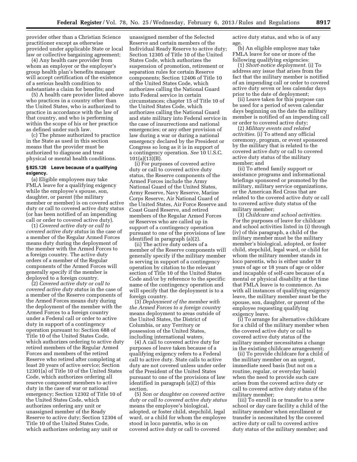provider other than a Christian Science practitioner except as otherwise provided under applicable State or local law or collective bargaining agreement;

(4) Any health care provider from whom an employer or the employer's group health plan's benefits manager will accept certification of the existence of a serious health condition to substantiate a claim for benefits; and

(5) A health care provider listed above who practices in a country other than the United States, who is authorized to practice in accordance with the law of that country, and who is performing within the scope of his or her practice as defined under such law.

(c) The phrase authorized to practice in the State as used in this section means that the provider must be authorized to diagnose and treat physical or mental health conditions.

# **§ 825.126 Leave because of a qualifying exigency.**

(a) Eligible employees may take FMLA leave for a qualifying exigency while the employee's spouse, son, daughter, or parent (the military member or member) is on covered active duty or call to covered active duty status (or has been notified of an impending call or order to covered active duty).

(1) *Covered active duty or call to covered active duty status* in the case of a member of the Regular Armed Forces means duty during the deployment of the member with the Armed Forces to a foreign country. The active duty orders of a member of the Regular components of the Armed Forces will generally specify if the member is deployed to a foreign country.

(2) *Covered active duty or call to covered active duty status* in the case of a member of the Reserve components of the Armed Forces means duty during the deployment of the member with the Armed Forces to a foreign country under a Federal call or order to active duty in support of a contingency operation pursuant to: Section 688 of Title 10 of the United States Code, which authorizes ordering to active duty retired members of the Regular Armed Forces and members of the retired Reserve who retired after completing at least 20 years of active service; Section 12301(a) of Title 10 of the United States Code, which authorizes ordering all reserve component members to active duty in the case of war or national emergency; Section 12302 of Title 10 of the United States Code, which authorizes ordering any unit or unassigned member of the Ready Reserve to active duty; Section 12304 of Title 10 of the United States Code, which authorizes ordering any unit or

unassigned member of the Selected Reserve and certain members of the Individual Ready Reserve to active duty; Section 12305 of Title 10 of the United States Code, which authorizes the suspension of promotion, retirement or separation rules for certain Reserve components; Section 12406 of Title 10 of the United States Code, which authorizes calling the National Guard into Federal service in certain circumstances; chapter 15 of Title 10 of the United States Code, which authorizes calling the National Guard and state military into Federal service in the case of insurrections and national emergencies; or any other provision of law during a war or during a national emergency declared by the President or Congress so long as it is in support of a contingency operation. *See* 10 U.S.C. 101(a)(13)(B).

(i) For purposes of covered active duty or call to covered active duty status, the Reserve components of the Armed Forces include the Army National Guard of the United States, Army Reserve, Navy Reserve, Marine Corps Reserve, Air National Guard of the United States, Air Force Reserve and Coast Guard Reserve, and retired members of the Regular Armed Forces or Reserves who are called up in support of a contingency operation pursuant to one of the provisions of law identified in paragraph (a)(2).

(ii) The active duty orders of a member of the Reserve components will generally specify if the military member is serving in support of a contingency operation by citation to the relevant section of Title 10 of the United States Code and/or by reference to the specific name of the contingency operation and will specify that the deployment is to a foreign country.

(3) *Deployment of the member with the Armed Forces to a foreign country*  means deployment to areas outside of the United States, the District of Columbia, or any Territory or possession of the United States, including international waters.

(4) A call to covered active duty for purposes of leave taken because of a qualifying exigency refers to a Federal call to active duty. State calls to active duty are not covered unless under order of the President of the United States pursuant to one of the provisions of law identified in paragraph (a)(2) of this section.

(5) *Son or daughter on covered active duty or call to covered active duty status*  means the employee's biological, adopted, or foster child, stepchild, legal ward, or a child for whom the employee stood in loco parentis, who is on covered active duty or call to covered

active duty status, and who is of any age.

(b) An eligible employee may take FMLA leave for one or more of the following qualifying exigencies:

(1) *Short-notice deployment.* (i) To address any issue that arises from the fact that the military member is notified of an impending call or order to covered active duty seven or less calendar days prior to the date of deployment;

(ii) Leave taken for this purpose can be used for a period of seven calendar days beginning on the date the military member is notified of an impending call or order to covered active duty;

(2) *Military events and related activities.* (i) To attend any official ceremony, program, or event sponsored by the military that is related to the covered active duty or call to covered active duty status of the military member; and

(ii) To attend family support or assistance programs and informational briefings sponsored or promoted by the military, military service organizations, or the American Red Cross that are related to the covered active duty or call to covered active duty status of the military member;

(3) *Childcare and school activities.*  For the purposes of leave for childcare and school activities listed in (i) through (iv) of this paragraph, a child of the military member must be the military member's biological, adopted, or foster child, stepchild, legal ward, or child for whom the military member stands in loco parentis, who is either under 18 years of age or 18 years of age or older and incapable of self-care because of a mental or physical disability at the time that FMLA leave is to commence. As with all instances of qualifying exigency leave, the military member must be the spouse, son, daughter, or parent of the employee requesting qualifying exigency leave.

(i) To arrange for alternative childcare for a child of the military member when the covered active duty or call to covered active duty status of the military member necessitates a change in the existing childcare arrangement;

(ii) To provide childcare for a child of the military member on an urgent, immediate need basis (but not on a routine, regular, or everyday basis) when the need to provide such care arises from the covered active duty or call to covered active duty status of the military member;

(iii) To enroll in or transfer to a new school or day care facility a child of the military member when enrollment or transfer is necessitated by the covered active duty or call to covered active duty status of the military member; and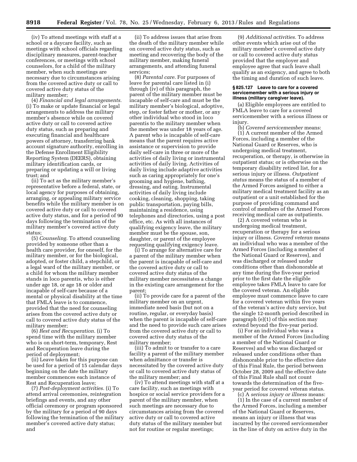(iv) To attend meetings with staff at a school or a daycare facility, such as meetings with school officials regarding disciplinary measures, parent-teacher conferences, or meetings with school counselors, for a child of the military member, when such meetings are necessary due to circumstances arising from the covered active duty or call to covered active duty status of the military member;

(4) *Financial and legal arrangements.*  (i) To make or update financial or legal arrangements to address the military member's absence while on covered active duty or call to covered active duty status, such as preparing and executing financial and healthcare powers of attorney, transferring bank account signature authority, enrolling in the Defense Enrollment Eligibility Reporting System (DEERS), obtaining military identification cards, or preparing or updating a will or living trust; and

(ii) To act as the military member's representative before a federal, state, or local agency for purposes of obtaining, arranging, or appealing military service benefits while the military member is on covered active duty or call to covered active duty status, and for a period of 90 days following the termination of the military member's covered active duty status;

(5) *Counseling.* To attend counseling provided by someone other than a health care provider, for oneself, for the military member, or for the biological, adopted, or foster child, a stepchild, or a legal ward of the military member, or a child for whom the military member stands in loco parentis, who is either under age 18, or age 18 or older and incapable of self-care because of a mental or physical disability at the time that FMLA leave is to commence, provided that the need for counseling arises from the covered active duty or call to covered active duty status of the military member;

(6) *Rest and Recuperation.* (i) To spend time with the military member who is on short-term, temporary, Rest and Recuperation leave during the period of deployment;

(ii) Leave taken for this purpose can be used for a period of 15 calendar days beginning on the date the military member commences each instance of Rest and Recuperation leave;

(7) *Post-deployment activities.* (i) To attend arrival ceremonies, reintegration briefings and events, and any other official ceremony or program sponsored by the military for a period of 90 days following the termination of the military member's covered active duty status; and

(ii) To address issues that arise from the death of the military member while on covered active duty status, such as meeting and recovering the body of the military member, making funeral arrangements, and attending funeral services;

(8) *Parental care.* For purposes of leave for parental care listed in (i) through (iv) of this paragraph, the parent of the military member must be incapable of self-care and must be the military member's biological, adoptive, step, or foster father or mother, or any other individual who stood in loco parentis to the military member when the member was under 18 years of age. A parent who is incapable of self-care means that the parent requires active assistance or supervision to provide daily self-care in three or more of the activities of daily living or instrumental activities of daily living. Activities of daily living include adaptive activities such as caring appropriately for one's grooming and hygiene, bathing, dressing, and eating. Instrumental activities of daily living include cooking, cleaning, shopping, taking public transportation, paying bills, maintaining a residence, using telephones and directories, using a post office, etc. As with all instances of qualifying exigency leave, the military member must be the spouse, son, daughter, or parent of the employee requesting qualifying exigency leave.

(i) To arrange for alternative care for a parent of the military member when the parent is incapable of self-care and the covered active duty or call to covered active duty status of the military member necessitates a change in the existing care arrangement for the parent;

(ii) To provide care for a parent of the military member on an urgent, immediate need basis (but not on a routine, regular, or everyday basis) when the parent is incapable of self-care and the need to provide such care arises from the covered active duty or call to covered active duty status of the military member;

(iii) To admit to or transfer to a care facility a parent of the military member when admittance or transfer is necessitated by the covered active duty or call to covered active duty status of the military member; and

(iv) To attend meetings with staff at a care facility, such as meetings with hospice or social service providers for a parent of the military member, when such meetings are necessary due to circumstances arising from the covered active duty or call to covered active duty status of the military member but not for routine or regular meetings;

(9) *Additional activities.* To address other events which arise out of the military member's covered active duty or call to covered active duty status provided that the employer and employee agree that such leave shall qualify as an exigency, and agree to both the timing and duration of such leave.

#### **§ 825.127 Leave to care for a covered servicemember with a serious injury or illness (military caregiver leave).**

(a) Eligible employees are entitled to FMLA leave to care for a covered servicemember with a serious illness or injury.

(b) *Covered servicemember* means:

(1) A current member of the Armed Forces, including a member of the National Guard or Reserves, who is undergoing medical treatment, recuperation, or therapy, is otherwise in outpatient status; or is otherwise on the temporary disability retired list, for a serious injury or illness. *Outpatient status* means the status of a member of the Armed Forces assigned to either a military medical treatment facility as an outpatient or a unit established for the purpose of providing command and control of members of the Armed Forces receiving medical care as outpatients.

(2) A covered veteran who is undergoing medical treatment, recuperation or therapy for a serious injury or illness. *Covered veteran* means an individual who was a member of the Armed Forces (including a member of the National Guard or Reserves), and was discharged or released under conditions other than dishonorable at any time during the five-year period prior to the first date the eligible employee takes FMLA leave to care for the covered veteran. An eligible employee must commence leave to care for a covered veteran within five years of the veteran's active duty service, but the single 12-month period described in paragraph (e)(1) of this section may extend beyond the five-year period.

(i) For an individual who was a member of the Armed Forces (including a member of the National Guard or Reserves) and who was discharged or released under conditions other than dishonorable prior to the effective date of this Final Rule, the period between October 28, 2009 and the effective date of this Final Rule shall not count towards the determination of the fiveyear period for covered veteran status.

(c) A *serious injury or illness* means:

(1) In the case of a current member of the Armed Forces, including a member of the National Guard or Reserves, means an injury or illness that was incurred by the covered servicemember in the line of duty on active duty in the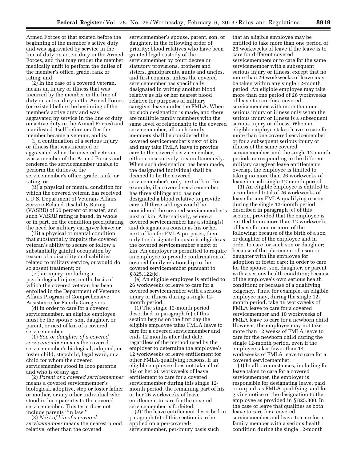Armed Forces or that existed before the beginning of the member's active duty and was aggravated by service in the line of duty on active duty in the Armed Forces, and that may render the member medically unfit to perform the duties of the member's office, grade, rank or rating; and,

(2) In the case of a covered veteran, means an injury or illness that was incurred by the member in the line of duty on active duty in the Armed Forces (or existed before the beginning of the member's active duty and was aggravated by service in the line of duty on active duty in the Armed Forces) and manifested itself before or after the member became a veteran, and is:

(i) a continuation of a serious injury or illness that was incurred or aggravated when the covered veteran was a member of the Armed Forces and rendered the servicemember unable to perform the duties of the servicemember's office, grade, rank, or rating; or

(ii) a physical or mental condition for which the covered veteran has received a U.S. Department of Veterans Affairs Service-Related Disability Rating (VASRD) of 50 percent or greater, and such VASRD rating is based, in whole or in part, on the condition precipitating the need for military caregiver leave; or

(iii) a physical or mental condition that substantially impairs the covered veteran's ability to secure or follow a substantially gainful occupation by reason of a disability or disabilities related to military service, or would do so absent treatment; or

(iv) an injury, including a psychological injury, on the basis of which the covered veteran has been enrolled in the Department of Veterans Affairs Program of Comprehensive Assistance for Family Caregivers.

(d) In order to care for a covered servicemember, an eligible employee must be the spouse, son, daughter, or parent, or next of kin of a covered servicemember.

(1) *Son or daughter of a covered servicemember* means the covered servicemember's biological, adopted, or foster child, stepchild, legal ward, or a child for whom the covered servicemember stood in loco parentis, and who is of any age.

(2) *Parent of a covered servicemember*  means a covered servicemember's biological, adoptive, step or foster father or mother, or any other individual who stood in loco parentis to the covered servicemember. This term does not include parents ''in law.''

(3) *Next of kin of a covered servicemember* means the nearest blood relative, other than the covered

servicemember's spouse, parent, son, or daughter, in the following order of priority: blood relatives who have been granted legal custody of the servicemember by court decree or statutory provisions, brothers and sisters, grandparents, aunts and uncles, and first cousins, unless the covered servicemember has specifically designated in writing another blood relative as his or her nearest blood relative for purposes of military caregiver leave under the FMLA. When no such designation is made, and there are multiple family members with the same level of relationship to the covered servicemember, all such family members shall be considered the covered servicemember's next of kin and may take FMLA leave to provide care to the covered servicemember, either consecutively or simultaneously. When such designation has been made, the designated individual shall be deemed to be the covered servicemember's only next of kin. For example, if a covered servicemember has three siblings and has not designated a blood relative to provide care, all three siblings would be considered the covered servicemember's next of kin. Alternatively, where a covered servicemember has a sibling(s) and designates a cousin as his or her next of kin for FMLA purposes, then only the designated cousin is eligible as the covered servicemember's next of kin. An employer is permitted to require an employee to provide confirmation of covered family relationship to the covered servicemember pursuant to § 825.122(k).

(e) An eligible employee is entitled to 26 workweeks of leave to care for a covered servicemember with a serious injury or illness during a single 12 month period.

(1) The single 12-month period described in paragraph (e) of this section begins on the first day the eligible employee takes FMLA leave to care for a covered servicemember and ends 12 months after that date, regardless of the method used by the employer to determine the employee's 12 workweeks of leave entitlement for other FMLA-qualifying reasons. If an eligible employee does not take all of his or her 26 workweeks of leave entitlement to care for a covered servicemember during this single 12 month period, the remaining part of his or her 26 workweeks of leave entitlement to care for the covered servicemember is forfeited.

(2) The leave entitlement described in paragraph (e) of this section is to be applied on a per-coveredservicemember, per-injury basis such

that an eligible employee may be entitled to take more than one period of 26 workweeks of leave if the leave is to care for different covered servicemembers or to care for the same servicemember with a subsequent serious injury or illness, except that no more than 26 workweeks of leave may be taken within any single 12-month period. An eligible employee may take more than one period of 26 workweeks of leave to care for a covered servicemember with more than one serious injury or illness only when the serious injury or illness is a subsequent serious injury or illness. When an eligible employee takes leave to care for more than one covered servicemember or for a subsequent serious injury or illness of the same covered servicemember, and the single 12-month periods corresponding to the different military caregiver leave entitlements overlap, the employee is limited to taking no more than 26 workweeks of leave in each single 12-month period.

(3) An eligible employee is entitled to a combined total of 26 workweeks of leave for any FMLA-qualifying reason during the single 12-month period described in paragraph (e) of this section, provided that the employee is entitled to no more than 12 workweeks of leave for one or more of the following: because of the birth of a son or daughter of the employee and in order to care for such son or daughter; because of the placement of a son or daughter with the employee for adoption or foster care; in order to care for the spouse, son, daughter, or parent with a serious health condition; because of the employee's own serious health condition; or because of a qualifying exigency. Thus, for example, an eligible employee may, during the single 12 month period, take 16 workweeks of FMLA leave to care for a covered servicemember and 10 workweeks of FMLA leave to care for a newborn child. However, the employee may not take more than 12 weeks of FMLA leave to care for the newborn child during the single 12-month period, even if the employee takes fewer than 14 workweeks of FMLA leave to care for a covered servicemember.

(4) In all circumstances, including for leave taken to care for a covered servicemember, the employer is responsible for designating leave, paid or unpaid, as FMLA-qualifying, and for giving notice of the designation to the employee as provided in § 825.300. In the case of leave that qualifies as both leave to care for a covered servicemember and leave to care for a family member with a serious health condition during the single 12-month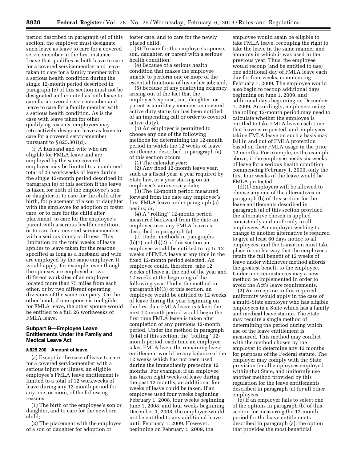period described in paragraph (e) of this section, the employer must designate such leave as leave to care for a covered servicemember in the first instance. Leave that qualifies as both leave to care for a covered servicemember and leave taken to care for a family member with a serious health condition during the single 12-month period described in paragraph (e) of this section must not be designated and counted as both leave to care for a covered servicemember and leave to care for a family member with a serious health condition. As is the case with leave taken for other qualifying reasons, employers may retroactively designate leave as leave to care for a covered servicemember pursuant to § 825.301(d).

(f) A husband and wife who are eligible for FMLA leave and are employed by the same covered employer may be limited to a combined total of 26 workweeks of leave during the single 12-month period described in paragraph (e) of this section if the leave is taken for birth of the employee's son or daughter or to care for the child after birth, for placement of a son or daughter with the employee for adoption or foster care, or to care for the child after placement, to care for the employee's parent with a serious health condition, or to care for a covered servicemember with a serious injury or illness. This limitation on the total weeks of leave applies to leave taken for the reasons specified as long as a husband and wife are employed by the same employer. It would apply, for example, even though the spouses are employed at two different worksites of an employer located more than 75 miles from each other, or by two different operating divisions of the same company. On the other hand, if one spouse is ineligible for FMLA leave, the other spouse would be entitled to a full 26 workweeks of FMLA leave.

# **Subpart B—Employee Leave Entitlements Under the Family and Medical Leave Act**

#### **§ 825.200 Amount of leave.**

(a) Except in the case of leave to care for a covered servicemember with a serious injury or illness, an eligible employee's FMLA leave entitlement is limited to a total of 12 workweeks of leave during any 12-month period for any one, or more, of the following reasons:

(1) The birth of the employee's son or daughter, and to care for the newborn child;

(2) The placement with the employee of a son or daughter for adoption or

foster care, and to care for the newly placed child;

(3) To care for the employee's spouse, son, daughter, or parent with a serious health condition;

(4) Because of a serious health condition that makes the employee unable to perform one or more of the essential functions of his or her job; and,

(5) Because of any qualifying exigency arising out of the fact that the employee's spouse, son, daughter, or parent is a military member on covered active duty status (or has been notified of an impending call or order to covered active duty).

(b) An employer is permitted to choose any one of the following methods for determining the 12-month period in which the 12 weeks of leave entitlement described in paragraph (a) of this section occurs:

(1) The calendar year;

(2) Any fixed 12-month leave year, such as a fiscal year, a year required by State law, or a year starting on an employee's anniversary date;

(3) The 12-month period measured forward from the date any employee's first FMLA leave under paragraph (a) begins; or,

(4) A ''rolling'' 12-month period measured backward from the date an employee uses any FMLA leave as described in paragraph (a).

(c) Under methods in paragraphs (b)(1) and (b)(2) of this section an employee would be entitled to up to 12 weeks of FMLA leave at any time in the fixed 12-month period selected. An employee could, therefore, take 12 weeks of leave at the end of the year and 12 weeks at the beginning of the following year. Under the method in paragraph (b)(3) of this section, an employee would be entitled to 12 weeks of leave during the year beginning on the first date FMLA leave is taken; the next 12-month period would begin the first time FMLA leave is taken after completion of any previous 12-month period. Under the method in paragraph (b)(4) of this section, the ''rolling'' 12 month period, each time an employee takes FMLA leave the remaining leave entitlement would be any balance of the 12 weeks which has not been used during the immediately preceding 12 months. For example, if an employee has taken eight weeks of leave during the past 12 months, an additional four weeks of leave could be taken. If an employee used four weeks beginning February 1, 2008, four weeks beginning June 1, 2008, and four weeks beginning December 1, 2008, the employee would not be entitled to any additional leave until February 1, 2009. However, beginning on February 1, 2009, the

employee would again be eligible to take FMLA leave, recouping the right to take the leave in the same manner and amounts in which it was used in the previous year. Thus, the employee would recoup (and be entitled to use) one additional day of FMLA leave each day for four weeks, commencing February 1, 2009. The employee would also begin to recoup additional days beginning on June 1, 2009, and additional days beginning on December 1, 2009. Accordingly, employers using the rolling 12-month period may need to calculate whether the employee is entitled to take FMLA leave each time that leave is requested, and employees taking FMLA leave on such a basis may fall in and out of FMLA protection based on their FMLA usage in the prior 12 months. For example, in the example above, if the employee needs six weeks of leave for a serious health condition commencing February 1, 2009, only the first four weeks of the leave would be FMLA protected.

(d)(1) Employers will be allowed to choose any one of the alternatives in paragraph (b) of this section for the leave entitlements described in paragraph (a) of this section provided the alternative chosen is applied consistently and uniformly to all employees. An employer wishing to change to another alternative is required to give at least 60 days notice to all employees, and the transition must take place in such a way that the employees retain the full benefit of 12 weeks of leave under whichever method affords the greatest benefit to the employee. Under no circumstances may a new method be implemented in order to avoid the Act's leave requirements.

(2) An exception to this required uniformity would apply in the case of a multi-State employer who has eligible employees in a State which has a family and medical leave statute. The State may require a single method of determining the period during which use of the leave entitlement is measured. This method may conflict with the method chosen by the employer to determine any 12 months for purposes of the Federal statute. The employer may comply with the State provision for all employees employed within that State, and uniformly use another method provided by this regulation for the leave entitlements described in paragraph (a) for all other employees.

(e) If an employer fails to select one of the options in paragraph (b) of this section for measuring the 12-month period for the leave entitlements described in paragraph (a), the option that provides the most beneficial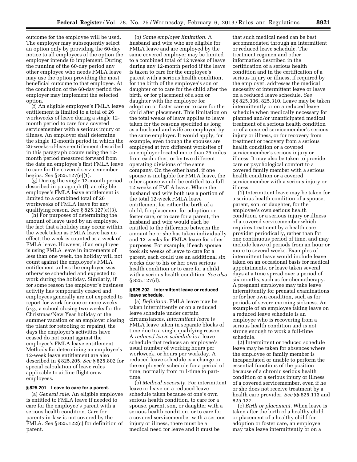outcome for the employee will be used. The employer may subsequently select an option only by providing the 60-day notice to all employees of the option the employer intends to implement. During the running of the 60-day period any other employee who needs FMLA leave may use the option providing the most beneficial outcome to that employee. At the conclusion of the 60-day period the employer may implement the selected option.

(f) An eligible employee's FMLA leave entitlement is limited to a total of 26 workweeks of leave during a single 12 month period to care for a covered servicemember with a serious injury or illness. An employer shall determine the single 12-month period in which the 26-weeks-of-leave-entitlement described in this paragraph occurs using the 12 month period measured forward from the date an employee's first FMLA leave to care for the covered servicemember begins. *See* § 825.127(e)(1).

(g) During the single 12-month period described in paragraph (f), an eligible employee's FMLA leave entitlement is limited to a combined total of 26 workweeks of FMLA leave for any qualifying reason. *See* § 825.127(e)(3).

(h) For purposes of determining the amount of leave used by an employee, the fact that a holiday may occur within the week taken as FMLA leave has no effect; the week is counted as a week of FMLA leave. However, if an employee is using FMLA leave in increments of less than one week, the holiday will not count against the employee's FMLA entitlement unless the employee was otherwise scheduled and expected to work during the holiday. Similarly, if for some reason the employer's business activity has temporarily ceased and employees generally are not expected to report for work for one or more weeks (*e.g.,* a school closing two weeks for the Christmas/New Year holiday or the summer vacation or an employer closing the plant for retooling or repairs), the days the employer's activities have ceased do not count against the employee's FMLA leave entitlement. Methods for determining an employee's 12-week leave entitlement are also described in § 825.205. *See* § 825.802 for special calculation of leave rules applicable to airline flight crew employees.

# **§ 825.201 Leave to care for a parent.**

(a) *General rule.* An eligible employee is entitled to FMLA leave if needed to care for the employee's parent with a serious health condition. Care for parents-in-law is not covered by the FMLA. *See* § 825.122(c) for definition of parent.

(b) *Same employer limitation.* A husband and wife who are eligible for FMLA leave and are employed by the same covered employer may be limited to a combined total of 12 weeks of leave during any 12-month period if the leave is taken to care for the employee's parent with a serious health condition, for the birth of the employee's son or daughter or to care for the child after the birth, or for placement of a son or daughter with the employee for adoption or foster care or to care for the child after placement. This limitation on the total weeks of leave applies to leave taken for the reasons specified as long as a husband and wife are employed by the same employer. It would apply, for example, even though the spouses are employed at two different worksites of an employer located more than 75 miles from each other, or by two different operating divisions of the same company. On the other hand, if one spouse is ineligible for FMLA leave, the other spouse would be entitled to a full 12 weeks of FMLA leave. Where the husband and wife both use a portion of the total 12-week FMLA leave entitlement for either the birth of a child, for placement for adoption or foster care, or to care for a parent, the husband and wife would each be entitled to the difference between the amount he or she has taken individually and 12 weeks for FMLA leave for other purposes. For example, if each spouse took six weeks of leave to care for a parent, each could use an additional six weeks due to his or her own serious health condition or to care for a child with a serious health condition. *See also*  § 825.127(d).

#### **§ 825.202 Intermittent leave or reduced leave schedule.**

(a) *Definition.* FMLA leave may be taken intermittently or on a reduced leave schedule under certain circumstances. *Intermittent leave* is FMLA leave taken in separate blocks of time due to a single qualifying reason. A *reduced leave schedule* is a leave schedule that reduces an employee's usual number of working hours per workweek, or hours per workday. A reduced leave schedule is a change in the employee's schedule for a period of time, normally from full-time to parttime.

(b) *Medical necessity.* For intermittent leave or leave on a reduced leave schedule taken because of one's own serious health condition, to care for a spouse, parent, son, or daughter with a serious health condition, or to care for a covered servicemember with a serious injury or illness, there must be a medical need for leave and it must be

that such medical need can be best accommodated through an intermittent or reduced leave schedule. The treatment regimen and other information described in the certification of a serious health condition and in the certification of a serious injury or illness, if required by the employer, addresses the medical necessity of intermittent leave or leave on a reduced leave schedule. *See*  §§ 825.306, 825.310. Leave may be taken intermittently or on a reduced leave schedule when medically necessary for planned and/or unanticipated medical treatment of a serious health condition or of a covered servicemember's serious injury or illness, or for recovery from treatment or recovery from a serious health condition or a covered servicemember's serious injury or illness. It may also be taken to provide care or psychological comfort to a covered family member with a serious health condition or a covered servicemember with a serious injury or illness.

(1) Intermittent leave may be taken for a serious health condition of a spouse, parent, son, or daughter, for the employee's own serious health condition, or a serious injury or illness of a covered servicemember which requires treatment by a health care provider periodically, rather than for one continuous period of time, and may include leave of periods from an hour or more to several weeks. Examples of intermittent leave would include leave taken on an occasional basis for medical appointments, or leave taken several days at a time spread over a period of six months, such as for chemotherapy. A pregnant employee may take leave intermittently for prenatal examinations or for her own condition, such as for periods of severe morning sickness. An example of an employee taking leave on a reduced leave schedule is an employee who is recovering from a serious health condition and is not strong enough to work a full-time schedule.

(2) Intermittent or reduced schedule leave may be taken for absences where the employee or family member is incapacitated or unable to perform the essential functions of the position because of a chronic serious health condition or a serious injury or illness of a covered servicemember, even if he or she does not receive treatment by a health care provider. *See* §§ 825.113 and 825.127.

(c) *Birth or placement.* When leave is taken after the birth of a healthy child or placement of a healthy child for adoption or foster care, an employee may take leave intermittently or on a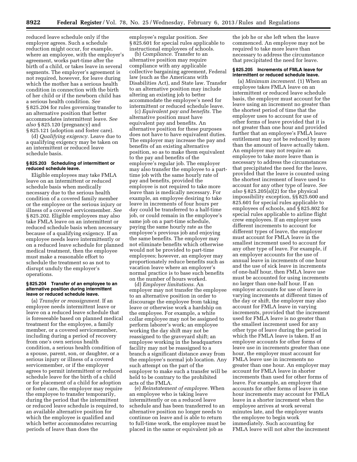reduced leave schedule only if the employer agrees. Such a schedule reduction might occur, for example, where an employee, with the employer's agreement, works part-time after the birth of a child, or takes leave in several segments. The employer's agreement is not required, however, for leave during which the mother has a serious health condition in connection with the birth of her child or if the newborn child has a serious health condition. *See*  § 825.204 for rules governing transfer to an alternative position that better accommodates intermittent leave. *See also* § 825.120 (pregnancy) and § 825.121 (adoption and foster care).

(d) *Qualifying exigency.* Leave due to a qualifying exigency may be taken on an intermittent or reduced leave schedule basis.

# **§ 825.203 Scheduling of intermittent or reduced schedule leave.**

Eligible employees may take FMLA leave on an intermittent or reduced schedule basis when medically necessary due to the serious health condition of a covered family member or the employee or the serious injury or illness of a covered servicemember. *See*  § 825.202. Eligible employees may also take FMLA leave on an intermittent or reduced schedule basis when necessary because of a qualifying exigency. If an employee needs leave intermittently or on a reduced leave schedule for planned medical treatment, then the employee must make a reasonable effort to schedule the treatment so as not to disrupt unduly the employer's operations.

#### **§ 825.204 Transfer of an employee to an alternative position during intermittent leave or reduced schedule leave.**

(a) *Transfer or reassignment.* If an employee needs intermittent leave or leave on a reduced leave schedule that is foreseeable based on planned medical treatment for the employee, a family member, or a covered servicemember, including during a period of recovery from one's own serious health condition, a serious health condition of a spouse, parent, son, or daughter, or a serious injury or illness of a covered servicemember, or if the employer agrees to permit intermittent or reduced schedule leave for the birth of a child or for placement of a child for adoption or foster care, the employer may require the employee to transfer temporarily, during the period that the intermittent or reduced leave schedule is required, to an available alternative position for which the employee is qualified and which better accommodates recurring periods of leave than does the

employee's regular position. *See*  § 825.601 for special rules applicable to instructional employees of schools.

(b) *Compliance.* Transfer to an alternative position may require compliance with any applicable collective bargaining agreement, Federal law (such as the Americans with Disabilities Act), and State law. Transfer to an alternative position may include altering an existing job to better accommodate the employee's need for intermittent or reduced schedule leave.

(c) *Equivalent pay and benefits.* The alternative position must have equivalent pay and benefits. An alternative position for these purposes does not have to have equivalent duties. The employer may increase the pay and benefits of an existing alternative position, so as to make them equivalent to the pay and benefits of the employee's regular job. The employer may also transfer the employee to a parttime job with the same hourly rate of pay and benefits, provided the employee is not required to take more leave than is medically necessary. For example, an employee desiring to take leave in increments of four hours per day could be transferred to a half-time job, or could remain in the employee's same job on a part-time schedule, paying the same hourly rate as the employee's previous job and enjoying the same benefits. The employer may not eliminate benefits which otherwise would not be provided to part-time employees; however, an employer may proportionately reduce benefits such as vacation leave where an employer's normal practice is to base such benefits on the number of hours worked.

(d) *Employer limitations.* An employer may not transfer the employee to an alternative position in order to discourage the employee from taking leave or otherwise work a hardship on the employee. For example, a white collar employee may not be assigned to perform laborer's work; an employee working the day shift may not be reassigned to the graveyard shift; an employee working in the headquarters facility may not be reassigned to a branch a significant distance away from the employee's normal job location. Any such attempt on the part of the employer to make such a transfer will be held to be contrary to the prohibited acts of the FMLA.

(e) *Reinstatement of employee.* When an employee who is taking leave intermittently or on a reduced leave schedule and has been transferred to an alternative position no longer needs to continue on leave and is able to return to full-time work, the employee must be placed in the same or equivalent job as

the job he or she left when the leave commenced. An employee may not be required to take more leave than necessary to address the circumstance that precipitated the need for leave.

#### **§ 825.205 Increments of FMLA leave for intermittent or reduced schedule leave.**

(a) *Minimum increment.* (1) When an employee takes FMLA leave on an intermittent or reduced leave schedule basis, the employer must account for the leave using an increment no greater than the shortest period of time that the employer uses to account for use of other forms of leave provided that it is not greater than one hour and provided further that an employee's FMLA leave entitlement may not be reduced by more than the amount of leave actually taken. An employer may not require an employee to take more leave than is necessary to address the circumstances that precipitated the need for the leave, provided that the leave is counted using the shortest increment of leave used to account for any other type of leave. *See also* § 825.205(a)(2) for the physical impossibility exception, §§ 825.600 and 825.601 for special rules applicable to employees of schools, and § 825.802 for special rules applicable to airline flight crew employees. If an employer uses different increments to account for different types of leave, the employer must account for FMLA leave in the smallest increment used to account for any other type of leave. For example, if an employer accounts for the use of annual leave in increments of one hour and the use of sick leave in increments of one-half hour, then FMLA leave use must be accounted for using increments no larger than one-half hour. If an employer accounts for use of leave in varying increments at different times of the day or shift, the employer may also account for FMLA leave in varying increments, provided that the increment used for FMLA leave is no greater than the smallest increment used for any other type of leave during the period in which the FMLA leave is taken. If an employer accounts for other forms of leave use in increments greater than one hour, the employer must account for FMLA leave use in increments no greater than one hour. An employer may account for FMLA leave in shorter increments than used for other forms of leave. For example, an employer that accounts for other forms of leave in one hour increments may account for FMLA leave in a shorter increment when the employee arrives at work several minutes late, and the employer wants the employee to begin work immediately. Such accounting for FMLA leave will not alter the increment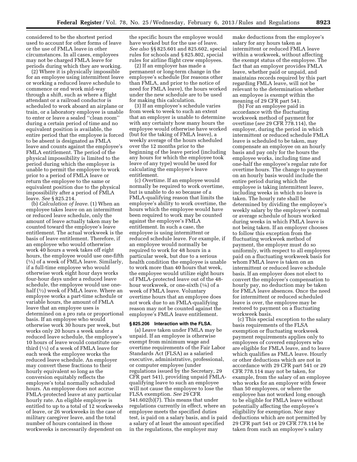considered to be the shortest period used to account for other forms of leave or the use of FMLA leave in other circumstances. In all cases, employees may not be charged FMLA leave for periods during which they are working.

(2) Where it is physically impossible for an employee using intermittent leave or working a reduced leave schedule to commence or end work mid-way through a shift, such as where a flight attendant or a railroad conductor is scheduled to work aboard an airplane or train, or a laboratory employee is unable to enter or leave a sealed ''clean room'' during a certain period of time and no equivalent position is available, the entire period that the employee is forced to be absent is designated as FMLA leave and counts against the employee's FMLA entitlement. The period of the physical impossibility is limited to the period during which the employer is unable to permit the employee to work prior to a period of FMLA leave or return the employee to the same or equivalent position due to the physical impossibility after a period of FMLA leave. *See* § 825.214.

(b) *Calculation of leave.* (1) When an employee takes leave on an intermittent or reduced leave schedule, only the amount of leave actually taken may be counted toward the employee's leave entitlement. The actual workweek is the basis of leave entitlement. Therefore, if an employee who would otherwise work 40 hours a week takes off eight hours, the employee would use one-fifth (1⁄5) of a week of FMLA leave. Similarly, if a full-time employee who would otherwise work eight hour days works four-hour days under a reduced leave schedule, the employee would use onehalf (1⁄2) week of FMLA leave. Where an employee works a part-time schedule or variable hours, the amount of FMLA leave that an employee uses is determined on a pro rata or proportional basis. If an employee who would otherwise work 30 hours per week, but works only 20 hours a week under a reduced leave schedule, the employee's 10 hours of leave would constitute onethird  $(1/3)$  of a week of FMLA leave for each week the employee works the reduced leave schedule. An employer may convert these fractions to their hourly equivalent so long as the conversion equitably reflects the employee's total normally scheduled hours. An employee does not accrue FMLA-protected leave at any particular hourly rate. An eligible employee is entitled to up to a total of 12 workweeks of leave, or 26 workweeks in the case of military caregiver leave, and the total number of hours contained in those workweeks is necessarily dependent on

the specific hours the employee would have worked but for the use of leave. *See also* §§ 825.601 and 825.602, special rules for schools and § 825.802, special rules for airline flight crew employees.

(2) If an employer has made a permanent or long-term change in the employee's schedule (for reasons other than FMLA, and prior to the notice of need for FMLA leave), the hours worked under the new schedule are to be used for making this calculation.

(3) If an employee's schedule varies from week to week to such an extent that an employer is unable to determine with any certainty how many hours the employee would otherwise have worked (but for the taking of FMLA leave), a weekly average of the hours scheduled over the 12 months prior to the beginning of the leave period (including any hours for which the employee took leave of any type) would be used for calculating the employee's leave entitlement.

(c) *Overtime.* If an employee would normally be required to work overtime, but is unable to do so because of a FMLA-qualifying reason that limits the employee's ability to work overtime, the hours which the employee would have been required to work may be counted against the employee's FMLA entitlement. In such a case, the employee is using intermittent or reduced schedule leave. For example, if an employee would normally be required to work for 48 hours in a particular week, but due to a serious health condition the employee is unable to work more than 40 hours that week, the employee would utilize eight hours of FMLA-protected leave out of the 48 hour workweek, or one-sixth  $(1/6)$  of a week of FMLA leave. Voluntary overtime hours that an employee does not work due to an FMLA-qualifying reason may not be counted against the employee's FMLA leave entitlement.

# **§ 825.206 Interaction with the FLSA.**

(a) Leave taken under FMLA may be unpaid. If an employee is otherwise exempt from minimum wage and overtime requirements of the Fair Labor Standards Act (FLSA) as a salaried executive, administrative, professional, or computer employee (under regulations issued by the Secretary, 29 CFR part 541), providing unpaid FMLAqualifying leave to such an employee will not cause the employee to lose the FLSA exemption. *See* 29 CFR 541.602(b)(7). This means that under regulations currently in effect, where an employee meets the specified duties test, is paid on a salary basis, and is paid a salary of at least the amount specified in the regulations, the employer may

make deductions from the employee's salary for any hours taken as intermittent or reduced FMLA leave within a workweek, without affecting the exempt status of the employee. The fact that an employer provides FMLA leave, whether paid or unpaid, and maintains records required by this part regarding FMLA leave, will not be relevant to the determination whether an employee is exempt within the meaning of 29 CFR part 541.

(b) For an employee paid in accordance with the fluctuating workweek method of payment for overtime (*see* 29 CFR 778.114), the employer, during the period in which intermittent or reduced schedule FMLA leave is scheduled to be taken, may compensate an employee on an hourly basis and pay only for the hours the employee works, including time and one-half the employee's regular rate for overtime hours. The change to payment on an hourly basis would include the entire period during which the employee is taking intermittent leave, including weeks in which no leave is taken. The hourly rate shall be determined by dividing the employee's weekly salary by the employee's normal or average schedule of hours worked during weeks in which FMLA leave is not being taken. If an employer chooses to follow this exception from the fluctuating workweek method of payment, the employer must do so uniformly, with respect to all employees paid on a fluctuating workweek basis for whom FMLA leave is taken on an intermittent or reduced leave schedule basis. If an employer does not elect to convert the employee's compensation to hourly pay, no deduction may be taken for FMLA leave absences. Once the need for intermittent or reduced scheduled leave is over, the employee may be restored to payment on a fluctuating workweek basis.

(c) This special exception to the salary basis requirements of the FLSA exemption or fluctuating workweek payment requirements applies only to employees of covered employers who are eligible for FMLA leave, and to leave which qualifies as FMLA leave. Hourly or other deductions which are not in accordance with 29 CFR part 541 or 29 CFR 778.114 may not be taken, for example, from the salary of an employee who works for an employer with fewer than 50 employees, or where the employee has not worked long enough to be eligible for FMLA leave without potentially affecting the employee's eligibility for exemption. Nor may deductions which are not permitted by 29 CFR part 541 or 29 CFR 778.114 be taken from such an employee's salary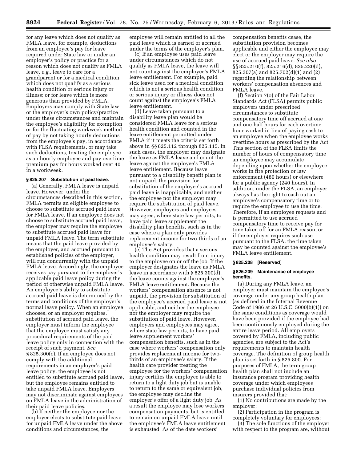for any leave which does not qualify as FMLA leave, for example, deductions from an employee's pay for leave required under State law or under an employer's policy or practice for a reason which does not qualify as FMLA leave, *e.g.,* leave to care for a grandparent or for a medical condition which does not qualify as a serious health condition or serious injury or illness; or for leave which is more generous than provided by FMLA. Employers may comply with State law or the employer's own policy/practice under these circumstances and maintain the employee's eligibility for exemption or for the fluctuating workweek method of pay by not taking hourly deductions from the employee's pay, in accordance with FLSA requirements, or may take such deductions, treating the employee as an hourly employee and pay overtime premium pay for hours worked over 40 in a workweek.

#### **§ 825.207 Substitution of paid leave.**

(a) Generally, FMLA leave is unpaid leave. However, under the circumstances described in this section, FMLA permits an eligible employee to choose to substitute accrued paid leave for FMLA leave. If an employee does not choose to substitute accrued paid leave, the employer may require the employee to substitute accrued paid leave for unpaid FMLA leave. The term substitute means that the paid leave provided by the employer, and accrued pursuant to established policies of the employer, will run concurrently with the unpaid FMLA leave. Accordingly, the employee receives pay pursuant to the employer's applicable paid leave policy during the period of otherwise unpaid FMLA leave. An employee's ability to substitute accrued paid leave is determined by the terms and conditions of the employer's normal leave policy. When an employee chooses, or an employer requires, substitution of accrued paid leave, the employer must inform the employee that the employee must satisfy any procedural requirements of the paid leave policy only in connection with the receipt of such payment. *See*  § 825.300(c). If an employee does not comply with the additional requirements in an employer's paid leave policy, the employee is not entitled to substitute accrued paid leave, but the employee remains entitled to take unpaid FMLA leave. Employers may not discriminate against employees on FMLA leave in the administration of their paid leave policies.

(b) If neither the employee nor the employer elects to substitute paid leave for unpaid FMLA leave under the above conditions and circumstances, the

employee will remain entitled to all the paid leave which is earned or accrued under the terms of the employer's plan.

(c) If an employee uses paid leave under circumstances which do not qualify as FMLA leave, the leave will not count against the employee's FMLA leave entitlement. For example, paid sick leave used for a medical condition which is not a serious health condition or serious injury or illness does not count against the employee's FMLA leave entitlement.

(d) Leave taken pursuant to a disability leave plan would be considered FMLA leave for a serious health condition and counted in the leave entitlement permitted under FMLA if it meets the criteria set forth above in §§ 825.112 through 825.115. In such cases, the employer may designate the leave as FMLA leave and count the leave against the employee's FMLA leave entitlement. Because leave pursuant to a disability benefit plan is not unpaid, the provision for substitution of the employee's accrued paid leave is inapplicable, and neither the employee nor the employer may require the substitution of paid leave. However, employers and employees may agree, where state law permits, to have paid leave supplement the disability plan benefits, such as in the case where a plan only provides replacement income for two-thirds of an employee's salary.

(e) The Act provides that a serious health condition may result from injury to the employee on or off the job. If the employer designates the leave as FMLA leave in accordance with § 825.300(d), the leave counts against the employee's FMLA leave entitlement. Because the workers' compensation absence is not unpaid, the provision for substitution of the employee's accrued paid leave is not applicable, and neither the employee nor the employer may require the substitution of paid leave. However, employers and employees may agree, where state law permits, to have paid leave supplement workers' compensation benefits, such as in the case where workers' compensation only provides replacement income for twothirds of an employee's salary. If the health care provider treating the employee for the workers' compensation injury certifies the employee is able to return to a light duty job but is unable to return to the same or equivalent job, the employee may decline the employer's offer of a light duty job. As a result the employee may lose workers' compensation payments, but is entitled to remain on unpaid FMLA leave until the employee's FMLA leave entitlement is exhausted. As of the date workers'

compensation benefits cease, the substitution provision becomes applicable and either the employee may elect or the employer may require the use of accrued paid leave. *See also*  §§ 825.210(f), 825.216(d), 825.220(d), 825.307(a) and 825.702(d)(1) and (2) regarding the relationship between workers' compensation absences and FMLA leave.

(f) Section 7(o) of the Fair Labor Standards Act (FLSA) permits public employers under prescribed circumstances to substitute compensatory time off accrued at one and one-half hours for each overtime hour worked in lieu of paying cash to an employee when the employee works overtime hours as prescribed by the Act. This section of the FLSA limits the number of hours of compensatory time an employee may accumulate depending upon whether the employee works in fire protection or law enforcement (480 hours) or elsewhere for a public agency (240 hours). In addition, under the FLSA, an employer always has the right to cash out an employee's compensatory time or to require the employee to use the time. Therefore, if an employee requests and is permitted to use accrued compensatory time to receive pay for time taken off for an FMLA reason, or if the employer requires such use pursuant to the FLSA, the time taken may be counted against the employee's FMLA leave entitlement.

#### **§ 825.208 [Reserved]**

#### **§ 825.209 Maintenance of employee benefits.**

(a) During any FMLA leave, an employer must maintain the employee's coverage under any group health plan (as defined in the Internal Revenue Code of 1986 at 26 U.S.C. 5000(b)(1)) on the same conditions as coverage would have been provided if the employee had been continuously employed during the entire leave period. All employers covered by FMLA, including public agencies, are subject to the Act's requirements to maintain health coverage. The definition of group health plan is set forth in § 825.800. For purposes of FMLA, the term group health plan shall not include an insurance program providing health coverage under which employees purchase individual policies from insurers provided that:

(1) No contributions are made by the employer;

(2) Participation in the program is completely voluntary for employees;

(3) The sole functions of the employer with respect to the program are, without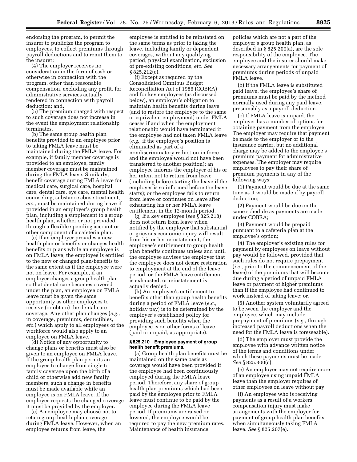endorsing the program, to permit the insurer to publicize the program to employees, to collect premiums through payroll deductions and to remit them to the insurer;

(4) The employer receives no consideration in the form of cash or otherwise in connection with the program, other than reasonable compensation, excluding any profit, for administrative services actually rendered in connection with payroll deduction; and,

(5) The premium charged with respect to such coverage does not increase in the event the employment relationship terminates.

(b) The same group health plan benefits provided to an employee prior to taking FMLA leave must be maintained during the FMLA leave. For example, if family member coverage is provided to an employee, family member coverage must be maintained during the FMLA leave. Similarly, benefit coverage during FMLA leave for medical care, surgical care, hospital care, dental care, eye care, mental health counseling, substance abuse treatment, *etc.,* must be maintained during leave if provided in an employer's group health plan, including a supplement to a group health plan, whether or not provided through a flexible spending account or other component of a cafeteria plan.

(c) If an employer provides a new health plan or benefits or changes health benefits or plans while an employee is on FMLA leave, the employee is entitled to the new or changed plan/benefits to the same extent as if the employee were not on leave. For example, if an employer changes a group health plan so that dental care becomes covered under the plan, an employee on FMLA leave must be given the same opportunity as other employees to receive (or obtain) the dental care coverage. Any other plan changes (*e.g.,*  in coverage, premiums, deductibles, *etc.*) which apply to all employees of the workforce would also apply to an employee on FMLA leave.

(d) Notice of any opportunity to change plans or benefits must also be given to an employee on FMLA leave. If the group health plan permits an employee to change from single to family coverage upon the birth of a child or otherwise add new family members, such a change in benefits must be made available while an employee is on FMLA leave. If the employee requests the changed coverage it must be provided by the employer.

(e) An employee may choose not to retain group health plan coverage during FMLA leave. However, when an employee returns from leave, the

employee is entitled to be reinstated on the same terms as prior to taking the leave, including family or dependent coverages, without any qualifying period, physical examination, exclusion of pre-existing conditions, *etc. See*  § 825.212(c).

(f) Except as required by the Consolidated Omnibus Budget Reconciliation Act of 1986 (COBRA) and for key employees (as discussed below), an employer's obligation to maintain health benefits during leave (and to restore the employee to the same or equivalent employment) under FMLA ceases if and when the employment relationship would have terminated if the employee had not taken FMLA leave (*e.g.,* if the employee's position is eliminated as part of a nondiscriminatory reduction in force and the employee would not have been transferred to another position); an employee informs the employer of his or her intent not to return from leave (including before starting the leave if the employer is so informed before the leave starts); or the employee fails to return from leave or continues on leave after exhausting his or her FMLA leave entitlement in the 12-month period.

(g) If a key employee (*see* § 825.218) does not return from leave when notified by the employer that substantial or grievous economic injury will result from his or her reinstatement, the employee's entitlement to group health plan benefits continues unless and until the employee advises the employer that the employee does not desire restoration to employment at the end of the leave period, or the FMLA leave entitlement is exhausted, or reinstatement is actually denied.

(h) An employee's entitlement to benefits other than group health benefits during a period of FMLA leave (*e.g.,*  holiday pay) is to be determined by the employer's established policy for providing such benefits when the employee is on other forms of leave (paid or unpaid, as appropriate).

# **§ 825.210 Employee payment of group health benefit premiums.**

(a) Group health plan benefits must be maintained on the same basis as coverage would have been provided if the employee had been continuously employed during the FMLA leave period. Therefore, any share of group health plan premiums which had been paid by the employee prior to FMLA leave must continue to be paid by the employee during the FMLA leave period. If premiums are raised or lowered, the employee would be required to pay the new premium rates. Maintenance of health insurance

policies which are not a part of the employer's group health plan, as described in § 825.209(a), are the sole responsibility of the employee. The employee and the insurer should make necessary arrangements for payment of premiums during periods of unpaid FMLA leave.

(b) If the FMLA leave is substituted paid leave, the employee's share of premiums must be paid by the method normally used during any paid leave, presumably as a payroll deduction.

(c) If FMLA leave is unpaid, the employer has a number of options for obtaining payment from the employee. The employer may require that payment be made to the employer or to the insurance carrier, but no additional charge may be added to the employee's premium payment for administrative expenses. The employer may require employees to pay their share of premium payments in any of the following ways:

(1) Payment would be due at the same time as it would be made if by payroll deduction;

(2) Payment would be due on the same schedule as payments are made under COBRA;

(3) Payment would be prepaid pursuant to a cafeteria plan at the employee's option;

(4) The employer's existing rules for payment by employees on leave without pay would be followed, provided that such rules do not require prepayment (*i.e.,* prior to the commencement of the leave) of the premiums that will become due during a period of unpaid FMLA leave or payment of higher premiums than if the employee had continued to work instead of taking leave; or,

(5) Another system voluntarily agreed to between the employer and the employee, which may include prepayment of premiums (*e.g.,* through increased payroll deductions when the need for the FMLA leave is foreseeable).

(d) The employer must provide the employee with advance written notice of the terms and conditions under which these payments must be made. *See* § 825.300(c).

(e) An employer may not require more of an employee using unpaid FMLA leave than the employer requires of other employees on leave without pay.

(f) An employee who is receiving payments as a result of a workers' compensation injury must make arrangements with the employer for payment of group health plan benefits when simultaneously taking FMLA leave. *See* § 825.207(e).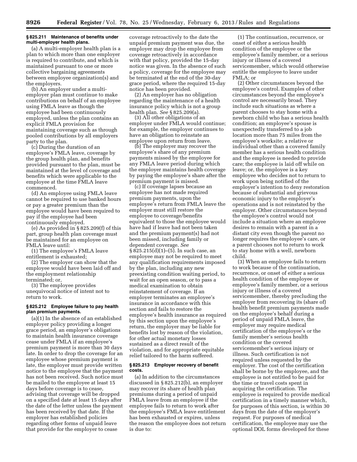# **§ 825.211 Maintenance of benefits under multi-employer health plans.**

(a) A multi-employer health plan is a plan to which more than one employer is required to contribute, and which is maintained pursuant to one or more collective bargaining agreements between employee organization(s) and the employers.

(b) An employer under a multiemployer plan must continue to make contributions on behalf of an employee using FMLA leave as though the employee had been continuously employed, unless the plan contains an explicit FMLA provision for maintaining coverage such as through pooled contributions by all employers party to the plan.

(c) During the duration of an employee's FMLA leave, coverage by the group health plan, and benefits provided pursuant to the plan, must be maintained at the level of coverage and benefits which were applicable to the employee at the time FMLA leave commenced.

(d) An employee using FMLA leave cannot be required to use banked hours or pay a greater premium than the employee would have been required to pay if the employee had been continuously employed.

(e) As provided in § 825.209(f) of this part, group health plan coverage must be maintained for an employee on FMLA leave until:

(1) The employee's FMLA leave entitlement is exhausted;

(2) The employer can show that the employee would have been laid off and the employment relationship terminated; or,

(3) The employee provides unequivocal notice of intent not to return to work.

# **§ 825.212 Employee failure to pay health plan premium payments.**

(a)(1) In the absence of an established employer policy providing a longer grace period, an employer's obligations to maintain health insurance coverage cease under FMLA if an employee's premium payment is more than 30 days late. In order to drop the coverage for an employee whose premium payment is late, the employer must provide written notice to the employee that the payment has not been received. Such notice must be mailed to the employee at least 15 days before coverage is to cease, advising that coverage will be dropped on a specified date at least 15 days after the date of the letter unless the payment has been received by that date. If the employer has established policies regarding other forms of unpaid leave that provide for the employer to cease

coverage retroactively to the date the unpaid premium payment was due, the employer may drop the employee from coverage retroactively in accordance with that policy, provided the 15-day notice was given. In the absence of such a policy, coverage for the employee may be terminated at the end of the 30-day grace period, where the required 15-day notice has been provided.

(2) An employer has no obligation regarding the maintenance of a health insurance policy which is not a group health plan. *See* § 825.209(a).

(3) All other obligations of an employer under FMLA would continue; for example, the employer continues to have an obligation to reinstate an employee upon return from leave.

(b) The employer may recover the employee's share of any premium payments missed by the employee for any FMLA leave period during which the employer maintains health coverage by paying the employee's share after the premium payment is missed.

(c) If coverage lapses because an employee has not made required premium payments, upon the employee's return from FMLA leave the employer must still restore the employee to coverage/benefits equivalent to those the employee would have had if leave had not been taken and the premium payment(s) had not been missed, including family or dependent coverage. *See*  § 825.215(d)(1)–(5). In such case, an employee may not be required to meet any qualification requirements imposed by the plan, including any new preexisting condition waiting period, to wait for an open season, or to pass a medical examination to obtain reinstatement of coverage. If an employer terminates an employee's insurance in accordance with this section and fails to restore the employee's health insurance as required by this section upon the employee's return, the employer may be liable for benefits lost by reason of the violation, for other actual monetary losses sustained as a direct result of the violation, and for appropriate equitable relief tailored to the harm suffered.

#### **§ 825.213 Employer recovery of benefit costs.**

(a) In addition to the circumstances discussed in § 825.212(b), an employer may recover its share of health plan premiums during a period of unpaid FMLA leave from an employee if the employee fails to return to work after the employee's FMLA leave entitlement has been exhausted or expires, unless the reason the employee does not return is due to:

(1) The continuation, recurrence, or onset of either a serious health condition of the employee or the employee's family member, or a serious injury or illness of a covered servicemember, which would otherwise entitle the employee to leave under FMLA; or

(2) Other circumstances beyond the employee's control. Examples of other circumstances beyond the employee's control are necessarily broad. They include such situations as where a parent chooses to stay home with a newborn child who has a serious health condition; an employee's spouse is unexpectedly transferred to a job location more than 75 miles from the employee's worksite; a relative or individual other than a covered family member has a serious health condition and the employee is needed to provide care; the employee is laid off while on leave; or, the employee is a key employee who decides not to return to work upon being notified of the employer's intention to deny restoration because of substantial and grievous economic injury to the employer's operations and is not reinstated by the employer. Other circumstances beyond the employee's control would not include a situation where an employee desires to remain with a parent in a distant city even though the parent no longer requires the employee's care, or a parent chooses not to return to work to stay home with a well, newborn child.

(3) When an employee fails to return to work because of the continuation, recurrence, or onset of either a serious health condition of the employee or employee's family member, or a serious injury or illness of a covered servicemember, thereby precluding the employer from recovering its (share of) health benefit premium payments made on the employee's behalf during a period of unpaid FMLA leave, the employer may require medical certification of the employee's or the family member's serious health condition or the covered servicemember's serious injury or illness. Such certification is not required unless requested by the employer. The cost of the certification shall be borne by the employee, and the employee is not entitled to be paid for the time or travel costs spent in acquiring the certification. The employee is required to provide medical certification in a timely manner which, for purposes of this section, is within 30 days from the date of the employer's request. For purposes of medical certification, the employee may use the optional DOL forms developed for these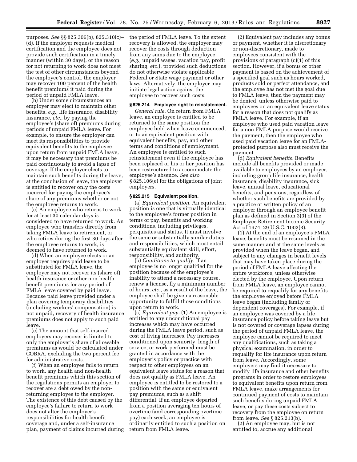purposes. *See* §§ 825.306(b), 825.310(c)– (d). If the employer requests medical certification and the employee does not provide such certification in a timely manner (within 30 days), or the reason for not returning to work does not meet the test of other circumstances beyond the employee's control, the employer may recover 100 percent of the health benefit premiums it paid during the period of unpaid FMLA leave.

(b) Under some circumstances an employer may elect to maintain other benefits, *e.g.,* life insurance, disability insurance, *etc.,* by paying the employee's (share of) premiums during periods of unpaid FMLA leave. For example, to ensure the employer can meet its responsibilities to provide equivalent benefits to the employee upon return from unpaid FMLA leave, it may be necessary that premiums be paid continuously to avoid a lapse of coverage. If the employer elects to maintain such benefits during the leave, at the conclusion of leave, the employer is entitled to recover only the costs incurred for paying the employee's share of any premiums whether or not the employee returns to work.

(c) An employee who returns to work for at least 30 calendar days is considered to have returned to work. An employee who transfers directly from taking FMLA leave to retirement, or who retires during the first 30 days after the employee returns to work, is deemed to have returned to work.

(d) When an employee elects or an employer requires paid leave to be substituted for FMLA leave, the employer may not recover its (share of) health insurance or other non-health benefit premiums for any period of FMLA leave covered by paid leave. Because paid leave provided under a plan covering temporary disabilities (including workers' compensation) is not unpaid, recovery of health insurance premiums does not apply to such paid leave.

(e) The amount that self-insured employers may recover is limited to only the employer's share of allowable premiums as would be calculated under COBRA, excluding the two percent fee for administrative costs.

(f) When an employee fails to return to work, any health and non-health benefit premiums which this section of the regulations permits an employer to recover are a debt owed by the nonreturning employee to the employer. The existence of this debt caused by the employee's failure to return to work does not alter the employer's responsibilities for health benefit coverage and, under a self-insurance plan, payment of claims incurred during the period of FMLA leave. To the extent recovery is allowed, the employer may recover the costs through deduction from any sums due to the employee (*e.g.,* unpaid wages, vacation pay, profit sharing, *etc.*), provided such deductions do not otherwise violate applicable Federal or State wage payment or other laws. Alternatively, the employer may initiate legal action against the employee to recover such costs.

# **§ 825.214 Employee right to reinstatement.**

*General rule.* On return from FMLA leave, an employee is entitled to be returned to the same position the employee held when leave commenced, or to an equivalent position with equivalent benefits, pay, and other terms and conditions of employment. An employee is entitled to such reinstatement even if the employee has been replaced or his or her position has been restructured to accommodate the employee's absence. *See also*  § 825.106(e) for the obligations of joint employers.

#### **§ 825.215 Equivalent position.**

(a) *Equivalent position.* An equivalent position is one that is virtually identical to the employee's former position in terms of pay, benefits and working conditions, including privileges, perquisites and status. It must involve the same or substantially similar duties and responsibilities, which must entail substantially equivalent skill, effort, responsibility, and authority.

(b) *Conditions to qualify.* If an employee is no longer qualified for the position because of the employee's inability to attend a necessary course, renew a license, fly a minimum number of hours, *etc.,* as a result of the leave, the employee shall be given a reasonable opportunity to fulfill those conditions upon return to work.

(c) *Equivalent pay.* (1) An employee is entitled to any unconditional pay increases which may have occurred during the FMLA leave period, such as cost of living increases. Pay increases conditioned upon seniority, length of service, or work performed must be granted in accordance with the employer's policy or practice with respect to other employees on an equivalent leave status for a reason that does not qualify as FMLA leave. An employee is entitled to be restored to a position with the same or equivalent pay premiums, such as a shift differential. If an employee departed from a position averaging ten hours of overtime (and corresponding overtime pay) each week, an employee is ordinarily entitled to such a position on return from FMLA leave.

(2) Equivalent pay includes any bonus or payment, whether it is discretionary or non-discretionary, made to employees consistent with the provisions of paragraph (c)(1) of this section. However, if a bonus or other payment is based on the achievement of a specified goal such as hours worked, products sold or perfect attendance, and the employee has not met the goal due to FMLA leave, then the payment may be denied, unless otherwise paid to employees on an equivalent leave status for a reason that does not qualify as FMLA leave. For example, if an employee who used paid vacation leave for a non-FMLA purpose would receive the payment, then the employee who used paid vacation leave for an FMLAprotected purpose also must receive the payment.

(d) *Equivalent benefits.* Benefits include all benefits provided or made available to employees by an employer, including group life insurance, health insurance, disability insurance, sick leave, annual leave, educational benefits, and pensions, regardless of whether such benefits are provided by a practice or written policy of an employer through an employee benefit plan as defined in Section 3(3) of the Employee Retirement Income Security Act of 1974, 29 U.S.C. 1002(3).

(1) At the end of an employee's FMLA leave, benefits must be resumed in the same manner and at the same levels as provided when the leave began, and subject to any changes in benefit levels that may have taken place during the period of FMLA leave affecting the entire workforce, unless otherwise elected by the employee. Upon return from FMLA leave, an employee cannot be required to requalify for any benefits the employee enjoyed before FMLA leave began (including family or dependent coverages). For example, if an employee was covered by a life insurance policy before taking leave but is not covered or coverage lapses during the period of unpaid FMLA leave, the employee cannot be required to meet any qualifications, such as taking a physical examination, in order to requalify for life insurance upon return from leave. Accordingly, some employers may find it necessary to modify life insurance and other benefits programs in order to restore employees to equivalent benefits upon return from FMLA leave, make arrangements for continued payment of costs to maintain such benefits during unpaid FMLA leave, or pay these costs subject to recovery from the employee on return from leave. *See* § 825.213(b).

(2) An employee may, but is not entitled to, accrue any additional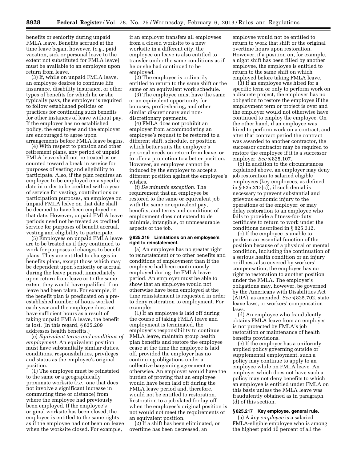benefits or seniority during unpaid FMLA leave. Benefits accrued at the time leave began, however, (*e.g.,* paid vacation, sick or personal leave to the extent not substituted for FMLA leave) must be available to an employee upon return from leave.

(3) If, while on unpaid FMLA leave, an employee desires to continue life insurance, disability insurance, or other types of benefits for which he or she typically pays, the employer is required to follow established policies or practices for continuing such benefits for other instances of leave without pay. If the employer has no established policy, the employee and the employer are encouraged to agree upon arrangements before FMLA leave begins.

(4) With respect to pension and other retirement plans, any period of unpaid FMLA leave shall not be treated as or counted toward a break in service for purposes of vesting and eligibility to participate. Also, if the plan requires an employee to be employed on a specific date in order to be credited with a year of service for vesting, contributions or participation purposes, an employee on unpaid FMLA leave on that date shall be deemed to have been employed on that date. However, unpaid FMLA leave periods need not be treated as credited service for purposes of benefit accrual, vesting and eligibility to participate.

(5) Employees on unpaid FMLA leave are to be treated as if they continued to work for purposes of changes to benefit plans. They are entitled to changes in benefits plans, except those which may be dependent upon seniority or accrual during the leave period, immediately upon return from leave or to the same extent they would have qualified if no leave had been taken. For example, if the benefit plan is predicated on a preestablished number of hours worked each year and the employee does not have sufficient hours as a result of taking unpaid FMLA leave, the benefit is lost. (In this regard, § 825.209 addresses health benefits.)

(e) *Equivalent terms and conditions of employment.* An equivalent position must have substantially similar duties, conditions, responsibilities, privileges and status as the employee's original position.

(1) The employee must be reinstated to the same or a geographically proximate worksite (*i.e.,* one that does not involve a significant increase in commuting time or distance) from where the employee had previously been employed. If the employee's original worksite has been closed, the employee is entitled to the same rights as if the employee had not been on leave when the worksite closed. For example,

if an employer transfers all employees from a closed worksite to a new worksite in a different city, the employee on leave is also entitled to transfer under the same conditions as if he or she had continued to be employed.

(2) The employee is ordinarily entitled to return to the same shift or the same or an equivalent work schedule.

(3) The employee must have the same or an equivalent opportunity for bonuses, profit-sharing, and other similar discretionary and nondiscretionary payments.

(4) FMLA does not prohibit an employer from accommodating an employee's request to be restored to a different shift, schedule, or position which better suits the employee's personal needs on return from leave, or to offer a promotion to a better position. However, an employee cannot be induced by the employer to accept a different position against the employee's wishes.

(f) *De minimis exception.* The requirement that an employee be restored to the same or equivalent job with the same or equivalent pay, benefits, and terms and conditions of employment does not extend to de minimis, intangible, or unmeasurable aspects of the job.

#### **§ 825.216 Limitations on an employee's right to reinstatement.**

(a) An employee has no greater right to reinstatement or to other benefits and conditions of employment than if the employee had been continuously employed during the FMLA leave period. An employer must be able to show that an employee would not otherwise have been employed at the time reinstatement is requested in order to deny restoration to employment. For example:

(1) If an employee is laid off during the course of taking FMLA leave and employment is terminated, the employer's responsibility to continue FMLA leave, maintain group health plan benefits and restore the employee cease at the time the employee is laid off, provided the employer has no continuing obligations under a collective bargaining agreement or otherwise. An employer would have the burden of proving that an employee would have been laid off during the FMLA leave period and, therefore, would not be entitled to restoration. Restoration to a job slated for lay-off when the employee's original position is not would not meet the requirements of an equivalent position.

(2) If a shift has been eliminated, or overtime has been decreased, an

employee would not be entitled to return to work that shift or the original overtime hours upon restoration. However, if a position on, for example, a night shift has been filled by another employee, the employee is entitled to return to the same shift on which employed before taking FMLA leave.

(3) If an employee was hired for a specific term or only to perform work on a discrete project, the employer has no obligation to restore the employee if the employment term or project is over and the employer would not otherwise have continued to employ the employee. On the other hand, if an employee was hired to perform work on a contract, and after that contract period the contract was awarded to another contractor, the successor contractor may be required to restore the employee if it is a successor employer. *See* § 825.107.

(b) In addition to the circumstances explained above, an employer may deny job restoration to salaried eligible employees (key employees, as defined in § 825.217(c)), if such denial is necessary to prevent substantial and grievous economic injury to the operations of the employer; or may delay restoration to an employee who fails to provide a fitness-for-duty certificate to return to work under the conditions described in § 825.312.

(c) If the employee is unable to perform an essential function of the position because of a physical or mental condition, including the continuation of a serious health condition or an injury or illness also covered by workers' compensation, the employee has no right to restoration to another position under the FMLA. The employer's obligations may, however, be governed by the Americans with Disabilities Act (ADA), as amended. *See* § 825.702, state leave laws, or workers' compensation laws.

(d) An employee who fraudulently obtains FMLA leave from an employer is not protected by FMLA's job restoration or maintenance of health benefits provisions.

(e) If the employer has a uniformlyapplied policy governing outside or supplemental employment, such a policy may continue to apply to an employee while on FMLA leave. An employer which does not have such a policy may not deny benefits to which an employee is entitled under FMLA on this basis unless the FMLA leave was fraudulently obtained as in paragraph (d) of this section.

### **§ 825.217 Key employee, general rule.**

(a) A *key employee* is a salaried FMLA-eligible employee who is among the highest paid 10 percent of all the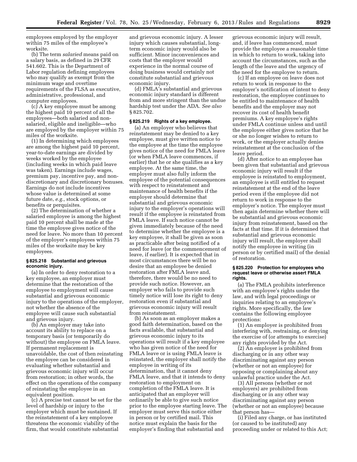employees employed by the employer within 75 miles of the employee's worksite.

(b) The term *salaried* means paid on a salary basis, as defined in 29 CFR 541.602. This is the Department of Labor regulation defining employees who may qualify as exempt from the minimum wage and overtime requirements of the FLSA as executive, administrative, professional, and computer employees.

(c) A key employee must be among the highest paid 10 percent of all the employees—both salaried and nonsalaried, eligible and ineligible—who are employed by the employer within 75 miles of the worksite.

(1) In determining which employees are among the highest paid 10 percent, year-to-date earnings are divided by weeks worked by the employee (including weeks in which paid leave was taken). Earnings include wages, premium pay, incentive pay, and nondiscretionary and discretionary bonuses. Earnings do not include incentives whose value is determined at some future date, *e.g.,* stock options, or benefits or perquisites.

(2) The determination of whether a salaried employee is among the highest paid 10 percent shall be made at the time the employee gives notice of the need for leave. No more than 10 percent of the employer's employees within 75 miles of the worksite may be key employees.

# **§ 825.218 Substantial and grievous economic injury.**

(a) In order to deny restoration to a key employee, an employer must determine that the restoration of the employee to employment will cause substantial and grievous economic injury to the operations of the employer, not whether the absence of the employee will cause such substantial and grievous injury.

(b) An employer may take into account its ability to replace on a temporary basis (or temporarily do without) the employee on FMLA leave. If permanent replacement is unavoidable, the cost of then reinstating the employee can be considered in evaluating whether substantial and grievous economic injury will occur from restoration; in other words, the effect on the operations of the company of reinstating the employee in an equivalent position.

(c) A precise test cannot be set for the level of hardship or injury to the employer which must be sustained. If the reinstatement of a key employee threatens the economic viability of the firm, that would constitute substantial

and grievous economic injury. A lesser injury which causes substantial, longterm economic injury would also be sufficient. Minor inconveniences and costs that the employer would experience in the normal course of doing business would certainly not constitute substantial and grievous economic injury.

(d) FMLA's substantial and grievous economic injury standard is different from and more stringent than the undue hardship test under the ADA. *See also*  § 825.702.

# **§ 825.219 Rights of a key employee.**

(a) An employer who believes that reinstatement may be denied to a key employee, must give written notice to the employee at the time the employee gives notice of the need for FMLA leave (or when FMLA leave commences, if earlier) that he or she qualifies as a key employee. At the same time, the employer must also fully inform the employee of the potential consequences with respect to reinstatement and maintenance of health benefits if the employer should determine that substantial and grievous economic injury to the employer's operations will result if the employee is reinstated from FMLA leave. If such notice cannot be given immediately because of the need to determine whether the employee is a key employee, it shall be given as soon as practicable after being notified of a need for leave (or the commencement of leave, if earlier). It is expected that in most circumstances there will be no desire that an employee be denied restoration after FMLA leave and, therefore, there would be no need to provide such notice. However, an employer who fails to provide such timely notice will lose its right to deny restoration even if substantial and grievous economic injury will result from reinstatement.

(b) As soon as an employer makes a good faith determination, based on the facts available, that substantial and grievous economic injury to its operations will result if a key employee who has given notice of the need for FMLA leave or is using FMLA leave is reinstated, the employer shall notify the employee in writing of its determination, that it cannot deny FMLA leave, and that it intends to deny restoration to employment on completion of the FMLA leave. It is anticipated that an employer will ordinarily be able to give such notice prior to the employee starting leave. The employer must serve this notice either in person or by certified mail. This notice must explain the basis for the employer's finding that substantial and

grievous economic injury will result, and, if leave has commenced, must provide the employee a reasonable time in which to return to work, taking into account the circumstances, such as the length of the leave and the urgency of the need for the employee to return.

(c) If an employee on leave does not return to work in response to the employer's notification of intent to deny restoration, the employee continues to be entitled to maintenance of health benefits and the employer may not recover its cost of health benefit premiums. A key employee's rights under FMLA continue unless and until the employee either gives notice that he or she no longer wishes to return to work, or the employer actually denies reinstatement at the conclusion of the leave period.

(d) After notice to an employee has been given that substantial and grievous economic injury will result if the employee is reinstated to employment, an employee is still entitled to request reinstatement at the end of the leave period even if the employee did not return to work in response to the employer's notice. The employer must then again determine whether there will be substantial and grievous economic injury from reinstatement, based on the facts at that time. If it is determined that substantial and grievous economic injury will result, the employer shall notify the employee in writing (in person or by certified mail) of the denial of restoration.

### **§ 825.220 Protection for employees who request leave or otherwise assert FMLA rights.**

(a) The FMLA prohibits interference with an employee's rights under the law, and with legal proceedings or inquiries relating to an employee's rights. More specifically, the law contains the following employee protections:

(1) An employer is prohibited from interfering with, restraining, or denying the exercise of (or attempts to exercise) any rights provided by the Act.

(2) An employer is prohibited from discharging or in any other way discriminating against any person (whether or not an employee) for opposing or complaining about any unlawful practice under the Act.

(3) All persons (whether or not employers) are prohibited from discharging or in any other way discriminating against any person (whether or not an employee) because that person has—

(i) Filed any charge, or has instituted (or caused to be instituted) any proceeding under or related to this Act;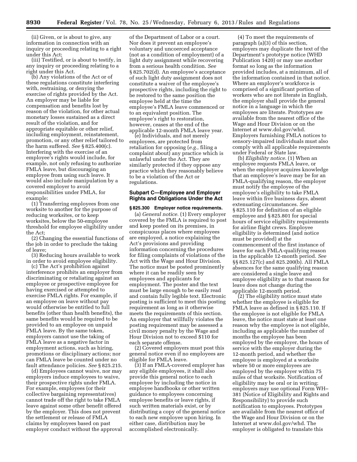(ii) Given, or is about to give, any information in connection with an inquiry or proceeding relating to a right under this Act;

(iii) Testified, or is about to testify, in any inquiry or proceeding relating to a right under this Act.

(b) Any violations of the Act or of these regulations constitute interfering with, restraining, or denying the exercise of rights provided by the Act. An employer may be liable for compensation and benefits lost by reason of the violation, for other actual monetary losses sustained as a direct result of the violation, and for appropriate equitable or other relief, including employment, reinstatement, promotion, or any other relief tailored to the harm suffered. *See* § 825.400(c). Interfering with the exercise of an employee's rights would include, for example, not only refusing to authorize FMLA leave, but discouraging an employee from using such leave. It would also include manipulation by a covered employer to avoid responsibilities under FMLA, for example:

(1) Transferring employees from one worksite to another for the purpose of reducing worksites, or to keep worksites, below the 50-employee threshold for employee eligibility under the Act;

(2) Changing the essential functions of the job in order to preclude the taking of leave;

(3) Reducing hours available to work in order to avoid employee eligibility.

(c) The Act's prohibition against interference prohibits an employer from discriminating or retaliating against an employee or prospective employee for having exercised or attempted to exercise FMLA rights. For example, if an employee on leave without pay would otherwise be entitled to full benefits (other than health benefits), the same benefits would be required to be provided to an employee on unpaid FMLA leave. By the same token, employers cannot use the taking of FMLA leave as a negative factor in employment actions, such as hiring, promotions or disciplinary actions; nor can FMLA leave be counted under no fault attendance policies. *See* § 825.215.

(d) Employees cannot waive, nor may employers induce employees to waive, their prospective rights under FMLA. For example, employees (or their collective bargaining representatives) cannot trade off the right to take FMLA leave against some other benefit offered by the employer. This does not prevent the settlement or release of FMLA claims by employees based on past employer conduct without the approval

of the Department of Labor or a court. Nor does it prevent an employee's voluntary and uncoerced acceptance (not as a condition of employment) of a light duty assignment while recovering from a serious health condition. *See*  § 825.702(d). An employee's acceptance of such light duty assignment does not constitute a waiver of the employee's prospective rights, including the right to be restored to the same position the employee held at the time the employee's FMLA leave commenced or to an equivalent position. The employee's right to restoration, however, ceases at the end of the applicable 12-month FMLA leave year.

(e) Individuals, and not merely employees, are protected from retaliation for opposing (*e.g.,* filing a complaint about) any practice which is unlawful under the Act. They are similarly protected if they oppose any practice which they reasonably believe to be a violation of the Act or regulations.

### **Subpart C—Employee and Employer Rights and Obligations Under the Act**

# **§ 825.300 Employer notice requirements.**

(a) *General notice.* (1) Every employer covered by the FMLA is required to post and keep posted on its premises, in conspicuous places where employees are employed, a notice explaining the Act's provisions and providing information concerning the procedures for filing complaints of violations of the Act with the Wage and Hour Division. The notice must be posted prominently where it can be readily seen by employees and applicants for employment. The poster and the text must be large enough to be easily read and contain fully legible text. Electronic posting is sufficient to meet this posting requirement as long as it otherwise meets the requirements of this section. An employer that willfully violates the posting requirement may be assessed a civil money penalty by the Wage and Hour Division not to exceed \$110 for each separate offense.

(2) Covered employers must post this general notice even if no employees are eligible for FMLA leave.

(3) If an FMLA-covered employer has any eligible employees, it shall also provide this general notice to each employee by including the notice in employee handbooks or other written guidance to employees concerning employee benefits or leave rights, if such written materials exist, or by distributing a copy of the general notice to each new employee upon hiring. In either case, distribution may be accomplished electronically.

(4) To meet the requirements of paragraph (a)(3) of this section, employers may duplicate the text of the Department's prototype notice (WHD Publication 1420) or may use another format so long as the information provided includes, at a minimum, all of the information contained in that notice. Where an employer's workforce is comprised of a significant portion of workers who are not literate in English, the employer shall provide the general notice in a language in which the employees are literate. Prototypes are available from the nearest office of the Wage and Hour Division or on the Internet at [www.dol.gov/whd.](http://www.dol.gov/whd)  Employers furnishing FMLA notices to sensory-impaired individuals must also comply with all applicable requirements under Federal or State law.

(b) *Eligibility notice.* (1) When an employee requests FMLA leave, or when the employer acquires knowledge that an employee's leave may be for an FMLA-qualifying reason, the employer must notify the employee of the employee's eligibility to take FMLA leave within five business days, absent extenuating circumstances. *See*  § 825.110 for definition of an eligible employee and § 825.801 for special hours of service eligibility requirements for airline flight crews. Employee eligibility is determined (and notice must be provided) at the commencement of the first instance of leave for each FMLA-qualifying reason in the applicable 12-month period. *See*  §§ 825.127(c) and 825.200(b). All FMLA absences for the same qualifying reason are considered a single leave and employee eligibility as to that reason for leave does not change during the applicable 12-month period.

(2) The eligibility notice must state whether the employee is eligible for FMLA leave as defined in § 825.110. If the employee is not eligible for FMLA leave, the notice must state at least one reason why the employee is not eligible, including as applicable the number of months the employee has been employed by the employer, the hours of service with the employer during the 12-month period, and whether the employee is employed at a worksite where 50 or more employees are employed by the employer within 75 miles of that worksite. Notification of eligibility may be oral or in writing; employers may use optional Form WH– 381 (Notice of Eligibility and Rights and Responsibility) to provide such notification to employees. Prototypes are available from the nearest office of the Wage and Hour Division or on the Internet at [www.dol.gov/whd.](http://www.dol.gov/whd) The employer is obligated to translate this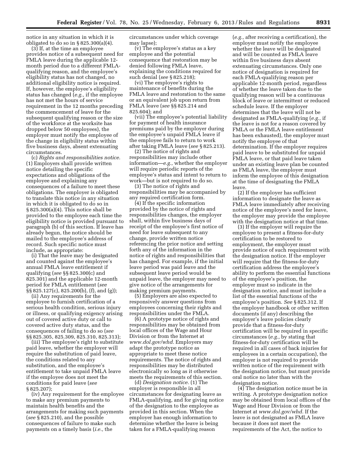notice in any situation in which it is obligated to do so in § 825.300(a)(4).

(3) If, at the time an employee provides notice of a subsequent need for FMLA leave during the applicable 12 month period due to a different FMLAqualifying reason, and the employee's eligibility status has not changed, no additional eligibility notice is required. If, however, the employee's eligibility status has changed (*e.g.,* if the employee has not met the hours of service requirement in the 12 months preceding the commencement of leave for the subsequent qualifying reason or the size of the workforce at the worksite has dropped below 50 employees), the employer must notify the employee of the change in eligibility status within five business days, absent extenuating circumstances.

(c) *Rights and responsibilities notice.*  (1) Employers shall provide written notice detailing the specific expectations and obligations of the employee and explaining any consequences of a failure to meet these obligations. The employer is obligated to translate this notice in any situation in which it is obligated to do so in § 825.300(a)(4). This notice shall be provided to the employee each time the eligibility notice is provided pursuant to paragraph (b) of this section. If leave has already begun, the notice should be mailed to the employee's address of record. Such specific notice must include, as appropriate:

(i) That the leave may be designated and counted against the employee's annual FMLA leave entitlement if qualifying (*see* §§ 825.300(c) and 825.301) and the applicable 12-month period for FMLA entitlement (*see*  §§ 825.127(c), 825.200(b), (f), and (g));

(ii) Any requirements for the employee to furnish certification of a serious health condition, serious injury or illness, or qualifying exigency arising out of covered active duty or call to covered active duty status, and the consequences of failing to do so (*see*  §§ 825.305, 825.309, 825.310, 825.313);

(iii) The employee's right to substitute paid leave, whether the employer will require the substitution of paid leave, the conditions related to any substitution, and the employee's entitlement to take unpaid FMLA leave if the employee does not meet the conditions for paid leave (*see*  § 825.207);

(iv) Any requirement for the employee to make any premium payments to maintain health benefits and the arrangements for making such payments (*see* § 825.210), and the possible consequences of failure to make such payments on a timely basis (*i.e.,* the

circumstances under which coverage may lapse);

(v) The employee's status as a key employee and the potential consequence that restoration may be denied following FMLA leave, explaining the conditions required for such denial (*see* § 825.218);

(vi) The employee's rights to maintenance of benefits during the FMLA leave and restoration to the same or an equivalent job upon return from FMLA leave (*see* §§ 825.214 and 825.604); and

(vii) The employee's potential liability for payment of health insurance premiums paid by the employer during the employee's unpaid FMLA leave if the employee fails to return to work after taking FMLA leave (*see* § 825.213).

(2) The notice of rights and responsibilities may include other information—*e.g.,* whether the employer will require periodic reports of the employee's status and intent to return to work—but is not required to do so.

(3) The notice of rights and responsibilities may be accompanied by any required certification form.

(4) If the specific information provided by the notice of rights and responsibilities changes, the employer shall, within five business days of receipt of the employee's first notice of need for leave subsequent to any change, provide written notice referencing the prior notice and setting forth any of the information in the notice of rights and responsibilities that has changed. For example, if the initial leave period was paid leave and the subsequent leave period would be unpaid leave, the employer may need to give notice of the arrangements for making premium payments.

(5) Employers are also expected to responsively answer questions from employees concerning their rights and responsibilities under the FMLA.

(6) A prototype notice of rights and responsibilities may be obtained from local offices of the Wage and Hour Division or from the Internet at *[www.dol.gov/whd.](http://www.dol.gov/whd)* Employers may adapt the prototype notice as appropriate to meet these notice requirements. The notice of rights and responsibilities may be distributed electronically so long as it otherwise meets the requirements of this section.

(d) *Designation notice.* (1) The employer is responsible in all circumstances for designating leave as FMLA-qualifying, and for giving notice of the designation to the employee as provided in this section. When the employer has enough information to determine whether the leave is being taken for a FMLA-qualifying reason

(*e.g.,* after receiving a certification), the employer must notify the employee whether the leave will be designated and will be counted as FMLA leave within five business days absent extenuating circumstances. Only one notice of designation is required for each FMLA-qualifying reason per applicable 12-month period, regardless of whether the leave taken due to the qualifying reason will be a continuous block of leave or intermittent or reduced schedule leave. If the employer determines that the leave will not be designated as FMLA-qualifying (*e.g.,* if the leave is not for a reason covered by FMLA or the FMLA leave entitlement has been exhausted), the employer must notify the employee of that determination. If the employer requires paid leave to be substituted for unpaid FMLA leave, or that paid leave taken under an existing leave plan be counted as FMLA leave, the employer must inform the employee of this designation at the time of designating the FMLA leave.

(2) If the employer has sufficient information to designate the leave as FMLA leave immediately after receiving notice of the employee's need for leave, the employer may provide the employee with the designation notice at that time.

(3) If the employer will require the employee to present a fitness-for-duty certification to be restored to employment, the employer must provide notice of such requirement with the designation notice. If the employer will require that the fitness-for-duty certification address the employee's ability to perform the essential functions of the employee's position, the employer must so indicate in the designation notice, and must include a list of the essential functions of the employee's position. *See* § 825.312. If the employer handbook or other written documents (if any) describing the employer's leave policies clearly provide that a fitness-for-duty certification will be required in specific circumstances (*e.g.,* by stating that fitness-for-duty certification will be required in all cases of back injuries for employees in a certain occupation), the employer is not required to provide written notice of the requirement with the designation notice, but must provide oral notice no later than with the designation notice.

(4) The designation notice must be in writing. A prototype designation notice may be obtained from local offices of the Wage and Hour Division or from the Internet at *[www.dol.gov/whd.](http://www.dol.gov/whd)* If the leave is not designated as FMLA leave because it does not meet the requirements of the Act, the notice to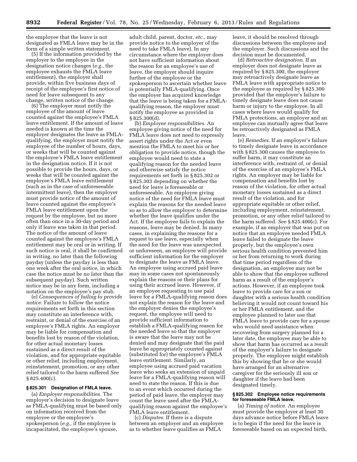the employee that the leave is not designated as FMLA leave may be in the form of a simple written statement.

(5) If the information provided by the employer to the employee in the designation notice changes (*e.g.,* the employee exhausts the FMLA leave entitlement), the employer shall provide, within five business days of receipt of the employee's first notice of need for leave subsequent to any change, written notice of the change.

(6) The employer must notify the employee of the amount of leave counted against the employee's FMLA leave entitlement. If the amount of leave needed is known at the time the employer designates the leave as FMLAqualifying, the employer must notify the employee of the number of hours, days, or weeks that will be counted against the employee's FMLA leave entitlement in the designation notice. If it is not possible to provide the hours, days, or weeks that will be counted against the employee's FMLA leave entitlement (such as in the case of unforeseeable intermittent leave), then the employer must provide notice of the amount of leave counted against the employee's FMLA leave entitlement upon the request by the employee, but no more often than once in a 30-day period and only if leave was taken in that period. The notice of the amount of leave counted against the employee's FMLA entitlement may be oral or in writing. If such notice is oral, it shall be confirmed in writing, no later than the following payday (unless the payday is less than one week after the oral notice, in which case the notice must be no later than the subsequent payday). Such written notice may be in any form, including a notation on the employee's pay stub.

(e) *Consequences of failing to provide notice.* Failure to follow the notice requirements set forth in this section may constitute an interference with, restraint, or denial of the exercise of an employee's FMLA rights. An employer may be liable for compensation and benefits lost by reason of the violation, for other actual monetary losses sustained as a direct result of the violation, and for appropriate equitable or other relief, including employment, reinstatement, promotion, or any other relief tailored to the harm suffered *See*  § 825.400(c).

### **§ 825.301 Designation of FMLA leave.**

(a) *Employer responsibilities.* The employer's decision to designate leave as FMLA-qualifying must be based only on information received from the employee or the employee's spokesperson (*e.g.,* if the employee is incapacitated, the employee's spouse,

adult child, parent, doctor, *etc.,* may provide notice to the employer of the need to take FMLA leave). In any circumstance where the employer does not have sufficient information about the reason for an employee's use of leave, the employer should inquire further of the employee or the spokesperson to ascertain whether leave is potentially FMLA-qualifying. Once the employer has acquired knowledge that the leave is being taken for a FMLAqualifying reason, the employer must notify the employee as provided in § 825.300(d).

(b) *Employee responsibilities.* An employee giving notice of the need for FMLA leave does not need to expressly assert rights under the Act or even mention the FMLA to meet his or her obligation to provide notice, though the employee would need to state a qualifying reason for the needed leave and otherwise satisfy the notice requirements set forth in § 825.302 or § 825.303 depending on whether the need for leave is foreseeable or unforeseeable. An employee giving notice of the need for FMLA leave must explain the reasons for the needed leave so as to allow the employer to determine whether the leave qualifies under the Act. If the employee fails to explain the reasons, leave may be denied. In many cases, in explaining the reasons for a request to use leave, especially when the need for the leave was unexpected or unforeseen, an employee will provide sufficient information for the employer to designate the leave as FMLA leave. An employee using accrued paid leave may in some cases not spontaneously explain the reasons or their plans for using their accrued leave. However, if an employee requesting to use paid leave for a FMLA-qualifying reason does not explain the reason for the leave and the employer denies the employee's request, the employee will need to provide sufficient information to establish a FMLA-qualifying reason for the needed leave so that the employer is aware that the leave may not be denied and may designate that the paid leave be appropriately counted against (substituted for) the employee's FMLA leave entitlement. Similarly, an employee using accrued paid vacation leave who seeks an extension of unpaid leave for a FMLA-qualifying reason will need to state the reason. If this is due to an event which occurred during the period of paid leave, the employer may count the leave used after the FMLAqualifying reason against the employee's FMLA leave entitlement.

(c) *Disputes.* If there is a dispute between an employer and an employee as to whether leave qualifies as FMLA

leave, it should be resolved through discussions between the employee and the employer. Such discussions and the decision must be documented.

(d) *Retroactive designation.* If an employer does not designate leave as required by § 825.300, the employer may retroactively designate leave as FMLA leave with appropriate notice to the employee as required by § 825.300 provided that the employer's failure to timely designate leave does not cause harm or injury to the employee. In all cases where leave would qualify for FMLA protections, an employer and an employee can mutually agree that leave be retroactively designated as FMLA leave.

(e) *Remedies.* If an employer's failure to timely designate leave in accordance with § 825.300 causes the employee to suffer harm, it may constitute an interference with, restraint of, or denial of the exercise of an employee's FMLA rights. An employer may be liable for compensation and benefits lost by reason of the violation, for other actual monetary losses sustained as a direct result of the violation, and for appropriate equitable or other relief, including employment, reinstatement, promotion, or any other relief tailored to the harm suffered. *See* § 825.400(c). For example, if an employer that was put on notice that an employee needed FMLA leave failed to designate the leave properly, but the employee's own serious health condition prevented him or her from returning to work during that time period regardless of the designation, an employee may not be able to show that the employee suffered harm as a result of the employer's actions. However, if an employee took leave to provide care for a son or daughter with a serious health condition believing it would not count toward his or her FMLA entitlement, and the employee planned to later use that FMLA leave to provide care for a spouse who would need assistance when recovering from surgery planned for a later date, the employee may be able to show that harm has occurred as a result of the employer's failure to designate properly. The employee might establish this by showing that he or she would have arranged for an alternative caregiver for the seriously ill son or daughter if the leave had been designated timely.

### **§ 825.302 Employee notice requirements for foreseeable FMLA leave.**

(a) *Timing of notice.* An employee must provide the employer at least 30 days advance notice before FMLA leave is to begin if the need for the leave is foreseeable based on an expected birth,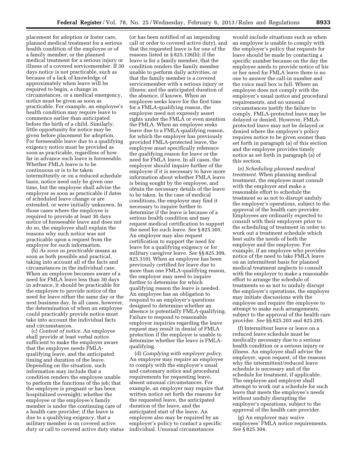placement for adoption or foster care, planned medical treatment for a serious health condition of the employee or of a family member, or the planned medical treatment for a serious injury or illness of a covered servicemember. If 30 days notice is not practicable, such as because of a lack of knowledge of approximately when leave will be required to begin, a change in circumstances, or a medical emergency, notice must be given as soon as practicable. For example, an employee's health condition may require leave to commence earlier than anticipated before the birth of a child. Similarly, little opportunity for notice may be given before placement for adoption. For foreseeable leave due to a qualifying exigency notice must be provided as soon as practicable, regardless of how far in advance such leave is foreseeable. Whether FMLA leave is to be continuous or is to be taken intermittently or on a reduced schedule basis, notice need only be given one time, but the employee shall advise the employer as soon as practicable if dates of scheduled leave change or are extended, or were initially unknown. In those cases where the employee is required to provide at least 30 days notice of foreseeable leave and does not do so, the employee shall explain the reasons why such notice was not practicable upon a request from the employer for such information.

(b) *As soon as practicable* means as soon as both possible and practical, taking into account all of the facts and circumstances in the individual case. When an employee becomes aware of a need for FMLA leave less than 30 days in advance, it should be practicable for the employee to provide notice of the need for leave either the same day or the next business day. In all cases, however, the determination of when an employee could practicably provide notice must take into account the individual facts and circumstances.

(c) *Content of notice.* An employee shall provide at least verbal notice sufficient to make the employer aware that the employee needs FMLAqualifying leave, and the anticipated timing and duration of the leave. Depending on the situation, such information may include that a condition renders the employee unable to perform the functions of the job; that the employee is pregnant or has been hospitalized overnight; whether the employee or the employee's family member is under the continuing care of a health care provider; if the leave is due to a qualifying exigency, that a military member is on covered active duty or call to covered active duty status

(or has been notified of an impending call or order to covered active duty), and that the requested leave is for one of the reasons listed in § 825.126(b); if the leave is for a family member, that the condition renders the family member unable to perform daily activities, or that the family member is a covered servicemember with a serious injury or illness; and the anticipated duration of the absence, if known. When an employee seeks leave for the first time for a FMLA-qualifying reason, the employee need not expressly assert rights under the FMLA or even mention the FMLA. When an employee seeks leave due to a FMLA-qualifying reason, for which the employer has previously provided FMLA-protected leave, the employee must specifically reference the qualifying reason for leave or the need for FMLA leave. In all cases, the employer should inquire further of the employee if it is necessary to have more information about whether FMLA leave is being sought by the employee, and obtain the necessary details of the leave to be taken. In the case of medical conditions, the employer may find it necessary to inquire further to determine if the leave is because of a serious health condition and may request medical certification to support the need for such leave. *See* § 825.305. An employer may also request certification to support the need for leave for a qualifying exigency or for military caregiver leave. *See* §§ 825.309, 825.310). When an employee has been previously certified for leave due to more than one FMLA-qualifying reason, the employer may need to inquire further to determine for which qualifying reason the leave is needed. An employee has an obligation to respond to an employer's questions designed to determine whether an absence is potentially FMLA-qualifying. Failure to respond to reasonable employer inquiries regarding the leave request may result in denial of FMLA protection if the employer is unable to determine whether the leave is FMLAqualifying.

(d) *Complying with employer policy.*  An employer may require an employee to comply with the employer's usual and customary notice and procedural requirements for requesting leave, absent unusual circumstances. For example, an employer may require that written notice set forth the reasons for the requested leave, the anticipated duration of the leave, and the anticipated start of the leave. An employee also may be required by an employer's policy to contact a specific individual. Unusual circumstances

would include situations such as when an employee is unable to comply with the employer's policy that requests for leave should be made by contacting a specific number because on the day the employee needs to provide notice of his or her need for FMLA leave there is no one to answer the call-in number and the voice mail box is full. Where an employee does not comply with the employer's usual notice and procedural requirements, and no unusual circumstances justify the failure to comply, FMLA-protected leave may be delayed or denied. However, FMLAprotected leave may not be delayed or denied where the employer's policy requires notice to be given sooner than set forth in paragraph (a) of this section and the employee provides timely notice as set forth in paragraph (a) of this section.

(e) *Scheduling planned medical treatment.* When planning medical treatment, the employee must consult with the employer and make a reasonable effort to schedule the treatment so as not to disrupt unduly the employer's operations, subject to the approval of the health care provider. Employees are ordinarily expected to consult with their employers prior to the scheduling of treatment in order to work out a treatment schedule which best suits the needs of both the employer and the employee. For example, if an employee who provides notice of the need to take FMLA leave on an intermittent basis for planned medical treatment neglects to consult with the employer to make a reasonable effort to arrange the schedule of treatments so as not to unduly disrupt the employer's operations, the employer may initiate discussions with the employee and require the employee to attempt to make such arrangements, subject to the approval of the health care provider. *See* §§ 825.203 and 825.205.

(f) Intermittent leave or leave on a reduced leave schedule must be medically necessary due to a serious health condition or a serious injury or illness. An employee shall advise the employer, upon request, of the reasons why the intermittent/reduced leave schedule is necessary and of the schedule for treatment, if applicable. The employee and employer shall attempt to work out a schedule for such leave that meets the employee's needs without unduly disrupting the employer's operations, subject to the approval of the health care provider.

(g) An employer may waive employees' FMLA notice requirements. *See* § 825.304.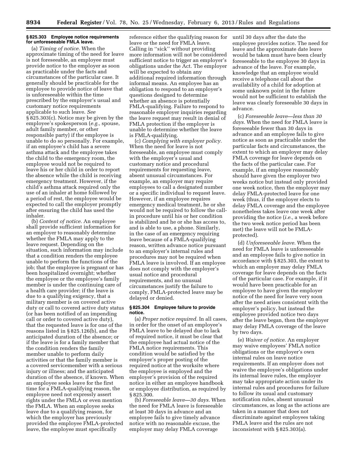# **§ 825.303 Employee notice requirements for unforeseeable FMLA leave.**

(a) *Timing of notice.* When the approximate timing of the need for leave is not foreseeable, an employee must provide notice to the employer as soon as practicable under the facts and circumstances of the particular case. It generally should be practicable for the employee to provide notice of leave that is unforeseeable within the time prescribed by the employer's usual and customary notice requirements applicable to such leave. *See*  § 825.303(c). Notice may be given by the employee's spokesperson (*e.g.,* spouse, adult family member, or other responsible party) if the employee is unable to do so personally. For example, if an employee's child has a severe asthma attack and the employee takes the child to the emergency room, the employee would not be required to leave his or her child in order to report the absence while the child is receiving emergency treatment. However, if the child's asthma attack required only the use of an inhaler at home followed by a period of rest, the employee would be expected to call the employer promptly after ensuring the child has used the inhaler.

(b) *Content of notice.* An employee shall provide sufficient information for an employer to reasonably determine whether the FMLA may apply to the leave request. Depending on the situation, such information may include that a condition renders the employee unable to perform the functions of the job; that the employee is pregnant or has been hospitalized overnight; whether the employee or the employee's family member is under the continuing care of a health care provider; if the leave is due to a qualifying exigency, that a military member is on covered active duty or call to covered active duty status (or has been notified of an impending call or order to covered active duty), that the requested leave is for one of the reasons listed in § 825.126(b), and the anticipated duration of the absence; or if the leave is for a family member that the condition renders the family member unable to perform daily activities or that the family member is a covered servicemember with a serious injury or illness; and the anticipated duration of the absence, if known. When an employee seeks leave for the first time for a FMLA-qualifying reason, the employee need not expressly assert rights under the FMLA or even mention the FMLA. When an employee seeks leave due to a qualifying reason, for which the employer has previously provided the employee FMLA-protected leave, the employee must specifically

reference either the qualifying reason for until 30 days after the date the leave or the need for FMLA leave. Calling in ''sick'' without providing more information will not be considered sufficient notice to trigger an employer's obligations under the Act. The employer will be expected to obtain any additional required information through informal means. An employee has an obligation to respond to an employer's questions designed to determine whether an absence is potentially FMLA-qualifying. Failure to respond to reasonable employer inquiries regarding the leave request may result in denial of FMLA protection if the employer is unable to determine whether the leave is FMLA-qualifying.

(c) *Complying with employer policy.*  When the need for leave is not foreseeable, an employee must comply with the employer's usual and customary notice and procedural requirements for requesting leave, absent unusual circumstances. For example, an employer may require employees to call a designated number or a specific individual to request leave. However, if an employee requires emergency medical treatment, he or she would not be required to follow the callin procedure until his or her condition is stabilized and he or she has access to, and is able to use, a phone. Similarly, in the case of an emergency requiring leave because of a FMLA-qualifying reason, written advance notice pursuant to an employer's internal rules and procedures may not be required when FMLA leave is involved. If an employee does not comply with the employer's usual notice and procedural requirements, and no unusual circumstances justify the failure to comply, FMLA-protected leave may be delayed or denied.

## **§ 825.304 Employee failure to provide notice.**

(a) *Proper notice required.* In all cases, in order for the onset of an employee's FMLA leave to be delayed due to lack of required notice, it must be clear that the employee had actual notice of the FMLA notice requirements. This condition would be satisfied by the employer's proper posting of the required notice at the worksite where the employee is employed and the employer's provision of the required notice in either an employee handbook or employee distribution, as required by § 825.300.

(b) *Foreseeable leave—30 days.* When the need for FMLA leave is foreseeable at least 30 days in advance and an employee fails to give timely advance notice with no reasonable excuse, the employer may delay FMLA coverage

employee provides notice. The need for leave and the approximate date leave would be taken must have been clearly foreseeable to the employee 30 days in advance of the leave. For example, knowledge that an employee would receive a telephone call about the availability of a child for adoption at some unknown point in the future would not be sufficient to establish the leave was clearly foreseeable 30 days in advance.

(c) *Foreseeable leave—less than 30 days.* When the need for FMLA leave is foreseeable fewer than 30 days in advance and an employee fails to give notice as soon as practicable under the particular facts and circumstances, the extent to which an employer may delay FMLA coverage for leave depends on the facts of the particular case. For example, if an employee reasonably should have given the employer two weeks notice but instead only provided one week notice, then the employer may delay FMLA-protected leave for one week (thus, if the employer elects to delay FMLA coverage and the employee nonetheless takes leave one week after providing the notice (*i.e.,* a week before the two week notice period has been met) the leave will not be FMLAprotected).

(d) *Unforeseeable leave.* When the need for FMLA leave is unforeseeable and an employee fails to give notice in accordance with § 825.303, the extent to which an employer may delay FMLA coverage for leave depends on the facts of the particular case. For example, if it would have been practicable for an employee to have given the employer notice of the need for leave very soon after the need arises consistent with the employer's policy, but instead the employee provided notice two days after the leave began, then the employer may delay FMLA coverage of the leave by two days.

(e) *Waiver of notice.* An employer may waive employees' FMLA notice obligations or the employer's own internal rules on leave notice requirements. If an employer does not waive the employee's obligations under its internal leave rules, the employer may take appropriate action under its internal rules and procedures for failure to follow its usual and customary notification rules, absent unusual circumstances, as long as the actions are taken in a manner that does not discriminate against employees taking FMLA leave and the rules are not inconsistent with § 825.303(a).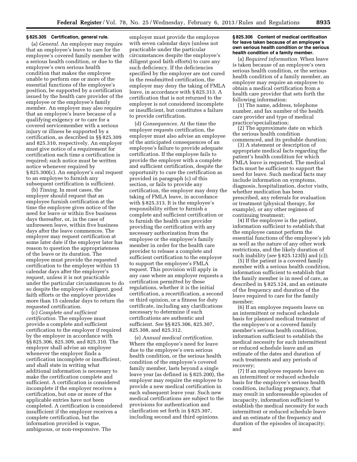## **§ 825.305 Certification, general rule.**

(a) *General.* An employer may require that an employee's leave to care for the employee's covered family member with a serious health condition, or due to the employee's own serious health condition that makes the employee unable to perform one or more of the essential functions of the employee's position, be supported by a certification issued by the health care provider of the employee or the employee's family member. An employer may also require that an employee's leave because of a qualifying exigency or to care for a covered servicemember with a serious injury or illness be supported by a certification, as described in §§ 825.309 and 825.310, respectively. An employer must give notice of a requirement for certification each time a certification is required; such notice must be written notice whenever required by § 825.300(c). An employer's oral request to an employee to furnish any subsequent certification is sufficient.

(b) *Timing.* In most cases, the employer should request that an employee furnish certification at the time the employee gives notice of the need for leave or within five business days thereafter, or, in the case of unforeseen leave, within five business days after the leave commences. The employer may request certification at some later date if the employer later has reason to question the appropriateness of the leave or its duration. The employee must provide the requested certification to the employer within 15 calendar days after the employer's request, unless it is not practicable under the particular circumstances to do so despite the employee's diligent, good faith efforts or the employer provides more than 15 calendar days to return the requested certification.

(c) *Complete and sufficient certification.* The employee must provide a complete and sufficient certification to the employer if required by the employer in accordance with §§ 825.306, 825.309, and 825.310. The employer shall advise an employee whenever the employer finds a certification incomplete or insufficient, and shall state in writing what additional information is necessary to make the certification complete and sufficient. A certification is considered incomplete if the employer receives a certification, but one or more of the applicable entries have not been completed. A certification is considered insufficient if the employer receives a complete certification, but the information provided is vague, ambiguous, or non-responsive. The

employer must provide the employee with seven calendar days (unless not practicable under the particular circumstances despite the employee's diligent good faith efforts) to cure any such deficiency. If the deficiencies specified by the employer are not cured in the resubmitted certification, the employer may deny the taking of FMLA leave, in accordance with § 825.313. A certification that is not returned to the employer is not considered incomplete or insufficient, but constitutes a failure to provide certification.

(d) *Consequences.* At the time the employer requests certification, the employer must also advise an employee of the anticipated consequences of an employee's failure to provide adequate certification. If the employee fails to provide the employer with a complete and sufficient certification, despite the opportunity to cure the certification as provided in paragraph (c) of this section, or fails to provide any certification, the employer may deny the taking of FMLA leave, in accordance with § 825.313. It is the employee's responsibility either to furnish a complete and sufficient certification or to furnish the health care provider providing the certification with any necessary authorization from the employee or the employee's family member in order for the health care provider to release a complete and sufficient certification to the employer to support the employee's FMLA request. This provision will apply in any case where an employer requests a certification permitted by these regulations, whether it is the initial certification, a recertification, a second or third opinion, or a fitness for duty certificate, including any clarifications necessary to determine if such certifications are authentic and sufficient. *See* §§ 825.306, 825.307, 825.308, and 825.312.

(e) *Annual medical certification.*  Where the employee's need for leave due to the employee's own serious health condition, or the serious health condition of the employee's covered family member, lasts beyond a single leave year (as defined in § 825.200), the employer may require the employee to provide a new medical certification in each subsequent leave year. Such new medical certifications are subject to the provisions for authentication and clarification set forth in § 825.307, including second and third opinions.

#### **§ 825.306 Content of medical certification for leave taken because of an employee's own serious health condition or the serious health condition of a family member.**

(a) *Required information.* When leave is taken because of an employee's own serious health condition, or the serious health condition of a family member, an employer may require an employee to obtain a medical certification from a health care provider that sets forth the following information:

(1) The name, address, telephone number, and fax number of the health care provider and type of medical practice/specialization;

(2) The approximate date on which the serious health condition commenced, and its probable duration;

(3) A statement or description of appropriate medical facts regarding the patient's health condition for which FMLA leave is requested. The medical facts must be sufficient to support the need for leave. Such medical facts may include information on symptoms, diagnosis, hospitalization, doctor visits, whether medication has been prescribed, any referrals for evaluation or treatment (physical therapy, for example), or any other regimen of continuing treatment;

(4) If the employee is the patient, information sufficient to establish that the employee cannot perform the essential functions of the employee's job as well as the nature of any other work restrictions, and the likely duration of such inability (*see* § 825.123(b) and (c));

(5) If the patient is a covered family member with a serious health condition, information sufficient to establish that the family member is in need of care, as described in § 825.124, and an estimate of the frequency and duration of the leave required to care for the family member;

(6) If an employee requests leave on an intermittent or reduced schedule basis for planned medical treatment of the employee's or a covered family member's serious health condition, information sufficient to establish the medical necessity for such intermittent or reduced schedule leave and an estimate of the dates and duration of such treatments and any periods of recovery;

(7) If an employee requests leave on an intermittent or reduced schedule basis for the employee's serious health condition, including pregnancy, that may result in unforeseeable episodes of incapacity, information sufficient to establish the medical necessity for such intermittent or reduced schedule leave and an estimate of the frequency and duration of the episodes of incapacity; and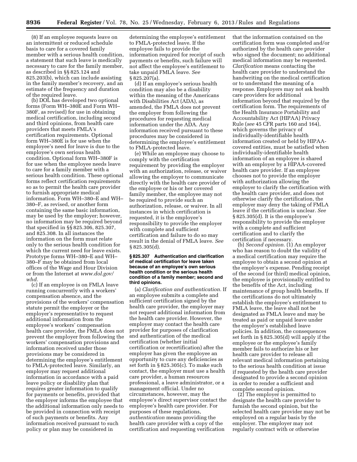(8) If an employee requests leave on an intermittent or reduced schedule basis to care for a covered family member with a serious health condition, a statement that such leave is medically necessary to care for the family member, as described in §§ 825.124 and 825.203(b), which can include assisting in the family member's recovery, and an estimate of the frequency and duration of the required leave.

(b) DOL has developed two optional forms (Form WH–380E and Form WH– 380F, as revised) for use in obtaining medical certification, including second and third opinions, from health care providers that meets FMLA's certification requirements. Optional form WH–380E is for use when the employee's need for leave is due to the employee's own serious health condition. Optional form WH–380F is for use when the employee needs leave to care for a family member with a serious health condition. These optional forms reflect certification requirements so as to permit the health care provider to furnish appropriate medical information. Form WH–380–E and WH– 380–F, as revised, or another form containing the same basic information, may be used by the employer; however, no information may be required beyond that specified in §§ 825.306, 825.307, and 825.308. In all instances the information on the form must relate only to the serious health condition for which the current need for leave exists. Prototype forms WH–380–E and WH– 380–F may be obtained from local offices of the Wage and Hour Division or from the Internet at *[www.dol.gov/](http://www.dol.gov/whd)  [whd.](http://www.dol.gov/whd)* 

(c) If an employee is on FMLA leave running concurrently with a workers' compensation absence, and the provisions of the workers' compensation statute permit the employer or the employer's representative to request additional information from the employee's workers' compensation health care provider, the FMLA does not prevent the employer from following the workers' compensation provisions and information received under those provisions may be considered in determining the employee's entitlement to FMLA-protected leave. Similarly, an employer may request additional information in accordance with a paid leave policy or disability plan that requires greater information to qualify for payments or benefits, provided that the employer informs the employee that the additional information only needs to be provided in connection with receipt of such payments or benefits. Any information received pursuant to such policy or plan may be considered in

determining the employee's entitlement to FMLA-protected leave. If the employee fails to provide the information required for receipt of such payments or benefits, such failure will not affect the employee's entitlement to take unpaid FMLA leave. *See*  § 825.207(a).

(d) If an employee's serious health condition may also be a disability within the meaning of the Americans with Disabilities Act (ADA), as amended, the FMLA does not prevent the employer from following the procedures for requesting medical information under the ADA. Any information received pursuant to these procedures may be considered in determining the employee's entitlement to FMLA-protected leave.

(e) While an employee may choose to comply with the certification requirement by providing the employer with an authorization, release, or waiver allowing the employer to communicate directly with the health care provider of the employee or his or her covered family member, the employee may not be required to provide such an authorization, release, or waiver. In all instances in which certification is requested, it is the employee's responsibility to provide the employer with complete and sufficient certification and failure to do so may result in the denial of FMLA leave. *See*  § 825.305(d).

### **§ 825.307 Authentication and clarification of medical certification for leave taken because of an employee's own serious health condition or the serious health condition of a family member; second and third opinions.**

(a) *Clarification and authentication.* If an employee submits a complete and sufficient certification signed by the health care provider, the employer may not request additional information from the health care provider. However, the employer may contact the health care provider for purposes of clarification and authentication of the medical certification (whether initial certification or recertification) after the employer has given the employee an opportunity to cure any deficiencies as set forth in § 825.305(c). To make such contact, the employer must use a health care provider, a human resources professional, a leave administrator, or a management official. Under no circumstances, however, may the employee's direct supervisor contact the employee's health care provider. For purposes of these regulations, *authentication* means providing the health care provider with a copy of the certification and requesting verification

that the information contained on the certification form was completed and/or authorized by the health care provider who signed the document; no additional medical information may be requested. *Clarification* means contacting the health care provider to understand the handwriting on the medical certification or to understand the meaning of a response. Employers may not ask health care providers for additional information beyond that required by the certification form. The requirements of the Health Insurance Portability and Accountability Act (HIPAA) Privacy Rule (*see* 45 CFR parts 160 and 164), which governs the privacy of individually-identifiable health information created or held by HIPAAcovered entities, must be satisfied when individually-identifiable health information of an employee is shared with an employer by a HIPAA-covered health care provider. If an employee chooses not to provide the employer with authorization allowing the employer to clarify the certification with the health care provider, and does not otherwise clarify the certification, the employer may deny the taking of FMLA leave if the certification is unclear. *See*  § 825.305(d). It is the employee's responsibility to provide the employer with a complete and sufficient certification and to clarify the certification if necessary.

(b) *Second opinion.* (1) An employer who has reason to doubt the validity of a medical certification may require the employee to obtain a second opinion at the employer's expense. Pending receipt of the second (or third) medical opinion, the employee is provisionally entitled to the benefits of the Act, including maintenance of group health benefits. If the certifications do not ultimately establish the employee's entitlement to FMLA leave, the leave shall not be designated as FMLA leave and may be treated as paid or unpaid leave under the employer's established leave policies. In addition, the consequences set forth in § 825.305(d) will apply if the employee or the employee's family member fails to authorize his or her health care provider to release all relevant medical information pertaining to the serious health condition at issue if requested by the health care provider designated to provide a second opinion in order to render a sufficient and complete second opinion.

(2) The employer is permitted to designate the health care provider to furnish the second opinion, but the selected health care provider may not be employed on a regular basis by the employer. The employer may not regularly contract with or otherwise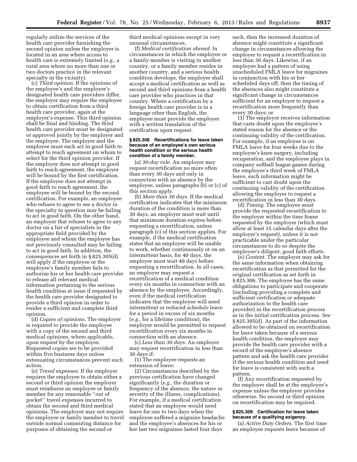regularly utilize the services of the health care provider furnishing the second opinion unless the employer is located in an area where access to health care is extremely limited (*e.g.,* a rural area where no more than one or two doctors practice in the relevant specialty in the vicinity).

(c) *Third opinion.* If the opinions of the employee's and the employer's designated health care providers differ, the employer may require the employee to obtain certification from a third health care provider, again at the employer's expense. This third opinion shall be final and binding. The third health care provider must be designated or approved jointly by the employer and the employee. The employer and the employee must each act in good faith to attempt to reach agreement on whom to select for the third opinion provider. If the employer does not attempt in good faith to reach agreement, the employer will be bound by the first certification. If the employee does not attempt in good faith to reach agreement, the employee will be bound by the second certification. For example, an employee who refuses to agree to see a doctor in the specialty in question may be failing to act in good faith. On the other hand, an employer that refuses to agree to any doctor on a list of specialists in the appropriate field provided by the employee and whom the employee has not previously consulted may be failing to act in good faith. In addition, the consequences set forth in § 825.305(d) will apply if the employee or the employee's family member fails to authorize his or her health care provider to release all relevant medical information pertaining to the serious health condition at issue if requested by the health care provider designated to provide a third opinion in order to render a sufficient and complete third opinion.

(d) *Copies of opinions.* The employer is required to provide the employee with a copy of the second and third medical opinions, where applicable, upon request by the employee. Requested copies are to be provided within five business days unless extenuating circumstances prevent such action.

(e) *Travel expenses.* If the employer requires the employee to obtain either a second or third opinion the employer must reimburse an employee or family member for any reasonable ''out of pocket'' travel expenses incurred to obtain the second and third medical opinions. The employer may not require the employee or family member to travel outside normal commuting distance for purposes of obtaining the second or

third medical opinions except in very unusual circumstances.

(f) *Medical certification abroad.* In circumstances in which the employee or a family member is visiting in another country, or a family member resides in another country, and a serious health condition develops, the employer shall accept a medical certification as well as second and third opinions from a health care provider who practices in that country. Where a certification by a foreign health care provider is in a language other than English, the employee must provide the employer with a written translation of the certification upon request.

#### **§ 825.308 Recertifications for leave taken because of an employee's own serious health condition or the serious health condition of a family member.**

(a) *30-day rule.* An employer may request recertification no more often than every 30 days and only in connection with an absence by the employee, unless paragraphs (b) or (c) of this section apply.

(b) *More than 30 days.* If the medical certification indicates that the minimum duration of the condition is more than 30 days, an employer must wait until that minimum duration expires before requesting a recertification, unless paragraph (c) of this section applies. For example, if the medical certification states that an employee will be unable to work, whether continuously or on an intermittent basis, for 40 days, the employer must wait 40 days before requesting a recertification. In all cases, an employer may request a recertification of a medical condition every six months in connection with an absence by the employee. Accordingly, even if the medical certification indicates that the employee will need intermittent or reduced schedule leave for a period in excess of six months (*e.g.,* for a lifetime condition), the employer would be permitted to request recertification every six months in connection with an absence.

(c) *Less than 30 days.* An employer may request recertification in less than 30 days if:

(1) The employee requests an extension of leave;

(2) Circumstances described by the previous certification have changed significantly (*e.g.,* the duration or frequency of the absence, the nature or severity of the illness, complications). For example, if a medical certification stated that an employee would need leave for one to two days when the employee suffered a migraine headache and the employee's absences for his or her last two migraines lasted four days

each, then the increased duration of absence might constitute a significant change in circumstances allowing the employer to request a recertification in less than 30 days. Likewise, if an employee had a pattern of using unscheduled FMLA leave for migraines in conjunction with his or her scheduled days off, then the timing of the absences also might constitute a significant change in circumstances sufficient for an employer to request a recertification more frequently than every 30 days; or

(3) The employer receives information that casts doubt upon the employee's stated reason for the absence or the continuing validity of the certification. For example, if an employee is on FMLA leave for four weeks due to the employee's knee surgery, including recuperation, and the employee plays in company softball league games during the employee's third week of FMLA leave, such information might be sufficient to cast doubt upon the continuing validity of the certification allowing the employer to request a recertification in less than 30 days.

(d) *Timing.* The employee must provide the requested recertification to the employer within the time frame requested by the employer (which must allow at least 15 calendar days after the employer's request), unless it is not practicable under the particular circumstances to do so despite the employee's diligent, good faith efforts.

(e) *Content.* The employer may ask for the same information when obtaining recertification as that permitted for the original certification as set forth in § 825.306. The employee has the same obligations to participate and cooperate (including providing a complete and sufficient certification or adequate authorization to the health care provider) in the recertification process as in the initial certification process. *See*  § 825.305(d). As part of the information allowed to be obtained on recertification for leave taken because of a serious health condition, the employer may provide the health care provider with a record of the employee's absence pattern and ask the health care provider if the serious health condition and need for leave is consistent with such a pattern.

(f) Any recertification requested by the employer shall be at the employee's expense unless the employer provides otherwise. No second or third opinion on recertification may be required.

#### **§ 825.309 Certification for leave taken because of a qualifying exigency.**

(a) *Active Duty Orders.* The first time an employee requests leave because of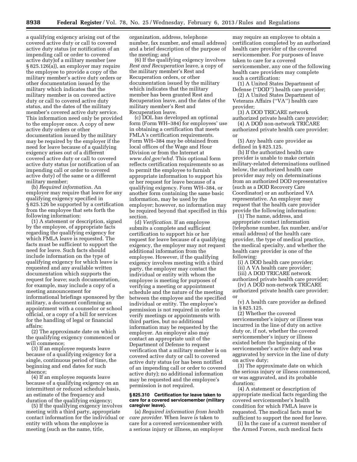a qualifying exigency arising out of the covered active duty or call to covered active duty status (or notification of an impending call or order to covered active duty)of a military member (*see*  § 825.126(a)), an employer may require the employee to provide a copy of the military member's active duty orders or other documentation issued by the military which indicates that the military member is on covered active duty or call to covered active duty status, and the dates of the military member's covered active duty service. This information need only be provided to the employer once. A copy of new active duty orders or other documentation issued by the military may be required by the employer if the need for leave because of a qualifying exigency arises out of a different covered active duty or call to covered active duty status (or notification of an impending call or order to covered active duty) of the same or a different military member;

(b) *Required information.* An employer may require that leave for any qualifying exigency specified in § 825.126 be supported by a certification from the employee that sets forth the following information:

(1) A statement or description, signed by the employee, of appropriate facts regarding the qualifying exigency for which FMLA leave is requested. The facts must be sufficient to support the need for leave. Such facts should include information on the type of qualifying exigency for which leave is requested and any available written documentation which supports the request for leave; such documentation, for example, may include a copy of a meeting announcement for informational briefings sponsored by the military, a document confirming an appointment with a counselor or school official, or a copy of a bill for services for the handling of legal or financial affairs;

(2) The approximate date on which the qualifying exigency commenced or will commence;

(3) If an employee requests leave because of a qualifying exigency for a single, continuous period of time, the beginning and end dates for such absence;

(4) If an employee requests leave because of a qualifying exigency on an intermittent or reduced schedule basis, an estimate of the frequency and duration of the qualifying exigency;

(5) If the qualifying exigency involves meeting with a third party, appropriate contact information for the individual or entity with whom the employee is meeting (such as the name, title,

organization, address, telephone number, fax number, and email address) and a brief description of the purpose of the meeting; and

(6) If the qualifying exigency involves *Rest and Recuperation* leave, a copy of the military member's Rest and Recuperation orders, or other documentation issued by the military which indicates that the military member has been granted Rest and Recuperation leave, and the dates of the military member's Rest and Recuperation leave.

(c) DOL has developed an optional form (Form WH–384) for employees' use in obtaining a certification that meets FMLA's certification requirements. Form WH–384 may be obtained from local offices of the Wage and Hour Division or from the Internet at *[www.dol.gov/whd.](http://www.dol.gov/whd)* This optional form reflects certification requirements so as to permit the employee to furnish appropriate information to support his or her request for leave because of a qualifying exigency. Form WH–384, or another form containing the same basic information, may be used by the employer; however, no information may be required beyond that specified in this section.

(d) *Verification.* If an employee submits a complete and sufficient certification to support his or her request for leave because of a qualifying exigency, the employer may not request additional information from the employee. However, if the qualifying exigency involves meeting with a third party, the employer may contact the individual or entity with whom the employee is meeting for purposes of verifying a meeting or appointment schedule and the nature of the meeting between the employee and the specified individual or entity. The employee's permission is not required in order to verify meetings or appointments with third parties, but no additional information may be requested by the employer. An employer also may contact an appropriate unit of the Department of Defense to request verification that a military member is on covered active duty or call to covered active duty status (or has been notified of an impending call or order to covered active duty); no additional information may be requested and the employee's permission is not required.

#### **§ 825.310 Certification for leave taken to care for a covered servicemember (military caregiver leave).**

(a) *Required information from health care provider.* When leave is taken to care for a covered servicemember with a serious injury or illness, an employer may require an employee to obtain a certification completed by an authorized health care provider of the covered servicemember. For purposes of leave taken to care for a covered servicemember, any one of the following health care providers may complete such a certification:

(1) A United States Department of Defense (''DOD'') health care provider;

(2) A United States Department of Veterans Affairs (''VA'') health care provider;

(3) A DOD TRICARE network authorized private health care provider;

(4) A DOD non-network TRICARE authorized private health care provider; or

(5) Any health care provider as defined in § 825.125.

(b) If the authorized health care provider is unable to make certain military-related determinations outlined below, the authorized health care provider may rely on determinations from an authorized DOD representative (such as a DOD Recovery Care Coordinator) or an authorized VA representative. An employer may request that the health care provider provide the following information:

(1) The name, address, and appropriate contact information (telephone number, fax number, and/or email address) of the health care provider, the type of medical practice, the medical specialty, and whether the health care provider is one of the following:

(i) A DOD health care provider;

(ii) A VA health care provider;

(iii) A DOD TRICARE network authorized private health care provider;

(iv) A DOD non-network TRICARE authorized private health care provider;

or (v) A health care provider as defined in § 825.125.

(2) Whether the covered servicemember's injury or illness was incurred in the line of duty on active duty or, if not, whether the covered servicemember's injury or illness existed before the beginning of the servicemember's active duty and was aggravated by service in the line of duty on active duty;

(3) The approximate date on which the serious injury or illness commenced, or was aggravated, and its probable duration;

(4) A statement or description of appropriate medical facts regarding the covered servicemember's health condition for which FMLA leave is requested. The medical facts must be sufficient to support the need for leave.

(i) In the case of a current member of the Armed Forces, such medical facts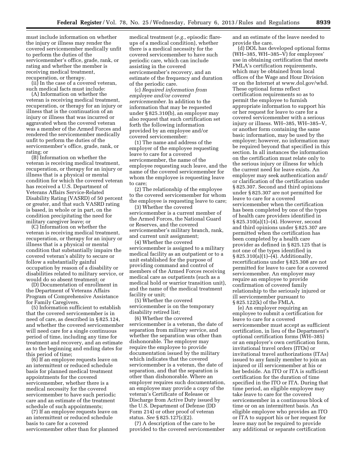must include information on whether the injury or illness may render the covered servicemember medically unfit to perform the duties of the servicemember's office, grade, rank, or rating and whether the member is receiving medical treatment, recuperation, or therapy.

(ii) In the case of a covered veteran, such medical facts must include:

(A) Information on whether the veteran is receiving medical treatment, recuperation, or therapy for an injury or illness that is the continuation of an injury or illness that was incurred or aggravated when the covered veteran was a member of the Armed Forces and rendered the servicemember medically unfit to perform the duties of the servicemember's office, grade, rank, or rating; or

(B) Information on whether the veteran is receiving medical treatment, recuperation, or therapy for an injury or illness that is a physical or mental condition for which the covered veteran has received a U.S. Department of Veterans Affairs Service-Related Disability Rating (VASRD) of 50 percent or greater, and that such VASRD rating is based, in whole or in part, on the condition precipitating the need for military caregiver leave; or

(C) Information on whether the veteran is receiving medical treatment, recuperation, or therapy for an injury or illness that is a physical or mental condition that substantially impairs the covered veteran's ability to secure or follow a substantially gainful occupation by reason of a disability or disabilities related to military service, or would do so absent treatment; or

(D) Documentation of enrollment in the Department of Veterans Affairs Program of Comprehensive Assistance for Family Caregivers.

(5) Information sufficient to establish that the covered servicemember is in need of care, as described in § 825.124, and whether the covered servicemember will need care for a single continuous period of time, including any time for treatment and recovery, and an estimate as to the beginning and ending dates for this period of time;

(6) If an employee requests leave on an intermittent or reduced schedule basis for planned medical treatment appointments for the covered servicemember, whether there is a medical necessity for the covered servicemember to have such periodic care and an estimate of the treatment schedule of such appointments;

(7) If an employee requests leave on an intermittent or reduced schedule basis to care for a covered servicemember other than for planned

medical treatment (*e.g.,* episodic flareups of a medical condition), whether there is a medical necessity for the covered servicemember to have such periodic care, which can include assisting in the covered servicemember's recovery, and an estimate of the frequency and duration of the periodic care.

(c) *Required information from employee and/or covered servicemember.* In addition to the information that may be requested under § 825.310(b), an employer may also request that such certification set forth the following information provided by an employee and/or covered servicemember:

(1) The name and address of the employer of the employee requesting leave to care for a covered servicemember, the name of the employee requesting such leave, and the name of the covered servicemember for whom the employee is requesting leave to care;

(2) The relationship of the employee to the covered servicemember for whom the employee is requesting leave to care;

(3) Whether the covered servicemember is a current member of the Armed Forces, the National Guard or Reserves, and the covered servicemember's military branch, rank, and current unit assignment;

(4) Whether the covered servicemember is assigned to a military medical facility as an outpatient or to a unit established for the purpose of providing command and control of members of the Armed Forces receiving medical care as outpatients (such as a medical hold or warrior transition unit), and the name of the medical treatment facility or unit;

(5) Whether the covered servicemember is on the temporary disability retired list;

(6) Whether the covered servicemember is a veteran, the date of separation from military service, and whether the separation was other than dishonorable. The employer may require the employee to provide documentation issued by the military which indicates that the covered servicemember is a veteran, the date of separation, and that the separation is other than dishonorable. Where an employer requires such documentation, an employee may provide a copy of the veteran's Certificate of Release or Discharge from Active Duty issued by the U.S. Department of Defense (DD Form 214) or other proof of veteran status. *See* § 825.127(c)(2).

(7) A description of the care to be provided to the covered servicemember and an estimate of the leave needed to provide the care.

(d) DOL has developed optional forms (WH-385, WH-385- $\overline{V}$ ) for employees' use in obtaining certification that meets FMLA's certification requirements, which may be obtained from local offices of the Wage and Hour Division or on the Internet at [www.dol.gov/whd.](http://www.dol.gov/whd) These optional forms reflect certification requirements so as to permit the employee to furnish appropriate information to support his or her request for leave to care for a covered servicemember with a serious injury or illness. WH–385, WH–385–V, or another form containing the same basic information, may be used by the employer; however, no information may be required beyond that specified in this section. In all instances the information on the certification must relate only to the serious injury or illness for which the current need for leave exists. An employer may seek authentication and/ or clarification of the certification under § 825.307. Second and third opinions under § 825.307 are not permitted for leave to care for a covered servicemember when the certification has been completed by one of the types of health care providers identified in § 825.310(a)(1)–(4). However, second and third opinions under § 825.307 are permitted when the certification has been completed by a health care provider as defined in § 825.125 that is not one of the types identified in § 825.310(a)(1)–(4). Additionally, recertifications under § 825.308 are not permitted for leave to care for a covered servicemember. An employer may require an employee to provide confirmation of covered family relationship to the seriously injured or ill servicemember pursuant to § 825.122(k) of the FMLA.

(e) An employer requiring an employee to submit a certification for leave to care for a covered servicemember must accept as sufficient certification, in lieu of the Department's optional certification forms (WH–385) or an employer's own certification form, invitational travel orders (ITOs) or invitational travel authorizations (ITAs) issued to any family member to join an injured or ill servicemember at his or her bedside. An ITO or ITA is sufficient certification for the duration of time specified in the ITO or ITA. During that time period, an eligible employee may take leave to care for the covered servicemember in a continuous block of time or on an intermittent basis. An eligible employee who provides an ITO or ITA to support his or her request for leave may not be required to provide any additional or separate certification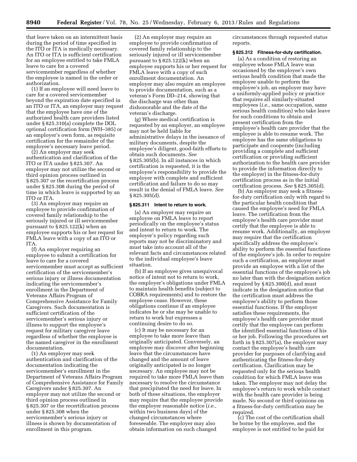that leave taken on an intermittent basis during the period of time specified in the ITO or ITA is medically necessary. An ITO or ITA is sufficient certification for an employee entitled to take FMLA leave to care for a covered servicemember regardless of whether the employee is named in the order or authorization.

(1) If an employee will need leave to care for a covered servicemember beyond the expiration date specified in an ITO or ITA, an employer may request that the employee have one of the authorized health care providers listed under § 825.310(a) complete the DOL optional certification form (WH–385) or an employer's own form, as requisite certification for the remainder of the employee's necessary leave period.

(2) An employer may seek authentication and clarification of the ITO or ITA under § 825.307. An employer may not utilize the second or third opinion process outlined in § 825.307 or the recertification process under § 825.308 during the period of time in which leave is supported by an ITO or ITA.

(3) An employer may require an employee to provide confirmation of covered family relationship to the seriously injured or ill servicemember pursuant to § 825.122(k) when an employee supports his or her request for FMLA leave with a copy of an ITO or ITA.

(f) An employer requiring an employee to submit a certification for leave to care for a covered servicemember must accept as sufficient certification of the servicemember's serious injury or illness documentation indicating the servicemember's enrollment in the Department of Veterans Affairs Program of Comprehensive Assistance for Family Caregivers. Such documentation is sufficient certification of the servicemember's serious injury or illness to support the employee's request for military caregiver leave regardless of whether the employee is the named caregiver in the enrollment documentation.

(1) An employer may seek authentication and clarification of the documentation indicating the servicemember's enrollment in the Department of Veterans Affairs Program of Comprehensive Assistance for Family Caregivers under § 825.307. An employer may not utilize the second or third opinion process outlined in § 825.307 or the recertification process under § 825.308 when the servicemember's serious injury or illness is shown by documentation of enrollment in this program.

(2) An employer may require an employee to provide confirmation of covered family relationship to the seriously injured or ill servicemember pursuant to § 825.122(k) when an employee supports his or her request for FMLA leave with a copy of such enrollment documentation. An employer may also require an employee to provide documentation, such as a veteran's Form DD–214, showing that the discharge was other than dishonorable and the date of the veteran's discharge.

(g) Where medical certification is requested by an employer, an employee may not be held liable for administrative delays in the issuance of military documents, despite the employee's diligent, good-faith efforts to obtain such documents. *See*  § 825.305(b). In all instances in which certification is requested, it is the employee's responsibility to provide the employer with complete and sufficient certification and failure to do so may result in the denial of FMLA leave. *See*  § 825.305(d).

## **§ 825.311 Intent to return to work.**

(a) An employer may require an employee on FMLA leave to report periodically on the employee's status and intent to return to work. The employer's policy regarding such reports may not be discriminatory and must take into account all of the relevant facts and circumstances related to the individual employee's leave situation.

(b) If an employee gives unequivocal notice of intent not to return to work, the employer's obligations under FMLA to maintain health benefits (subject to COBRA requirements) and to restore the employee cease. However, these obligations continue if an employee indicates he or she may be unable to return to work but expresses a continuing desire to do so.

(c) It may be necessary for an employee to take more leave than originally anticipated. Conversely, an employee may discover after beginning leave that the circumstances have changed and the amount of leave originally anticipated is no longer necessary. An employee may not be required to take more FMLA leave than necessary to resolve the circumstance that precipitated the need for leave. In both of these situations, the employer may require that the employee provide the employer reasonable notice (*i.e.,*  within two business days) of the changed circumstances where foreseeable. The employer may also obtain information on such changed

circumstances through requested status reports.

#### **§ 825.312 Fitness-for-duty certification.**

(a) As a condition of restoring an employee whose FMLA leave was occasioned by the employee's own serious health condition that made the employee unable to perform the employee's job, an employer may have a uniformly-applied policy or practice that requires all similarly-situated employees (*i.e.,* same occupation, same serious health condition) who take leave for such conditions to obtain and present certification from the employee's health care provider that the employee is able to resume work. The employee has the same obligations to participate and cooperate (including providing a complete and sufficient certification or providing sufficient authorization to the health care provider to provide the information directly to the employer) in the fitness-for-duty certification process as in the initial certification process. *See* § 825.305(d).

(b) An employer may seek a fitnessfor-duty certification only with regard to the particular health condition that caused the employee's need for FMLA leave. The certification from the employee's health care provider must certify that the employee is able to resume work. Additionally, an employer may require that the certification specifically address the employee's ability to perform the essential functions of the employee's job. In order to require such a certification, an employer must provide an employee with a list of the essential functions of the employee's job no later than with the designation notice required by § 825.300(d), and must indicate in the designation notice that the certification must address the employee's ability to perform those essential functions. If the employer satisfies these requirements, the employee's health care provider must certify that the employee can perform the identified essential functions of his or her job. Following the procedures set forth in § 825.307(a), the employer may contact the employee's health care provider for purposes of clarifying and authenticating the fitness-for-duty certification. Clarification may be requested only for the serious health condition for which FMLA leave was taken. The employer may not delay the employee's return to work while contact with the health care provider is being made. No second or third opinions on a fitness-for-duty certification may be required.

(c) The cost of the certification shall be borne by the employee, and the employee is not entitled to be paid for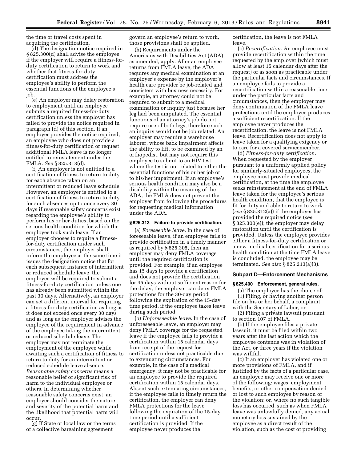the time or travel costs spent in acquiring the certification.

(d) The designation notice required in § 825.300(d) shall advise the employee if the employer will require a fitness-forduty certification to return to work and whether that fitness-for-duty certification must address the employee's ability to perform the essential functions of the employee's job.

(e) An employer may delay restoration to employment until an employee submits a required fitness-for-duty certification unless the employer has failed to provide the notice required in paragraph (d) of this section. If an employer provides the notice required, an employee who does not provide a fitness-for-duty certification or request additional FMLA leave is no longer entitled to reinstatement under the FMLA. *See* § 825.313(d).

(f) An employer is not entitled to a certification of fitness to return to duty for each absence taken on an intermittent or reduced leave schedule. However, an employer is entitled to a certification of fitness to return to duty for such absences up to once every 30 days if reasonable safety concerns exist regarding the employee's ability to perform his or her duties, based on the serious health condition for which the employee took such leave. If an employer chooses to require a fitnessfor-duty certification under such circumstances, the employer shall inform the employee at the same time it issues the designation notice that for each subsequent instance of intermittent or reduced schedule leave, the employee will be required to submit a fitness-for-duty certification unless one has already been submitted within the past 30 days. Alternatively, an employer can set a different interval for requiring a fitness-for-duty certification as long as it does not exceed once every 30 days and as long as the employer advises the employee of the requirement in advance of the employee taking the intermittent or reduced schedule leave. The employer may not terminate the employment of the employee while awaiting such a certification of fitness to return to duty for an intermittent or reduced schedule leave absence. *Reasonable safety concerns* means a reasonable belief of significant risk of harm to the individual employee or others. In determining whether reasonable safety concerns exist, an employer should consider the nature and severity of the potential harm and the likelihood that potential harm will occur.

(g) If State or local law or the terms of a collective bargaining agreement

govern an employee's return to work, those provisions shall be applied.

(h) Requirements under the Americans with Disabilities Act (ADA), as amended, apply. After an employee returns from FMLA leave, the ADA requires any medical examination at an employer's expense by the employer's health care provider be job-related and consistent with business necessity. For example, an attorney could not be required to submit to a medical examination or inquiry just because her leg had been amputated. The essential functions of an attorney's job do not require use of both legs; therefore such an inquiry would not be job related. An employer may require a warehouse laborer, whose back impairment affects the ability to lift, to be examined by an orthopedist, but may not require this employee to submit to an HIV test where the test is not related to either the essential functions of his or her job or to his/her impairment. If an employee's serious health condition may also be a disability within the meaning of the ADA, the FMLA does not prevent the employer from following the procedures for requesting medical information under the ADA.

#### **§ 825.313 Failure to provide certification.**

(a) *Foreseeable leave.* In the case of foreseeable leave, if an employee fails to provide certification in a timely manner as required by § 825.305, then an employer may deny FMLA coverage until the required certification is provided. For example, if an employee has 15 days to provide a certification and does not provide the certification for 45 days without sufficient reason for the delay, the employer can deny FMLA protections for the 30-day period following the expiration of the 15-day time period, if the employee takes leave during such period.

(b) *Unforeseeable leave.* In the case of unforeseeable leave, an employer may deny FMLA coverage for the requested leave if the employee fails to provide a certification within 15 calendar days from receipt of the request for certification unless not practicable due to extenuating circumstances. For example, in the case of a medical emergency, it may not be practicable for an employee to provide the required certification within 15 calendar days. Absent such extenuating circumstances, if the employee fails to timely return the certification, the employer can deny FMLA protections for the leave following the expiration of the 15-day time period until a sufficient certification is provided. If the employee never produces the

certification, the leave is not FMLA leave.

(c) *Recertification.* An employee must provide recertification within the time requested by the employer (which must allow at least 15 calendar days after the request) or as soon as practicable under the particular facts and circumstances. If an employee fails to provide a recertification within a reasonable time under the particular facts and circumstances, then the employer may deny continuation of the FMLA leave protections until the employee produces a sufficient recertification. If the employee never produces the recertification, the leave is not FMLA leave. Recertification does not apply to leave taken for a qualifying exigency or to care for a covered servicemember.

(d) *Fitness-for-duty certification.*  When requested by the employer pursuant to a uniformly applied policy for similarly-situated employees, the employee must provide medical certification, at the time the employee seeks reinstatement at the end of FMLA leave taken for the employee's serious health condition, that the employee is fit for duty and able to return to work (*see* § 825.312(a)) if the employer has provided the required notice (*see*  § 825.300(e)); the employer may delay restoration until the certification is provided. Unless the employee provides either a fitness-for-duty certification or a new medical certification for a serious health condition at the time FMLA leave is concluded, the employee may be terminated. *See also* § 825.213(a)(3).

# **Subpart D—Enforcement Mechanisms**

### **§ 825.400 Enforcement, general rules.**

(a) The employee has the choice of: (1) Filing, or having another person file on his or her behalf, a complaint with the Secretary of Labor, or

(2) Filing a private lawsuit pursuant to section 107 of FMLA.

(b) If the employee files a private lawsuit, it must be filed within two years after the last action which the employee contends was in violation of the Act, or three years if the violation was willful.

(c) If an employer has violated one or more provisions of FMLA, and if justified by the facts of a particular case, an employee may receive one or more of the following: wages, employment benefits, or other compensation denied or lost to such employee by reason of the violation; or, where no such tangible loss has occurred, such as when FMLA leave was unlawfully denied, any actual monetary loss sustained by the employee as a direct result of the violation, such as the cost of providing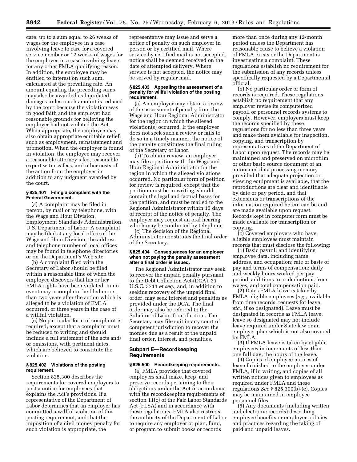care, up to a sum equal to 26 weeks of wages for the employee in a case involving leave to care for a covered servicemember or 12 weeks of wages for the employee in a case involving leave for any other FMLA qualifying reason. In addition, the employee may be entitled to interest on such sum, calculated at the prevailing rate. An amount equaling the preceding sums may also be awarded as liquidated damages unless such amount is reduced by the court because the violation was in good faith and the employer had reasonable grounds for believing the employer had not violated the Act. When appropriate, the employee may also obtain appropriate equitable relief, such as employment, reinstatement and promotion. When the employer is found in violation, the employee may recover a reasonable attorney's fee, reasonable expert witness fees, and other costs of the action from the employer in addition to any judgment awarded by the court.

### **§ 825.401 Filing a complaint with the Federal Government.**

(a) A complaint may be filed in person, by mail or by telephone, with the Wage and Hour Division, Employment Standards Administration, U.S. Department of Labor. A complaint may be filed at any local office of the Wage and Hour Division; the address and telephone number of local offices may be found in telephone directories or on the Department's Web site.

(b) A complaint filed with the Secretary of Labor should be filed within a reasonable time of when the employee discovers that his or her FMLA rights have been violated. In no event may a complaint be filed more than two years after the action which is alleged to be a violation of FMLA occurred, or three years in the case of a willful violation.

(c) No particular form of complaint is required, except that a complaint must be reduced to writing and should include a full statement of the acts and/ or omissions, with pertinent dates, which are believed to constitute the violation.

# **§ 825.402 Violations of the posting requirement.**

Section 825.300 describes the requirements for covered employers to post a notice for employees that explains the Act's provisions. If a representative of the Department of Labor determines that an employer has committed a willful violation of this posting requirement, and that the imposition of a civil money penalty for such violation is appropriate, the

representative may issue and serve a notice of penalty on such employer in person or by certified mail. Where service by certified mail is not accepted, notice shall be deemed received on the date of attempted delivery. Where service is not accepted, the notice may be served by regular mail.

#### **§ 825.403 Appealing the assessment of a penalty for willful violation of the posting requirement.**

(a) An employer may obtain a review of the assessment of penalty from the Wage and Hour Regional Administrator for the region in which the alleged violation(s) occurred. If the employer does not seek such a review or fails to do so in a timely manner, the notice of the penalty constitutes the final ruling of the Secretary of Labor.

(b) To obtain review, an employer may file a petition with the Wage and Hour Regional Administrator for the region in which the alleged violations occurred. No particular form of petition for review is required, except that the petition must be in writing, should contain the legal and factual bases for the petition, and must be mailed to the Regional Administrator within 15 days of receipt of the notice of penalty. The employer may request an oral hearing which may be conducted by telephone.

(c) The decision of the Regional Administrator constitutes the final order of the Secretary.

#### **§ 825.404 Consequences for an employer when not paying the penalty assessment after a final order is issued.**

The Regional Administrator may seek to recover the unpaid penalty pursuant to the Debt Collection Act (DCA), 31 U.S.C. 3711 *et seq.,* and, in addition to seeking recovery of the unpaid final order, may seek interest and penalties as provided under the DCA. The final order may also be referred to the Solicitor of Labor for collection. The Secretary may file suit in any court of competent jurisdiction to recover the monies due as a result of the unpaid final order, interest, and penalties.

# **Subpart E—Recordkeeping Requirements**

## **§ 825.500 Recordkeeping requirements.**

(a) FMLA provides that covered employers shall make, keep, and preserve records pertaining to their obligations under the Act in accordance with the recordkeeping requirements of section 11(c) of the Fair Labor Standards Act (FLSA) and in accordance with these regulations. FMLA also restricts the authority of the Department of Labor to require any employer or plan, fund, or program to submit books or records

more than once during any 12-month period unless the Department has reasonable cause to believe a violation of FMLA exists or the Department is investigating a complaint. These regulations establish no requirement for the submission of any records unless specifically requested by a Departmental official.

(b) No particular order or form of records is required. These regulations establish no requirement that any employer revise its computerized payroll or personnel records systems to comply. However, employers must keep the records specified by these regulations for no less than three years and make them available for inspection, copying, and transcription by representatives of the Department of Labor upon request. The records may be maintained and preserved on microfilm or other basic source document of an automated data processing memory provided that adequate projection or viewing equipment is available, that the reproductions are clear and identifiable by date or pay period, and that extensions or transcriptions of the information required herein can be and are made available upon request. Records kept in computer form must be made available for transcription or copying.

(c) Covered employers who have eligible employees must maintain records that must disclose the following:

(1) Basic payroll and identifying employee data, including name, address, and occupation; rate or basis of pay and terms of compensation; daily and weekly hours worked per pay period; additions to or deductions from wages; and total compensation paid.

(2) Dates FMLA leave is taken by FMLA eligible employees (*e.g.,* available from time records, requests for leave, *etc.,* if so designated). Leave must be designated in records as FMLA leave; leave so designated may not include leave required under State law or an employer plan which is not also covered by FMLA.

(3) If FMLA leave is taken by eligible employees in increments of less than one full day, the hours of the leave.

(4) Copies of employee notices of leave furnished to the employer under FMLA, if in writing, and copies of all written notices given to employees as required under FMLA and these regulations *See* § 825.300(b)-(c). Copies may be maintained in employee personnel files.

(5) Any documents (including written and electronic records) describing employee benefits or employer policies and practices regarding the taking of paid and unpaid leaves.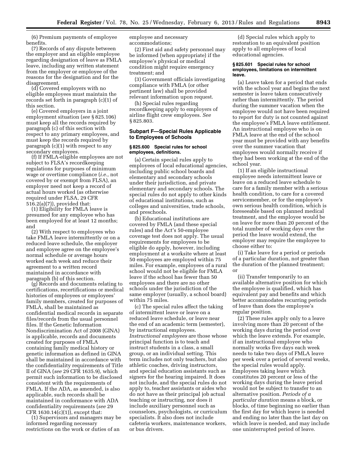(6) Premium payments of employee benefits.

(7) Records of any dispute between the employer and an eligible employee regarding designation of leave as FMLA leave, including any written statement from the employer or employee of the reasons for the designation and for the disagreement.

(d) Covered employers with no eligible employees must maintain the records set forth in paragraph (c)(1) of this section.

(e) Covered employers in a joint employment situation (*see* § 825.106) must keep all the records required by paragraph (c) of this section with respect to any primary employees, and must keep the records required by paragraph (c)(1) with respect to any secondary employees.

(f) If FMLA-eligible employees are not subject to FLSA's recordkeeping regulations for purposes of minimum wage or overtime compliance (*i.e.,* not covered by or exempt from FLSA), an employer need not keep a record of actual hours worked (as otherwise required under FLSA, 29 CFR 516.2(a)(7)), provided that:

(1) Eligibility for FMLA leave is presumed for any employee who has been employed for at least 12 months; and

(2) With respect to employees who take FMLA leave intermittently or on a reduced leave schedule, the employer and employee agree on the employee's normal schedule or average hours worked each week and reduce their agreement to a written record maintained in accordance with paragraph (b) of this section.

(g) Records and documents relating to certifications, recertifications or medical histories of employees or employees' family members, created for purposes of FMLA, shall be maintained as confidential medical records in separate files/records from the usual personnel files. If the Genetic Information Nondiscrimination Act of 2008 (GINA) is applicable, records and documents created for purposes of FMLA containing family medical history or genetic information as defined in GINA shall be maintained in accordance with the confidentiality requirements of Title II of GINA (*see* 29 CFR 1635.9), which permit such information to be disclosed consistent with the requirements of FMLA. If the ADA, as amended, is also applicable, such records shall be maintained in conformance with ADA confidentiality requirements (*see* 29 CFR 1630.14(c)(1)), except that:

(1) Supervisors and managers may be informed regarding necessary restrictions on the work or duties of an

employee and necessary accommodations;

(2) First aid and safety personnel may be informed (when appropriate) if the employee's physical or medical condition might require emergency treatment; and

(3) Government officials investigating compliance with FMLA (or other pertinent law) shall be provided relevant information upon request.

(h) Special rules regarding recordkeeping apply to employers of airline flight crew employees. *See*  § 825.803.

# **Subpart F—Special Rules Applicable to Employees of Schools**

### **§ 825.600 Special rules for school employees, definitions.**

(a) Certain special rules apply to employees of local educational agencies, including public school boards and elementary and secondary schools under their jurisdiction, and private elementary and secondary schools. The special rules do not apply to other kinds of educational institutions, such as colleges and universities, trade schools, and preschools.

(b) Educational institutions are covered by FMLA (and these special rules) and the Act's 50-employee coverage test does not apply. The usual requirements for employees to be eligible do apply, however, including employment at a worksite where at least 50 employees are employed within 75 miles. For example, employees of a rural school would not be eligible for FMLA leave if the school has fewer than 50 employees and there are no other schools under the jurisdiction of the same employer (usually, a school board) within 75 miles.

(c) The special rules affect the taking of intermittent leave or leave on a reduced leave schedule, or leave near the end of an academic term (semester), by instructional employees. *Instructional employees* are those whose principal function is to teach and instruct students in a class, a small group, or an individual setting. This term includes not only teachers, but also athletic coaches, driving instructors, and special education assistants such as signers for the hearing impaired. It does not include, and the special rules do not apply to, teacher assistants or aides who do not have as their principal job actual teaching or instructing, nor does it include auxiliary personnel such as counselors, psychologists, or curriculum specialists. It also does not include cafeteria workers, maintenance workers, or bus drivers.

(d) Special rules which apply to restoration to an equivalent position apply to all employees of local educational agencies.

#### **§ 825.601 Special rules for school employees, limitations on intermittent leave.**

(a) Leave taken for a period that ends with the school year and begins the next semester is leave taken consecutively rather than intermittently. The period during the summer vacation when the employee would not have been required to report for duty is not counted against the employee's FMLA leave entitlement. An instructional employee who is on FMLA leave at the end of the school year must be provided with any benefits over the summer vacation that employees would normally receive if they had been working at the end of the school year.

(1) If an eligible instructional employee needs intermittent leave or leave on a reduced leave schedule to care for a family member with a serious health condition, to care for a covered servicemember, or for the employee's own serious health condition, which is foreseeable based on planned medical treatment, and the employee would be on leave for more than 20 percent of the total number of working days over the period the leave would extend, the employer may require the employee to choose either to:

(i) Take leave for a period or periods of a particular duration, not greater than the duration of the planned treatment; or

(ii) Transfer temporarily to an available alternative position for which the employee is qualified, which has equivalent pay and benefits and which better accommodates recurring periods of leave than does the employee's regular position.

(2) These rules apply only to a leave involving more than 20 percent of the working days during the period over which the leave extends. For example, if an instructional employee who normally works five days each week needs to take two days of FMLA leave per week over a period of several weeks, the special rules would apply. Employees taking leave which constitutes 20 percent or less of the working days during the leave period would not be subject to transfer to an alternative position. *Periods of a particular duration* means a block, or blocks, of time beginning no earlier than the first day for which leave is needed and ending no later than the last day on which leave is needed, and may include one uninterrupted period of leave.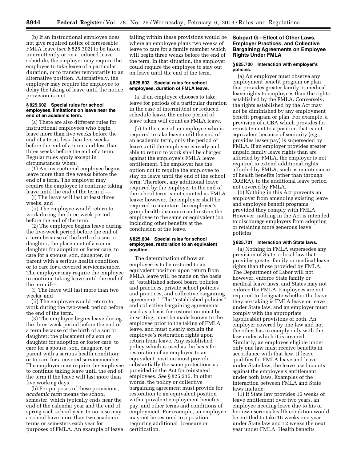(b) If an instructional employee does not give required notice of foreseeable FMLA leave (*see* § 825.302) to be taken intermittently or on a reduced leave schedule, the employer may require the employee to take leave of a particular duration, or to transfer temporarily to an alternative position. Alternatively, the employer may require the employee to delay the taking of leave until the notice provision is met.

### **§ 825.602 Special rules for school employees, limitations on leave near the end of an academic term.**

(a) There are also different rules for instructional employees who begin leave more than five weeks before the end of a term, less than five weeks before the end of a term, and less than three weeks before the end of a term. Regular rules apply except in circumstances when:

(1) An instructional employee begins leave more than five weeks before the end of a term. The employer may require the employee to continue taking leave until the end of the term if —

(i) The leave will last at least three weeks, and

(ii) The employee would return to work during the three-week period before the end of the term.

(2) The employee begins leave during the five-week period before the end of a term because of the birth of a son or daughter; the placement of a son or daughter for adoption or foster care; to care for a spouse, son, daughter, or parent with a serious health condition; or to care for a covered servicemember. The employer may require the employee to continue taking leave until the end of the term if—

(i) The leave will last more than two weeks, and

(ii) The employee would return to work during the two-week period before the end of the term.

(3) The employee begins leave during the three-week period before the end of a term because of the birth of a son or daughter; the placement of a son or daughter for adoption or foster care; to care for a spouse, son, daughter, or parent with a serious health condition; or to care for a covered servicemember. The employer may require the employee to continue taking leave until the end of the term if the leave will last more than five working days.

(b) For purposes of these provisions, *academic term* means the school semester, which typically ends near the end of the calendar year and the end of spring each school year. In no case may a school have more than two academic terms or semesters each year for purposes of FMLA. An example of leave

falling within these provisions would be where an employee plans two weeks of leave to care for a family member which will begin three weeks before the end of the term. In that situation, the employer could require the employee to stay out on leave until the end of the term.

### **§ 825.603 Special rules for school employees, duration of FMLA leave.**

(a) If an employee chooses to take leave for periods of a particular duration in the case of intermittent or reduced schedule leave, the entire period of leave taken will count as FMLA leave.

(b) In the case of an employee who is required to take leave until the end of an academic term, only the period of leave until the employee is ready and able to return to work shall be charged against the employee's FMLA leave entitlement. The employer has the option not to require the employee to stay on leave until the end of the school term. Therefore, any additional leave required by the employer to the end of the school term is not counted as FMLA leave; however, the employer shall be required to maintain the employee's group health insurance and restore the employee to the same or equivalent job including other benefits at the conclusion of the leave.

## **§ 825.604 Special rules for school employees, restoration to an equivalent position.**

The determination of how an employee is to be restored to an equivalent position upon return from FMLA leave will be made on the basis of ''established school board policies and practices, private school policies and practices, and collective bargaining agreements.'' The ''established policies'' and collective bargaining agreements used as a basis for restoration must be in writing, must be made known to the employee prior to the taking of FMLA leave, and must clearly explain the employee's restoration rights upon return from leave. Any established policy which is used as the basis for restoration of an employee to an equivalent position must provide substantially the same protections as provided in the Act for reinstated employees. *See* § 825.215. In other words, the policy or collective bargaining agreement must provide for restoration to an equivalent position with equivalent employment benefits, pay, and other terms and conditions of employment. For example, an employee may not be restored to a position requiring additional licensure or certification.

# **Subpart G—Effect of Other Laws, Employer Practices, and Collective Bargaining Agreements on Employee Rights Under FMLA**

### **§ 825.700 Interaction with employer's policies.**

(a) An employer must observe any employment benefit program or plan that provides greater family or medical leave rights to employees than the rights established by the FMLA. Conversely, the rights established by the Act may not be diminished by any employment benefit program or plan. For example, a provision of a CBA which provides for reinstatement to a position that is not equivalent because of seniority (*e.g.,*  provides lesser pay) is superseded by FMLA. If an employer provides greater unpaid family leave rights than are afforded by FMLA, the employer is not required to extend additional rights afforded by FMLA, such as maintenance of health benefits (other than through COBRA), to the additional leave period not covered by FMLA.

(b) Nothing in this Act prevents an employer from amending existing leave and employee benefit programs, provided they comply with FMLA. However, nothing in the Act is intended to discourage employers from adopting or retaining more generous leave policies.

### **§ 825.701 Interaction with State laws.**

(a) Nothing in FMLA supersedes any provision of State or local law that provides greater family or medical leave rights than those provided by FMLA. The Department of Labor will not, however, enforce State family or medical leave laws, and States may not enforce the FMLA. Employees are not required to designate whether the leave they are taking is FMLA leave or leave under State law, and an employer must comply with the appropriate (applicable) provisions of both. An employer covered by one law and not the other has to comply only with the law under which it is covered. Similarly, an employee eligible under only one law must receive benefits in accordance with that law. If leave qualifies for FMLA leave and leave under State law, the leave used counts against the employee's entitlement under both laws. Examples of the interaction between FMLA and State laws include:

(1) If State law provides 16 weeks of leave entitlement over two years, an employee needing leave due to his or her own serious health condition would be entitled to take 16 weeks one year under State law and 12 weeks the next year under FMLA. Health benefits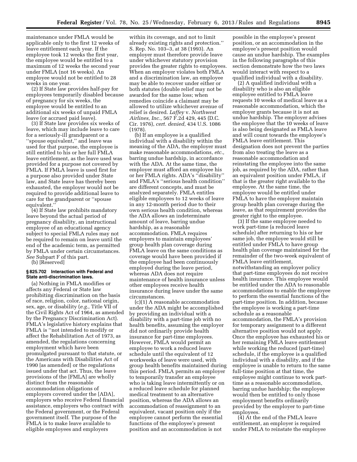maintenance under FMLA would be applicable only to the first 12 weeks of leave entitlement each year. If the employee took 12 weeks the first year, the employee would be entitled to a maximum of 12 weeks the second year under FMLA (not 16 weeks). An employee would not be entitled to 28 weeks in one year.

(2) If State law provides half-pay for employees temporarily disabled because of pregnancy for six weeks, the employee would be entitled to an additional six weeks of unpaid FMLA leave (or accrued paid leave).

(3) If State law provides six weeks of leave, which may include leave to care for a seriously-ill grandparent or a ''spouse equivalent,'' and leave was used for that purpose, the employee is still entitled to his or her full FMLA leave entitlement, as the leave used was provided for a purpose not covered by FMLA. If FMLA leave is used first for a purpose also provided under State law, and State leave has thereby been exhausted, the employer would not be required to provide additional leave to care for the grandparent or ''spouse equivalent.''

(4) If State law prohibits mandatory leave beyond the actual period of pregnancy disability, an instructional employee of an educational agency subject to special FMLA rules may not be required to remain on leave until the end of the academic term, as permitted by FMLA under certain circumstances. *See* Subpart F of this part.

(b) [Reserved]

### **§ 825.702 Interaction with Federal and State anti-discrimination laws.**

(a) Nothing in FMLA modifies or affects any Federal or State law prohibiting discrimination on the basis of race, religion, color, national origin, sex, age, or disability (*e.g.,* Title VII of the Civil Rights Act of 1964, as amended by the Pregnancy Discrimination Act). FMLA's legislative history explains that FMLA is ''not intended to modify or affect the Rehabilitation Act of 1973, as amended, the regulations concerning employment which have been promulgated pursuant to that statute, or the Americans with Disabilities Act of 1990 [as amended] or the regulations issued under that act. Thus, the leave provisions of the [FMLA] are wholly distinct from the reasonable accommodation obligations of employers covered under the [ADA], employers who receive Federal financial assistance, employers who contract with the Federal government, or the Federal government itself. The purpose of the FMLA is to make leave available to eligible employees and employers

within its coverage, and not to limit already existing rights and protection.'' S. Rep. No. 103–3, at 38 (1993). An employer must therefore provide leave under whichever statutory provision provides the greater rights to employees. When an employer violates both FMLA and a discrimination law, an employee may be able to recover under either or both statutes (double relief may not be awarded for the same loss; when remedies coincide a claimant may be allowed to utilize whichever avenue of relief is desired. *Laffey* v. *Northwest Airlines, Inc.,* 567 F.2d 429, 445 (D.C. Cir. 1976), *cert. denied,* 434 U.S. 1086 (1978).

(b) If an employee is a qualified individual with a disability within the meaning of the ADA, the employer must make reasonable accommodations, *etc.,*  barring undue hardship, in accordance with the ADA. At the same time, the employer must afford an employee his or her FMLA rights. ADA's ''disability'' and FMLA's ''serious health condition'' are different concepts, and must be analyzed separately. FMLA entitles eligible employees to 12 weeks of leave in any 12-month period due to their own serious health condition, whereas the ADA allows an indeterminate amount of leave, barring undue hardship, as a reasonable accommodation. FMLA requires employers to maintain employees' group health plan coverage during FMLA leave on the same conditions as coverage would have been provided if the employee had been continuously employed during the leave period, whereas ADA does not require maintenance of health insurance unless other employees receive health insurance during leave under the same circumstances.

(c)(1) A reasonable accommodation under the ADA might be accomplished by providing an individual with a disability with a part-time job with no health benefits, assuming the employer did not ordinarily provide health insurance for part-time employees. However, FMLA would permit an employee to work a reduced leave schedule until the equivalent of 12 workweeks of leave were used, with group health benefits maintained during this period. FMLA permits an employer to temporarily transfer an employee who is taking leave intermittently or on a reduced leave schedule for planned medical treatment to an alternative position, whereas the ADA allows an accommodation of reassignment to an equivalent, vacant position only if the employee cannot perform the essential functions of the employee's present position and an accommodation is not

possible in the employee's present position, or an accommodation in the employee's present position would cause an undue hardship. The examples in the following paragraphs of this section demonstrate how the two laws would interact with respect to a qualified individual with a disability.

(2) A qualified individual with a disability who is also an eligible employee entitled to FMLA leave requests 10 weeks of medical leave as a reasonable accommodation, which the employer grants because it is not an undue hardship. The employer advises the employee that the 10 weeks of leave is also being designated as FMLA leave and will count towards the employee's FMLA leave entitlement. This designation does not prevent the parties from also treating the leave as a reasonable accommodation and reinstating the employee into the same job, as required by the ADA, rather than an equivalent position under FMLA, if that is the greater right available to the employee. At the same time, the employee would be entitled under FMLA to have the employer maintain group health plan coverage during the leave, as that requirement provides the greater right to the employee.

(3) If the same employee needed to work part-time (a reduced leave schedule) after returning to his or her same job, the employee would still be entitled under FMLA to have group health plan coverage maintained for the remainder of the two-week equivalent of FMLA leave entitlement, notwithstanding an employer policy that part-time employees do not receive health insurance. This employee would be entitled under the ADA to reasonable accommodations to enable the employee to perform the essential functions of the part-time position. In addition, because the employee is working a part-time schedule as a reasonable accommodation, the FMLA's provision for temporary assignment to a different alternative position would not apply. Once the employee has exhausted his or her remaining FMLA leave entitlement while working the reduced (part-time) schedule, if the employee is a qualified individual with a disability, and if the employee is unable to return to the same full-time position at that time, the employee might continue to work parttime as a reasonable accommodation, barring undue hardship; the employee would then be entitled to only those employment benefits ordinarily provided by the employer to part-time employees.

(4) At the end of the FMLA leave entitlement, an employer is required under FMLA to reinstate the employee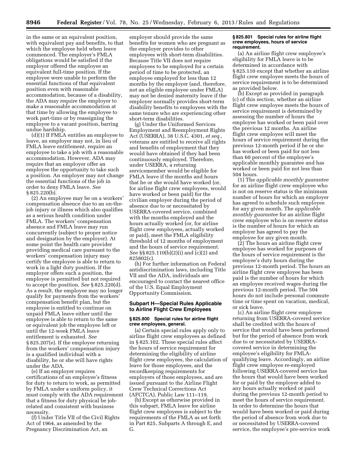in the same or an equivalent position, with equivalent pay and benefits, to that which the employee held when leave commenced. The employer's FMLA obligations would be satisfied if the employer offered the employee an equivalent full-time position. If the employee were unable to perform the essential functions of that equivalent position even with reasonable accommodation, because of a disability, the ADA may require the employer to make a reasonable accommodation at that time by allowing the employee to work part-time or by reassigning the employee to a vacant position, barring undue hardship.

(d)(1) If FMLA entitles an employee to leave, an employer may not, in lieu of FMLA leave entitlement, require an employee to take a job with a reasonable accommodation. However, ADA may require that an employer offer an employee the opportunity to take such a position. An employer may not change the essential functions of the job in order to deny FMLA leave. *See*  § 825.220(b).

(2) An employee may be on a workers' compensation absence due to an on-thejob injury or illness which also qualifies as a serious health condition under FMLA. The workers' compensation absence and FMLA leave may run concurrently (subject to proper notice and designation by the employer). At some point the health care provider providing medical care pursuant to the workers' compensation injury may certify the employee is able to return to work in a light duty position. If the employer offers such a position, the employee is permitted but not required to accept the position. *See* § 825.220(d). As a result, the employee may no longer qualify for payments from the workers' compensation benefit plan, but the employee is entitled to continue on unpaid FMLA leave either until the employee is able to return to the same or equivalent job the employee left or until the 12-week FMLA leave entitlement is exhausted. *See*  § 825.207(e). If the employee returning from the workers' compensation injury is a qualified individual with a disability, he or she will have rights under the ADA.

(e) If an employer requires certifications of an employee's fitness for duty to return to work, as permitted by FMLA under a uniform policy, it must comply with the ADA requirement that a fitness for duty physical be jobrelated and consistent with business necessity.

(f) Under Title VII of the Civil Rights Act of 1964, as amended by the Pregnancy Discrimination Act, an

employer should provide the same benefits for women who are pregnant as the employer provides to other employees with short-term disabilities. Because Title VII does not require employees to be employed for a certain period of time to be protected, an employee employed for less than 12 months by the employer (and, therefore, not an eligible employee under FMLA) may not be denied maternity leave if the employer normally provides short-term disability benefits to employees with the same tenure who are experiencing other short-term disabilities.

(g) Under the Uniformed Services Employment and Reemployment Rights Act (USERRA), 38 U.S.C. 4301, *et seq.,*  veterans are entitled to receive all rights and benefits of employment that they would have obtained if they had been continuously employed. Therefore, under USERRA, a returning servicemember would be eligible for FMLA leave if the months and hours that he or she would have worked (or, for airline flight crew employees, would have worked or been paid) for the civilian employer during the period of absence due to or necessitated by USERRA-covered service, combined with the months employed and the hours actually worked (or, for airline flight crew employees, actually worked or paid), meet the FMLA eligibility threshold of 12 months of employment and the hours of service requirement. *See* §§ 825.110(b)(2)(i) and (c)(2) and 825802(c).

(h) For further information on Federal antidiscrimination laws, including Title VII and the ADA, individuals are encouraged to contact the nearest office of the U.S. Equal Employment Opportunity Commission.

# **Subpart H—Special Rules Applicable to Airline Flight Crew Employees**

# **§ 825.800 Special rules for airline flight crew employees, general.**

(a) Certain special rules apply only to airline flight crew employees as defined in § 825.102. These special rules affect the hours of service requirement for determining the eligibility of airline flight crew employees, the calculation of leave for those employees, and the recordkeeping requirements for employers of those employees, and are issued pursuant to the Airline Flight Crew Technical Corrections Act (AFCTCA), Public Law 111–119.

(b) Except as otherwise provided in this subpart, FMLA leave for airline flight crew employees is subject to the requirements of the FMLA as set forth in Part 825, Subparts A through E, and G.

### **§ 825.801 Special rules for airline flight crew employees, hours of service requirement.**

(a) An airline flight crew employee's eligibility for FMLA leave is to be determined in accordance with § 825.110 except that whether an airline flight crew employee meets the hours of service requirement is to be determined as provided below.

(b) Except as provided in paragraph (c) of this section, whether an airline flight crew employee meets the hours of service requirement is determined by assessing the number of hours the employee has worked or been paid over the previous 12 months. An airline flight crew employee will meet the hours of service requirement during the previous 12-month period if he or she has worked or been paid for not less than 60 percent of the employee's applicable monthly guarantee and has worked or been paid for not less than 504 hours.

(1) The *applicable monthly guarantee*  for an airline flight crew employee who is not on reserve status is the minimum number of hours for which an employer has agreed to schedule such employee for any given month. The *applicable monthly guarantee* for an airline flight crew employee who is on reserve status is the number of hours for which an employer has agreed to pay the employee for any given month.

(2) The hours an airline flight crew employee has worked for purposes of the hours of service requirement is the employee's duty hours during the previous 12-month period. The hours an airline flight crew employee has been paid is the number of hours for which an employee received wages during the previous 12-month period. The 504 hours do not include personal commute time or time spent on vacation, medical, or sick leave.

(c) An airline flight crew employee returning from USERRA-covered service shall be credited with the hours of service that would have been performed but for the period of absence from work due to or necessitated by USERRAcovered service in determining the employee's eligibility for FMLAqualifying leave. Accordingly, an airline flight crew employee re-employed following USERRA-covered service has the hours that would have been worked for or paid by the employer added to any hours actually worked or paid during the previous 12-month period to meet the hours of service requirement. In order to determine the hours that would have been worked or paid during the period of absence from work due to or necessitated by USERRA-covered service, the employee's pre-service work